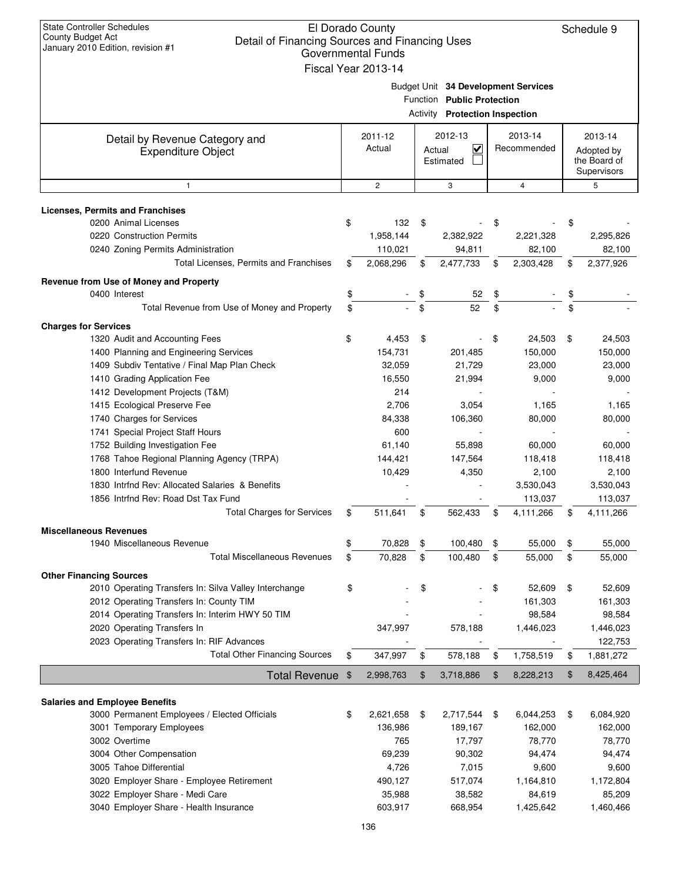| <b>State Controller Schedules</b><br>El Dorado County<br>County Budget Act<br>Detail of Financing Sources and Financing Uses<br>January 2010 Edition, revision #1<br><b>Governmental Funds</b><br>Fiscal Year 2013-14 |    |                   |                 |                                                            |    |                                     |    |                                                      |  |
|-----------------------------------------------------------------------------------------------------------------------------------------------------------------------------------------------------------------------|----|-------------------|-----------------|------------------------------------------------------------|----|-------------------------------------|----|------------------------------------------------------|--|
|                                                                                                                                                                                                                       |    |                   | <b>Activity</b> | Function Public Protection<br><b>Protection Inspection</b> |    | Budget Unit 34 Development Services |    |                                                      |  |
| Detail by Revenue Category and<br><b>Expenditure Object</b>                                                                                                                                                           |    | 2011-12<br>Actual | Actual          | 2012-13<br>$\checkmark$<br>Estimated                       |    | 2013-14<br>Recommended              |    | 2013-14<br>Adopted by<br>the Board of<br>Supervisors |  |
| $\mathbf{1}$                                                                                                                                                                                                          |    | $\sqrt{2}$        |                 | 3                                                          |    | 4                                   |    | 5                                                    |  |
| Licenses, Permits and Franchises                                                                                                                                                                                      |    |                   |                 |                                                            |    |                                     |    |                                                      |  |
| 0200 Animal Licenses                                                                                                                                                                                                  | \$ | 132               | \$              |                                                            | \$ |                                     | \$ |                                                      |  |
| 0220 Construction Permits                                                                                                                                                                                             |    | 1,958,144         |                 | 2,382,922                                                  |    | 2,221,328                           |    | 2,295,826                                            |  |
| 0240 Zoning Permits Administration                                                                                                                                                                                    |    | 110,021           |                 | 94,811                                                     |    | 82,100                              |    | 82,100                                               |  |
| Total Licenses, Permits and Franchises                                                                                                                                                                                | \$ | 2,068,296         | \$              | 2,477,733                                                  | \$ | 2,303,428                           | \$ | 2,377,926                                            |  |
| Revenue from Use of Money and Property                                                                                                                                                                                |    |                   |                 |                                                            |    |                                     |    |                                                      |  |
| 0400 Interest                                                                                                                                                                                                         | \$ |                   | \$              | 52                                                         | \$ |                                     | \$ |                                                      |  |
| Total Revenue from Use of Money and Property                                                                                                                                                                          | \$ |                   | \$              | 52                                                         | \$ |                                     | \$ |                                                      |  |
| <b>Charges for Services</b>                                                                                                                                                                                           |    |                   |                 |                                                            |    |                                     |    |                                                      |  |
| 1320 Audit and Accounting Fees                                                                                                                                                                                        | \$ | 4,453             | \$              |                                                            | \$ | 24,503                              | \$ | 24,503                                               |  |
| 1400 Planning and Engineering Services                                                                                                                                                                                |    | 154,731           |                 | 201,485                                                    |    | 150,000                             |    | 150,000                                              |  |
| 1409 Subdiv Tentative / Final Map Plan Check                                                                                                                                                                          |    | 32,059            |                 | 21,729                                                     |    | 23,000                              |    | 23,000                                               |  |
| 1410 Grading Application Fee                                                                                                                                                                                          |    | 16,550            |                 | 21,994                                                     |    | 9,000                               |    | 9,000                                                |  |
| 1412 Development Projects (T&M)                                                                                                                                                                                       |    | 214               |                 |                                                            |    |                                     |    |                                                      |  |
| 1415 Ecological Preserve Fee                                                                                                                                                                                          |    | 2,706             |                 | 3,054                                                      |    | 1,165                               |    | 1,165                                                |  |
| 1740 Charges for Services                                                                                                                                                                                             |    | 84,338            |                 | 106,360                                                    |    | 80,000                              |    | 80,000                                               |  |
| 1741 Special Project Staff Hours                                                                                                                                                                                      |    | 600               |                 |                                                            |    |                                     |    |                                                      |  |
| 1752 Building Investigation Fee                                                                                                                                                                                       |    | 61,140            |                 | 55,898                                                     |    | 60,000                              |    | 60,000                                               |  |
| 1768 Tahoe Regional Planning Agency (TRPA)                                                                                                                                                                            |    | 144,421           |                 | 147,564                                                    |    | 118,418                             |    | 118,418                                              |  |
| 1800 Interfund Revenue                                                                                                                                                                                                |    | 10,429            |                 | 4,350                                                      |    | 2,100                               |    | 2,100                                                |  |
| 1830 Intrind Rev: Allocated Salaries & Benefits                                                                                                                                                                       |    |                   |                 |                                                            |    | 3,530,043                           |    | 3,530,043                                            |  |
| 1856 Intrind Rev: Road Dst Tax Fund                                                                                                                                                                                   |    |                   |                 |                                                            |    | 113,037                             |    | 113,037                                              |  |
| <b>Total Charges for Services</b>                                                                                                                                                                                     |    | 511,641           | \$              | 562,433                                                    | \$ | 4,111,266                           |    | 4,111,266                                            |  |
| <b>Miscellaneous Revenues</b>                                                                                                                                                                                         |    |                   |                 |                                                            |    |                                     |    |                                                      |  |
| 1940 Miscellaneous Revenue                                                                                                                                                                                            | \$ | 70,828            | \$              | 100,480                                                    | \$ | 55,000                              | \$ | 55,000                                               |  |
| <b>Total Miscellaneous Revenues</b>                                                                                                                                                                                   | \$ | 70,828            | \$              | 100,480                                                    | \$ | 55,000                              | \$ | 55,000                                               |  |
|                                                                                                                                                                                                                       |    |                   |                 |                                                            |    |                                     |    |                                                      |  |
| <b>Other Financing Sources</b><br>2010 Operating Transfers In: Silva Valley Interchange                                                                                                                               | \$ |                   | \$              |                                                            | \$ | 52,609                              | \$ | 52,609                                               |  |
| 2012 Operating Transfers In: County TIM                                                                                                                                                                               |    |                   |                 |                                                            |    | 161,303                             |    | 161,303                                              |  |
| 2014 Operating Transfers In: Interim HWY 50 TIM                                                                                                                                                                       |    |                   |                 |                                                            |    | 98,584                              |    | 98,584                                               |  |
| 2020 Operating Transfers In                                                                                                                                                                                           |    | 347,997           |                 | 578,188                                                    |    | 1,446,023                           |    | 1,446,023                                            |  |
| 2023 Operating Transfers In: RIF Advances                                                                                                                                                                             |    |                   |                 |                                                            |    |                                     |    | 122,753                                              |  |
| <b>Total Other Financing Sources</b>                                                                                                                                                                                  | \$ | 347,997           | \$              | 578,188                                                    | \$ | 1,758,519                           | \$ | 1,881,272                                            |  |
|                                                                                                                                                                                                                       |    |                   | \$              | 3,718,886                                                  | \$ |                                     | \$ | 8,425,464                                            |  |
| <b>Total Revenue</b>                                                                                                                                                                                                  | \$ | 2,998,763         |                 |                                                            |    | 8,228,213                           |    |                                                      |  |
| <b>Salaries and Employee Benefits</b>                                                                                                                                                                                 |    |                   |                 |                                                            |    |                                     |    |                                                      |  |
| 3000 Permanent Employees / Elected Officials                                                                                                                                                                          | \$ | 2,621,658         | \$              | 2,717,544                                                  | \$ | 6,044,253                           | \$ | 6,084,920                                            |  |
| 3001 Temporary Employees                                                                                                                                                                                              |    | 136,986           |                 | 189,167                                                    |    | 162,000                             |    | 162,000                                              |  |
| 3002 Overtime                                                                                                                                                                                                         |    | 765               |                 | 17,797                                                     |    | 78,770                              |    | 78,770                                               |  |
| 3004 Other Compensation                                                                                                                                                                                               |    | 69,239            |                 | 90,302                                                     |    | 94,474                              |    | 94,474                                               |  |
| 3005 Tahoe Differential                                                                                                                                                                                               |    | 4,726             |                 | 7,015                                                      |    | 9,600                               |    | 9,600                                                |  |
| 3020 Employer Share - Employee Retirement                                                                                                                                                                             |    | 490,127           |                 | 517,074                                                    |    | 1,164,810                           |    | 1,172,804                                            |  |
| 3022 Employer Share - Medi Care                                                                                                                                                                                       |    | 35,988            |                 | 38,582                                                     |    | 84,619                              |    | 85,209                                               |  |
| 3040 Employer Share - Health Insurance                                                                                                                                                                                |    | 603,917           |                 | 668,954                                                    |    | 1,425,642                           |    | 1,460,466                                            |  |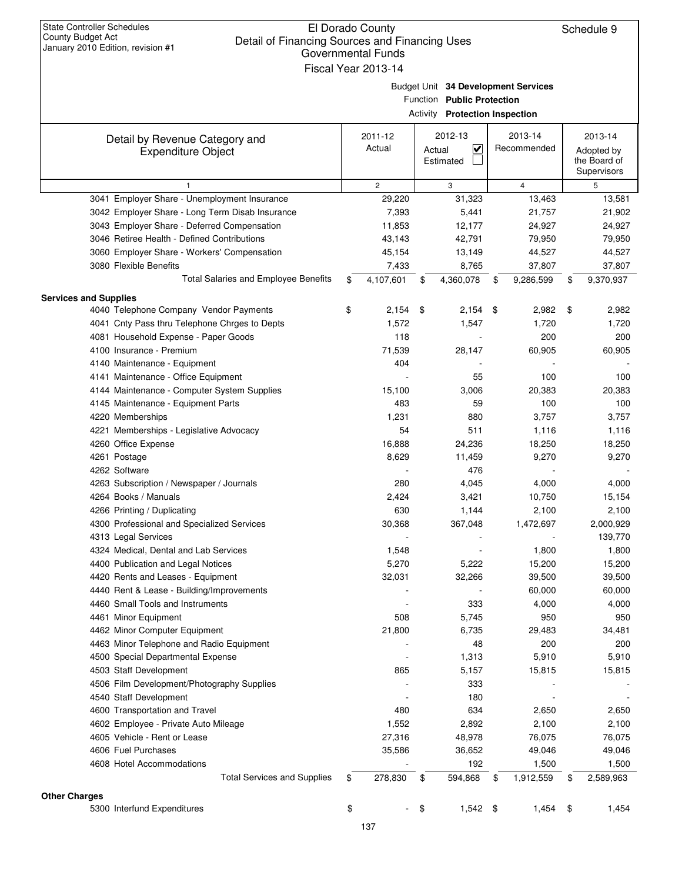| January 2010 Edition, revision #1                           | Governmental Funds<br>Fiscal Year 2013-14 |        |                                                              |                                     |                                                      |
|-------------------------------------------------------------|-------------------------------------------|--------|--------------------------------------------------------------|-------------------------------------|------------------------------------------------------|
|                                                             |                                           |        | Function Public Protection<br>Activity Protection Inspection | Budget Unit 34 Development Services |                                                      |
| Detail by Revenue Category and<br><b>Expenditure Object</b> | 2011-12<br>Actual                         | Actual | 2012-13<br>K<br>Estimated                                    | 2013-14<br>Recommended              | 2013-14<br>Adopted by<br>the Board of<br>Supervisors |
| $\mathbf{1}$                                                | $\mathbf{2}^{\prime}$                     |        | 3                                                            | $\overline{4}$                      | 5                                                    |
| 3041 Employer Share - Unemployment Insurance                | 29,220                                    |        | 31,323                                                       | 13,463                              | 13,581                                               |
| 3042 Employer Share - Long Term Disab Insurance             | 7,393                                     |        | 5,441                                                        | 21,757                              | 21,902                                               |
| 3043 Employer Share - Deferred Compensation                 | 11,853                                    |        | 12,177                                                       | 24,927                              | 24,927                                               |
| 3046 Retiree Health - Defined Contributions                 | 43,143                                    |        | 42,791                                                       | 79,950                              | 79,950                                               |
| 3060 Employer Share - Workers' Compensation                 | 45,154                                    |        | 13,149                                                       | 44,527                              | 44,527                                               |
| 3080 Flexible Benefits                                      | 7,433                                     |        | 8,765                                                        | 37,807                              | 37,807                                               |
| <b>Total Salaries and Employee Benefits</b>                 | \$<br>4,107,601                           | \$     | 4,360,078                                                    | \$<br>9,286,599                     | \$<br>9,370,937                                      |
| <b>Services and Supplies</b>                                |                                           |        |                                                              |                                     |                                                      |
| 4040 Telephone Company Vendor Payments                      | \$<br>2,154                               | \$     | $2,154$ \$                                                   | 2,982                               | \$<br>2,982                                          |
| 4041 Cnty Pass thru Telephone Chrges to Depts               | 1,572                                     |        | 1,547                                                        | 1,720                               | 1,720                                                |
| 4081 Household Expense - Paper Goods                        | 118                                       |        |                                                              | 200                                 | 200                                                  |
| 4100 Insurance - Premium                                    | 71,539                                    |        | 28,147                                                       | 60,905                              | 60,905                                               |
| 4140 Maintenance - Equipment                                | 404                                       |        |                                                              |                                     |                                                      |
| 4141 Maintenance - Office Equipment                         |                                           |        | 55                                                           | 100                                 | 100                                                  |
| 4144 Maintenance - Computer System Supplies                 | 15,100                                    |        | 3,006                                                        | 20,383                              | 20,383                                               |
| 4145 Maintenance - Equipment Parts                          | 483                                       |        | 59                                                           | 100                                 | 100                                                  |
| 4220 Memberships                                            | 1,231                                     |        | 880                                                          | 3,757                               | 3,757                                                |
| 4221 Memberships - Legislative Advocacy                     | 54                                        |        | 511                                                          | 1,116                               | 1,116                                                |
| 4260 Office Expense                                         | 16,888                                    |        | 24,236                                                       | 18,250                              | 18,250                                               |
| 4261 Postage                                                | 8,629                                     |        | 11,459                                                       | 9,270                               | 9,270                                                |
| 4262 Software                                               |                                           |        | 476                                                          |                                     |                                                      |
| 4263 Subscription / Newspaper / Journals                    | 280                                       |        | 4,045                                                        | 4,000                               | 4,000                                                |
| 4264 Books / Manuals                                        | 2,424                                     |        | 3,421                                                        | 10,750                              | 15,154                                               |
| 4266 Printing / Duplicating                                 | 630                                       |        | 1,144                                                        | 2,100                               | 2,100                                                |
| 4300 Professional and Specialized Services                  | 30,368                                    |        | 367,048                                                      | 1,472,697                           | 2,000,929                                            |
| 4313 Legal Services                                         |                                           |        |                                                              |                                     | 139,770                                              |
| 4324 Medical, Dental and Lab Services                       | 1,548                                     |        |                                                              | 1,800                               | 1,800                                                |
| 4400 Publication and Legal Notices                          | 5,270                                     |        | 5,222                                                        | 15,200                              | 15,200                                               |
| 4420 Rents and Leases - Equipment                           | 32,031                                    |        | 32,266                                                       | 39,500                              | 39,500                                               |
| 4440 Rent & Lease - Building/Improvements                   |                                           |        |                                                              | 60,000                              | 60,000                                               |
| 4460 Small Tools and Instruments                            |                                           |        | 333                                                          | 4,000                               | 4,000                                                |
| 4461 Minor Equipment                                        | 508                                       |        | 5,745                                                        | 950                                 | 950                                                  |
| 4462 Minor Computer Equipment                               | 21,800                                    |        | 6,735                                                        | 29,483                              | 34,481                                               |
| 4463 Minor Telephone and Radio Equipment                    |                                           |        | 48                                                           | 200                                 | 200                                                  |
| 4500 Special Departmental Expense                           |                                           |        | 1,313                                                        | 5,910                               | 5,910                                                |
| 4503 Staff Development                                      | 865                                       |        | 5,157                                                        | 15,815                              | 15,815                                               |
| 4506 Film Development/Photography Supplies                  |                                           |        | 333                                                          |                                     |                                                      |
| 4540 Staff Development                                      |                                           |        | 180                                                          |                                     |                                                      |
| 4600 Transportation and Travel                              | 480                                       |        | 634                                                          | 2,650                               | 2,650                                                |
| 4602 Employee - Private Auto Mileage                        | 1,552                                     |        | 2,892                                                        | 2,100                               | 2,100                                                |
| 4605 Vehicle - Rent or Lease                                | 27,316                                    |        | 48,978                                                       | 76,075                              | 76,075                                               |
| 4606 Fuel Purchases                                         | 35,586                                    |        | 36,652                                                       | 49,046                              | 49,046                                               |
| 4608 Hotel Accommodations                                   |                                           |        | 192                                                          | 1,500                               | 1,500                                                |
| <b>Total Services and Supplies</b>                          | \$<br>278,830                             | \$     | 594,868                                                      | \$<br>1,912,559                     | \$<br>2,589,963                                      |
| <b>Other Charges</b>                                        |                                           |        |                                                              |                                     |                                                      |
| 5300 Interfund Expenditures                                 | \$                                        | \$     | $1,542$ \$                                                   | 1,454                               | \$<br>1,454                                          |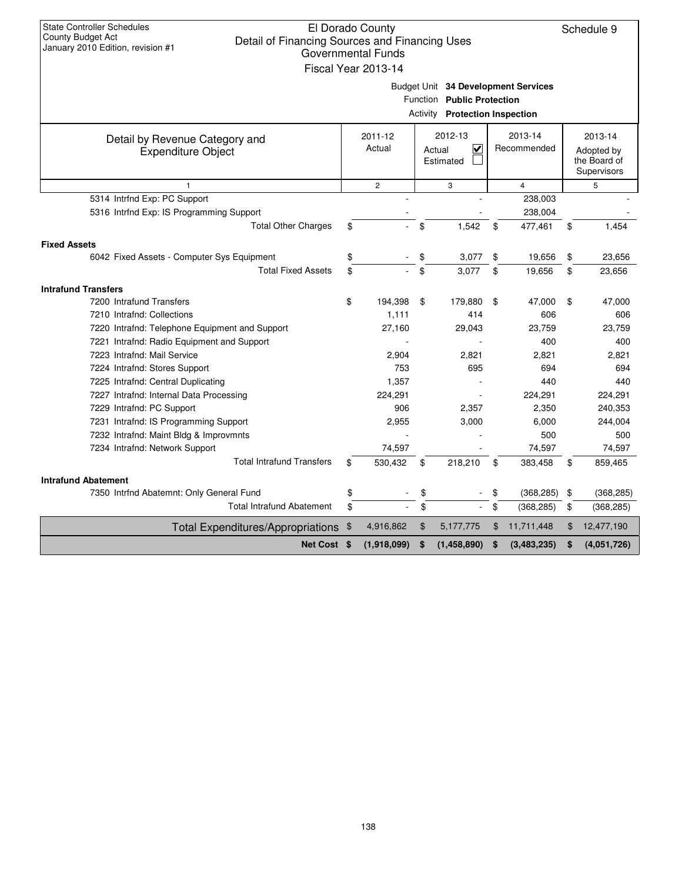| <b>State Controller Schedules</b><br>El Dorado County<br>County Budget Act<br>Detail of Financing Sources and Financing Uses<br>January 2010 Edition, revision #1<br><b>Governmental Funds</b><br>Fiscal Year 2013-14 |                                                                                    |             |    |             |    |             |    |             |  |  |  |
|-----------------------------------------------------------------------------------------------------------------------------------------------------------------------------------------------------------------------|------------------------------------------------------------------------------------|-------------|----|-------------|----|-------------|----|-------------|--|--|--|
| Budget Unit 34 Development Services<br>Function Public Protection<br><b>Activity Protection Inspection</b>                                                                                                            |                                                                                    |             |    |             |    |             |    |             |  |  |  |
| Detail by Revenue Category and<br><b>Expenditure Object</b>                                                                                                                                                           | 2012-13<br>2013-14<br>2011-12<br>Actual<br>V<br>Recommended<br>Actual<br>Estimated |             |    |             |    |             |    |             |  |  |  |
| $\overline{c}$<br>3<br>$\overline{4}$<br>5<br>$\mathbf{1}$                                                                                                                                                            |                                                                                    |             |    |             |    |             |    |             |  |  |  |
| 5314 Intrfnd Exp: PC Support                                                                                                                                                                                          |                                                                                    |             |    |             |    | 238,003     |    |             |  |  |  |
| 5316 Intrfnd Exp: IS Programming Support                                                                                                                                                                              |                                                                                    |             |    |             |    | 238,004     |    |             |  |  |  |
| <b>Total Other Charges</b>                                                                                                                                                                                            | \$                                                                                 |             | \$ | 1.542       | \$ | 477,461     | \$ | 1,454       |  |  |  |
| <b>Fixed Assets</b>                                                                                                                                                                                                   |                                                                                    |             |    |             |    |             |    |             |  |  |  |
| 6042 Fixed Assets - Computer Sys Equipment                                                                                                                                                                            | \$                                                                                 |             | \$ | 3,077       | \$ | 19,656      | \$ | 23,656      |  |  |  |
| <b>Total Fixed Assets</b>                                                                                                                                                                                             | \$                                                                                 |             | \$ | 3,077       | \$ | 19,656      | \$ | 23,656      |  |  |  |
| <b>Intrafund Transfers</b>                                                                                                                                                                                            |                                                                                    |             |    |             |    |             |    |             |  |  |  |
| 7200 Intrafund Transfers                                                                                                                                                                                              | \$                                                                                 | 194,398     | \$ | 179,880     | \$ | 47,000      | \$ | 47,000      |  |  |  |
| 7210 Intrafnd: Collections                                                                                                                                                                                            |                                                                                    | 1,111       |    | 414         |    | 606         |    | 606         |  |  |  |
| 7220 Intrafnd: Telephone Equipment and Support                                                                                                                                                                        |                                                                                    | 27,160      |    | 29,043      |    | 23,759      |    | 23,759      |  |  |  |
| 7221 Intrafnd: Radio Equipment and Support                                                                                                                                                                            |                                                                                    |             |    |             |    | 400         |    | 400         |  |  |  |
| 7223 Intrafnd: Mail Service                                                                                                                                                                                           |                                                                                    | 2,904       |    | 2.821       |    | 2.821       |    | 2,821       |  |  |  |
| 7224 Intrafnd: Stores Support                                                                                                                                                                                         |                                                                                    | 753         |    | 695         |    | 694         |    | 694         |  |  |  |
| 7225 Intrafnd: Central Duplicating                                                                                                                                                                                    |                                                                                    | 1,357       |    |             |    | 440         |    | 440         |  |  |  |
| 7227 Intrafnd: Internal Data Processing                                                                                                                                                                               |                                                                                    | 224.291     |    |             |    | 224,291     |    | 224,291     |  |  |  |
| 7229 Intrafnd: PC Support                                                                                                                                                                                             |                                                                                    | 906         |    | 2,357       |    | 2,350       |    | 240,353     |  |  |  |
| 7231 Intrafnd: IS Programming Support                                                                                                                                                                                 |                                                                                    | 2,955       |    | 3,000       |    | 6,000       |    | 244,004     |  |  |  |
| 7232 Intrafnd: Maint Bldg & Improvmnts                                                                                                                                                                                |                                                                                    |             |    |             |    | 500         |    | 500         |  |  |  |
| 7234 Intrafnd: Network Support                                                                                                                                                                                        |                                                                                    | 74,597      |    |             |    | 74,597      |    | 74,597      |  |  |  |
| <b>Total Intrafund Transfers</b>                                                                                                                                                                                      | \$                                                                                 | 530,432     | \$ | 218,210     | \$ | 383,458     | \$ | 859,465     |  |  |  |
| <b>Intrafund Abatement</b>                                                                                                                                                                                            |                                                                                    |             |    |             |    |             |    |             |  |  |  |
| 7350 Intrfnd Abatemnt: Only General Fund                                                                                                                                                                              | \$                                                                                 |             | \$ |             |    | (368, 285)  | \$ | (368, 285)  |  |  |  |
| <b>Total Intrafund Abatement</b>                                                                                                                                                                                      | \$                                                                                 |             | \$ |             | \$ | (368, 285)  | \$ | (368, 285)  |  |  |  |
| <b>Total Expenditures/Appropriations</b>                                                                                                                                                                              | - \$                                                                               | 4,916,862   | \$ | 5,177,775   | \$ | 11,711,448  | \$ | 12,477,190  |  |  |  |
| Net Cost \$                                                                                                                                                                                                           |                                                                                    | (1,918,099) | S. | (1,458,890) | S  | (3,483,235) | \$ | (4,051,726) |  |  |  |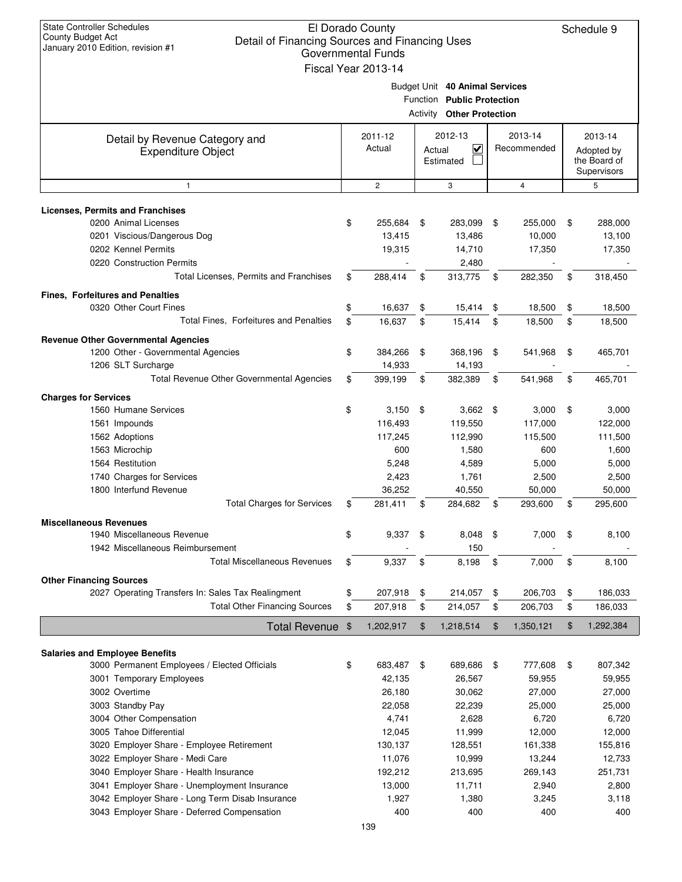| <b>State Controller Schedules</b><br>El Dorado County<br>County Budget Act<br>Detail of Financing Sources and Financing Uses<br>January 2010 Edition, revision #1<br><b>Governmental Funds</b> |    |                     |        |                                                                                           |     |                |    |                                           |
|------------------------------------------------------------------------------------------------------------------------------------------------------------------------------------------------|----|---------------------|--------|-------------------------------------------------------------------------------------------|-----|----------------|----|-------------------------------------------|
|                                                                                                                                                                                                |    | Fiscal Year 2013-14 |        |                                                                                           |     |                |    |                                           |
|                                                                                                                                                                                                |    |                     |        | Budget Unit 40 Animal Services<br>Function Public Protection<br>Activity Other Protection |     |                |    |                                           |
| Detail by Revenue Category and                                                                                                                                                                 |    | 2011-12             |        | 2012-13                                                                                   |     | 2013-14        |    | 2013-14                                   |
| <b>Expenditure Object</b>                                                                                                                                                                      |    | Actual              | Actual | $\overline{\mathbf{v}}$<br>Estimated                                                      |     | Recommended    |    | Adopted by<br>the Board of<br>Supervisors |
| $\mathbf{1}$                                                                                                                                                                                   |    | $\mathbf{2}$        |        | 3                                                                                         |     | $\overline{4}$ |    | 5                                         |
| <b>Licenses, Permits and Franchises</b>                                                                                                                                                        |    |                     |        |                                                                                           |     |                |    |                                           |
| 0200 Animal Licenses                                                                                                                                                                           | \$ | 255,684             | \$     | 283,099                                                                                   | \$  | 255,000        | \$ | 288,000                                   |
| 0201 Viscious/Dangerous Dog                                                                                                                                                                    |    | 13,415              |        | 13,486                                                                                    |     | 10,000         |    | 13,100                                    |
| 0202 Kennel Permits                                                                                                                                                                            |    | 19,315              |        | 14,710                                                                                    |     | 17,350         |    | 17,350                                    |
| 0220 Construction Permits                                                                                                                                                                      |    |                     |        | 2,480                                                                                     |     |                |    |                                           |
| <b>Total Licenses. Permits and Franchises</b>                                                                                                                                                  | \$ | 288,414             | \$     | 313,775                                                                                   | \$  | 282,350        | \$ | 318,450                                   |
|                                                                                                                                                                                                |    |                     |        |                                                                                           |     |                |    |                                           |
| <b>Fines. Forfeitures and Penalties</b>                                                                                                                                                        |    |                     |        |                                                                                           |     |                |    |                                           |
| 0320 Other Court Fines                                                                                                                                                                         | \$ | 16,637              | \$     | 15,414                                                                                    | \$  | 18,500         | \$ | 18,500                                    |
| Total Fines, Forfeitures and Penalties                                                                                                                                                         | \$ | 16,637              | \$     | 15,414                                                                                    | \$  | 18,500         | \$ | 18,500                                    |
| <b>Revenue Other Governmental Agencies</b>                                                                                                                                                     |    |                     |        |                                                                                           |     |                |    |                                           |
| 1200 Other - Governmental Agencies                                                                                                                                                             | \$ | 384,266             | \$     | 368,196                                                                                   | \$  | 541,968        | \$ | 465,701                                   |
| 1206 SLT Surcharge                                                                                                                                                                             |    | 14,933              |        | 14,193                                                                                    |     |                |    |                                           |
| Total Revenue Other Governmental Agencies                                                                                                                                                      | \$ | 399,199             | \$     | 382,389                                                                                   | \$  | 541,968        | \$ | 465,701                                   |
| <b>Charges for Services</b>                                                                                                                                                                    |    |                     |        |                                                                                           |     |                |    |                                           |
| 1560 Humane Services                                                                                                                                                                           | \$ | 3,150               | \$     | $3,662$ \$                                                                                |     | 3,000          | \$ | 3,000                                     |
| 1561 Impounds                                                                                                                                                                                  |    | 116,493             |        | 119,550                                                                                   |     | 117,000        |    | 122,000                                   |
| 1562 Adoptions                                                                                                                                                                                 |    | 117,245             |        | 112,990                                                                                   |     | 115,500        |    | 111,500                                   |
| 1563 Microchip                                                                                                                                                                                 |    | 600                 |        | 1,580                                                                                     |     | 600            |    | 1,600                                     |
| 1564 Restitution                                                                                                                                                                               |    |                     |        |                                                                                           |     |                |    |                                           |
|                                                                                                                                                                                                |    | 5,248               |        | 4,589                                                                                     |     | 5,000          |    | 5,000                                     |
| 1740 Charges for Services                                                                                                                                                                      |    | 2,423               |        | 1,761                                                                                     |     | 2,500          |    | 2,500                                     |
| 1800 Interfund Revenue                                                                                                                                                                         |    | 36,252              |        | 40,550                                                                                    |     | 50,000         |    | 50,000                                    |
| <b>Total Charges for Services</b>                                                                                                                                                              | \$ | 281,411             | \$     | 284,682                                                                                   | \$  | 293,600        | \$ | 295,600                                   |
| <b>Miscellaneous Revenues</b>                                                                                                                                                                  |    |                     |        |                                                                                           |     |                |    |                                           |
| 1940 Miscellaneous Revenue                                                                                                                                                                     | \$ | 9,337               | \$     | 8,048                                                                                     | \$  | 7,000          | \$ | 8,100                                     |
| 1942 Miscellaneous Reimbursement                                                                                                                                                               |    |                     |        | 150                                                                                       |     |                |    |                                           |
| <b>Total Miscellaneous Revenues</b>                                                                                                                                                            | \$ | 9,337               | \$     | 8,198                                                                                     | \$  | 7,000          | \$ | 8,100                                     |
| <b>Other Financing Sources</b>                                                                                                                                                                 |    |                     |        |                                                                                           |     |                |    |                                           |
| 2027 Operating Transfers In: Sales Tax Realingment                                                                                                                                             | \$ | 207,918             | \$     | 214,057                                                                                   | \$  | 206,703        | \$ | 186,033                                   |
| <b>Total Other Financing Sources</b>                                                                                                                                                           | \$ | 207,918             | \$     | 214,057                                                                                   | \$  | 206,703        | \$ | 186,033                                   |
|                                                                                                                                                                                                |    |                     |        |                                                                                           |     |                |    |                                           |
| <b>Total Revenue</b>                                                                                                                                                                           | \$ | 1,202,917           | \$     | 1,218,514                                                                                 | \$  | 1,350,121      | \$ | 1,292,384                                 |
| <b>Salaries and Employee Benefits</b>                                                                                                                                                          |    |                     |        |                                                                                           |     |                |    |                                           |
| 3000 Permanent Employees / Elected Officials                                                                                                                                                   | \$ | 683,487             | \$     | 689,686                                                                                   | -\$ | 777,608        | \$ | 807,342                                   |
| 3001 Temporary Employees                                                                                                                                                                       |    | 42,135              |        | 26,567                                                                                    |     | 59,955         |    | 59,955                                    |
| 3002 Overtime                                                                                                                                                                                  |    | 26,180              |        | 30,062                                                                                    |     | 27,000         |    | 27,000                                    |
| 3003 Standby Pay                                                                                                                                                                               |    | 22,058              |        | 22,239                                                                                    |     | 25,000         |    | 25,000                                    |
|                                                                                                                                                                                                |    | 4,741               |        | 2,628                                                                                     |     | 6,720          |    | 6,720                                     |
| 3004 Other Compensation<br>3005 Tahoe Differential                                                                                                                                             |    | 12,045              |        | 11,999                                                                                    |     | 12,000         |    | 12,000                                    |
|                                                                                                                                                                                                |    | 130,137             |        |                                                                                           |     |                |    |                                           |
| 3020 Employer Share - Employee Retirement                                                                                                                                                      |    |                     |        | 128,551                                                                                   |     | 161,338        |    | 155,816                                   |
| 3022 Employer Share - Medi Care                                                                                                                                                                |    | 11,076              |        | 10,999                                                                                    |     | 13,244         |    | 12,733                                    |
| 3040 Employer Share - Health Insurance                                                                                                                                                         |    | 192,212             |        | 213,695                                                                                   |     | 269,143        |    | 251,731                                   |
| 3041 Employer Share - Unemployment Insurance                                                                                                                                                   |    | 13,000              |        | 11,711                                                                                    |     | 2,940          |    | 2,800                                     |
| 3042 Employer Share - Long Term Disab Insurance                                                                                                                                                |    | 1,927               |        | 1,380                                                                                     |     | 3,245          |    | 3,118                                     |
| 3043 Employer Share - Deferred Compensation                                                                                                                                                    |    | 400                 |        | 400                                                                                       |     | 400            |    | 400                                       |
|                                                                                                                                                                                                |    | 139                 |        |                                                                                           |     |                |    |                                           |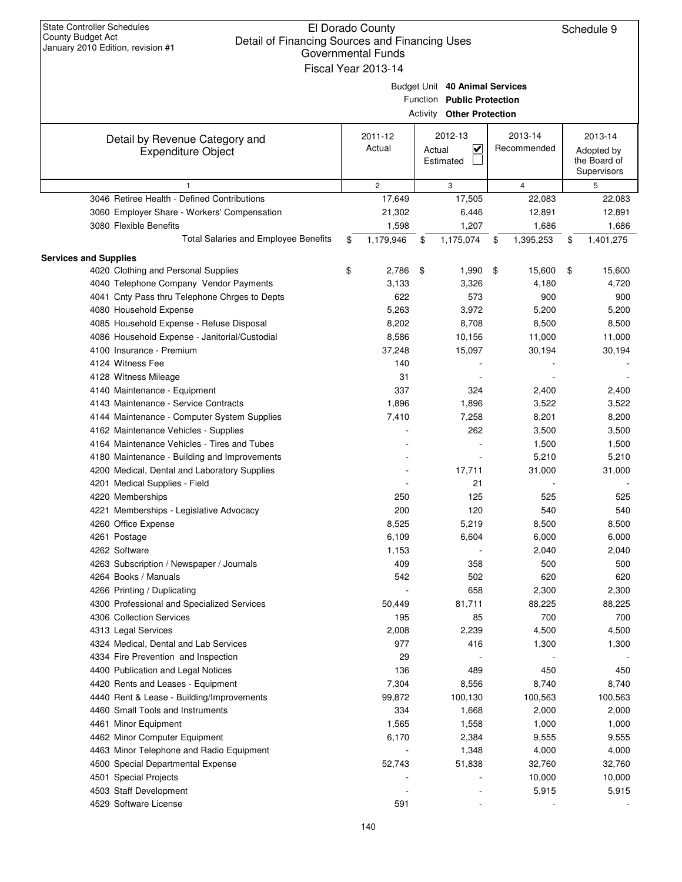| <b>State Controller Schedules</b><br>El Dorado County<br><b>County Budget Act</b><br>Detail of Financing Sources and Financing Uses<br>January 2010 Edition, revision #1<br>Governmental Funds<br>Fiscal Year 2013-14 |    |                   |        |                                                                                                  |    |                        |    |                                                      |  |
|-----------------------------------------------------------------------------------------------------------------------------------------------------------------------------------------------------------------------|----|-------------------|--------|--------------------------------------------------------------------------------------------------|----|------------------------|----|------------------------------------------------------|--|
|                                                                                                                                                                                                                       |    |                   |        | Budget Unit 40 Animal Services<br>Function Public Protection<br><b>Activity Other Protection</b> |    |                        |    |                                                      |  |
| Detail by Revenue Category and<br><b>Expenditure Object</b>                                                                                                                                                           |    | 2011-12<br>Actual | Actual | 2012-13<br>$\checkmark$<br>Estimated                                                             |    | 2013-14<br>Recommended |    | 2013-14<br>Adopted by<br>the Board of<br>Supervisors |  |
|                                                                                                                                                                                                                       |    | $\mathbf{2}$      |        | 3                                                                                                |    | $\overline{4}$         |    | 5                                                    |  |
| 3046 Retiree Health - Defined Contributions                                                                                                                                                                           |    | 17,649            |        | 17,505                                                                                           |    | 22,083                 |    | 22,083                                               |  |
| 3060 Employer Share - Workers' Compensation                                                                                                                                                                           |    | 21,302            |        | 6,446                                                                                            |    | 12,891                 |    | 12,891                                               |  |
| 3080 Flexible Benefits                                                                                                                                                                                                |    | 1,598             |        | 1,207                                                                                            |    | 1,686                  |    | 1,686                                                |  |
| Total Salaries and Employee Benefits                                                                                                                                                                                  | \$ | 1,179,946         | \$     | 1,175,074                                                                                        | \$ | 1,395,253              | \$ | 1,401,275                                            |  |
| <b>Services and Supplies</b>                                                                                                                                                                                          |    |                   |        |                                                                                                  |    |                        |    |                                                      |  |
| 4020 Clothing and Personal Supplies                                                                                                                                                                                   | \$ | 2,786             | \$     | 1,990                                                                                            | \$ | 15,600                 | \$ | 15,600                                               |  |
| 4040 Telephone Company Vendor Payments                                                                                                                                                                                |    | 3,133             |        | 3,326                                                                                            |    | 4,180                  |    | 4,720                                                |  |
| 4041 Cnty Pass thru Telephone Chrges to Depts                                                                                                                                                                         |    | 622               |        | 573                                                                                              |    | 900                    |    | 900                                                  |  |
| 4080 Household Expense                                                                                                                                                                                                |    | 5,263             |        | 3,972                                                                                            |    | 5,200                  |    | 5,200                                                |  |
| 4085 Household Expense - Refuse Disposal                                                                                                                                                                              |    | 8,202             |        | 8,708                                                                                            |    | 8,500                  |    | 8,500                                                |  |
| 4086 Household Expense - Janitorial/Custodial                                                                                                                                                                         |    | 8,586             |        | 10,156                                                                                           |    | 11,000                 |    | 11,000                                               |  |
| 4100 Insurance - Premium                                                                                                                                                                                              |    | 37,248            |        | 15,097                                                                                           |    | 30,194                 |    | 30,194                                               |  |
| 4124 Witness Fee                                                                                                                                                                                                      |    | 140               |        |                                                                                                  |    |                        |    |                                                      |  |
| 4128 Witness Mileage                                                                                                                                                                                                  |    | 31                |        |                                                                                                  |    |                        |    |                                                      |  |
| 4140 Maintenance - Equipment                                                                                                                                                                                          |    | 337               |        | 324                                                                                              |    | 2,400                  |    | 2,400                                                |  |
| 4143 Maintenance - Service Contracts                                                                                                                                                                                  |    | 1,896             |        | 1,896                                                                                            |    | 3,522                  |    | 3,522                                                |  |
|                                                                                                                                                                                                                       |    |                   |        |                                                                                                  |    |                        |    |                                                      |  |
| 4144 Maintenance - Computer System Supplies                                                                                                                                                                           |    | 7,410             |        | 7,258                                                                                            |    | 8,201                  |    | 8,200                                                |  |
| 4162 Maintenance Vehicles - Supplies                                                                                                                                                                                  |    |                   |        | 262                                                                                              |    | 3,500                  |    | 3,500                                                |  |
| 4164 Maintenance Vehicles - Tires and Tubes                                                                                                                                                                           |    |                   |        |                                                                                                  |    | 1,500                  |    | 1,500                                                |  |
| 4180 Maintenance - Building and Improvements                                                                                                                                                                          |    |                   |        |                                                                                                  |    | 5,210                  |    | 5,210                                                |  |
| 4200 Medical, Dental and Laboratory Supplies                                                                                                                                                                          |    |                   |        | 17,711                                                                                           |    | 31,000                 |    | 31,000                                               |  |
| 4201 Medical Supplies - Field                                                                                                                                                                                         |    |                   |        | 21                                                                                               |    |                        |    |                                                      |  |
| 4220 Memberships                                                                                                                                                                                                      |    | 250               |        | 125                                                                                              |    | 525                    |    | 525                                                  |  |
| 4221 Memberships - Legislative Advocacy                                                                                                                                                                               |    | 200               |        | 120                                                                                              |    | 540                    |    | 540                                                  |  |
| 4260 Office Expense                                                                                                                                                                                                   |    | 8,525             |        | 5,219                                                                                            |    | 8,500                  |    | 8,500                                                |  |
| 4261 Postage                                                                                                                                                                                                          |    | 6,109             |        | 6,604                                                                                            |    | 6,000                  |    | 6,000                                                |  |
| 4262 Software                                                                                                                                                                                                         |    | 1,153             |        |                                                                                                  |    | 2,040                  |    | 2,040                                                |  |
| 4263 Subscription / Newspaper / Journals                                                                                                                                                                              |    | 409               |        | 358                                                                                              |    | 500                    |    | 500                                                  |  |
| 4264 Books / Manuals                                                                                                                                                                                                  |    | 542               |        | 502                                                                                              |    | 620                    |    | 620                                                  |  |
| 4266 Printing / Duplicating                                                                                                                                                                                           |    |                   |        | 658                                                                                              |    | 2,300                  |    | 2,300                                                |  |
| 4300 Professional and Specialized Services                                                                                                                                                                            |    | 50,449            |        | 81,711                                                                                           |    | 88,225                 |    | 88,225                                               |  |
| 4306 Collection Services                                                                                                                                                                                              |    | 195               |        | 85                                                                                               |    | 700                    |    | 700                                                  |  |
| 4313 Legal Services                                                                                                                                                                                                   |    | 2,008             |        | 2,239                                                                                            |    | 4,500                  |    | 4,500                                                |  |
| 4324 Medical, Dental and Lab Services                                                                                                                                                                                 |    | 977               |        | 416                                                                                              |    | 1,300                  |    | 1,300                                                |  |
| 4334 Fire Prevention and Inspection                                                                                                                                                                                   |    | 29                |        |                                                                                                  |    |                        |    |                                                      |  |
| 4400 Publication and Legal Notices                                                                                                                                                                                    |    | 136               |        | 489                                                                                              |    | 450                    |    | 450                                                  |  |
| 4420 Rents and Leases - Equipment                                                                                                                                                                                     |    | 7,304             |        | 8,556                                                                                            |    | 8,740                  |    | 8,740                                                |  |
| 4440 Rent & Lease - Building/Improvements                                                                                                                                                                             |    | 99,872            |        | 100,130                                                                                          |    | 100,563                |    | 100,563                                              |  |
| 4460 Small Tools and Instruments                                                                                                                                                                                      |    | 334               |        | 1,668                                                                                            |    | 2,000                  |    | 2,000                                                |  |
| 4461 Minor Equipment                                                                                                                                                                                                  |    | 1,565             |        | 1,558                                                                                            |    | 1,000                  |    | 1,000                                                |  |
| 4462 Minor Computer Equipment                                                                                                                                                                                         |    | 6,170             |        | 2,384                                                                                            |    | 9,555                  |    | 9,555                                                |  |
| 4463 Minor Telephone and Radio Equipment                                                                                                                                                                              |    |                   |        | 1,348                                                                                            |    | 4,000                  |    | 4,000                                                |  |
| 4500 Special Departmental Expense                                                                                                                                                                                     |    | 52,743            |        | 51,838                                                                                           |    | 32,760                 |    | 32,760                                               |  |
| 4501 Special Projects                                                                                                                                                                                                 |    |                   |        |                                                                                                  |    | 10,000                 |    | 10,000                                               |  |
| 4503 Staff Development                                                                                                                                                                                                |    |                   |        |                                                                                                  |    | 5,915                  |    | 5,915                                                |  |
| 4529 Software License                                                                                                                                                                                                 |    | 591               |        |                                                                                                  |    |                        |    |                                                      |  |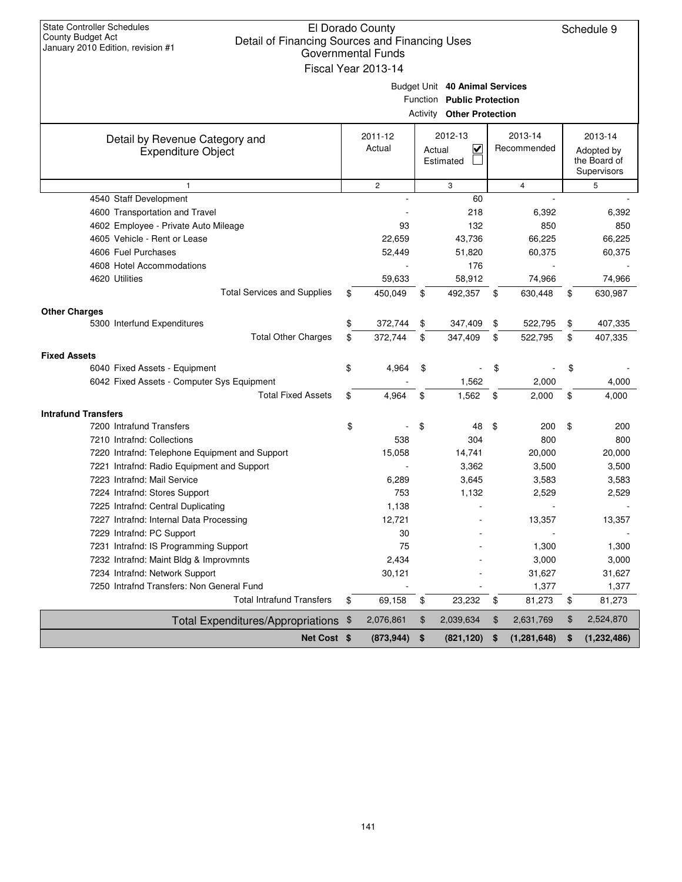| <b>State Controller Schedules</b><br>El Dorado County<br>County Budget Act<br>Detail of Financing Sources and Financing Uses<br>January 2010 Edition, revision #1<br><b>Governmental Funds</b><br>Fiscal Year 2013-14 |    |                   |    |                                                                                                  |    |                        |    |                                                      |  |  |
|-----------------------------------------------------------------------------------------------------------------------------------------------------------------------------------------------------------------------|----|-------------------|----|--------------------------------------------------------------------------------------------------|----|------------------------|----|------------------------------------------------------|--|--|
|                                                                                                                                                                                                                       |    |                   |    | Budget Unit 40 Animal Services<br>Function Public Protection<br><b>Activity Other Protection</b> |    |                        |    |                                                      |  |  |
| Detail by Revenue Category and<br><b>Expenditure Object</b>                                                                                                                                                           |    | 2011-12<br>Actual |    | 2012-13<br>V<br>Actual<br>Estimated                                                              |    | 2013-14<br>Recommended |    | 2013-14<br>Adopted by<br>the Board of<br>Supervisors |  |  |
| 1                                                                                                                                                                                                                     |    | $\mathbf{2}$      |    | 3                                                                                                |    | $\overline{4}$         |    | 5                                                    |  |  |
| 4540 Staff Development                                                                                                                                                                                                |    |                   |    | 60                                                                                               |    |                        |    |                                                      |  |  |
| 4600 Transportation and Travel                                                                                                                                                                                        |    |                   |    | 218                                                                                              |    | 6,392                  |    | 6,392                                                |  |  |
| 4602 Employee - Private Auto Mileage                                                                                                                                                                                  |    | 93                |    | 132                                                                                              |    | 850                    |    | 850                                                  |  |  |
| 4605 Vehicle - Rent or Lease                                                                                                                                                                                          |    | 22,659            |    | 43,736                                                                                           |    | 66,225                 |    | 66,225                                               |  |  |
| 4606 Fuel Purchases                                                                                                                                                                                                   |    | 52,449            |    | 51,820                                                                                           |    | 60,375                 |    | 60,375                                               |  |  |
| 4608 Hotel Accommodations                                                                                                                                                                                             |    |                   |    | 176                                                                                              |    |                        |    |                                                      |  |  |
| 4620 Utilities                                                                                                                                                                                                        |    | 59,633            |    | 58,912                                                                                           |    | 74,966                 |    | 74,966                                               |  |  |
| <b>Total Services and Supplies</b>                                                                                                                                                                                    | \$ | 450,049           | \$ | 492,357                                                                                          | \$ | 630,448                | \$ | 630,987                                              |  |  |
| <b>Other Charges</b>                                                                                                                                                                                                  |    |                   |    |                                                                                                  |    |                        |    |                                                      |  |  |
| 5300 Interfund Expenditures                                                                                                                                                                                           | \$ | 372,744           | \$ | 347,409                                                                                          | \$ | 522,795                | \$ | 407,335                                              |  |  |
| <b>Total Other Charges</b>                                                                                                                                                                                            | \$ | 372,744           | \$ | 347,409                                                                                          | \$ | 522,795                | \$ | 407,335                                              |  |  |
| <b>Fixed Assets</b>                                                                                                                                                                                                   |    |                   |    |                                                                                                  |    |                        |    |                                                      |  |  |
| 6040 Fixed Assets - Equipment                                                                                                                                                                                         | \$ | 4,964             | \$ |                                                                                                  | \$ |                        | \$ |                                                      |  |  |
| 6042 Fixed Assets - Computer Sys Equipment                                                                                                                                                                            |    |                   |    | 1,562                                                                                            |    | 2,000                  |    | 4,000                                                |  |  |
| <b>Total Fixed Assets</b>                                                                                                                                                                                             | \$ | 4,964             | \$ | 1,562                                                                                            | \$ | 2,000                  | \$ | 4,000                                                |  |  |
| <b>Intrafund Transfers</b>                                                                                                                                                                                            |    |                   |    |                                                                                                  |    |                        |    |                                                      |  |  |
| 7200 Intrafund Transfers                                                                                                                                                                                              | \$ |                   | \$ | 48                                                                                               | \$ | 200                    | \$ | 200                                                  |  |  |
| 7210 Intrafnd: Collections                                                                                                                                                                                            |    | 538               |    | 304                                                                                              |    | 800                    |    | 800                                                  |  |  |
| 7220 Intrafnd: Telephone Equipment and Support                                                                                                                                                                        |    | 15,058            |    | 14,741                                                                                           |    | 20,000                 |    | 20,000                                               |  |  |
| 7221 Intrafnd: Radio Equipment and Support                                                                                                                                                                            |    |                   |    | 3,362                                                                                            |    | 3,500                  |    | 3,500                                                |  |  |
| 7223 Intrafnd: Mail Service                                                                                                                                                                                           |    | 6,289             |    | 3,645                                                                                            |    | 3,583                  |    | 3,583                                                |  |  |
| 7224 Intrafnd: Stores Support                                                                                                                                                                                         |    | 753               |    | 1,132                                                                                            |    | 2,529                  |    | 2,529                                                |  |  |
| 7225 Intrafnd: Central Duplicating                                                                                                                                                                                    |    | 1,138             |    |                                                                                                  |    |                        |    |                                                      |  |  |
| 7227 Intrafnd: Internal Data Processing                                                                                                                                                                               |    | 12,721            |    |                                                                                                  |    | 13,357                 |    | 13,357                                               |  |  |
| 7229 Intrafnd: PC Support                                                                                                                                                                                             |    | 30                |    |                                                                                                  |    |                        |    |                                                      |  |  |
| 7231 Intrafnd: IS Programming Support                                                                                                                                                                                 |    | 75                |    |                                                                                                  |    | 1,300                  |    | 1,300                                                |  |  |
| 7232 Intrafnd: Maint Bldg & Improvmnts                                                                                                                                                                                |    | 2,434             |    |                                                                                                  |    | 3,000                  |    | 3,000                                                |  |  |
| 7234 Intrafnd: Network Support                                                                                                                                                                                        |    | 30,121            |    |                                                                                                  |    | 31,627                 |    | 31,627                                               |  |  |
| 7250 Intrafnd Transfers: Non General Fund                                                                                                                                                                             |    |                   |    |                                                                                                  |    | 1,377                  |    | 1,377                                                |  |  |
| <b>Total Intrafund Transfers</b>                                                                                                                                                                                      | \$ | 69,158            | \$ | 23,232                                                                                           | \$ | 81,273                 | \$ | 81,273                                               |  |  |
| Total Expenditures/Appropriations \$                                                                                                                                                                                  |    | 2,076,861         | \$ | 2,039,634                                                                                        | \$ | 2,631,769              | \$ | 2,524,870                                            |  |  |
| Net Cost \$                                                                                                                                                                                                           |    | (873, 944)        | \$ | (821, 120)                                                                                       | \$ | (1, 281, 648)          | \$ | (1, 232, 486)                                        |  |  |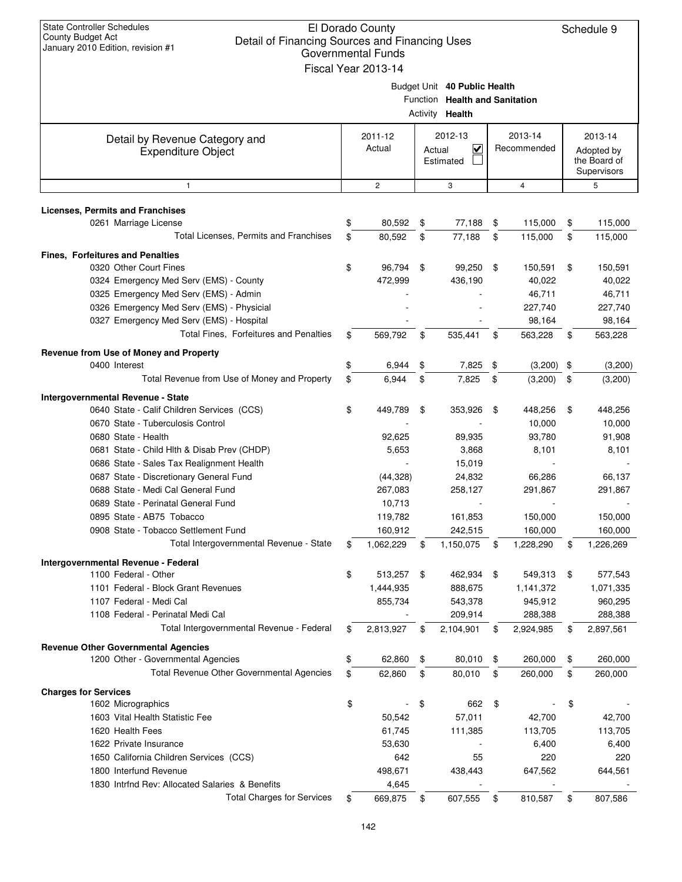| <b>State Controller Schedules</b><br><b>County Budget Act</b><br>January 2010 Edition, revision #1 | El Dorado County<br>Detail of Financing Sources and Financing Uses<br><b>Governmental Funds</b><br>Fiscal Year 2013-14 |                   |          |                                                                                   |          |                        |    |                                                      |
|----------------------------------------------------------------------------------------------------|------------------------------------------------------------------------------------------------------------------------|-------------------|----------|-----------------------------------------------------------------------------------|----------|------------------------|----|------------------------------------------------------|
|                                                                                                    |                                                                                                                        |                   |          | Budget Unit 40 Public Health<br>Function Health and Sanitation<br>Activity Health |          |                        |    |                                                      |
| Detail by Revenue Category and<br><b>Expenditure Object</b>                                        |                                                                                                                        | 2011-12<br>Actual | Actual   | 2012-13<br>V<br>Estimated                                                         |          | 2013-14<br>Recommended |    | 2013-14<br>Adopted by<br>the Board of<br>Supervisors |
| $\mathbf{1}$                                                                                       |                                                                                                                        | $\overline{c}$    |          | 3                                                                                 |          | 4                      |    | 5                                                    |
| <b>Licenses, Permits and Franchises</b>                                                            |                                                                                                                        |                   |          |                                                                                   |          |                        |    |                                                      |
| 0261 Marriage License                                                                              | \$                                                                                                                     | 80,592            | \$       | 77,188                                                                            | \$       | 115,000                | \$ | 115,000                                              |
| Total Licenses, Permits and Franchises                                                             | \$                                                                                                                     | 80,592            | \$       | 77,188                                                                            | \$       | 115,000                | \$ | 115,000                                              |
| <b>Fines, Forfeitures and Penalties</b>                                                            |                                                                                                                        |                   |          |                                                                                   |          |                        |    |                                                      |
| 0320 Other Court Fines                                                                             | \$                                                                                                                     | 96,794            | \$       | 99,250                                                                            | \$       | 150,591                | \$ | 150,591                                              |
| 0324 Emergency Med Serv (EMS) - County                                                             |                                                                                                                        | 472,999           |          | 436,190                                                                           |          | 40,022                 |    | 40,022                                               |
| 0325 Emergency Med Serv (EMS) - Admin                                                              |                                                                                                                        |                   |          |                                                                                   |          | 46,711                 |    | 46,711                                               |
| 0326 Emergency Med Serv (EMS) - Physicial                                                          |                                                                                                                        |                   |          |                                                                                   |          | 227,740                |    | 227,740                                              |
| 0327 Emergency Med Serv (EMS) - Hospital<br>Total Fines, Forfeitures and Penalties                 |                                                                                                                        |                   |          | 535,441                                                                           |          | 98,164                 |    | 98,164                                               |
|                                                                                                    | \$                                                                                                                     | 569,792           | \$       |                                                                                   | \$       | 563,228                | \$ | 563,228                                              |
| Revenue from Use of Money and Property                                                             |                                                                                                                        |                   |          |                                                                                   |          |                        |    |                                                      |
| 0400 Interest<br>Total Revenue from Use of Money and Property                                      | \$<br>\$                                                                                                               | 6,944<br>6,944    | \$<br>\$ | 7,825<br>7,825                                                                    | \$<br>\$ | $(3,200)$ \$           | \$ | (3,200)                                              |
|                                                                                                    |                                                                                                                        |                   |          |                                                                                   |          | (3,200)                |    | (3,200)                                              |
| Intergovernmental Revenue - State                                                                  |                                                                                                                        |                   |          |                                                                                   |          |                        |    |                                                      |
| 0640 State - Calif Children Services (CCS)<br>0670 State - Tuberculosis Control                    | \$                                                                                                                     | 449,789           | \$       | 353,926                                                                           | \$       | 448,256<br>10,000      | \$ | 448,256<br>10,000                                    |
| 0680 State - Health                                                                                |                                                                                                                        | 92,625            |          | 89,935                                                                            |          | 93,780                 |    | 91,908                                               |
| 0681 State - Child Hlth & Disab Prev (CHDP)                                                        |                                                                                                                        | 5,653             |          | 3,868                                                                             |          | 8,101                  |    | 8,101                                                |
| 0686 State - Sales Tax Realignment Health                                                          |                                                                                                                        |                   |          | 15,019                                                                            |          |                        |    |                                                      |
| 0687 State - Discretionary General Fund                                                            |                                                                                                                        | (44, 328)         |          | 24,832                                                                            |          | 66,286                 |    | 66,137                                               |
| 0688 State - Medi Cal General Fund                                                                 |                                                                                                                        | 267,083           |          | 258,127                                                                           |          | 291,867                |    | 291,867                                              |
| 0689 State - Perinatal General Fund                                                                |                                                                                                                        | 10,713            |          |                                                                                   |          |                        |    |                                                      |
| 0895 State - AB75 Tobacco                                                                          |                                                                                                                        | 119,782           |          | 161,853                                                                           |          | 150,000                |    | 150,000                                              |
| 0908 State - Tobacco Settlement Fund                                                               |                                                                                                                        | 160,912           |          | 242,515                                                                           |          | 160,000                |    | 160,000                                              |
| Total Intergovernmental Revenue - State                                                            | \$                                                                                                                     | 1,062,229         | \$       | 1,150,075                                                                         | \$       | 1,228,290              | \$ | 1,226,269                                            |
| Intergovernmental Revenue - Federal                                                                |                                                                                                                        |                   |          |                                                                                   |          |                        |    |                                                      |
| 1100 Federal - Other                                                                               | \$                                                                                                                     | 513,257           | \$       | 462,934                                                                           | - \$     | 549,313                | \$ | 577,543                                              |
| 1101 Federal - Block Grant Revenues                                                                |                                                                                                                        | 1,444,935         |          | 888,675                                                                           |          | 1,141,372              |    | 1,071,335                                            |
| 1107 Federal - Medi Cal                                                                            |                                                                                                                        | 855,734           |          | 543,378                                                                           |          | 945,912                |    | 960,295                                              |
| 1108 Federal - Perinatal Medi Cal                                                                  |                                                                                                                        |                   |          | 209,914                                                                           |          | 288,388                |    | 288,388                                              |
| Total Intergovernmental Revenue - Federal                                                          | \$                                                                                                                     | 2,813,927         | \$       | 2,104,901                                                                         | \$       | 2,924,985              | \$ | 2,897,561                                            |
| <b>Revenue Other Governmental Agencies</b>                                                         |                                                                                                                        |                   |          |                                                                                   |          |                        |    |                                                      |
| 1200 Other - Governmental Agencies                                                                 | \$                                                                                                                     | 62,860            | \$       | 80,010                                                                            | \$       | 260,000                | \$ | 260,000                                              |
| Total Revenue Other Governmental Agencies                                                          | \$                                                                                                                     | 62,860            | \$       | 80,010                                                                            | \$       | 260,000                | \$ | 260,000                                              |
| <b>Charges for Services</b>                                                                        |                                                                                                                        |                   |          |                                                                                   |          |                        |    |                                                      |
| 1602 Micrographics                                                                                 | \$                                                                                                                     |                   | \$       | 662                                                                               | \$       |                        | \$ |                                                      |
| 1603 Vital Health Statistic Fee<br>1620 Health Fees                                                |                                                                                                                        | 50,542            |          | 57,011                                                                            |          | 42,700                 |    | 42,700                                               |
| 1622 Private Insurance                                                                             |                                                                                                                        | 61,745<br>53,630  |          | 111,385                                                                           |          | 113,705<br>6,400       |    | 113,705<br>6,400                                     |
| 1650 California Children Services (CCS)                                                            |                                                                                                                        | 642               |          | 55                                                                                |          | 220                    |    | 220                                                  |
| 1800 Interfund Revenue                                                                             |                                                                                                                        | 498,671           |          | 438,443                                                                           |          | 647,562                |    | 644,561                                              |
| 1830 Intrfnd Rev: Allocated Salaries & Benefits                                                    |                                                                                                                        | 4,645             |          |                                                                                   |          |                        |    |                                                      |
| <b>Total Charges for Services</b>                                                                  | \$                                                                                                                     | 669,875           | \$       | 607,555                                                                           | \$       | 810,587                | \$ | 807,586                                              |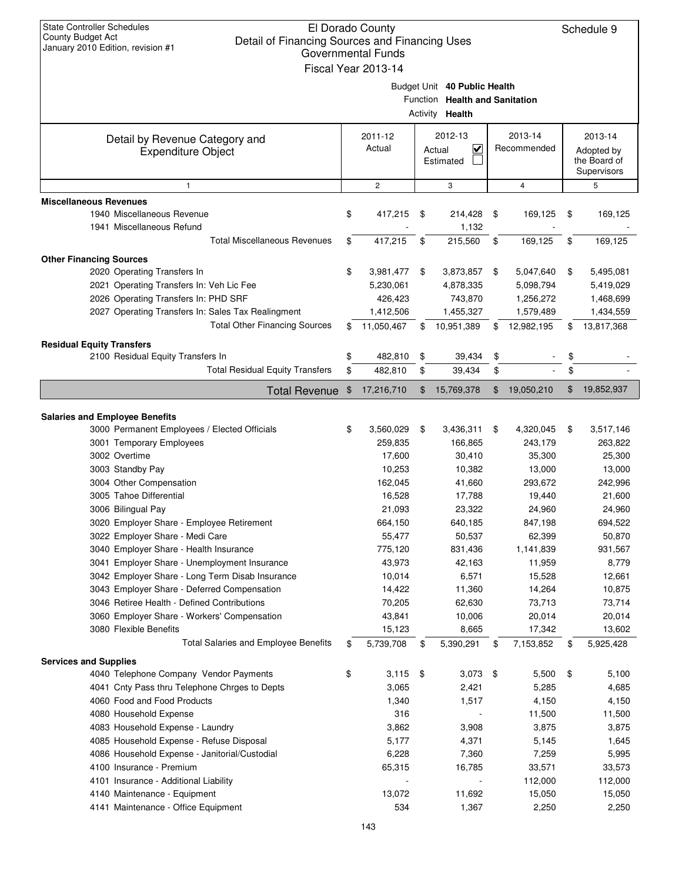| <b>State Controller Schedules</b><br>El Dorado County<br><b>County Budget Act</b><br>Detail of Financing Sources and Financing Uses<br>January 2010 Edition, revision #1<br><b>Governmental Funds</b><br>Fiscal Year 2013-14 |               |                                                              |          |                                                                                   |          |                                                                |          |                                                                |
|------------------------------------------------------------------------------------------------------------------------------------------------------------------------------------------------------------------------------|---------------|--------------------------------------------------------------|----------|-----------------------------------------------------------------------------------|----------|----------------------------------------------------------------|----------|----------------------------------------------------------------|
|                                                                                                                                                                                                                              |               |                                                              |          | Budget Unit 40 Public Health<br>Function Health and Sanitation<br>Activity Health |          |                                                                |          |                                                                |
| Detail by Revenue Category and<br><b>Expenditure Object</b>                                                                                                                                                                  |               | 2011-12<br>Actual                                            |          | 2012-13<br>V<br>Actual<br>Estimated                                               |          | 2013-14<br>Recommended                                         |          | 2013-14<br>Adopted by<br>the Board of<br>Supervisors           |
| $\mathbf{1}$                                                                                                                                                                                                                 |               | $\overline{c}$                                               |          | 3                                                                                 |          | $\overline{4}$                                                 |          | 5                                                              |
| <b>Miscellaneous Revenues</b><br>1940 Miscellaneous Revenue<br>1941 Miscellaneous Refund                                                                                                                                     | \$            | 417,215                                                      | \$       | 214,428<br>1,132                                                                  | \$       | 169,125                                                        | \$       | 169,125                                                        |
| <b>Total Miscellaneous Revenues</b>                                                                                                                                                                                          | \$            | 417,215                                                      | \$       | 215,560                                                                           | \$       | 169,125                                                        | \$       | 169,125                                                        |
| <b>Other Financing Sources</b>                                                                                                                                                                                               |               |                                                              |          |                                                                                   |          |                                                                |          |                                                                |
| 2020 Operating Transfers In<br>2021 Operating Transfers In: Veh Lic Fee<br>2026 Operating Transfers In: PHD SRF<br>2027 Operating Transfers In: Sales Tax Realingment<br><b>Total Other Financing Sources</b>                | \$<br>\$      | 3,981,477<br>5,230,061<br>426,423<br>1,412,506<br>11,050,467 | \$<br>\$ | 3,873,857<br>4,878,335<br>743,870<br>1,455,327<br>10,951,389                      | \$<br>\$ | 5,047,640<br>5,098,794<br>1,256,272<br>1,579,489<br>12,982,195 | \$<br>\$ | 5,495,081<br>5,419,029<br>1,468,699<br>1,434,559<br>13,817,368 |
|                                                                                                                                                                                                                              |               |                                                              |          |                                                                                   |          |                                                                |          |                                                                |
| <b>Residual Equity Transfers</b><br>2100 Residual Equity Transfers In<br><b>Total Residual Equity Transfers</b>                                                                                                              | \$<br>\$      | 482,810<br>482,810                                           | \$<br>\$ | 39,434<br>39,434                                                                  | \$<br>\$ |                                                                | \$<br>\$ |                                                                |
| <b>Total Revenue</b>                                                                                                                                                                                                         | $\frac{1}{2}$ | 17,216,710                                                   | \$       | 15,769,378                                                                        | \$       | 19,050,210                                                     | \$       | 19,852,937                                                     |
|                                                                                                                                                                                                                              |               |                                                              |          |                                                                                   |          |                                                                |          |                                                                |
| <b>Salaries and Employee Benefits</b>                                                                                                                                                                                        |               |                                                              |          |                                                                                   |          |                                                                |          |                                                                |
| 3000 Permanent Employees / Elected Officials                                                                                                                                                                                 | \$            | 3,560,029                                                    | \$       | 3,436,311                                                                         | \$       | 4,320,045                                                      | \$       | 3,517,146                                                      |
| 3001 Temporary Employees                                                                                                                                                                                                     |               | 259,835                                                      |          | 166,865                                                                           |          | 243,179                                                        |          | 263,822                                                        |
| 3002 Overtime<br>3003 Standby Pay                                                                                                                                                                                            |               | 17,600<br>10,253                                             |          | 30,410<br>10,382                                                                  |          | 35,300<br>13,000                                               |          | 25,300<br>13,000                                               |
| 3004 Other Compensation                                                                                                                                                                                                      |               | 162,045                                                      |          | 41,660                                                                            |          | 293,672                                                        |          | 242,996                                                        |
| 3005 Tahoe Differential                                                                                                                                                                                                      |               | 16,528                                                       |          | 17,788                                                                            |          | 19,440                                                         |          | 21,600                                                         |
| 3006 Bilingual Pay                                                                                                                                                                                                           |               | 21,093                                                       |          | 23,322                                                                            |          | 24,960                                                         |          | 24,960                                                         |
| 3020 Employer Share - Employee Retirement                                                                                                                                                                                    |               | 664,150                                                      |          | 640,185                                                                           |          | 847,198                                                        |          | 694,522                                                        |
| 3022 Employer Share - Medi Care                                                                                                                                                                                              |               | 55,477                                                       |          | 50,537                                                                            |          | 62,399                                                         |          | 50,870                                                         |
| 3040 Employer Share - Health Insurance                                                                                                                                                                                       |               | 775,120                                                      |          | 831,436                                                                           |          | 1,141,839                                                      |          | 931,567                                                        |
| 3041 Employer Share - Unemployment Insurance                                                                                                                                                                                 |               | 43,973                                                       |          | 42,163                                                                            |          | 11,959                                                         |          | 8,779                                                          |
| 3042 Employer Share - Long Term Disab Insurance<br>3043 Employer Share - Deferred Compensation                                                                                                                               |               | 10,014                                                       |          | 6,571                                                                             |          | 15,528                                                         |          | 12,661                                                         |
| 3046 Retiree Health - Defined Contributions                                                                                                                                                                                  |               | 14,422<br>70,205                                             |          | 11,360<br>62,630                                                                  |          | 14,264<br>73,713                                               |          | 10,875<br>73,714                                               |
| 3060 Employer Share - Workers' Compensation                                                                                                                                                                                  |               | 43,841                                                       |          | 10,006                                                                            |          | 20,014                                                         |          | 20,014                                                         |
| 3080 Flexible Benefits                                                                                                                                                                                                       |               | 15,123                                                       |          | 8,665                                                                             |          | 17,342                                                         |          | 13,602                                                         |
| <b>Total Salaries and Employee Benefits</b>                                                                                                                                                                                  | \$            | 5,739,708                                                    | \$       | 5,390,291                                                                         | \$       | 7,153,852                                                      | \$       | 5,925,428                                                      |
| <b>Services and Supplies</b>                                                                                                                                                                                                 |               |                                                              |          |                                                                                   |          |                                                                |          |                                                                |
| 4040 Telephone Company Vendor Payments                                                                                                                                                                                       | \$            | $3,115$ \$                                                   |          | $3,073$ \$                                                                        |          | 5,500                                                          | \$       | 5,100                                                          |
| 4041 Cnty Pass thru Telephone Chrges to Depts                                                                                                                                                                                |               | 3,065                                                        |          | 2,421                                                                             |          | 5,285                                                          |          | 4,685                                                          |
|                                                                                                                                                                                                                              |               | 1,340                                                        |          | 1,517                                                                             |          | 4,150                                                          |          | 4,150                                                          |
| 4060 Food and Food Products                                                                                                                                                                                                  |               |                                                              |          |                                                                                   |          |                                                                |          |                                                                |
| 4080 Household Expense                                                                                                                                                                                                       |               | 316                                                          |          |                                                                                   |          | 11,500                                                         |          | 11,500                                                         |
| 4083 Household Expense - Laundry                                                                                                                                                                                             |               | 3,862                                                        |          | 3,908                                                                             |          | 3,875                                                          |          | 3,875                                                          |
| 4085 Household Expense - Refuse Disposal                                                                                                                                                                                     |               | 5,177                                                        |          | 4,371                                                                             |          | 5,145                                                          |          | 1,645                                                          |
| 4086 Household Expense - Janitorial/Custodial                                                                                                                                                                                |               | 6,228                                                        |          | 7,360                                                                             |          | 7,259                                                          |          | 5,995                                                          |
| 4100 Insurance - Premium                                                                                                                                                                                                     |               | 65,315                                                       |          | 16,785<br>$\overline{a}$                                                          |          | 33,571                                                         |          | 33,573                                                         |
| 4101 Insurance - Additional Liability<br>4140 Maintenance - Equipment                                                                                                                                                        |               | 13,072                                                       |          | 11,692                                                                            |          | 112,000<br>15,050                                              |          | 112,000<br>15,050                                              |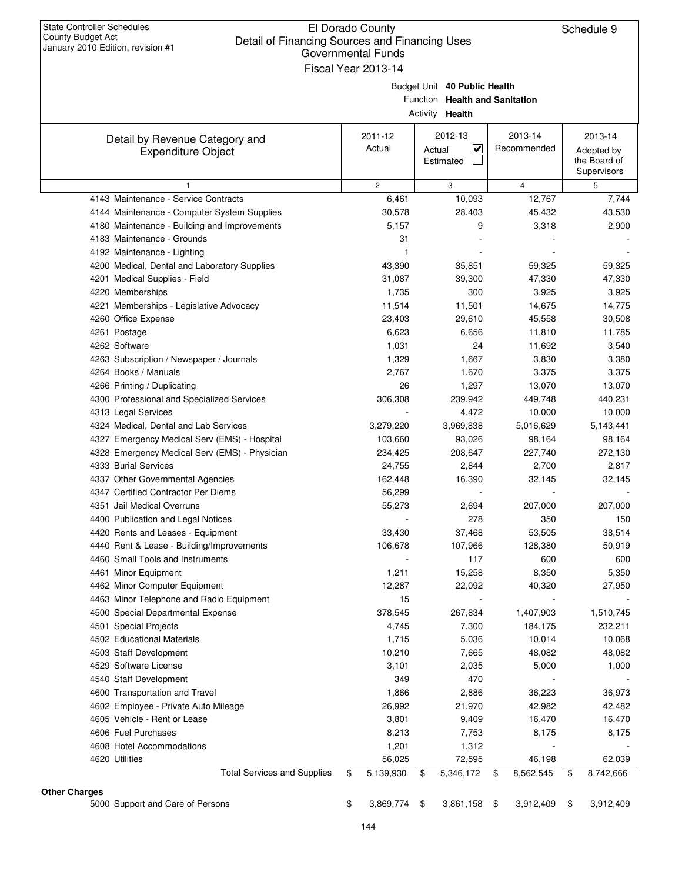|                      |                                                                       | Governmental Funds        |                                                                |                           |                                       |
|----------------------|-----------------------------------------------------------------------|---------------------------|----------------------------------------------------------------|---------------------------|---------------------------------------|
|                      |                                                                       | Fiscal Year 2013-14       | Budget Unit 40 Public Health<br>Function Health and Sanitation |                           |                                       |
|                      |                                                                       |                           | Activity <b>Health</b>                                         |                           |                                       |
|                      | Detail by Revenue Category and<br><b>Expenditure Object</b>           | 2011-12<br>Actual         | 2012-13<br>K<br>Actual<br>Estimated                            | 2013-14<br>Recommended    | 2013-14<br>Adopted by<br>the Board of |
|                      |                                                                       |                           |                                                                |                           | Supervisors                           |
|                      | 1                                                                     | $\overline{c}$            | 3                                                              | $\overline{4}$            | 5                                     |
|                      | 4143 Maintenance - Service Contracts                                  | 6,461                     | 10,093                                                         | 12,767                    | 7,744                                 |
|                      | 4144 Maintenance - Computer System Supplies                           | 30,578                    | 28,403                                                         | 45,432                    | 43,530                                |
|                      | 4180 Maintenance - Building and Improvements                          | 5,157                     | 9                                                              | 3,318                     | 2,900                                 |
|                      | 4183 Maintenance - Grounds                                            | 31                        |                                                                |                           |                                       |
|                      | 4192 Maintenance - Lighting                                           | 1                         |                                                                |                           |                                       |
|                      | 4200 Medical, Dental and Laboratory Supplies                          | 43,390                    | 35,851                                                         | 59,325                    | 59,325                                |
|                      | 4201 Medical Supplies - Field                                         | 31,087                    | 39,300                                                         | 47,330                    | 47,330                                |
|                      | 4220 Memberships                                                      | 1,735                     | 300                                                            | 3,925                     | 3,925                                 |
|                      | 4221 Memberships - Legislative Advocacy<br>4260 Office Expense        | 11,514                    | 11,501                                                         | 14,675                    | 14,775                                |
|                      |                                                                       | 23,403<br>6,623           | 29,610<br>6,656                                                | 45,558                    | 30,508                                |
|                      | 4261 Postage<br>4262 Software                                         |                           | 24                                                             | 11,810                    | 11,785                                |
|                      | 4263 Subscription / Newspaper / Journals                              | 1,031<br>1,329            | 1,667                                                          | 11,692                    | 3,540                                 |
|                      | 4264 Books / Manuals                                                  | 2,767                     | 1,670                                                          | 3,830<br>3,375            | 3,380<br>3,375                        |
|                      | 4266 Printing / Duplicating                                           | 26                        | 1,297                                                          | 13,070                    | 13,070                                |
|                      |                                                                       |                           | 239,942                                                        | 449,748                   |                                       |
|                      | 4300 Professional and Specialized Services                            | 306,308                   | 4,472                                                          | 10,000                    | 440,231                               |
|                      | 4313 Legal Services<br>4324 Medical, Dental and Lab Services          | 3,279,220                 | 3,969,838                                                      | 5,016,629                 | 10,000                                |
|                      |                                                                       |                           |                                                                |                           | 5,143,441                             |
|                      | 4327 Emergency Medical Serv (EMS) - Hospital                          | 103,660                   | 93,026                                                         | 98,164                    | 98,164                                |
|                      | 4328 Emergency Medical Serv (EMS) - Physician<br>4333 Burial Services | 234,425                   | 208,647                                                        | 227,740                   | 272,130                               |
|                      |                                                                       | 24,755<br>162,448         | 2,844                                                          | 2,700                     | 2,817                                 |
|                      | 4337 Other Governmental Agencies                                      |                           | 16,390                                                         | 32,145                    | 32,145                                |
|                      | 4347 Certified Contractor Per Diems                                   | 56,299                    |                                                                |                           |                                       |
|                      | 4351 Jail Medical Overruns                                            | 55,273                    | 2,694                                                          | 207,000                   | 207,000                               |
|                      | 4400 Publication and Legal Notices                                    |                           | 278                                                            | 350                       | 150                                   |
|                      | 4420 Rents and Leases - Equipment                                     | 33,430                    | 37,468                                                         | 53,505                    | 38,514                                |
|                      | 4440 Rent & Lease - Building/Improvements                             | 106,678                   | 107,966                                                        | 128,380                   | 50,919                                |
|                      | 4460 Small Tools and Instruments                                      |                           | 117                                                            | 600                       | 600                                   |
|                      | 4461 Minor Equipment                                                  | 1,211                     | 15,258                                                         | 8,350                     | 5,350                                 |
|                      | 4462 Minor Computer Equipment                                         | 12,287                    | 22,092                                                         | 40,320                    | 27,950                                |
|                      | 4463 Minor Telephone and Radio Equipment                              | 15                        |                                                                |                           |                                       |
|                      | 4500 Special Departmental Expense                                     | 378,545<br>4,745          | 267,834<br>7,300                                               | 1,407,903<br>184,175      | 1,510,745                             |
|                      | 4501 Special Projects<br>4502 Educational Materials                   |                           | 5,036                                                          |                           | 232,211                               |
|                      | 4503 Staff Development                                                | 1,715<br>10,210           | 7,665                                                          | 10,014<br>48,082          | 10,068<br>48,082                      |
|                      | 4529 Software License                                                 | 3,101                     | 2,035                                                          | 5,000                     | 1,000                                 |
|                      | 4540 Staff Development                                                | 349                       | 470                                                            |                           |                                       |
|                      | 4600 Transportation and Travel                                        | 1,866                     | 2,886                                                          | 36,223                    | 36,973                                |
|                      |                                                                       |                           |                                                                |                           |                                       |
|                      | 4602 Employee - Private Auto Mileage<br>4605 Vehicle - Rent or Lease  | 26,992                    | 21,970                                                         | 42,982                    | 42,482                                |
|                      | 4606 Fuel Purchases                                                   | 3,801                     | 9,409                                                          | 16,470                    | 16,470                                |
|                      |                                                                       | 8,213                     | 7,753                                                          | 8,175                     | 8,175                                 |
|                      | 4608 Hotel Accommodations                                             | 1,201                     | 1,312                                                          |                           |                                       |
|                      | 4620 Utilities<br><b>Total Services and Supplies</b>                  | \$<br>56,025<br>5,139,930 | \$<br>72,595<br>5,346,172                                      | \$<br>46,198<br>8,562,545 | \$<br>62,039<br>8,742,666             |
|                      |                                                                       |                           |                                                                |                           |                                       |
| <b>Other Charges</b> |                                                                       |                           |                                                                |                           |                                       |
|                      | 5000 Support and Care of Persons                                      | \$<br>3,869,774 \$        | 3,861,158 \$                                                   | 3,912,409                 | \$<br>3,912,409                       |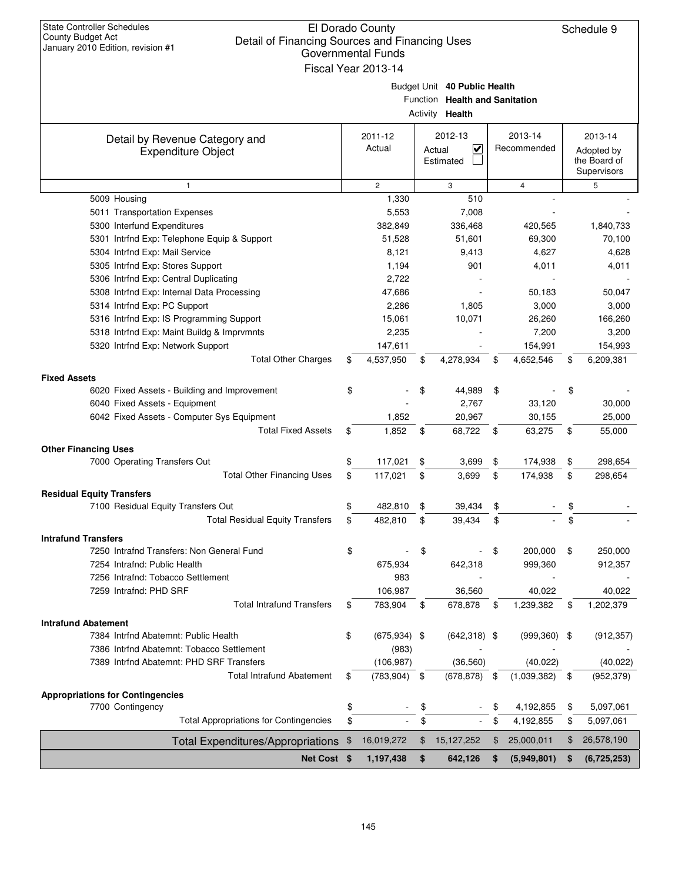| <b>State Controller Schedules</b><br>El Dorado County<br><b>County Budget Act</b><br>Detail of Financing Sources and Financing Uses<br>January 2010 Edition, revision #1<br><b>Governmental Funds</b><br>Fiscal Year 2013-14 |    |                   |          |                                                                          |    |                        |    | Schedule 9                                           |
|------------------------------------------------------------------------------------------------------------------------------------------------------------------------------------------------------------------------------|----|-------------------|----------|--------------------------------------------------------------------------|----|------------------------|----|------------------------------------------------------|
|                                                                                                                                                                                                                              |    |                   | Activity | Budget Unit 40 Public Health<br>Function Health and Sanitation<br>Health |    |                        |    |                                                      |
| Detail by Revenue Category and<br><b>Expenditure Object</b>                                                                                                                                                                  |    | 2011-12<br>Actual |          | 2012-13<br>V<br>Actual<br>Estimated                                      |    | 2013-14<br>Recommended |    | 2013-14<br>Adopted by<br>the Board of<br>Supervisors |
| $\mathbf{1}$                                                                                                                                                                                                                 |    | $\overline{c}$    |          | 3                                                                        |    | $\overline{4}$         |    | 5                                                    |
| 5009 Housing                                                                                                                                                                                                                 |    | 1,330             |          | 510                                                                      |    |                        |    |                                                      |
| 5011 Transportation Expenses                                                                                                                                                                                                 |    | 5,553             |          | 7,008                                                                    |    |                        |    |                                                      |
| 5300 Interfund Expenditures                                                                                                                                                                                                  |    | 382,849           |          | 336,468                                                                  |    | 420,565                |    | 1,840,733                                            |
| 5301 Intrfnd Exp: Telephone Equip & Support                                                                                                                                                                                  |    | 51,528            |          | 51,601                                                                   |    | 69,300                 |    | 70,100                                               |
| 5304 Intrfnd Exp: Mail Service                                                                                                                                                                                               |    | 8,121             |          | 9,413                                                                    |    | 4,627                  |    | 4,628                                                |
| 5305 Intrfnd Exp: Stores Support                                                                                                                                                                                             |    | 1,194             |          | 901                                                                      |    | 4,011                  |    | 4,011                                                |
| 5306 Intrfnd Exp: Central Duplicating                                                                                                                                                                                        |    | 2,722             |          |                                                                          |    |                        |    |                                                      |
| 5308 Intrfnd Exp: Internal Data Processing                                                                                                                                                                                   |    | 47,686            |          |                                                                          |    | 50,183                 |    | 50,047                                               |
| 5314 Intrfnd Exp: PC Support                                                                                                                                                                                                 |    | 2,286             |          | 1,805                                                                    |    | 3,000                  |    | 3,000                                                |
| 5316 Intrfnd Exp: IS Programming Support                                                                                                                                                                                     |    | 15,061            |          | 10,071                                                                   |    | 26,260                 |    | 166,260                                              |
| 5318 Intrfnd Exp: Maint Buildg & Imprvmnts                                                                                                                                                                                   |    | 2,235             |          |                                                                          |    | 7,200                  |    | 3,200                                                |
| 5320 Intrfnd Exp: Network Support                                                                                                                                                                                            |    | 147,611           |          |                                                                          |    | 154,991                |    | 154,993                                              |
| <b>Total Other Charges</b>                                                                                                                                                                                                   | \$ | 4,537,950         | \$       | 4,278,934                                                                | \$ | 4,652,546              | \$ | 6,209,381                                            |
| <b>Fixed Assets</b>                                                                                                                                                                                                          |    |                   |          |                                                                          |    |                        |    |                                                      |
| 6020 Fixed Assets - Building and Improvement                                                                                                                                                                                 | \$ |                   | \$       | 44,989                                                                   | \$ |                        | \$ |                                                      |
| 6040 Fixed Assets - Equipment                                                                                                                                                                                                |    |                   |          | 2,767                                                                    |    | 33,120                 |    | 30,000                                               |
| 6042 Fixed Assets - Computer Sys Equipment                                                                                                                                                                                   |    | 1,852             |          | 20,967                                                                   |    | 30,155                 |    | 25,000                                               |
| <b>Total Fixed Assets</b>                                                                                                                                                                                                    | \$ | 1,852             | \$       | 68,722                                                                   | \$ | 63,275                 | \$ | 55,000                                               |
|                                                                                                                                                                                                                              |    |                   |          |                                                                          |    |                        |    |                                                      |
| <b>Other Financing Uses</b>                                                                                                                                                                                                  |    |                   |          |                                                                          |    |                        |    |                                                      |
| 7000 Operating Transfers Out                                                                                                                                                                                                 | \$ | 117,021           | \$       | 3,699                                                                    | \$ | 174,938                | \$ | 298,654                                              |
| <b>Total Other Financing Uses</b>                                                                                                                                                                                            | \$ | 117,021           | \$       | 3,699                                                                    | \$ | 174,938                | \$ | 298,654                                              |
| <b>Residual Equity Transfers</b>                                                                                                                                                                                             |    |                   |          |                                                                          |    |                        |    |                                                      |
| 7100 Residual Equity Transfers Out                                                                                                                                                                                           | \$ | 482,810           | \$       | 39,434                                                                   | \$ |                        | \$ |                                                      |
| <b>Total Residual Equity Transfers</b>                                                                                                                                                                                       | \$ | 482,810           | \$       | 39,434                                                                   | \$ |                        | \$ |                                                      |
| <b>Intrafund Transfers</b>                                                                                                                                                                                                   |    |                   |          |                                                                          |    |                        |    |                                                      |
| 7250 Intrafnd Transfers: Non General Fund                                                                                                                                                                                    | \$ |                   | \$       |                                                                          | \$ | 200,000                | \$ | 250,000                                              |
| 7254 Intrafnd: Public Health                                                                                                                                                                                                 |    | 675,934           |          | 642,318                                                                  |    | 999,360                |    | 912,357                                              |
| 7256 Intrafnd: Tobacco Settlement                                                                                                                                                                                            |    | 983               |          |                                                                          |    |                        |    |                                                      |
| 7259 Intrafnd: PHD SRF                                                                                                                                                                                                       |    | 106,987           |          | 36,560                                                                   |    | 40,022                 |    | 40,022                                               |
| <b>Total Intrafund Transfers</b>                                                                                                                                                                                             | \$ | 783,904           | \$       | 678,878                                                                  | \$ | 1,239,382              | \$ | 1,202,379                                            |
| <b>Intrafund Abatement</b>                                                                                                                                                                                                   |    |                   |          |                                                                          |    |                        |    |                                                      |
| 7384 Intrfnd Abatemnt: Public Health                                                                                                                                                                                         | \$ | $(675, 934)$ \$   |          | $(642,318)$ \$                                                           |    | $(999,360)$ \$         |    | (912, 357)                                           |
| 7386 Intrfnd Abatemnt: Tobacco Settlement                                                                                                                                                                                    |    | (983)             |          |                                                                          |    |                        |    |                                                      |
| 7389 Intrfnd Abatemnt: PHD SRF Transfers                                                                                                                                                                                     |    | (106, 987)        |          | (36, 560)                                                                |    | (40, 022)              |    | (40, 022)                                            |
| <b>Total Intrafund Abatement</b>                                                                                                                                                                                             | \$ | (783, 904)        | \$       | (678, 878)                                                               | \$ | (1,039,382)            | \$ | (952, 379)                                           |
|                                                                                                                                                                                                                              |    |                   |          |                                                                          |    |                        |    |                                                      |
| <b>Appropriations for Contingencies</b>                                                                                                                                                                                      |    |                   |          |                                                                          |    |                        |    |                                                      |
| 7700 Contingency                                                                                                                                                                                                             | \$ |                   | \$       |                                                                          | \$ | 4,192,855              | \$ | 5,097,061                                            |
| <b>Total Appropriations for Contingencies</b>                                                                                                                                                                                | \$ |                   | \$       |                                                                          | \$ | 4,192,855              | \$ | 5,097,061                                            |
| <b>Total Expenditures/Appropriations</b>                                                                                                                                                                                     | \$ | 16,019,272        | \$       | 15, 127, 252                                                             | \$ | 25,000,011             | \$ | 26,578,190                                           |
| Net Cost \$                                                                                                                                                                                                                  |    | 1,197,438         | \$       | 642,126                                                                  | \$ | (5,949,801)            | \$ | (6,725,253)                                          |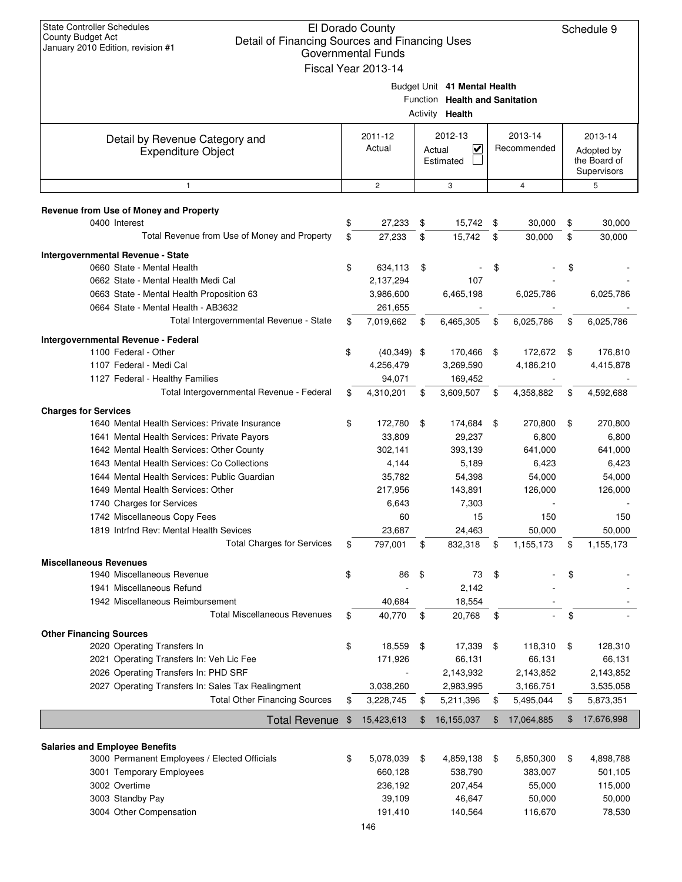| <b>State Controller Schedules</b><br>El Dorado County<br>Schedule 9<br><b>County Budget Act</b><br>Detail of Financing Sources and Financing Uses<br>January 2010 Edition, revision #1<br>Governmental Funds<br>Fiscal Year 2013-14 |    |                      |    |                                                                                          |      |                        |    |                             |
|-------------------------------------------------------------------------------------------------------------------------------------------------------------------------------------------------------------------------------------|----|----------------------|----|------------------------------------------------------------------------------------------|------|------------------------|----|-----------------------------|
|                                                                                                                                                                                                                                     |    |                      |    | Budget Unit 41 Mental Health<br>Function Health and Sanitation<br>Activity <b>Health</b> |      |                        |    |                             |
| Detail by Revenue Category and<br><b>Expenditure Object</b>                                                                                                                                                                         |    | 2011-12<br>Actual    |    | 2012-13<br>$\overline{\mathsf{v}}$<br>Actual                                             |      | 2013-14<br>Recommended |    | 2013-14<br>Adopted by       |
|                                                                                                                                                                                                                                     |    |                      |    | Estimated                                                                                |      |                        |    | the Board of<br>Supervisors |
| $\mathbf{1}$                                                                                                                                                                                                                        |    | $\mathbf{2}$         |    | 3                                                                                        |      | $\overline{4}$         |    | 5                           |
| Revenue from Use of Money and Property                                                                                                                                                                                              |    |                      |    |                                                                                          |      |                        |    |                             |
| 0400 Interest                                                                                                                                                                                                                       | \$ | 27,233               | \$ | 15,742                                                                                   | \$   | 30,000                 | \$ | 30,000                      |
| Total Revenue from Use of Money and Property                                                                                                                                                                                        | \$ | 27,233               | \$ | 15,742                                                                                   | \$   | 30,000                 | \$ | 30,000                      |
| Intergovernmental Revenue - State                                                                                                                                                                                                   |    |                      |    |                                                                                          |      |                        |    |                             |
| 0660 State - Mental Health                                                                                                                                                                                                          | \$ | 634,113              | \$ |                                                                                          | \$   |                        | \$ |                             |
| 0662 State - Mental Health Medi Cal                                                                                                                                                                                                 |    | 2,137,294            |    | 107                                                                                      |      |                        |    |                             |
| 0663 State - Mental Health Proposition 63<br>0664 State - Mental Health - AB3632                                                                                                                                                    |    | 3,986,600<br>261,655 |    | 6,465,198                                                                                |      | 6,025,786              |    | 6,025,786                   |
| Total Intergovernmental Revenue - State                                                                                                                                                                                             | \$ | 7,019,662            | \$ | 6,465,305                                                                                | \$   | 6,025,786              | \$ | 6,025,786                   |
| Intergovernmental Revenue - Federal                                                                                                                                                                                                 |    |                      |    |                                                                                          |      |                        |    |                             |
| 1100 Federal - Other                                                                                                                                                                                                                | \$ | $(40,349)$ \$        |    | 170,466                                                                                  | \$   | 172,672                | \$ | 176,810                     |
| 1107 Federal - Medi Cal                                                                                                                                                                                                             |    | 4,256,479            |    | 3,269,590                                                                                |      | 4,186,210              |    | 4,415,878                   |
| 1127 Federal - Healthy Families                                                                                                                                                                                                     |    | 94,071               |    | 169,452                                                                                  |      |                        |    |                             |
| Total Intergovernmental Revenue - Federal                                                                                                                                                                                           | \$ | 4,310,201            | \$ | 3,609,507                                                                                | \$   | 4,358,882              | \$ | 4,592,688                   |
| <b>Charges for Services</b>                                                                                                                                                                                                         |    |                      |    |                                                                                          |      |                        |    |                             |
| 1640 Mental Health Services: Private Insurance                                                                                                                                                                                      | \$ | 172,780              | \$ | 174,684                                                                                  | - \$ | 270,800                | \$ | 270,800                     |
| 1641 Mental Health Services: Private Payors                                                                                                                                                                                         |    | 33,809               |    | 29,237                                                                                   |      | 6,800                  |    | 6,800                       |
| 1642 Mental Health Services: Other County                                                                                                                                                                                           |    | 302,141              |    | 393,139                                                                                  |      | 641,000                |    | 641,000                     |
| 1643 Mental Health Services: Co Collections                                                                                                                                                                                         |    | 4,144                |    | 5,189                                                                                    |      | 6,423                  |    | 6,423                       |
| 1644 Mental Health Services: Public Guardian                                                                                                                                                                                        |    | 35,782               |    | 54,398                                                                                   |      | 54,000                 |    | 54,000                      |
| 1649 Mental Health Services: Other                                                                                                                                                                                                  |    | 217,956              |    | 143,891                                                                                  |      | 126,000                |    | 126,000                     |
| 1740 Charges for Services                                                                                                                                                                                                           |    | 6,643                |    | 7,303                                                                                    |      |                        |    |                             |
| 1742 Miscellaneous Copy Fees                                                                                                                                                                                                        |    | 60                   |    | 15                                                                                       |      | 150                    |    | 150                         |
| 1819 Intrfnd Rev: Mental Health Sevices                                                                                                                                                                                             |    | 23,687               |    | 24,463                                                                                   |      | 50,000                 |    | 50,000                      |
| <b>Total Charges for Services</b>                                                                                                                                                                                                   | \$ | 797,001              | \$ | 832,318                                                                                  | \$   | 1,155,173              | \$ | 1,155,173                   |
| <b>Miscellaneous Revenues</b>                                                                                                                                                                                                       |    |                      |    |                                                                                          |      |                        |    |                             |
| 1940 Miscellaneous Revenue                                                                                                                                                                                                          | \$ | 86                   | \$ | 73                                                                                       | \$   |                        | \$ |                             |
| 1941 Miscellaneous Refund                                                                                                                                                                                                           |    |                      |    | 2,142                                                                                    |      |                        |    |                             |
| 1942 Miscellaneous Reimbursement                                                                                                                                                                                                    |    | 40,684               |    | 18,554                                                                                   |      |                        |    |                             |
| <b>Total Miscellaneous Revenues</b>                                                                                                                                                                                                 | \$ | 40,770               | \$ | 20,768                                                                                   | \$   |                        | \$ |                             |
| <b>Other Financing Sources</b>                                                                                                                                                                                                      |    |                      |    |                                                                                          |      |                        |    |                             |
| 2020 Operating Transfers In                                                                                                                                                                                                         | \$ | 18,559               | \$ | 17,339                                                                                   | \$   | 118,310                | \$ | 128,310                     |
| 2021 Operating Transfers In: Veh Lic Fee                                                                                                                                                                                            |    | 171,926              |    | 66,131                                                                                   |      | 66,131                 |    | 66,131                      |
| 2026 Operating Transfers In: PHD SRF                                                                                                                                                                                                |    |                      |    | 2,143,932                                                                                |      | 2,143,852              |    | 2,143,852                   |
| 2027 Operating Transfers In: Sales Tax Realingment                                                                                                                                                                                  |    | 3,038,260            |    | 2,983,995                                                                                |      | 3,166,751              |    | 3,535,058                   |
| <b>Total Other Financing Sources</b>                                                                                                                                                                                                | \$ | 3,228,745            | \$ | 5,211,396                                                                                | \$   | 5,495,044              | \$ | 5,873,351                   |
| <b>Total Revenue</b>                                                                                                                                                                                                                | \$ | 15,423,613           | \$ | 16,155,037                                                                               | \$   | 17,064,885             | \$ | 17,676,998                  |
| <b>Salaries and Employee Benefits</b>                                                                                                                                                                                               |    |                      |    |                                                                                          |      |                        |    |                             |
| 3000 Permanent Employees / Elected Officials                                                                                                                                                                                        | \$ | 5,078,039            | \$ | 4,859,138                                                                                | \$   | 5,850,300              | \$ | 4,898,788                   |
| 3001 Temporary Employees                                                                                                                                                                                                            |    | 660,128              |    | 538,790                                                                                  |      | 383,007                |    | 501,105                     |
| 3002 Overtime                                                                                                                                                                                                                       |    | 236,192              |    | 207,454                                                                                  |      | 55,000                 |    | 115,000                     |
| 3003 Standby Pay                                                                                                                                                                                                                    |    | 39,109               |    | 46,647                                                                                   |      | 50,000                 |    | 50,000                      |
| 3004 Other Compensation                                                                                                                                                                                                             |    | 191,410              |    | 140,564                                                                                  |      | 116,670                |    | 78,530                      |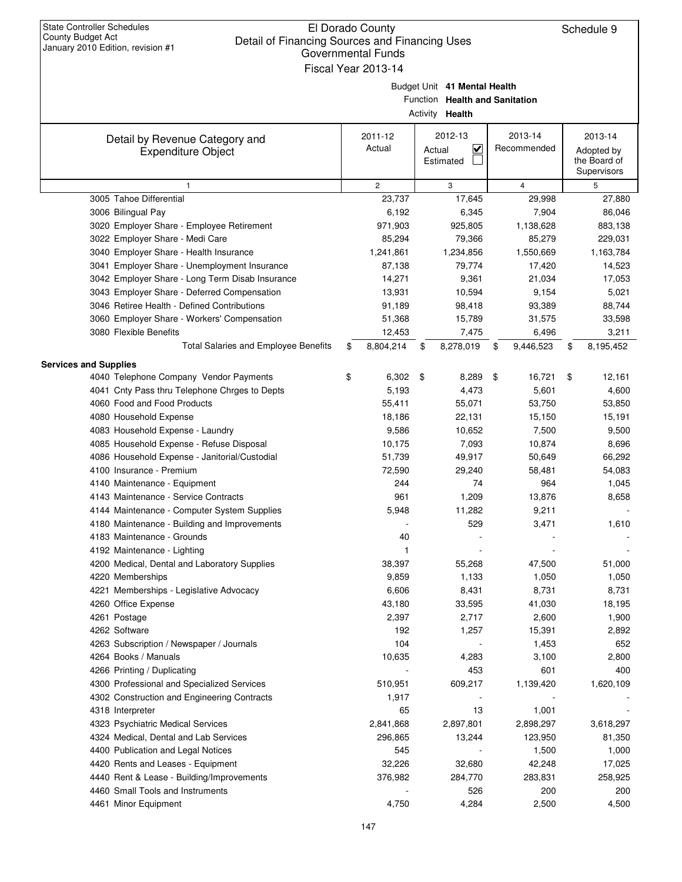| <b>State Controller Schedules</b><br>El Dorado County<br>Schedule 9<br>County Budget Act<br>Detail of Financing Sources and Financing Uses<br>January 2010 Edition, revision #1<br><b>Governmental Funds</b><br>Fiscal Year 2013-14 |                                    |                  |    |                                                                                   |    |                  |    |                                           |  |  |
|-------------------------------------------------------------------------------------------------------------------------------------------------------------------------------------------------------------------------------------|------------------------------------|------------------|----|-----------------------------------------------------------------------------------|----|------------------|----|-------------------------------------------|--|--|
|                                                                                                                                                                                                                                     |                                    |                  |    | Budget Unit 41 Mental Health<br>Function Health and Sanitation<br>Activity Health |    |                  |    |                                           |  |  |
| Detail by Revenue Category and                                                                                                                                                                                                      |                                    | 2011-12          |    | 2012-13                                                                           |    | 2013-14          |    | 2013-14                                   |  |  |
| <b>Expenditure Object</b>                                                                                                                                                                                                           | Actual<br>⊻<br>Actual<br>Estimated |                  |    |                                                                                   |    | Recommended      |    | Adopted by<br>the Board of<br>Supervisors |  |  |
| $\mathbf{1}$                                                                                                                                                                                                                        |                                    | $\overline{2}$   |    | 3                                                                                 |    | $\overline{4}$   |    | 5                                         |  |  |
| 3005 Tahoe Differential                                                                                                                                                                                                             |                                    | 23,737           |    | 17,645                                                                            |    | 29,998           |    | 27,880                                    |  |  |
| 3006 Bilingual Pay                                                                                                                                                                                                                  |                                    | 6,192            |    | 6,345                                                                             |    | 7,904            |    | 86,046                                    |  |  |
| 3020 Employer Share - Employee Retirement                                                                                                                                                                                           |                                    | 971,903          |    | 925,805                                                                           |    | 1,138,628        |    | 883,138                                   |  |  |
| 3022 Employer Share - Medi Care                                                                                                                                                                                                     |                                    | 85,294           |    | 79,366                                                                            |    | 85,279           |    | 229,031                                   |  |  |
| 3040 Employer Share - Health Insurance                                                                                                                                                                                              |                                    | 1,241,861        |    | 1,234,856                                                                         |    | 1,550,669        |    | 1,163,784                                 |  |  |
| 3041 Employer Share - Unemployment Insurance                                                                                                                                                                                        |                                    | 87,138           |    | 79,774                                                                            |    | 17,420           |    | 14,523                                    |  |  |
| 3042 Employer Share - Long Term Disab Insurance<br>3043 Employer Share - Deferred Compensation                                                                                                                                      |                                    | 14,271<br>13,931 |    | 9,361<br>10,594                                                                   |    | 21,034<br>9,154  |    | 17,053<br>5,021                           |  |  |
| 3046 Retiree Health - Defined Contributions                                                                                                                                                                                         |                                    | 91,189           |    | 98,418                                                                            |    | 93,389           |    | 88,744                                    |  |  |
| 3060 Employer Share - Workers' Compensation                                                                                                                                                                                         |                                    | 51,368           |    | 15,789                                                                            |    | 31,575           |    | 33,598                                    |  |  |
| 3080 Flexible Benefits                                                                                                                                                                                                              |                                    | 12,453           |    | 7,475                                                                             |    | 6,496            |    | 3,211                                     |  |  |
| <b>Total Salaries and Employee Benefits</b>                                                                                                                                                                                         | \$                                 | 8,804,214        | \$ | 8,278,019                                                                         | \$ | 9,446,523        | \$ | 8,195,452                                 |  |  |
|                                                                                                                                                                                                                                     |                                    |                  |    |                                                                                   |    |                  |    |                                           |  |  |
| <b>Services and Supplies</b><br>4040 Telephone Company Vendor Payments                                                                                                                                                              | \$                                 | 6,302            | \$ | 8,289                                                                             | \$ | 16,721           | \$ | 12,161                                    |  |  |
| 4041 Cnty Pass thru Telephone Chrges to Depts                                                                                                                                                                                       |                                    | 5,193            |    | 4,473                                                                             |    | 5,601            |    | 4,600                                     |  |  |
| 4060 Food and Food Products                                                                                                                                                                                                         |                                    | 55,411           |    | 55,071                                                                            |    | 53,750           |    | 53,850                                    |  |  |
| 4080 Household Expense                                                                                                                                                                                                              |                                    | 18,186           |    | 22,131                                                                            |    | 15,150           |    | 15,191                                    |  |  |
| 4083 Household Expense - Laundry                                                                                                                                                                                                    |                                    | 9,586            |    | 10,652                                                                            |    | 7,500            |    | 9,500                                     |  |  |
| 4085 Household Expense - Refuse Disposal                                                                                                                                                                                            |                                    | 10,175           |    | 7,093                                                                             |    | 10,874           |    | 8,696                                     |  |  |
| 4086 Household Expense - Janitorial/Custodial                                                                                                                                                                                       |                                    | 51,739           |    | 49,917                                                                            |    | 50,649           |    | 66,292                                    |  |  |
| 4100 Insurance - Premium                                                                                                                                                                                                            |                                    | 72,590           |    | 29,240                                                                            |    | 58,481           |    | 54,083                                    |  |  |
| 4140 Maintenance - Equipment                                                                                                                                                                                                        |                                    | 244              |    | 74                                                                                |    | 964              |    | 1,045                                     |  |  |
| 4143 Maintenance - Service Contracts                                                                                                                                                                                                |                                    | 961              |    | 1,209                                                                             |    | 13,876           |    | 8,658                                     |  |  |
| 4144 Maintenance - Computer System Supplies                                                                                                                                                                                         |                                    | 5,948            |    | 11,282                                                                            |    | 9,211            |    |                                           |  |  |
| 4180 Maintenance - Building and Improvements                                                                                                                                                                                        |                                    |                  |    | 529                                                                               |    | 3,471            |    | 1,610                                     |  |  |
| 4183 Maintenance - Grounds                                                                                                                                                                                                          |                                    | 40               |    |                                                                                   |    |                  |    |                                           |  |  |
| 4192 Maintenance - Lighting                                                                                                                                                                                                         |                                    | 1                |    |                                                                                   |    |                  |    |                                           |  |  |
| 4200 Medical, Dental and Laboratory Supplies                                                                                                                                                                                        |                                    | 38,397           |    | 55,268                                                                            |    | 47,500           |    | 51,000                                    |  |  |
| 4220 Memberships                                                                                                                                                                                                                    |                                    | 9,859            |    | 1,133                                                                             |    | 1,050            |    | 1,050                                     |  |  |
| 4221 Memberships - Legislative Advocacy                                                                                                                                                                                             |                                    | 6,606            |    | 8,431                                                                             |    | 8,731            |    | 8,731                                     |  |  |
| 4260 Office Expense                                                                                                                                                                                                                 |                                    | 43,180           |    | 33,595                                                                            |    | 41,030           |    | 18,195                                    |  |  |
| 4261 Postage                                                                                                                                                                                                                        |                                    | 2,397            |    | 2,717                                                                             |    | 2,600            |    | 1,900                                     |  |  |
| 4262 Software                                                                                                                                                                                                                       |                                    | 192              |    | 1,257                                                                             |    | 15,391           |    | 2,892                                     |  |  |
| 4263 Subscription / Newspaper / Journals                                                                                                                                                                                            |                                    | 104              |    |                                                                                   |    | 1,453            |    | 652                                       |  |  |
| 4264 Books / Manuals                                                                                                                                                                                                                |                                    | 10,635           |    | 4,283                                                                             |    | 3,100            |    | 2,800                                     |  |  |
| 4266 Printing / Duplicating                                                                                                                                                                                                         |                                    |                  |    | 453                                                                               |    | 601              |    | 400                                       |  |  |
| 4300 Professional and Specialized Services                                                                                                                                                                                          |                                    | 510,951          |    | 609,217                                                                           |    | 1,139,420        |    | 1,620,109                                 |  |  |
| 4302 Construction and Engineering Contracts                                                                                                                                                                                         |                                    | 1,917            |    |                                                                                   |    |                  |    |                                           |  |  |
| 4318 Interpreter                                                                                                                                                                                                                    |                                    | 65               |    | 13                                                                                |    | 1,001            |    |                                           |  |  |
| 4323 Psychiatric Medical Services                                                                                                                                                                                                   |                                    | 2,841,868        |    | 2,897,801                                                                         |    | 2,898,297        |    | 3,618,297                                 |  |  |
| 4324 Medical, Dental and Lab Services<br>4400 Publication and Legal Notices                                                                                                                                                         |                                    | 296,865<br>545   |    | 13,244                                                                            |    | 123,950<br>1,500 |    | 81,350<br>1,000                           |  |  |
| 4420 Rents and Leases - Equipment                                                                                                                                                                                                   |                                    | 32,226           |    | 32,680                                                                            |    | 42,248           |    | 17,025                                    |  |  |
| 4440 Rent & Lease - Building/Improvements                                                                                                                                                                                           |                                    | 376,982          |    | 284,770                                                                           |    | 283,831          |    | 258,925                                   |  |  |
| 4460 Small Tools and Instruments                                                                                                                                                                                                    |                                    |                  |    | 526                                                                               |    | 200              |    | 200                                       |  |  |
| 4461 Minor Equipment                                                                                                                                                                                                                |                                    | 4,750            |    | 4,284                                                                             |    | 2,500            |    | 4,500                                     |  |  |
|                                                                                                                                                                                                                                     |                                    |                  |    |                                                                                   |    |                  |    |                                           |  |  |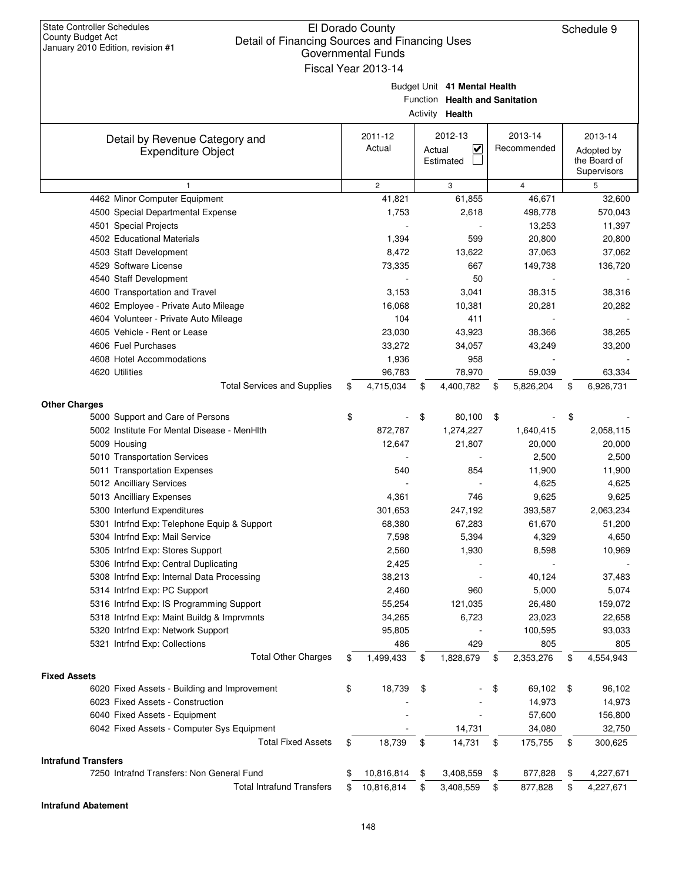| of financing occlected and financing<br>January 2010 Edition, revision #1 | Governmental Funds<br>Fiscal Year 2013-14 |                                                                                          |                        |                                                      |
|---------------------------------------------------------------------------|-------------------------------------------|------------------------------------------------------------------------------------------|------------------------|------------------------------------------------------|
|                                                                           |                                           | Budget Unit 41 Mental Health<br>Function Health and Sanitation<br>Activity <b>Health</b> |                        |                                                      |
| Detail by Revenue Category and<br><b>Expenditure Object</b>               | 2011-12<br>Actual                         | 2012-13<br>$\overline{\mathbf{v}}$<br>Actual<br>Estimated                                | 2013-14<br>Recommended | 2013-14<br>Adopted by<br>the Board of<br>Supervisors |
|                                                                           | $\overline{c}$                            | 3                                                                                        | $\overline{4}$         | 5                                                    |
| 4462 Minor Computer Equipment                                             | 41,821                                    | 61,855                                                                                   | 46,671                 | 32,600                                               |
| 4500 Special Departmental Expense                                         | 1,753                                     | 2,618                                                                                    | 498,778                | 570,043                                              |
| 4501 Special Projects                                                     |                                           |                                                                                          | 13,253                 | 11,397                                               |
| 4502 Educational Materials                                                | 1,394                                     | 599                                                                                      | 20,800                 | 20,800                                               |
| 4503 Staff Development                                                    | 8,472                                     | 13,622                                                                                   | 37,063                 | 37,062                                               |
| 4529 Software License                                                     | 73,335                                    | 667                                                                                      | 149,738                | 136,720                                              |
| 4540 Staff Development                                                    |                                           | 50                                                                                       |                        |                                                      |
| 4600 Transportation and Travel                                            | 3,153                                     | 3,041                                                                                    | 38,315                 | 38,316                                               |
| 4602 Employee - Private Auto Mileage                                      | 16,068                                    | 10,381                                                                                   | 20,281                 | 20,282                                               |
| 4604 Volunteer - Private Auto Mileage                                     | 104                                       | 411                                                                                      |                        |                                                      |
| 4605 Vehicle - Rent or Lease                                              | 23,030                                    | 43,923                                                                                   | 38,366                 | 38,265                                               |
| 4606 Fuel Purchases                                                       | 33,272                                    | 34,057                                                                                   | 43,249                 | 33,200                                               |
| 4608 Hotel Accommodations                                                 | 1,936                                     | 958                                                                                      |                        |                                                      |
| 4620 Utilities                                                            | 96,783                                    | 78,970                                                                                   | 59,039                 | 63,334                                               |
| <b>Total Services and Supplies</b>                                        | \$<br>4,715,034                           | \$<br>4,400,782                                                                          | \$<br>5,826,204        | \$<br>6,926,731                                      |
| <b>Other Charges</b>                                                      |                                           |                                                                                          |                        |                                                      |
| 5000 Support and Care of Persons                                          | \$                                        | \$<br>80,100                                                                             | \$                     | \$                                                   |
| 5002 Institute For Mental Disease - MenHith                               | 872,787                                   | 1,274,227                                                                                | 1,640,415              | 2,058,115                                            |
| 5009 Housing                                                              | 12,647                                    | 21,807                                                                                   | 20,000                 | 20,000                                               |
| 5010 Transportation Services                                              |                                           |                                                                                          | 2,500                  | 2,500                                                |
| 5011 Transportation Expenses                                              | 540                                       | 854                                                                                      | 11,900                 | 11,900                                               |
| 5012 Ancilliary Services                                                  |                                           |                                                                                          | 4,625                  | 4,625                                                |
| 5013 Ancilliary Expenses                                                  | 4,361                                     | 746                                                                                      | 9,625                  | 9,625                                                |
| 5300 Interfund Expenditures                                               | 301,653                                   | 247,192                                                                                  | 393,587                | 2,063,234                                            |
| 5301 Intrfnd Exp: Telephone Equip & Support                               | 68,380                                    | 67,283                                                                                   | 61,670                 | 51,200                                               |
| 5304 Intrfnd Exp: Mail Service                                            | 7,598                                     | 5,394                                                                                    | 4,329                  | 4,650                                                |
| 5305 Intrfnd Exp: Stores Support                                          | 2,560                                     | 1,930                                                                                    | 8,598                  | 10,969                                               |
| 5306 Intrfnd Exp: Central Duplicating                                     | 2,425                                     |                                                                                          |                        |                                                      |
| 5308 Intrfnd Exp: Internal Data Processing                                | 38,213                                    |                                                                                          | 40,124                 | 37,483                                               |
| 5314 Intrfnd Exp: PC Support                                              | 2,460                                     | 960                                                                                      | 5,000                  | 5,074                                                |
| 5316 Intrfnd Exp: IS Programming Support                                  | 55,254                                    | 121,035                                                                                  | 26,480                 | 159,072                                              |
| 5318 Intrfnd Exp: Maint Buildg & Imprvmnts                                | 34,265                                    | 6,723                                                                                    | 23,023                 | 22,658                                               |
| 5320 Intrfnd Exp: Network Support                                         | 95,805                                    |                                                                                          | 100,595                | 93,033                                               |
| 5321 Intrfnd Exp: Collections                                             | 486                                       | 429                                                                                      | 805                    | 805                                                  |
| <b>Total Other Charges</b>                                                | \$<br>1,499,433                           | \$<br>1,828,679                                                                          | \$<br>2,353,276        | \$<br>4,554,943                                      |
| <b>Fixed Assets</b>                                                       |                                           |                                                                                          |                        |                                                      |
| 6020 Fixed Assets - Building and Improvement                              | \$<br>18,739                              | \$                                                                                       | \$<br>69,102           | \$<br>96,102                                         |
| 6023 Fixed Assets - Construction                                          |                                           |                                                                                          | 14,973                 | 14,973                                               |
| 6040 Fixed Assets - Equipment                                             |                                           |                                                                                          | 57,600                 | 156,800                                              |
| 6042 Fixed Assets - Computer Sys Equipment                                |                                           | 14,731                                                                                   | 34,080                 | 32,750                                               |
| <b>Total Fixed Assets</b>                                                 | \$<br>18,739                              | \$<br>14,731                                                                             | \$<br>175,755          | \$<br>300,625                                        |
| <b>Intrafund Transfers</b>                                                |                                           |                                                                                          |                        |                                                      |
| 7250 Intrafnd Transfers: Non General Fund                                 | \$<br>10,816,814                          | \$<br>3,408,559                                                                          | \$<br>877,828          | \$<br>4,227,671                                      |
| <b>Total Intrafund Transfers</b>                                          | \$<br>10,816,814                          | \$<br>3,408,559                                                                          | \$<br>877,828          | \$<br>4,227,671                                      |

#### **Intrafund Abatement**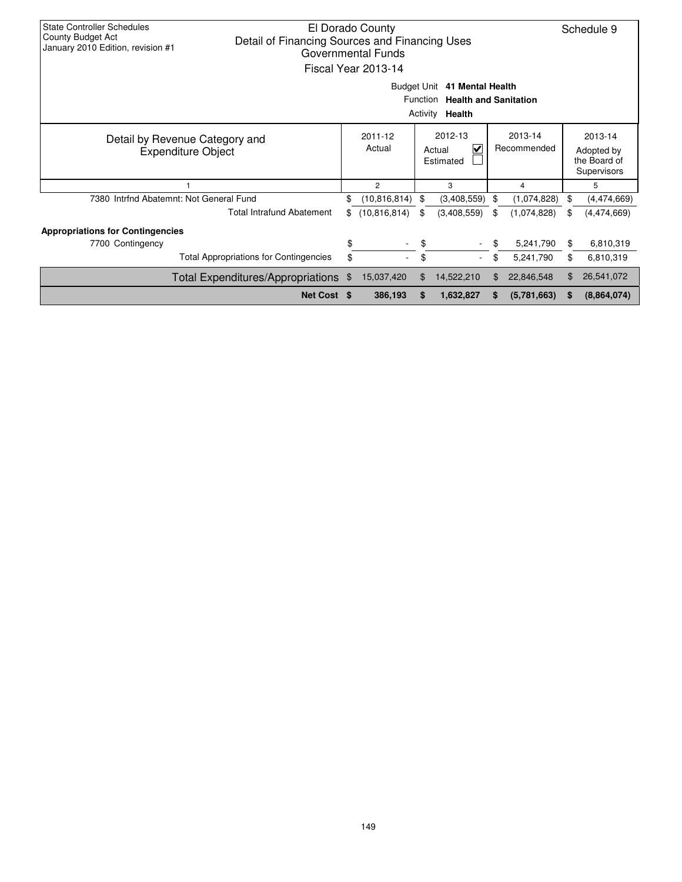| <b>State Controller Schedules</b><br>El Dorado County<br>County Budget Act<br>Detail of Financing Sources and Financing Uses<br>January 2010 Edition, revision #1<br><b>Governmental Funds</b><br>Fiscal Year 2013-14<br>Budget Unit 41 Mental Health<br>Function |                                                             |                                                        |                   |                                                               |             |    |             |                                                      |             |  |
|-------------------------------------------------------------------------------------------------------------------------------------------------------------------------------------------------------------------------------------------------------------------|-------------------------------------------------------------|--------------------------------------------------------|-------------------|---------------------------------------------------------------|-------------|----|-------------|------------------------------------------------------|-------------|--|
|                                                                                                                                                                                                                                                                   |                                                             | <b>Health and Sanitation</b><br>Activity <b>Health</b> |                   |                                                               |             |    |             |                                                      |             |  |
|                                                                                                                                                                                                                                                                   | Detail by Revenue Category and<br><b>Expenditure Object</b> |                                                        | 2011-12<br>Actual | 2012-13<br>2013-14<br>V<br>Recommended<br>Actual<br>Estimated |             |    |             | 2013-14<br>Adopted by<br>the Board of<br>Supervisors |             |  |
|                                                                                                                                                                                                                                                                   |                                                             |                                                        | $\overline{2}$    |                                                               | 3           |    | 4           |                                                      | 5           |  |
|                                                                                                                                                                                                                                                                   | 7380 Intrfnd Abatemnt: Not General Fund                     | \$                                                     | (10, 816, 814)    | -\$                                                           | (3,408,559) | \$ | (1,074,828) | \$                                                   | (4,474,669) |  |
|                                                                                                                                                                                                                                                                   | <b>Total Intrafund Abatement</b>                            | \$                                                     | (10, 816, 814)    | \$                                                            | (3,408,559) | \$ | (1,074,828) | \$                                                   | (4,474,669) |  |
| <b>Appropriations for Contingencies</b>                                                                                                                                                                                                                           |                                                             |                                                        |                   |                                                               |             |    |             |                                                      |             |  |
| 7700 Contingency                                                                                                                                                                                                                                                  |                                                             | \$                                                     |                   | \$                                                            |             | \$ | 5,241,790   | \$                                                   | 6,810,319   |  |
|                                                                                                                                                                                                                                                                   | <b>Total Appropriations for Contingencies</b>               | \$                                                     |                   | \$                                                            | $\sim$      | \$ | 5,241,790   | \$                                                   | 6,810,319   |  |
|                                                                                                                                                                                                                                                                   | Total Expenditures/Appropriations                           | -\$                                                    | 15,037,420        | \$<br>14,522,210<br>22,846,548<br>\$.                         |             |    |             |                                                      | 26,541,072  |  |
|                                                                                                                                                                                                                                                                   | Net Cost \$                                                 |                                                        | 386,193           | S                                                             | 1,632,827   |    | (5,781,663) | S                                                    | (8,864,074) |  |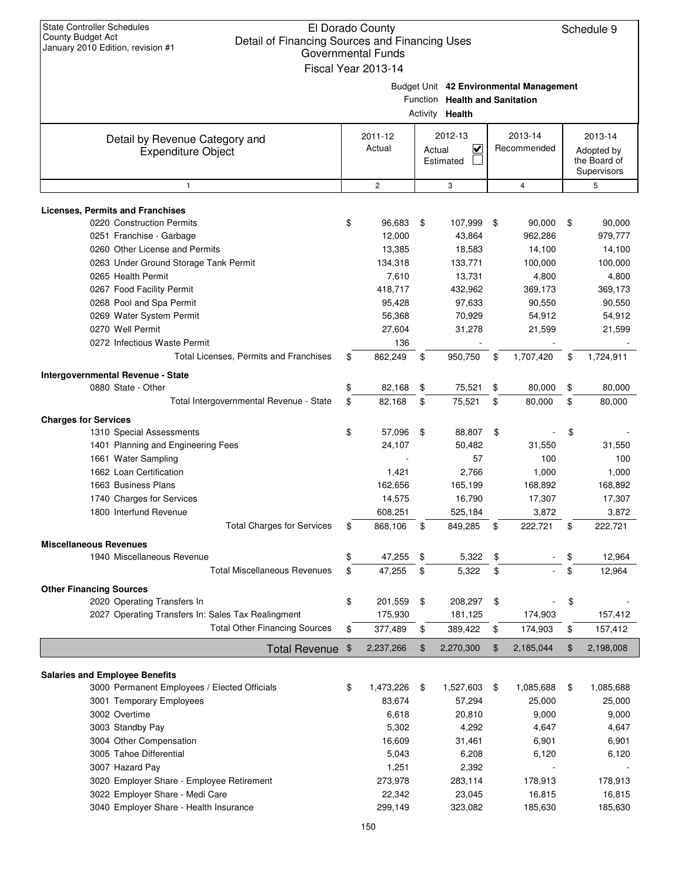| <b>State Controller Schedules</b><br><b>County Budget Act</b><br>Detail of Financing Sources and Financing Uses<br>January 2010 Edition, revision #1 | El Dorado County<br><b>Governmental Funds</b><br>Fiscal Year 2013-14 |        |                                                   |                                         |          | Schedule 9                                |
|------------------------------------------------------------------------------------------------------------------------------------------------------|----------------------------------------------------------------------|--------|---------------------------------------------------|-----------------------------------------|----------|-------------------------------------------|
|                                                                                                                                                      |                                                                      |        | Function Health and Sanitation<br>Activity Health | Budget Unit 42 Environmental Management |          |                                           |
| Detail by Revenue Category and                                                                                                                       | 2011-12                                                              |        | 2012-13                                           | 2013-14                                 |          | 2013-14                                   |
| <b>Expenditure Object</b>                                                                                                                            | Actual                                                               | Actual | $\checkmark$<br>Estimated                         | Recommended                             |          | Adopted by<br>the Board of<br>Supervisors |
| 1                                                                                                                                                    | $\mathbf{2}$                                                         |        | 3                                                 | 4                                       |          | 5                                         |
| <b>Licenses, Permits and Franchises</b>                                                                                                              |                                                                      |        |                                                   |                                         |          |                                           |
| 0220 Construction Permits                                                                                                                            | \$<br>96,683                                                         | \$     | 107,999                                           | \$<br>90,000                            | \$       | 90,000                                    |
| 0251 Franchise - Garbage                                                                                                                             | 12,000                                                               |        | 43,864                                            | 962,286                                 |          | 979,777                                   |
| 0260 Other License and Permits                                                                                                                       | 13,385                                                               |        | 18,583                                            | 14,100                                  |          | 14,100                                    |
| 0263 Under Ground Storage Tank Permit                                                                                                                | 134,318                                                              |        | 133,771                                           | 100,000                                 |          | 100,000                                   |
| 0265 Health Permit                                                                                                                                   | 7,610                                                                |        | 13,731                                            | 4,800                                   |          | 4,800                                     |
| 0267 Food Facility Permit                                                                                                                            | 418,717                                                              |        | 432,962                                           | 369,173                                 |          | 369,173                                   |
| 0268 Pool and Spa Permit                                                                                                                             | 95,428                                                               |        | 97,633                                            | 90,550                                  |          | 90,550                                    |
| 0269 Water System Permit                                                                                                                             | 56,368                                                               |        | 70,929                                            | 54,912                                  |          | 54,912                                    |
| 0270 Well Permit                                                                                                                                     | 27,604                                                               |        | 31,278                                            | 21,599                                  |          | 21,599                                    |
| 0272 Infectious Waste Permit                                                                                                                         | 136                                                                  |        |                                                   |                                         |          |                                           |
| Total Licenses, Permits and Franchises                                                                                                               | \$<br>862,249                                                        | \$     | 950,750                                           | \$<br>1,707,420                         | \$       | 1,724,911                                 |
| Intergovernmental Revenue - State                                                                                                                    |                                                                      |        |                                                   |                                         |          |                                           |
| 0880 State - Other                                                                                                                                   | \$<br>82,168                                                         | \$     | 75,521                                            | \$<br>80,000                            | \$       | 80,000                                    |
| Total Intergovernmental Revenue - State                                                                                                              | \$<br>82,168                                                         | \$     | 75,521                                            | \$<br>80,000                            | \$       | 80,000                                    |
| <b>Charges for Services</b>                                                                                                                          |                                                                      |        |                                                   |                                         |          |                                           |
| 1310 Special Assessments                                                                                                                             | \$<br>57,096                                                         | \$     | 88,807                                            | \$                                      | \$       |                                           |
| 1401 Planning and Engineering Fees                                                                                                                   | 24,107                                                               |        | 50,482                                            | 31,550                                  |          | 31,550                                    |
| 1661 Water Sampling                                                                                                                                  |                                                                      |        | 57                                                | 100                                     |          | 100                                       |
| 1662 Loan Certification                                                                                                                              | 1,421                                                                |        | 2,766                                             | 1,000                                   |          | 1,000                                     |
| 1663 Business Plans                                                                                                                                  | 162,656                                                              |        | 165,199                                           | 168,892                                 |          | 168,892                                   |
| 1740 Charges for Services                                                                                                                            | 14,575                                                               |        | 16,790                                            | 17,307                                  |          | 17,307                                    |
| 1800 Interfund Revenue<br><b>Total Charges for Services</b>                                                                                          | \$<br>608,251<br>868,106                                             | \$     | 525,184<br>849,285                                | \$<br>3,872<br>222,721                  | \$       | 3,872<br>222,721                          |
|                                                                                                                                                      |                                                                      |        |                                                   |                                         |          |                                           |
| <b>Miscellaneous Revenues</b>                                                                                                                        | \$                                                                   |        |                                                   |                                         |          |                                           |
| 1940 Miscellaneous Revenue<br><b>Total Miscellaneous Revenues</b>                                                                                    | \$<br>47,255                                                         | \$     | 5,322<br>5,322                                    | \$                                      | \$<br>\$ | 12,964                                    |
|                                                                                                                                                      | 47,255                                                               | \$     |                                                   | \$                                      |          | 12,964                                    |
| <b>Other Financing Sources</b>                                                                                                                       |                                                                      |        |                                                   |                                         |          |                                           |
| 2020 Operating Transfers In                                                                                                                          | \$<br>201,559                                                        | \$     | 208,297                                           | \$                                      | \$       |                                           |
| 2027 Operating Transfers In: Sales Tax Realingment<br><b>Total Other Financing Sources</b>                                                           | \$<br>175,930<br>377,489                                             | \$     | 181,125<br>389,422                                | \$<br>174,903<br>174,903                | \$       | 157,412<br>157,412                        |
|                                                                                                                                                      |                                                                      |        |                                                   |                                         |          |                                           |
| <b>Total Revenue</b>                                                                                                                                 | \$<br>2,237,266                                                      | \$     | 2,270,300                                         | \$<br>2,185,044                         | \$       | 2,198,008                                 |
| <b>Salaries and Employee Benefits</b>                                                                                                                |                                                                      |        |                                                   |                                         |          |                                           |
| 3000 Permanent Employees / Elected Officials                                                                                                         | \$<br>1,473,226                                                      | \$     | 1,527,603                                         | \$<br>1,085,688                         | \$       | 1,085,688                                 |
| 3001 Temporary Employees                                                                                                                             | 83,674                                                               |        | 57,294                                            | 25,000                                  |          | 25,000                                    |
| 3002 Overtime                                                                                                                                        | 6,618                                                                |        | 20,810                                            | 9,000                                   |          | 9,000                                     |
| 3003 Standby Pay                                                                                                                                     | 5,302                                                                |        | 4,292                                             | 4,647                                   |          | 4,647                                     |
| 3004 Other Compensation                                                                                                                              | 16,609                                                               |        | 31,461                                            | 6,901                                   |          | 6,901                                     |
| 3005 Tahoe Differential                                                                                                                              | 5,043                                                                |        | 6,208                                             | 6,120                                   |          | 6,120                                     |
| 3007 Hazard Pay                                                                                                                                      | 1,251                                                                |        | 2,392                                             |                                         |          |                                           |
| 3020 Employer Share - Employee Retirement                                                                                                            | 273,978                                                              |        | 283,114                                           | 178,913                                 |          | 178,913                                   |
| 3022 Employer Share - Medi Care                                                                                                                      | 22,342                                                               |        | 23,045                                            | 16,815                                  |          | 16,815                                    |
| 3040 Employer Share - Health Insurance                                                                                                               | 299,149                                                              |        | 323,082                                           | 185,630                                 |          | 185,630                                   |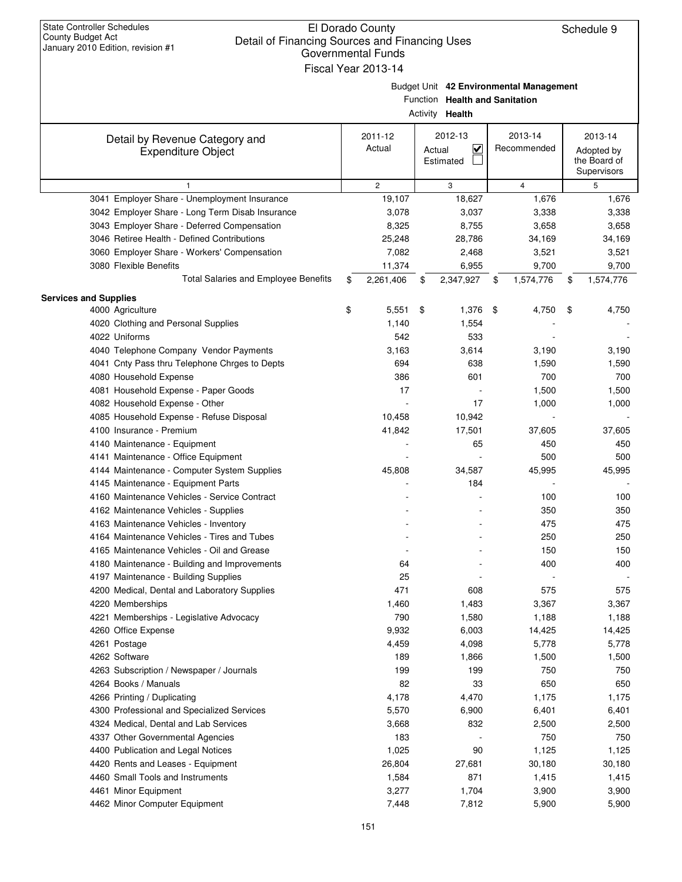| January 2010 Edition, revision #1                           | Governmental Funds<br>Fiscal Year 2013-14 |                                                        |                                         |                                                      |
|-------------------------------------------------------------|-------------------------------------------|--------------------------------------------------------|-----------------------------------------|------------------------------------------------------|
|                                                             |                                           | Function Health and Sanitation<br>Activity Health      | Budget Unit 42 Environmental Management |                                                      |
| Detail by Revenue Category and<br><b>Expenditure Object</b> | 2011-12<br>Actual                         | 2012-13<br>$\blacktriangledown$<br>Actual<br>Estimated | 2013-14<br>Recommended                  | 2013-14<br>Adopted by<br>the Board of<br>Supervisors |
| $\mathbf{1}$                                                | $\overline{2}$                            | 3                                                      | $\overline{4}$                          | 5                                                    |
| 3041 Employer Share - Unemployment Insurance                | 19,107                                    | 18,627                                                 | 1,676                                   | 1,676                                                |
| 3042 Employer Share - Long Term Disab Insurance             | 3,078                                     | 3,037                                                  | 3,338                                   | 3,338                                                |
| 3043 Employer Share - Deferred Compensation                 | 8,325                                     | 8,755                                                  | 3,658                                   | 3,658                                                |
| 3046 Retiree Health - Defined Contributions                 | 25,248                                    | 28,786                                                 | 34,169                                  | 34,169                                               |
| 3060 Employer Share - Workers' Compensation                 | 7,082                                     | 2,468                                                  | 3,521                                   | 3,521                                                |
| 3080 Flexible Benefits                                      | 11,374                                    | 6,955                                                  | 9,700                                   | 9,700                                                |
| <b>Total Salaries and Employee Benefits</b>                 | \$<br>2,261,406                           | \$<br>2,347,927                                        | \$<br>1,574,776                         | \$<br>1,574,776                                      |
| <b>Services and Supplies</b>                                |                                           |                                                        |                                         |                                                      |
| 4000 Agriculture                                            | \$<br>5,551                               | \$<br>1,376                                            | \$<br>4,750                             | \$<br>4,750                                          |
| 4020 Clothing and Personal Supplies                         | 1,140                                     | 1,554                                                  |                                         |                                                      |
| 4022 Uniforms                                               | 542                                       | 533                                                    |                                         |                                                      |
| 4040 Telephone Company Vendor Payments                      | 3,163                                     | 3,614                                                  | 3,190                                   | 3,190                                                |
| 4041 Cnty Pass thru Telephone Chrges to Depts               | 694                                       | 638                                                    | 1,590                                   | 1,590                                                |
| 4080 Household Expense                                      | 386                                       | 601                                                    | 700                                     | 700                                                  |
| 4081 Household Expense - Paper Goods                        | 17                                        |                                                        | 1,500                                   | 1,500                                                |
| 4082 Household Expense - Other                              |                                           | 17                                                     | 1,000                                   | 1,000                                                |
| 4085 Household Expense - Refuse Disposal                    | 10,458                                    | 10,942                                                 |                                         |                                                      |
| 4100 Insurance - Premium                                    | 41,842                                    | 17,501                                                 | 37,605                                  | 37,605                                               |
| 4140 Maintenance - Equipment                                |                                           | 65                                                     | 450                                     | 450                                                  |
| 4141 Maintenance - Office Equipment                         |                                           |                                                        | 500                                     | 500                                                  |
| 4144 Maintenance - Computer System Supplies                 | 45,808                                    | 34,587                                                 | 45,995                                  | 45,995                                               |
| 4145 Maintenance - Equipment Parts                          |                                           | 184                                                    |                                         |                                                      |
| 4160 Maintenance Vehicles - Service Contract                |                                           |                                                        | 100                                     | 100                                                  |
| 4162 Maintenance Vehicles - Supplies                        |                                           |                                                        | 350                                     | 350                                                  |
| 4163 Maintenance Vehicles - Inventory                       |                                           |                                                        | 475                                     | 475                                                  |
| 4164 Maintenance Vehicles - Tires and Tubes                 |                                           |                                                        | 250                                     | 250                                                  |
| 4165 Maintenance Vehicles - Oil and Grease                  |                                           |                                                        | 150                                     | 150                                                  |
| 4180 Maintenance - Building and Improvements                | 64                                        |                                                        | 400                                     | 400                                                  |
| 4197 Maintenance - Building Supplies                        | 25                                        |                                                        |                                         |                                                      |
| 4200 Medical, Dental and Laboratory Supplies                | 471                                       | 608                                                    | 575                                     | 575                                                  |
| 4220 Memberships                                            | 1,460                                     | 1,483                                                  | 3,367                                   | 3,367                                                |
| 4221 Memberships - Legislative Advocacy                     | 790                                       | 1,580                                                  | 1,188                                   | 1,188                                                |
| 4260 Office Expense                                         | 9,932                                     | 6,003                                                  | 14,425                                  | 14,425                                               |
| 4261 Postage                                                | 4,459                                     | 4,098                                                  | 5,778                                   | 5,778                                                |
| 4262 Software                                               | 189                                       | 1,866                                                  | 1,500                                   | 1,500                                                |
| 4263 Subscription / Newspaper / Journals                    | 199                                       | 199                                                    | 750                                     | 750                                                  |
| 4264 Books / Manuals                                        | 82                                        | 33                                                     | 650                                     | 650                                                  |
| 4266 Printing / Duplicating                                 | 4,178                                     | 4,470                                                  | 1,175                                   | 1,175                                                |
| 4300 Professional and Specialized Services                  | 5,570                                     | 6,900                                                  | 6,401                                   | 6,401                                                |
| 4324 Medical, Dental and Lab Services                       | 3,668                                     | 832                                                    | 2,500                                   | 2,500                                                |
| 4337 Other Governmental Agencies                            | 183                                       |                                                        | 750                                     | 750                                                  |
| 4400 Publication and Legal Notices                          | 1,025                                     | 90                                                     | 1,125                                   | 1,125                                                |
| 4420 Rents and Leases - Equipment                           | 26,804                                    | 27,681                                                 | 30,180                                  | 30,180                                               |
| 4460 Small Tools and Instruments                            | 1,584                                     | 871                                                    | 1,415                                   | 1,415                                                |
| 4461 Minor Equipment                                        | 3,277                                     | 1,704                                                  | 3,900                                   | 3,900                                                |
| 4462 Minor Computer Equipment                               | 7,448                                     | 7,812                                                  | 5,900                                   | 5,900                                                |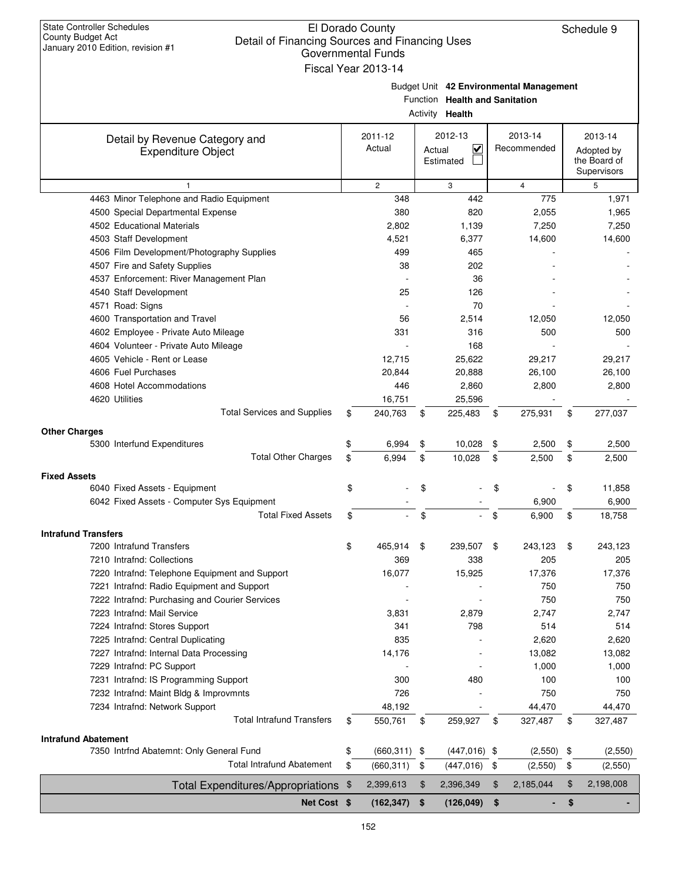| January 2010 Edition, revision #1                                     | <b>Governmental Funds</b><br>Fiscal Year 2013-14 |        |                                                   |                                         |                                                      |
|-----------------------------------------------------------------------|--------------------------------------------------|--------|---------------------------------------------------|-----------------------------------------|------------------------------------------------------|
|                                                                       |                                                  |        | Function Health and Sanitation<br>Activity Health | Budget Unit 42 Environmental Management |                                                      |
| Detail by Revenue Category and<br><b>Expenditure Object</b>           | 2011-12<br>Actual                                | Actual | 2012-13<br>$\overline{\mathsf{v}}$<br>Estimated   | 2013-14<br>Recommended                  | 2013-14<br>Adopted by<br>the Board of<br>Supervisors |
| 1                                                                     | $\overline{2}$                                   |        | 3                                                 | $\overline{4}$                          | 5                                                    |
| 4463 Minor Telephone and Radio Equipment                              | 348                                              |        | 442                                               | 775                                     | 1,971                                                |
| 4500 Special Departmental Expense                                     | 380                                              |        | 820                                               | 2,055                                   | 1,965                                                |
| 4502 Educational Materials                                            | 2,802                                            |        | 1,139                                             | 7,250                                   | 7,250                                                |
| 4503 Staff Development                                                | 4,521                                            |        | 6,377                                             | 14,600                                  | 14,600                                               |
| 4506 Film Development/Photography Supplies                            | 499                                              |        | 465                                               |                                         |                                                      |
| 4507 Fire and Safety Supplies                                         | 38                                               |        | 202                                               |                                         |                                                      |
| 4537 Enforcement: River Management Plan                               |                                                  |        | 36                                                |                                         |                                                      |
| 4540 Staff Development                                                | 25                                               |        | 126                                               |                                         |                                                      |
| 4571 Road: Signs                                                      |                                                  |        | 70                                                |                                         |                                                      |
| 4600 Transportation and Travel                                        | 56                                               |        | 2,514                                             | 12,050                                  | 12,050                                               |
| 4602 Employee - Private Auto Mileage                                  | 331                                              |        | 316                                               | 500                                     | 500                                                  |
| 4604 Volunteer - Private Auto Mileage<br>4605 Vehicle - Rent or Lease | 12,715                                           |        | 168<br>25,622                                     | 29,217                                  | 29,217                                               |
| 4606 Fuel Purchases                                                   | 20,844                                           |        | 20,888                                            | 26,100                                  | 26,100                                               |
| 4608 Hotel Accommodations                                             | 446                                              |        | 2,860                                             | 2,800                                   | 2,800                                                |
| 4620 Utilities                                                        | 16,751                                           |        | 25,596                                            |                                         |                                                      |
| <b>Total Services and Supplies</b>                                    | \$<br>240,763                                    | \$     | 225,483                                           | \$<br>275,931                           | \$<br>277,037                                        |
|                                                                       |                                                  |        |                                                   |                                         |                                                      |
| <b>Other Charges</b>                                                  |                                                  |        |                                                   |                                         |                                                      |
| 5300 Interfund Expenditures                                           | \$<br>6,994                                      | \$     | 10,028                                            | \$<br>2,500                             | \$<br>2,500                                          |
| <b>Total Other Charges</b>                                            | \$<br>6,994                                      | \$     | 10,028                                            | \$<br>2,500                             | \$<br>2,500                                          |
| <b>Fixed Assets</b>                                                   |                                                  |        |                                                   |                                         |                                                      |
| 6040 Fixed Assets - Equipment                                         | \$                                               | \$     |                                                   | \$                                      | \$<br>11,858                                         |
| 6042 Fixed Assets - Computer Sys Equipment                            |                                                  |        |                                                   | 6,900                                   | 6,900                                                |
| <b>Total Fixed Assets</b>                                             | \$                                               | \$     |                                                   | \$<br>6,900                             | \$<br>18,758                                         |
| <b>Intrafund Transfers</b>                                            |                                                  |        |                                                   |                                         |                                                      |
| 7200 Intrafund Transfers                                              | 465,914                                          |        | 239,507                                           | 243,123                                 | 243,123                                              |
| 7210 Intrafnd: Collections                                            | 369                                              |        | 338                                               | 205                                     | 205                                                  |
| 7220 Intrafnd: Telephone Equipment and Support                        | 16,077                                           |        | 15,925                                            | 17,376                                  | 17,376                                               |
| 7221 Intrafnd: Radio Equipment and Support                            |                                                  |        |                                                   | 750                                     | 750                                                  |
| 7222 Intrafnd: Purchasing and Courier Services                        |                                                  |        |                                                   | 750                                     | 750                                                  |
| 7223 Intrafnd: Mail Service                                           | 3,831                                            |        | 2,879                                             | 2,747                                   | 2,747                                                |
| 7224 Intrafnd: Stores Support                                         | 341                                              |        | 798                                               | 514                                     | 514                                                  |
| 7225 Intrafnd: Central Duplicating                                    | 835                                              |        |                                                   | 2,620                                   | 2,620                                                |
| 7227 Intrafnd: Internal Data Processing                               | 14,176                                           |        |                                                   | 13,082                                  | 13,082                                               |
| 7229 Intrafnd: PC Support                                             |                                                  |        |                                                   | 1,000                                   | 1,000                                                |
| 7231 Intrafnd: IS Programming Support                                 | 300                                              |        | 480                                               | 100                                     | 100                                                  |
| 7232 Intrafnd: Maint Bldg & Improvmnts                                | 726                                              |        |                                                   | 750                                     | 750                                                  |
| 7234 Intrafnd: Network Support                                        | 48,192                                           |        |                                                   | 44,470                                  | 44,470                                               |
| <b>Total Intrafund Transfers</b>                                      | \$<br>550,761                                    | \$     | 259,927                                           | \$<br>327,487                           | \$<br>327,487                                        |
| <b>Intrafund Abatement</b>                                            |                                                  |        |                                                   |                                         |                                                      |
| 7350 Intrfnd Abatemnt: Only General Fund                              | \$<br>$(660, 311)$ \$                            |        | $(447,016)$ \$                                    | (2, 550)                                | \$<br>(2,550)                                        |
| <b>Total Intrafund Abatement</b>                                      | \$<br>(660, 311)                                 | \$     | (447, 016)                                        | \$<br>(2,550)                           | \$<br>(2,550)                                        |
| <b>Total Expenditures/Appropriations</b>                              | \$<br>2,399,613                                  | \$     | 2,396,349                                         | \$<br>2,185,044                         | \$<br>2,198,008                                      |
| Net Cost \$                                                           | (162, 347)                                       | - \$   | $(126,049)$ \$                                    |                                         | \$                                                   |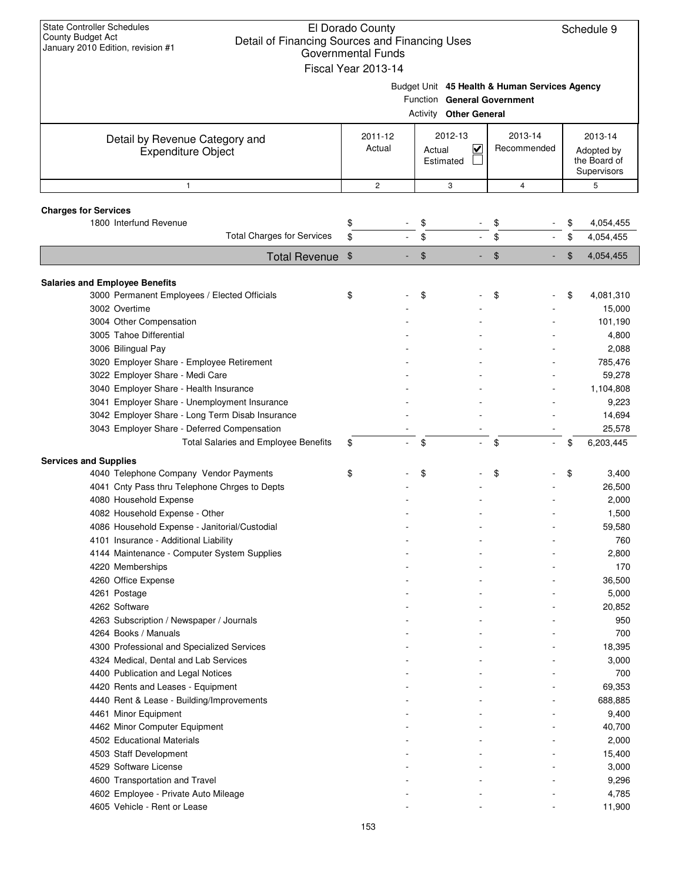| <b>State Controller Schedules</b><br>El Dorado County<br><b>County Budget Act</b><br>Detail of Financing Sources and Financing Uses<br>January 2010 Edition, revision #1<br><b>Governmental Funds</b><br>Fiscal Year 2013-14 |                   |                                                                                                        |                        |    |                                                      |  |  |  |  |
|------------------------------------------------------------------------------------------------------------------------------------------------------------------------------------------------------------------------------|-------------------|--------------------------------------------------------------------------------------------------------|------------------------|----|------------------------------------------------------|--|--|--|--|
|                                                                                                                                                                                                                              |                   | Budget Unit 45 Health & Human Services Agency<br>Function General Government<br>Activity Other General |                        |    |                                                      |  |  |  |  |
| Detail by Revenue Category and<br><b>Expenditure Object</b>                                                                                                                                                                  | 2011-12<br>Actual | 2012-13<br><u>V</u><br>Actual<br>Estimated                                                             | 2013-14<br>Recommended |    | 2013-14<br>Adopted by<br>the Board of<br>Supervisors |  |  |  |  |
| $\mathbf{1}$                                                                                                                                                                                                                 | $\mathbf{2}$      | 3                                                                                                      | $\overline{4}$         |    | 5                                                    |  |  |  |  |
| <b>Charges for Services</b>                                                                                                                                                                                                  |                   |                                                                                                        |                        |    |                                                      |  |  |  |  |
| 1800 Interfund Revenue                                                                                                                                                                                                       | \$                | \$                                                                                                     | \$                     | \$ | 4,054,455                                            |  |  |  |  |
| <b>Total Charges for Services</b>                                                                                                                                                                                            | \$                | \$                                                                                                     | \$                     | \$ | 4,054,455                                            |  |  |  |  |
| <b>Total Revenue</b>                                                                                                                                                                                                         | $\frac{1}{2}$     | \$                                                                                                     | \$                     | \$ | 4,054,455                                            |  |  |  |  |
|                                                                                                                                                                                                                              |                   |                                                                                                        |                        |    |                                                      |  |  |  |  |
| <b>Salaries and Employee Benefits</b>                                                                                                                                                                                        |                   |                                                                                                        |                        |    |                                                      |  |  |  |  |
| 3000 Permanent Employees / Elected Officials                                                                                                                                                                                 | \$                | \$                                                                                                     | \$                     | \$ | 4,081,310                                            |  |  |  |  |
| 3002 Overtime                                                                                                                                                                                                                |                   |                                                                                                        |                        |    | 15,000                                               |  |  |  |  |
| 3004 Other Compensation                                                                                                                                                                                                      |                   |                                                                                                        |                        |    | 101,190                                              |  |  |  |  |
| 3005 Tahoe Differential                                                                                                                                                                                                      |                   |                                                                                                        |                        |    | 4,800                                                |  |  |  |  |
| 3006 Bilingual Pay                                                                                                                                                                                                           |                   |                                                                                                        |                        |    | 2,088                                                |  |  |  |  |
| 3020 Employer Share - Employee Retirement                                                                                                                                                                                    |                   |                                                                                                        |                        |    | 785,476<br>59,278                                    |  |  |  |  |
| 3022 Employer Share - Medi Care<br>3040 Employer Share - Health Insurance                                                                                                                                                    |                   |                                                                                                        |                        |    | 1,104,808                                            |  |  |  |  |
| 3041 Employer Share - Unemployment Insurance                                                                                                                                                                                 |                   |                                                                                                        |                        |    | 9,223                                                |  |  |  |  |
| 3042 Employer Share - Long Term Disab Insurance                                                                                                                                                                              |                   |                                                                                                        |                        |    | 14,694                                               |  |  |  |  |
| 3043 Employer Share - Deferred Compensation                                                                                                                                                                                  |                   |                                                                                                        |                        |    | 25,578                                               |  |  |  |  |
| <b>Total Salaries and Employee Benefits</b>                                                                                                                                                                                  | \$                | \$                                                                                                     | \$<br>$\mathcal{L}$    | \$ | 6,203,445                                            |  |  |  |  |
|                                                                                                                                                                                                                              |                   |                                                                                                        |                        |    |                                                      |  |  |  |  |
| <b>Services and Supplies</b>                                                                                                                                                                                                 |                   |                                                                                                        |                        |    |                                                      |  |  |  |  |
| 4040 Telephone Company Vendor Payments                                                                                                                                                                                       | \$                | \$                                                                                                     | \$                     | \$ | 3,400                                                |  |  |  |  |
| 4041 Cnty Pass thru Telephone Chrges to Depts                                                                                                                                                                                |                   |                                                                                                        |                        |    | 26,500                                               |  |  |  |  |
| 4080 Household Expense                                                                                                                                                                                                       |                   |                                                                                                        |                        |    | 2,000                                                |  |  |  |  |
| 4082 Household Expense - Other                                                                                                                                                                                               |                   |                                                                                                        |                        |    | 1,500                                                |  |  |  |  |
| 4086 Household Expense - Janitorial/Custodial                                                                                                                                                                                |                   |                                                                                                        |                        |    | 59,580                                               |  |  |  |  |
| 4101 Insurance - Additional Liability                                                                                                                                                                                        |                   |                                                                                                        |                        |    | 760                                                  |  |  |  |  |
| 4144 Maintenance - Computer System Supplies                                                                                                                                                                                  |                   |                                                                                                        |                        |    | 2,800                                                |  |  |  |  |
| 4220 Memberships                                                                                                                                                                                                             |                   |                                                                                                        |                        |    | 170                                                  |  |  |  |  |
| 4260 Office Expense<br>4261 Postage                                                                                                                                                                                          |                   |                                                                                                        |                        |    | 36,500                                               |  |  |  |  |
| 4262 Software                                                                                                                                                                                                                |                   |                                                                                                        |                        |    | 5,000<br>20,852                                      |  |  |  |  |
| 4263 Subscription / Newspaper / Journals                                                                                                                                                                                     |                   |                                                                                                        |                        |    | 950                                                  |  |  |  |  |
| 4264 Books / Manuals                                                                                                                                                                                                         |                   |                                                                                                        |                        |    | 700                                                  |  |  |  |  |
| 4300 Professional and Specialized Services                                                                                                                                                                                   |                   |                                                                                                        |                        |    | 18,395                                               |  |  |  |  |
| 4324 Medical, Dental and Lab Services                                                                                                                                                                                        |                   |                                                                                                        |                        |    | 3,000                                                |  |  |  |  |
| 4400 Publication and Legal Notices                                                                                                                                                                                           |                   |                                                                                                        |                        |    | 700                                                  |  |  |  |  |
| 4420 Rents and Leases - Equipment                                                                                                                                                                                            |                   |                                                                                                        |                        |    | 69,353                                               |  |  |  |  |
| 4440 Rent & Lease - Building/Improvements                                                                                                                                                                                    |                   |                                                                                                        |                        |    | 688,885                                              |  |  |  |  |
| 4461 Minor Equipment                                                                                                                                                                                                         |                   |                                                                                                        |                        |    | 9,400                                                |  |  |  |  |
| 4462 Minor Computer Equipment                                                                                                                                                                                                |                   |                                                                                                        |                        |    | 40,700                                               |  |  |  |  |
| 4502 Educational Materials                                                                                                                                                                                                   |                   |                                                                                                        |                        |    | 2,000                                                |  |  |  |  |
| 4503 Staff Development                                                                                                                                                                                                       |                   |                                                                                                        |                        |    | 15,400                                               |  |  |  |  |
| 4529 Software License                                                                                                                                                                                                        |                   |                                                                                                        |                        |    | 3,000                                                |  |  |  |  |
| 4600 Transportation and Travel                                                                                                                                                                                               |                   |                                                                                                        |                        |    | 9,296                                                |  |  |  |  |
| 4602 Employee - Private Auto Mileage                                                                                                                                                                                         |                   |                                                                                                        |                        |    | 4,785                                                |  |  |  |  |
| 4605 Vehicle - Rent or Lease                                                                                                                                                                                                 |                   |                                                                                                        |                        |    | 11,900                                               |  |  |  |  |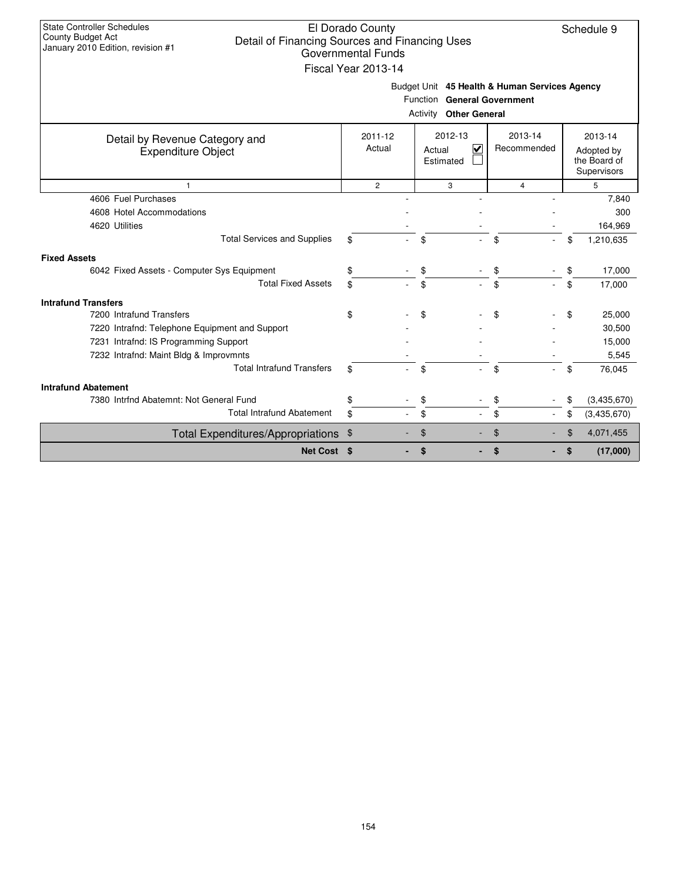| <b>State Controller Schedules</b><br>County Budget Act<br>Detail of Financing Sources and Financing Uses<br>January 2010 Edition, revision #1 | El Dorado County<br>Governmental Funds<br>Fiscal Year 2013-14 | Budget Unit 45 Health & Human Services Agency                |                        | Schedule 9                                           |
|-----------------------------------------------------------------------------------------------------------------------------------------------|---------------------------------------------------------------|--------------------------------------------------------------|------------------------|------------------------------------------------------|
|                                                                                                                                               |                                                               | Function General Government<br><b>Activity Other General</b> |                        |                                                      |
|                                                                                                                                               |                                                               |                                                              |                        |                                                      |
| Detail by Revenue Category and<br><b>Expenditure Object</b>                                                                                   | 2011-12<br>Actual                                             | 2012-13<br>$\overline{\mathbf{v}}$<br>Actual<br>Estimated    | 2013-14<br>Recommended | 2013-14<br>Adopted by<br>the Board of<br>Supervisors |
| $\mathbf{1}$                                                                                                                                  | $\overline{2}$                                                | 3                                                            | $\overline{4}$         | 5                                                    |
| 4606 Fuel Purchases                                                                                                                           |                                                               |                                                              |                        | 7,840                                                |
| 4608 Hotel Accommodations                                                                                                                     |                                                               |                                                              |                        | 300                                                  |
| 4620 Utilities                                                                                                                                |                                                               |                                                              |                        | 164,969                                              |
| <b>Total Services and Supplies</b>                                                                                                            | \$                                                            | \$                                                           | \$                     | \$<br>1,210,635                                      |
| <b>Fixed Assets</b>                                                                                                                           |                                                               |                                                              |                        |                                                      |
| 6042 Fixed Assets - Computer Sys Equipment                                                                                                    |                                                               | \$                                                           |                        | 17,000<br>\$                                         |
| <b>Total Fixed Assets</b>                                                                                                                     |                                                               | \$                                                           | \$                     | 17,000<br>\$                                         |
| <b>Intrafund Transfers</b>                                                                                                                    |                                                               |                                                              |                        |                                                      |
| 7200 Intrafund Transfers                                                                                                                      | \$                                                            | \$                                                           | \$                     | \$<br>25,000                                         |
| 7220 Intrafnd: Telephone Equipment and Support                                                                                                |                                                               |                                                              |                        | 30,500                                               |
| 7231 Intrafnd: IS Programming Support                                                                                                         |                                                               |                                                              |                        | 15,000                                               |
| 7232 Intrafnd: Maint Bldg & Improvmnts                                                                                                        |                                                               |                                                              |                        | 5,545                                                |
| <b>Total Intrafund Transfers</b>                                                                                                              | \$                                                            | \$                                                           | \$                     | \$<br>76,045                                         |
| <b>Intrafund Abatement</b>                                                                                                                    |                                                               |                                                              |                        |                                                      |
| 7380 Intrfnd Abatemnt: Not General Fund                                                                                                       | \$                                                            | \$                                                           | \$                     | (3,435,670)<br>\$                                    |
| <b>Total Intrafund Abatement</b>                                                                                                              | \$                                                            | \$                                                           | \$                     | \$<br>(3,435,670)                                    |
| Total Expenditures/Appropriations \$                                                                                                          |                                                               | \$                                                           | \$                     | $\mathfrak{L}$<br>4,071,455                          |
| Net Cost \$                                                                                                                                   |                                                               | \$                                                           | \$                     | (17,000)<br>\$                                       |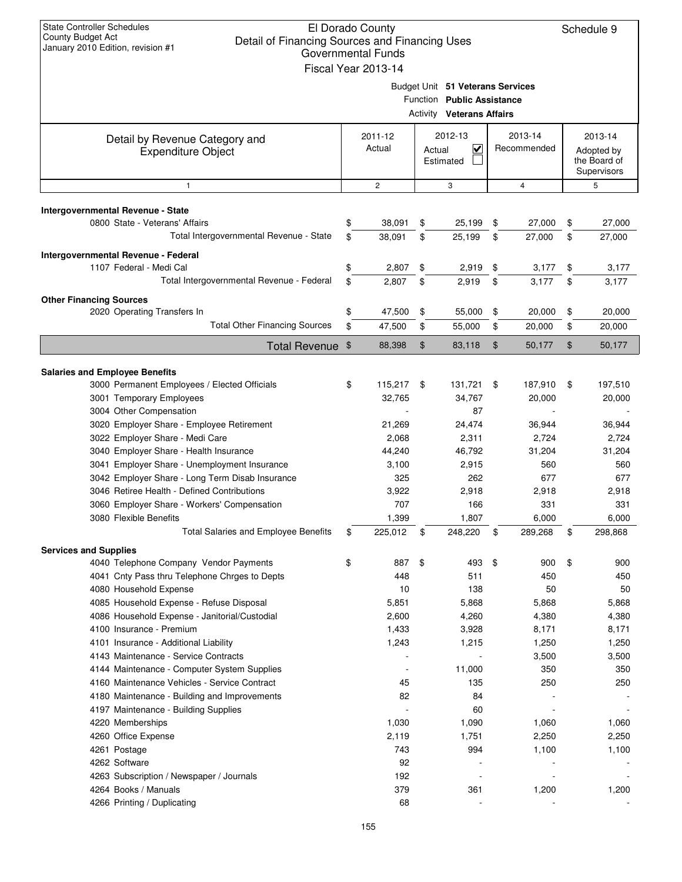| <b>State Controller Schedules</b><br>El Dorado County<br>County Budget Act<br>Detail of Financing Sources and Financing Uses<br>January 2010 Edition, revision #1<br><b>Governmental Funds</b><br>Fiscal Year 2013-14 |    |                   |        |                                                                                                    |    |                        |                                                      | Schedule 9 |
|-----------------------------------------------------------------------------------------------------------------------------------------------------------------------------------------------------------------------|----|-------------------|--------|----------------------------------------------------------------------------------------------------|----|------------------------|------------------------------------------------------|------------|
|                                                                                                                                                                                                                       |    |                   |        | Budget Unit 51 Veterans Services<br>Function Public Assistance<br><b>Activity Veterans Affairs</b> |    |                        |                                                      |            |
| Detail by Revenue Category and<br><b>Expenditure Object</b>                                                                                                                                                           |    | 2011-12<br>Actual | Actual | 2012-13<br>$\checkmark$<br>Estimated                                                               |    | 2013-14<br>Recommended | 2013-14<br>Adopted by<br>the Board of<br>Supervisors |            |
| $\mathbf{1}$                                                                                                                                                                                                          |    | $\mathbf{2}$      |        | 3                                                                                                  |    | 4                      |                                                      | 5          |
| Intergovernmental Revenue - State                                                                                                                                                                                     |    |                   |        |                                                                                                    |    |                        |                                                      |            |
| 0800 State - Veterans' Affairs                                                                                                                                                                                        | \$ | 38,091            | \$     | 25,199                                                                                             | \$ | 27,000                 | \$                                                   | 27,000     |
| Total Intergovernmental Revenue - State                                                                                                                                                                               | \$ | 38,091            | \$     | 25,199                                                                                             | \$ | 27,000                 | \$                                                   | 27,000     |
| Intergovernmental Revenue - Federal                                                                                                                                                                                   |    |                   |        |                                                                                                    |    |                        |                                                      |            |
| 1107 Federal - Medi Cal                                                                                                                                                                                               | \$ | 2,807             | \$     | 2,919                                                                                              | \$ | 3,177                  | \$                                                   | 3,177      |
| Total Intergovernmental Revenue - Federal                                                                                                                                                                             | \$ | 2,807             | \$     | 2,919                                                                                              | \$ | 3,177                  | \$                                                   | 3,177      |
| <b>Other Financing Sources</b>                                                                                                                                                                                        |    |                   |        |                                                                                                    |    |                        |                                                      |            |
| 2020 Operating Transfers In                                                                                                                                                                                           | \$ | 47,500            | \$     | 55,000                                                                                             | \$ | 20,000                 | \$                                                   | 20,000     |
| <b>Total Other Financing Sources</b>                                                                                                                                                                                  | \$ | 47,500            | \$     | 55,000                                                                                             | \$ | 20,000                 | \$                                                   | 20,000     |
|                                                                                                                                                                                                                       |    |                   |        |                                                                                                    |    |                        | \$                                                   | 50,177     |
| Total Revenue \$                                                                                                                                                                                                      |    | 88,398            | \$     | 83,118                                                                                             | \$ | 50,177                 |                                                      |            |
| <b>Salaries and Employee Benefits</b>                                                                                                                                                                                 |    |                   |        |                                                                                                    |    |                        |                                                      |            |
| 3000 Permanent Employees / Elected Officials                                                                                                                                                                          | \$ | 115,217 \$        |        | 131,721                                                                                            | \$ | 187,910                | \$                                                   | 197,510    |
| 3001 Temporary Employees                                                                                                                                                                                              |    | 32,765            |        | 34,767                                                                                             |    | 20,000                 |                                                      | 20,000     |
| 3004 Other Compensation                                                                                                                                                                                               |    |                   |        | 87                                                                                                 |    |                        |                                                      |            |
| 3020 Employer Share - Employee Retirement                                                                                                                                                                             |    | 21,269            |        | 24,474                                                                                             |    | 36,944                 |                                                      | 36,944     |
| 3022 Employer Share - Medi Care                                                                                                                                                                                       |    | 2,068             |        | 2,311                                                                                              |    | 2,724                  |                                                      | 2,724      |
| 3040 Employer Share - Health Insurance                                                                                                                                                                                |    | 44,240            |        | 46,792                                                                                             |    | 31,204                 |                                                      | 31,204     |
| 3041 Employer Share - Unemployment Insurance                                                                                                                                                                          |    | 3,100             |        | 2,915                                                                                              |    | 560                    |                                                      | 560        |
| 3042 Employer Share - Long Term Disab Insurance                                                                                                                                                                       |    | 325               |        | 262                                                                                                |    | 677                    |                                                      | 677        |
| 3046 Retiree Health - Defined Contributions                                                                                                                                                                           |    | 3,922             |        | 2,918                                                                                              |    | 2,918                  |                                                      | 2,918      |
| 3060 Employer Share - Workers' Compensation                                                                                                                                                                           |    | 707               |        | 166                                                                                                |    | 331                    |                                                      | 331        |
| 3080 Flexible Benefits                                                                                                                                                                                                |    | 1,399             |        | 1,807                                                                                              |    | 6,000                  |                                                      | 6,000      |
| <b>Total Salaries and Employee Benefits</b>                                                                                                                                                                           | \$ | 225,012           | \$     | 248,220                                                                                            | \$ | 289,268                | \$                                                   | 298,868    |
| <b>Services and Supplies</b>                                                                                                                                                                                          |    |                   |        |                                                                                                    |    |                        |                                                      |            |
| 4040 Telephone Company Vendor Payments                                                                                                                                                                                | \$ | 887               | \$     | 493                                                                                                | \$ | 900                    | \$                                                   | 900        |
| 4041 Cnty Pass thru Telephone Chrges to Depts                                                                                                                                                                         |    | 448               |        | 511                                                                                                |    | 450                    |                                                      | 450        |
| 4080 Household Expense                                                                                                                                                                                                |    | 10                |        | 138                                                                                                |    | 50                     |                                                      | 50         |
| 4085 Household Expense - Refuse Disposal                                                                                                                                                                              |    | 5,851             |        | 5,868                                                                                              |    | 5,868                  |                                                      | 5,868      |
| 4086 Household Expense - Janitorial/Custodial                                                                                                                                                                         |    | 2,600             |        | 4,260                                                                                              |    | 4,380                  |                                                      | 4,380      |
| 4100 Insurance - Premium                                                                                                                                                                                              |    | 1,433             |        | 3,928                                                                                              |    | 8,171                  |                                                      | 8,171      |
| 4101 Insurance - Additional Liability                                                                                                                                                                                 |    | 1,243             |        | 1,215                                                                                              |    | 1,250                  |                                                      | 1,250      |
| 4143 Maintenance - Service Contracts                                                                                                                                                                                  |    |                   |        |                                                                                                    |    | 3,500<br>350           |                                                      | 3,500      |
| 4144 Maintenance - Computer System Supplies<br>4160 Maintenance Vehicles - Service Contract                                                                                                                           |    | 45                |        | 11,000<br>135                                                                                      |    | 250                    |                                                      | 350<br>250 |
| 4180 Maintenance - Building and Improvements                                                                                                                                                                          |    | 82                |        | 84                                                                                                 |    |                        |                                                      |            |
| 4197 Maintenance - Building Supplies                                                                                                                                                                                  |    |                   |        | 60                                                                                                 |    |                        |                                                      |            |
| 4220 Memberships                                                                                                                                                                                                      |    | 1,030             |        | 1,090                                                                                              |    | 1,060                  |                                                      | 1,060      |
| 4260 Office Expense                                                                                                                                                                                                   |    | 2,119             |        | 1,751                                                                                              |    | 2,250                  |                                                      | 2,250      |
| 4261 Postage                                                                                                                                                                                                          |    | 743               |        | 994                                                                                                |    | 1,100                  |                                                      | 1,100      |
| 4262 Software                                                                                                                                                                                                         |    | 92                |        |                                                                                                    |    |                        |                                                      |            |
| 4263 Subscription / Newspaper / Journals                                                                                                                                                                              |    | 192               |        |                                                                                                    |    |                        |                                                      |            |
| 4264 Books / Manuals                                                                                                                                                                                                  |    | 379               |        | 361                                                                                                |    | 1,200                  |                                                      | 1,200      |
| 4266 Printing / Duplicating                                                                                                                                                                                           |    | 68                |        |                                                                                                    |    |                        |                                                      |            |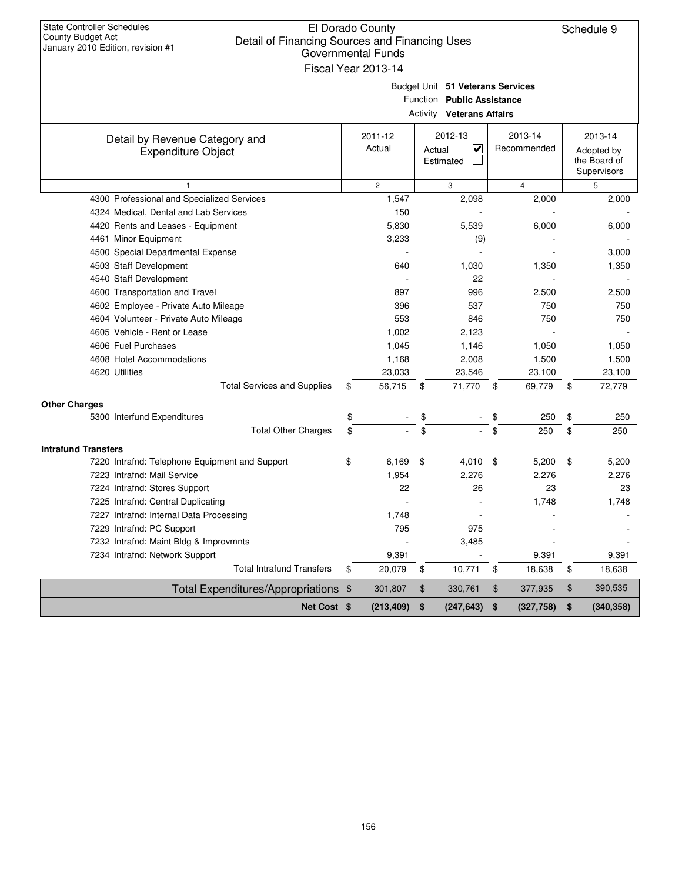| <b>State Controller Schedules</b><br>El Dorado County<br>County Budget Act<br>Detail of Financing Sources and Financing Uses |    |                           |                                  |                          |    |                            |  |
|------------------------------------------------------------------------------------------------------------------------------|----|---------------------------|----------------------------------|--------------------------|----|----------------------------|--|
| January 2010 Edition, revision #1                                                                                            |    | <b>Governmental Funds</b> |                                  |                          |    |                            |  |
|                                                                                                                              |    | Fiscal Year 2013-14       |                                  |                          |    |                            |  |
|                                                                                                                              |    |                           | Budget Unit 51 Veterans Services |                          |    |                            |  |
|                                                                                                                              |    |                           | Function Public Assistance       |                          |    |                            |  |
|                                                                                                                              |    |                           | <b>Activity Veterans Affairs</b> |                          |    |                            |  |
|                                                                                                                              |    |                           | 2012-13                          | 2013-14                  |    | 2013-14                    |  |
| Detail by Revenue Category and                                                                                               |    | 2011-12<br>Actual         | V<br>Actual                      | Recommended              |    |                            |  |
| <b>Expenditure Object</b>                                                                                                    |    |                           | Estimated                        |                          |    | Adopted by<br>the Board of |  |
|                                                                                                                              |    |                           |                                  |                          |    | Supervisors                |  |
| 1                                                                                                                            |    | $\mathbf{2}$              | 3                                | 4                        |    | 5                          |  |
| 4300 Professional and Specialized Services                                                                                   |    | 1,547                     | 2,098                            | 2,000                    |    | 2,000                      |  |
| 4324 Medical, Dental and Lab Services                                                                                        |    | 150                       |                                  |                          |    |                            |  |
| 4420 Rents and Leases - Equipment                                                                                            |    | 5,830                     | 5,539                            | 6,000                    |    | 6,000                      |  |
| 4461 Minor Equipment                                                                                                         |    | 3,233                     | (9)                              |                          |    |                            |  |
| 4500 Special Departmental Expense                                                                                            |    |                           |                                  |                          |    | 3,000                      |  |
| 4503 Staff Development                                                                                                       |    | 640                       | 1,030                            | 1,350                    |    | 1,350                      |  |
| 4540 Staff Development                                                                                                       |    |                           | 22                               |                          |    |                            |  |
| 4600 Transportation and Travel                                                                                               |    | 897                       | 996                              | 2,500                    |    | 2,500                      |  |
| 4602 Employee - Private Auto Mileage                                                                                         |    | 396                       | 537                              | 750                      |    | 750                        |  |
| 4604 Volunteer - Private Auto Mileage                                                                                        |    | 553                       | 846                              | 750                      |    | 750                        |  |
| 4605 Vehicle - Rent or Lease                                                                                                 |    | 1,002                     | 2,123                            |                          |    |                            |  |
| 4606 Fuel Purchases                                                                                                          |    | 1,045                     | 1,146                            | 1,050                    |    | 1,050                      |  |
| 4608 Hotel Accommodations<br>4620 Utilities                                                                                  |    | 1,168<br>23,033           | 2,008<br>23,546                  | 1,500<br>23,100          |    | 1,500<br>23,100            |  |
| <b>Total Services and Supplies</b>                                                                                           | \$ | 56,715                    | 71,770<br>\$                     | 69,779<br>\$             | \$ | 72,779                     |  |
|                                                                                                                              |    |                           |                                  |                          |    |                            |  |
| <b>Other Charges</b><br>5300 Interfund Expenditures                                                                          | \$ |                           |                                  | 250                      | \$ | 250                        |  |
| <b>Total Other Charges</b>                                                                                                   | \$ |                           | \$<br>\$                         | \$<br>\$<br>250          | \$ | 250                        |  |
|                                                                                                                              |    |                           |                                  |                          |    |                            |  |
| <b>Intrafund Transfers</b>                                                                                                   |    |                           |                                  |                          |    |                            |  |
| 7220 Intrafnd: Telephone Equipment and Support                                                                               | \$ | 6,169                     | \$<br>4,010                      | -\$<br>5,200             | \$ | 5,200                      |  |
| 7223 Intrafnd: Mail Service                                                                                                  |    | 1,954<br>22               | 2,276                            | 2,276<br>23              |    | 2,276                      |  |
| 7224 Intrafnd: Stores Support<br>7225 Intrafnd: Central Duplicating                                                          |    |                           | 26                               | 1,748                    |    | 23<br>1,748                |  |
| 7227 Intrafnd: Internal Data Processing                                                                                      |    | 1,748                     |                                  |                          |    |                            |  |
| 7229 Intrafnd: PC Support                                                                                                    |    | 795                       | 975                              |                          |    |                            |  |
| 7232 Intrafnd: Maint Bldg & Improvmnts                                                                                       |    |                           | 3,485                            |                          |    |                            |  |
| 7234 Intrafnd: Network Support                                                                                               |    | 9,391                     |                                  | 9,391                    |    | 9,391                      |  |
| <b>Total Intrafund Transfers</b>                                                                                             | \$ | 20,079                    | \$<br>10,771                     | \$<br>18,638             | \$ | 18,638                     |  |
| Total Expenditures/Appropriations \$                                                                                         |    | 301,807                   | $\, \, \$$<br>330,761            | $\frac{1}{2}$<br>377,935 | \$ | 390,535                    |  |
| Net Cost \$                                                                                                                  |    | (213, 409)                | (247, 643)<br>\$                 | \$<br>(327, 758)         | \$ | (340, 358)                 |  |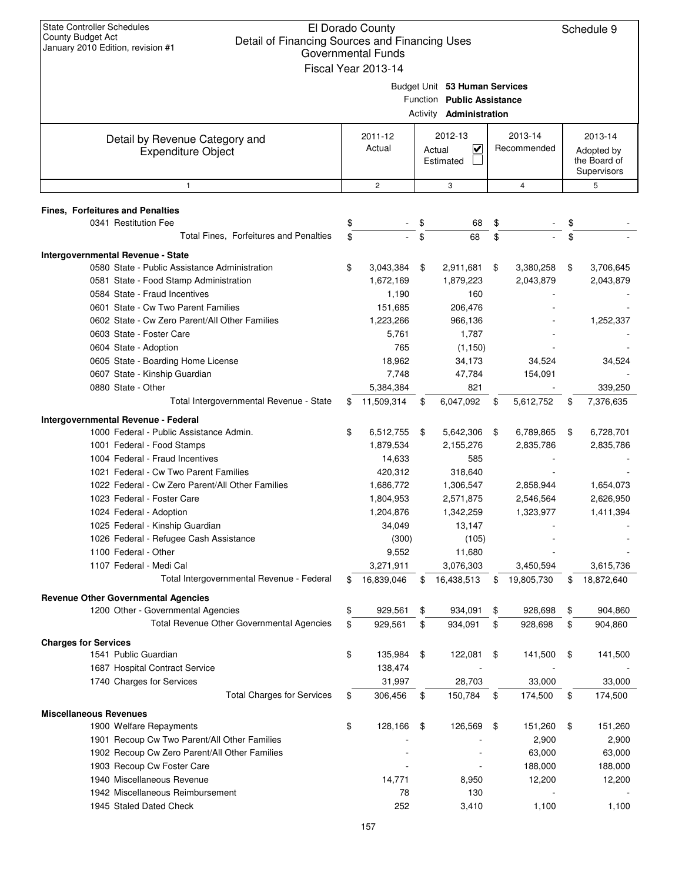| <b>State Controller Schedules</b><br>County Budget Act<br>Detail of Financing Sources and Financing Uses<br>January 2010 Edition, revision #1 | El Dorado County<br><b>Governmental Funds</b><br>Fiscal Year 2013-14 |                                                                                               |      |                        | Schedule 9                                           |
|-----------------------------------------------------------------------------------------------------------------------------------------------|----------------------------------------------------------------------|-----------------------------------------------------------------------------------------------|------|------------------------|------------------------------------------------------|
|                                                                                                                                               |                                                                      | Budget Unit 53 Human Services<br>Function Public Assistance<br>Activity <b>Administration</b> |      |                        |                                                      |
| Detail by Revenue Category and<br><b>Expenditure Object</b>                                                                                   | 2011-12<br>Actual                                                    | 2012-13<br>V<br>Actual<br>Estimated                                                           |      | 2013-14<br>Recommended | 2013-14<br>Adopted by<br>the Board of<br>Supervisors |
| $\mathbf{1}$                                                                                                                                  | $\overline{c}$                                                       | 3                                                                                             |      | $\overline{4}$         | 5                                                    |
| Fines, Forfeitures and Penalties                                                                                                              |                                                                      |                                                                                               |      |                        |                                                      |
| 0341 Restitution Fee                                                                                                                          | \$                                                                   | \$<br>68                                                                                      | \$   |                        | \$                                                   |
| Total Fines, Forfeitures and Penalties                                                                                                        | \$                                                                   | \$<br>68                                                                                      | \$   |                        | \$                                                   |
| Intergovernmental Revenue - State                                                                                                             |                                                                      |                                                                                               |      |                        |                                                      |
| 0580 State - Public Assistance Administration                                                                                                 | \$<br>3,043,384                                                      | \$<br>2,911,681                                                                               | \$   | 3,380,258              | \$<br>3,706,645                                      |
| 0581 State - Food Stamp Administration                                                                                                        | 1,672,169                                                            | 1,879,223                                                                                     |      | 2,043,879              | 2,043,879                                            |
| 0584 State - Fraud Incentives                                                                                                                 | 1,190                                                                | 160                                                                                           |      |                        |                                                      |
| 0601 State - Cw Two Parent Families                                                                                                           | 151,685                                                              | 206,476                                                                                       |      |                        |                                                      |
| 0602 State - Cw Zero Parent/All Other Families                                                                                                | 1,223,266                                                            | 966,136                                                                                       |      |                        | 1,252,337                                            |
| 0603 State - Foster Care                                                                                                                      | 5,761                                                                | 1,787                                                                                         |      |                        |                                                      |
| 0604 State - Adoption                                                                                                                         | 765                                                                  | (1, 150)                                                                                      |      |                        |                                                      |
| 0605 State - Boarding Home License                                                                                                            | 18,962                                                               | 34,173                                                                                        |      | 34,524                 | 34,524                                               |
| 0607 State - Kinship Guardian                                                                                                                 | 7,748                                                                | 47,784                                                                                        |      | 154,091                |                                                      |
| 0880 State - Other                                                                                                                            | 5,384,384                                                            | 821                                                                                           |      |                        | 339,250                                              |
| Total Intergovernmental Revenue - State                                                                                                       | \$<br>11,509,314                                                     | \$<br>6,047,092                                                                               | \$   | 5,612,752              | \$<br>7,376,635                                      |
|                                                                                                                                               |                                                                      |                                                                                               |      |                        |                                                      |
| Intergovernmental Revenue - Federal<br>1000 Federal - Public Assistance Admin.                                                                | \$<br>6,512,755                                                      | \$<br>5,642,306                                                                               | - \$ | 6,789,865              | \$<br>6,728,701                                      |
| 1001 Federal - Food Stamps                                                                                                                    | 1,879,534                                                            | 2,155,276                                                                                     |      | 2,835,786              | 2,835,786                                            |
| 1004 Federal - Fraud Incentives                                                                                                               | 14,633                                                               | 585                                                                                           |      |                        |                                                      |
| 1021 Federal - Cw Two Parent Families                                                                                                         | 420,312                                                              | 318,640                                                                                       |      |                        |                                                      |
| 1022 Federal - Cw Zero Parent/All Other Families                                                                                              | 1,686,772                                                            | 1,306,547                                                                                     |      | 2,858,944              | 1,654,073                                            |
| 1023 Federal - Foster Care                                                                                                                    | 1,804,953                                                            | 2,571,875                                                                                     |      | 2,546,564              | 2,626,950                                            |
| 1024 Federal - Adoption                                                                                                                       | 1,204,876                                                            |                                                                                               |      |                        | 1,411,394                                            |
| 1025 Federal - Kinship Guardian                                                                                                               | 34,049                                                               | 1,342,259                                                                                     |      | 1,323,977              |                                                      |
| 1026 Federal - Refugee Cash Assistance                                                                                                        | (300)                                                                | 13,147                                                                                        |      |                        |                                                      |
| 1100 Federal - Other                                                                                                                          | 9,552                                                                | (105)                                                                                         |      |                        |                                                      |
| 1107 Federal - Medi Cal                                                                                                                       |                                                                      | 11,680                                                                                        |      |                        |                                                      |
| Total Intergovernmental Revenue - Federal                                                                                                     | 3,271,911                                                            | 3,076,303                                                                                     |      | 3,450,594              | 3,615,736                                            |
|                                                                                                                                               | \$<br>16,839,046                                                     | \$<br>16,438,513                                                                              | \$   | 19,805,730             | \$<br>18,872,640                                     |
| <b>Revenue Other Governmental Agencies</b>                                                                                                    |                                                                      |                                                                                               |      |                        |                                                      |
| 1200 Other - Governmental Agencies                                                                                                            | \$<br>929,561                                                        | \$<br>934,091                                                                                 | \$   | 928,698                | \$<br>904,860                                        |
| Total Revenue Other Governmental Agencies                                                                                                     | \$<br>929,561                                                        | \$<br>934,091                                                                                 | \$   | 928,698                | \$<br>904,860                                        |
| <b>Charges for Services</b>                                                                                                                   |                                                                      |                                                                                               |      |                        |                                                      |
| 1541 Public Guardian                                                                                                                          | \$<br>135,984                                                        | \$<br>122,081                                                                                 | \$   | 141,500                | \$<br>141,500                                        |
| 1687 Hospital Contract Service                                                                                                                | 138,474                                                              |                                                                                               |      |                        |                                                      |
| 1740 Charges for Services                                                                                                                     | 31,997                                                               | 28,703                                                                                        |      | 33,000                 | 33,000                                               |
| <b>Total Charges for Services</b>                                                                                                             | \$<br>306,456                                                        | \$<br>150,784                                                                                 | \$   | 174,500                | \$<br>174,500                                        |
| <b>Miscellaneous Revenues</b>                                                                                                                 |                                                                      |                                                                                               |      |                        |                                                      |
| 1900 Welfare Repayments                                                                                                                       | \$<br>128,166                                                        | \$<br>126,569                                                                                 | -\$  | 151,260                | \$<br>151,260                                        |
| 1901 Recoup Cw Two Parent/All Other Families                                                                                                  |                                                                      |                                                                                               |      | 2,900                  | 2,900                                                |
| 1902 Recoup Cw Zero Parent/All Other Families                                                                                                 |                                                                      |                                                                                               |      | 63,000                 | 63,000                                               |
|                                                                                                                                               |                                                                      |                                                                                               |      |                        |                                                      |
| 1903 Recoup Cw Foster Care                                                                                                                    |                                                                      |                                                                                               |      | 188,000                | 188,000                                              |
| 1940 Miscellaneous Revenue                                                                                                                    | 14,771                                                               | 8,950                                                                                         |      | 12,200                 | 12,200                                               |
| 1942 Miscellaneous Reimbursement                                                                                                              | 78                                                                   | 130                                                                                           |      |                        |                                                      |
| 1945 Staled Dated Check                                                                                                                       | 252                                                                  | 3,410                                                                                         |      | 1,100                  | 1,100                                                |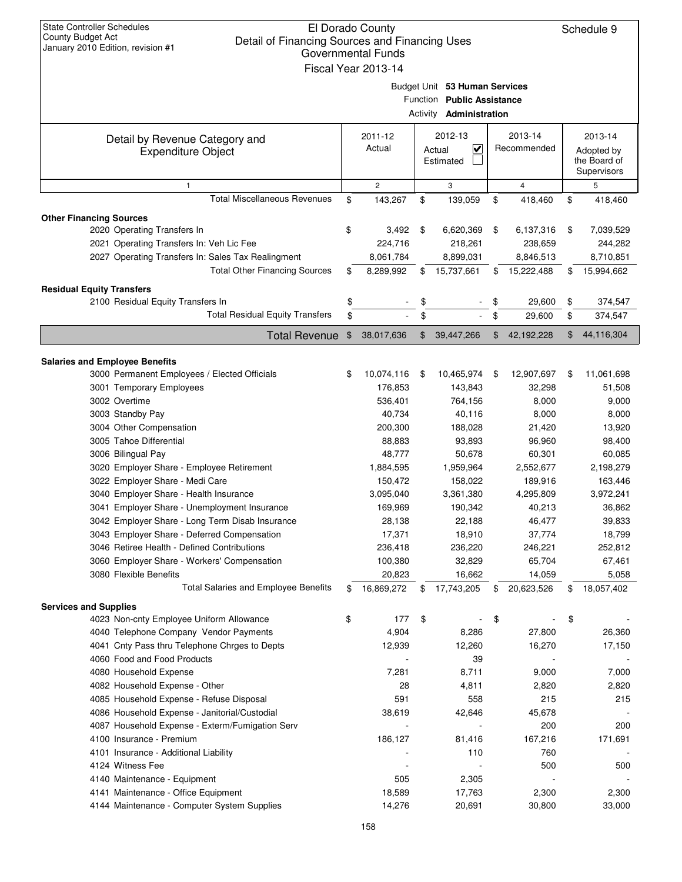| <b>State Controller Schedules</b><br>El Dorado County<br>Schedule 9<br><b>County Budget Act</b><br>Detail of Financing Sources and Financing Uses<br>January 2010 Edition, revision #1<br>Governmental Funds<br>Fiscal Year 2013-14 |    |              |    |                                                                                               |    |                |    |            |  |  |  |  |  |  |  |  |  |  |  |                                           |
|-------------------------------------------------------------------------------------------------------------------------------------------------------------------------------------------------------------------------------------|----|--------------|----|-----------------------------------------------------------------------------------------------|----|----------------|----|------------|--|--|--|--|--|--|--|--|--|--|--|-------------------------------------------|
|                                                                                                                                                                                                                                     |    |              |    | Budget Unit 53 Human Services<br>Function Public Assistance<br>Activity <b>Administration</b> |    |                |    |            |  |  |  |  |  |  |  |  |  |  |  |                                           |
|                                                                                                                                                                                                                                     |    | 2011-12      |    | 2012-13                                                                                       |    | 2013-14        |    | 2013-14    |  |  |  |  |  |  |  |  |  |  |  |                                           |
| Detail by Revenue Category and<br><b>Expenditure Object</b>                                                                                                                                                                         |    | Actual       |    | $\overline{\mathbf{v}}$<br>Actual<br>Estimated                                                |    | Recommended    |    |            |  |  |  |  |  |  |  |  |  |  |  | Adopted by<br>the Board of<br>Supervisors |
| $\mathbf{1}$                                                                                                                                                                                                                        |    | $\mathbf{2}$ |    | 3                                                                                             |    | $\overline{4}$ |    | 5          |  |  |  |  |  |  |  |  |  |  |  |                                           |
| <b>Total Miscellaneous Revenues</b>                                                                                                                                                                                                 | \$ | 143,267      | \$ | 139,059                                                                                       | \$ | 418,460        | \$ | 418,460    |  |  |  |  |  |  |  |  |  |  |  |                                           |
| <b>Other Financing Sources</b>                                                                                                                                                                                                      |    |              |    |                                                                                               |    |                |    |            |  |  |  |  |  |  |  |  |  |  |  |                                           |
| 2020 Operating Transfers In                                                                                                                                                                                                         | \$ | 3,492        | \$ | 6,620,369                                                                                     | \$ | 6,137,316      | \$ | 7,039,529  |  |  |  |  |  |  |  |  |  |  |  |                                           |
| 2021 Operating Transfers In: Veh Lic Fee                                                                                                                                                                                            |    | 224,716      |    | 218,261                                                                                       |    | 238,659        |    | 244,282    |  |  |  |  |  |  |  |  |  |  |  |                                           |
| 2027 Operating Transfers In: Sales Tax Realingment                                                                                                                                                                                  |    | 8,061,784    |    | 8,899,031                                                                                     |    | 8,846,513      |    | 8,710,851  |  |  |  |  |  |  |  |  |  |  |  |                                           |
| <b>Total Other Financing Sources</b>                                                                                                                                                                                                | \$ | 8,289,992    | \$ | 15,737,661                                                                                    | \$ | 15,222,488     | \$ | 15,994,662 |  |  |  |  |  |  |  |  |  |  |  |                                           |
| <b>Residual Equity Transfers</b>                                                                                                                                                                                                    |    |              |    |                                                                                               |    |                |    |            |  |  |  |  |  |  |  |  |  |  |  |                                           |
| 2100 Residual Equity Transfers In                                                                                                                                                                                                   | \$ |              | \$ |                                                                                               | \$ | 29,600         | \$ | 374,547    |  |  |  |  |  |  |  |  |  |  |  |                                           |
| <b>Total Residual Equity Transfers</b>                                                                                                                                                                                              | \$ |              | \$ |                                                                                               | \$ | 29,600         | \$ | 374,547    |  |  |  |  |  |  |  |  |  |  |  |                                           |
| <b>Total Revenue</b>                                                                                                                                                                                                                | \$ | 38,017,636   | \$ | 39,447,266                                                                                    | \$ | 42, 192, 228   | \$ | 44,116,304 |  |  |  |  |  |  |  |  |  |  |  |                                           |
| <b>Salaries and Employee Benefits</b>                                                                                                                                                                                               |    |              |    |                                                                                               |    |                |    |            |  |  |  |  |  |  |  |  |  |  |  |                                           |
| 3000 Permanent Employees / Elected Officials                                                                                                                                                                                        | \$ | 10,074,116   | \$ | 10,465,974                                                                                    | \$ | 12,907,697     | \$ | 11,061,698 |  |  |  |  |  |  |  |  |  |  |  |                                           |
| 3001 Temporary Employees                                                                                                                                                                                                            |    | 176,853      |    | 143,843                                                                                       |    | 32,298         |    | 51,508     |  |  |  |  |  |  |  |  |  |  |  |                                           |
| 3002 Overtime                                                                                                                                                                                                                       |    | 536,401      |    | 764,156                                                                                       |    | 8,000          |    | 9,000      |  |  |  |  |  |  |  |  |  |  |  |                                           |
| 3003 Standby Pay                                                                                                                                                                                                                    |    | 40,734       |    | 40,116                                                                                        |    | 8,000          |    | 8,000      |  |  |  |  |  |  |  |  |  |  |  |                                           |
| 3004 Other Compensation                                                                                                                                                                                                             |    | 200,300      |    | 188,028                                                                                       |    | 21,420         |    | 13,920     |  |  |  |  |  |  |  |  |  |  |  |                                           |
| 3005 Tahoe Differential                                                                                                                                                                                                             |    | 88,883       |    | 93,893                                                                                        |    | 96,960         |    | 98,400     |  |  |  |  |  |  |  |  |  |  |  |                                           |
| 3006 Bilingual Pay                                                                                                                                                                                                                  |    | 48,777       |    | 50,678                                                                                        |    | 60,301         |    | 60,085     |  |  |  |  |  |  |  |  |  |  |  |                                           |
| 3020 Employer Share - Employee Retirement                                                                                                                                                                                           |    | 1,884,595    |    | 1,959,964                                                                                     |    | 2,552,677      |    | 2,198,279  |  |  |  |  |  |  |  |  |  |  |  |                                           |
| 3022 Employer Share - Medi Care                                                                                                                                                                                                     |    | 150,472      |    | 158,022                                                                                       |    | 189,916        |    | 163,446    |  |  |  |  |  |  |  |  |  |  |  |                                           |
| 3040 Employer Share - Health Insurance                                                                                                                                                                                              |    | 3,095,040    |    | 3,361,380                                                                                     |    | 4,295,809      |    | 3,972,241  |  |  |  |  |  |  |  |  |  |  |  |                                           |
| 3041 Employer Share - Unemployment Insurance                                                                                                                                                                                        |    | 169,969      |    | 190,342                                                                                       |    | 40,213         |    | 36,862     |  |  |  |  |  |  |  |  |  |  |  |                                           |
| 3042 Employer Share - Long Term Disab Insurance                                                                                                                                                                                     |    | 28,138       |    | 22,188                                                                                        |    | 46,477         |    | 39,833     |  |  |  |  |  |  |  |  |  |  |  |                                           |
| 3043 Employer Share - Deferred Compensation                                                                                                                                                                                         |    | 17,371       |    | 18,910                                                                                        |    | 37,774         |    | 18,799     |  |  |  |  |  |  |  |  |  |  |  |                                           |
| 3046 Retiree Health - Defined Contributions                                                                                                                                                                                         |    | 236,418      |    | 236,220                                                                                       |    | 246,221        |    | 252,812    |  |  |  |  |  |  |  |  |  |  |  |                                           |
| 3060 Employer Share - Workers' Compensation                                                                                                                                                                                         |    | 100,380      |    | 32,829                                                                                        |    | 65,704         |    | 67,461     |  |  |  |  |  |  |  |  |  |  |  |                                           |
| 3080 Flexible Benefits                                                                                                                                                                                                              |    | 20,823       |    | 16,662                                                                                        |    | 14,059         |    | 5,058      |  |  |  |  |  |  |  |  |  |  |  |                                           |
| <b>Total Salaries and Employee Benefits</b>                                                                                                                                                                                         | \$ | 16,869,272   | \$ | 17,743,205                                                                                    | \$ | 20,623,526     | \$ | 18,057,402 |  |  |  |  |  |  |  |  |  |  |  |                                           |
| <b>Services and Supplies</b>                                                                                                                                                                                                        |    |              |    |                                                                                               |    |                |    |            |  |  |  |  |  |  |  |  |  |  |  |                                           |
| 4023 Non-cnty Employee Uniform Allowance                                                                                                                                                                                            | \$ | 177          | \$ |                                                                                               | \$ |                | \$ |            |  |  |  |  |  |  |  |  |  |  |  |                                           |
| 4040 Telephone Company Vendor Payments                                                                                                                                                                                              |    | 4,904        |    | 8,286                                                                                         |    | 27,800         |    | 26,360     |  |  |  |  |  |  |  |  |  |  |  |                                           |
| 4041 Cnty Pass thru Telephone Chrges to Depts                                                                                                                                                                                       |    | 12,939       |    | 12,260                                                                                        |    | 16,270         |    | 17,150     |  |  |  |  |  |  |  |  |  |  |  |                                           |
| 4060 Food and Food Products                                                                                                                                                                                                         |    |              |    | 39                                                                                            |    |                |    |            |  |  |  |  |  |  |  |  |  |  |  |                                           |
| 4080 Household Expense                                                                                                                                                                                                              |    | 7,281        |    | 8,711                                                                                         |    | 9,000          |    | 7,000      |  |  |  |  |  |  |  |  |  |  |  |                                           |
| 4082 Household Expense - Other                                                                                                                                                                                                      |    | 28           |    | 4,811                                                                                         |    | 2,820          |    | 2,820      |  |  |  |  |  |  |  |  |  |  |  |                                           |
| 4085 Household Expense - Refuse Disposal                                                                                                                                                                                            |    | 591          |    | 558                                                                                           |    | 215            |    | 215        |  |  |  |  |  |  |  |  |  |  |  |                                           |
| 4086 Household Expense - Janitorial/Custodial                                                                                                                                                                                       |    | 38,619       |    | 42,646                                                                                        |    | 45,678         |    |            |  |  |  |  |  |  |  |  |  |  |  |                                           |
| 4087 Household Expense - Exterm/Fumigation Serv                                                                                                                                                                                     |    |              |    |                                                                                               |    | 200            |    | 200        |  |  |  |  |  |  |  |  |  |  |  |                                           |
| 4100 Insurance - Premium                                                                                                                                                                                                            |    | 186,127      |    | 81,416                                                                                        |    | 167,216        |    | 171,691    |  |  |  |  |  |  |  |  |  |  |  |                                           |
| 4101 Insurance - Additional Liability                                                                                                                                                                                               |    |              |    | 110                                                                                           |    | 760            |    |            |  |  |  |  |  |  |  |  |  |  |  |                                           |
| 4124 Witness Fee<br>4140 Maintenance - Equipment                                                                                                                                                                                    |    | 505          |    | 2,305                                                                                         |    | 500            |    | 500        |  |  |  |  |  |  |  |  |  |  |  |                                           |
| 4141 Maintenance - Office Equipment                                                                                                                                                                                                 |    | 18,589       |    | 17,763                                                                                        |    | 2,300          |    | 2,300      |  |  |  |  |  |  |  |  |  |  |  |                                           |
| 4144 Maintenance - Computer System Supplies                                                                                                                                                                                         |    | 14,276       |    | 20,691                                                                                        |    | 30,800         |    | 33,000     |  |  |  |  |  |  |  |  |  |  |  |                                           |
|                                                                                                                                                                                                                                     |    |              |    |                                                                                               |    |                |    |            |  |  |  |  |  |  |  |  |  |  |  |                                           |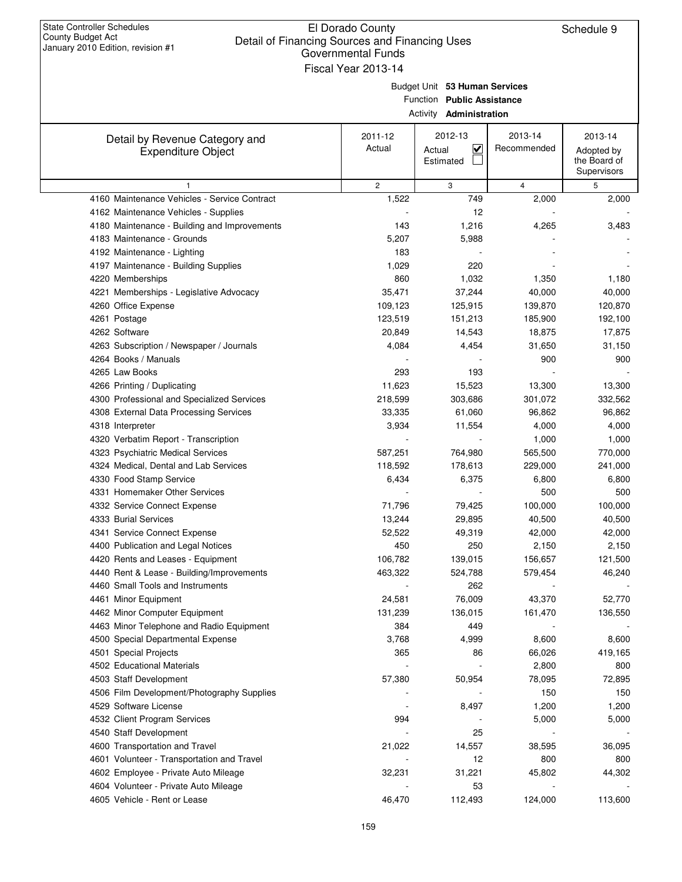| January ZUTU EURION, IEVISION # I                           | Governmental Funds<br>Fiscal Year 2013-14 |                                                                                               |                        |                                                      |
|-------------------------------------------------------------|-------------------------------------------|-----------------------------------------------------------------------------------------------|------------------------|------------------------------------------------------|
|                                                             |                                           | Budget Unit 53 Human Services<br>Function Public Assistance<br><b>Activity Administration</b> |                        |                                                      |
| Detail by Revenue Category and<br><b>Expenditure Object</b> | 2011-12<br>Actual                         | 2012-13<br>$\overline{\mathbf{v}}$<br>Actual<br>Estimated                                     | 2013-14<br>Recommended | 2013-14<br>Adopted by<br>the Board of<br>Supervisors |
| 1                                                           | $\overline{2}$                            | 3                                                                                             | $\overline{4}$         | 5                                                    |
| 4160 Maintenance Vehicles - Service Contract                | 1,522                                     | 749                                                                                           | 2,000                  | 2,000                                                |
| 4162 Maintenance Vehicles - Supplies                        |                                           | 12                                                                                            |                        |                                                      |
| 4180 Maintenance - Building and Improvements                | 143                                       | 1,216                                                                                         | 4,265                  | 3,483                                                |
| 4183 Maintenance - Grounds                                  | 5,207                                     | 5,988                                                                                         |                        |                                                      |
| 4192 Maintenance - Lighting                                 | 183                                       |                                                                                               |                        |                                                      |
| 4197 Maintenance - Building Supplies                        | 1,029                                     | 220                                                                                           |                        |                                                      |
| 4220 Memberships                                            | 860                                       | 1,032                                                                                         | 1,350                  | 1,180                                                |
| 4221 Memberships - Legislative Advocacy                     | 35,471                                    | 37,244                                                                                        | 40,000                 | 40,000                                               |
| 4260 Office Expense                                         | 109,123                                   | 125,915                                                                                       | 139,870                | 120,870                                              |
| 4261 Postage                                                | 123,519                                   | 151,213                                                                                       | 185,900                | 192,100                                              |
| 4262 Software                                               | 20,849                                    | 14,543                                                                                        | 18,875                 | 17,875                                               |
| 4263 Subscription / Newspaper / Journals                    | 4,084                                     | 4,454                                                                                         | 31,650                 | 31,150                                               |
| 4264 Books / Manuals                                        |                                           |                                                                                               | 900                    | 900                                                  |
| 4265 Law Books                                              | 293                                       | 193                                                                                           |                        |                                                      |
| 4266 Printing / Duplicating                                 | 11,623                                    | 15,523                                                                                        | 13,300                 | 13,300                                               |
| 4300 Professional and Specialized Services                  | 218,599                                   | 303,686                                                                                       | 301,072                | 332,562                                              |
| 4308 External Data Processing Services                      | 33,335                                    | 61,060                                                                                        | 96,862                 | 96,862                                               |
| 4318 Interpreter                                            | 3,934                                     | 11,554                                                                                        | 4,000                  | 4,000                                                |
| 4320 Verbatim Report - Transcription                        |                                           |                                                                                               | 1,000                  | 1,000                                                |
| 4323 Psychiatric Medical Services                           | 587,251                                   | 764,980                                                                                       | 565,500                | 770,000                                              |
| 4324 Medical, Dental and Lab Services                       | 118,592                                   | 178,613                                                                                       | 229,000                | 241,000                                              |
| 4330 Food Stamp Service                                     | 6,434                                     | 6,375                                                                                         | 6,800                  | 6,800                                                |
| 4331 Homemaker Other Services                               |                                           |                                                                                               | 500                    | 500                                                  |
| 4332 Service Connect Expense                                | 71,796                                    | 79,425                                                                                        | 100,000                | 100,000                                              |
| 4333 Burial Services                                        | 13,244                                    | 29,895                                                                                        | 40,500                 | 40,500                                               |
| 4341 Service Connect Expense                                | 52,522                                    | 49,319                                                                                        | 42,000                 | 42,000                                               |
| 4400 Publication and Legal Notices                          | 450                                       | 250                                                                                           | 2,150                  | 2,150                                                |
| 4420 Rents and Leases - Equipment                           | 106,782                                   | 139,015                                                                                       | 156,657                | 121,500                                              |
| 4440 Rent & Lease - Building/Improvements                   | 463,322                                   | 524,788                                                                                       | 579,454                | 46,240                                               |
| 4460 Small Tools and Instruments                            |                                           | 262                                                                                           |                        |                                                      |
| 4461 Minor Equipment                                        | 24,581                                    | 76,009                                                                                        | 43,370                 | 52,770                                               |
| 4462 Minor Computer Equipment                               | 131,239                                   | 136,015                                                                                       | 161,470                | 136,550                                              |
| 4463 Minor Telephone and Radio Equipment                    | 384                                       | 449                                                                                           |                        |                                                      |
| 4500 Special Departmental Expense                           | 3,768                                     | 4,999                                                                                         | 8,600                  | 8,600                                                |
| 4501 Special Projects                                       | 365                                       | 86                                                                                            | 66,026                 | 419,165                                              |
| 4502 Educational Materials                                  |                                           |                                                                                               | 2,800                  | 800                                                  |
| 4503 Staff Development                                      | 57,380                                    | 50,954                                                                                        | 78,095                 | 72,895                                               |
| 4506 Film Development/Photography Supplies                  |                                           |                                                                                               | 150                    | 150                                                  |
| 4529 Software License                                       |                                           | 8,497                                                                                         | 1,200                  | 1,200                                                |
| 4532 Client Program Services                                | 994                                       |                                                                                               | 5,000                  | 5,000                                                |
| 4540 Staff Development                                      |                                           | 25                                                                                            |                        |                                                      |
| 4600 Transportation and Travel                              | 21,022                                    | 14,557                                                                                        | 38,595                 | 36,095                                               |
| 4601 Volunteer - Transportation and Travel                  |                                           | 12                                                                                            | 800                    | 800                                                  |
| 4602 Employee - Private Auto Mileage                        | 32,231                                    | 31,221                                                                                        | 45,802                 | 44,302                                               |
| 4604 Volunteer - Private Auto Mileage                       |                                           | 53                                                                                            |                        |                                                      |
| 4605 Vehicle - Rent or Lease                                | 46,470                                    | 112,493                                                                                       | 124,000                | 113,600                                              |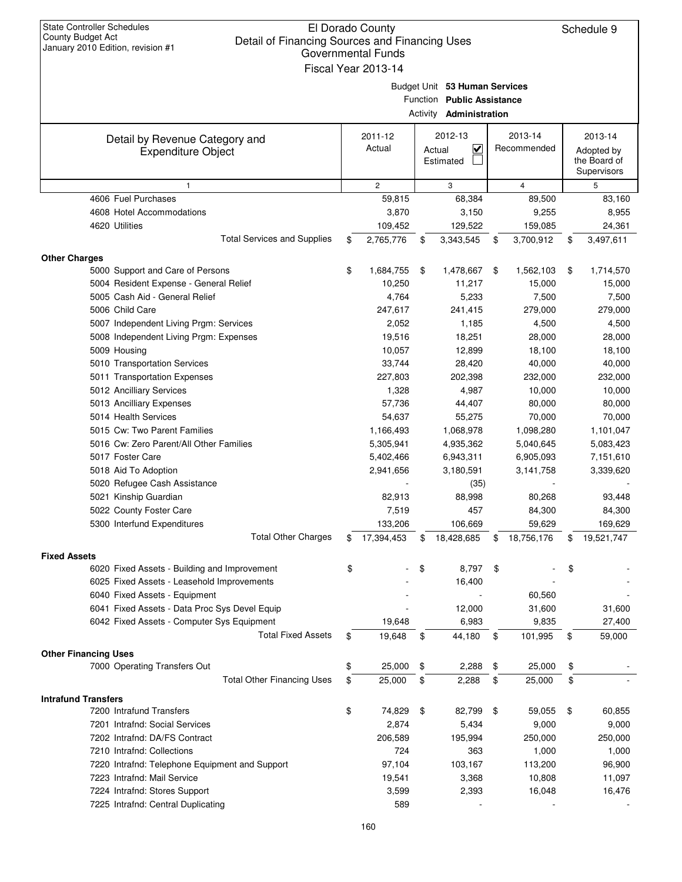| <b>State Controller Schedules</b><br>El Dorado County<br>County Budget Act<br>Detail of Financing Sources and Financing Uses<br>January 2010 Edition, revision #1<br>Governmental Funds<br>Fiscal Year 2013-14 |    |                   |        |                                                                                               |    |                        |                                                      | Schedule 9 |
|----------------------------------------------------------------------------------------------------------------------------------------------------------------------------------------------------------------|----|-------------------|--------|-----------------------------------------------------------------------------------------------|----|------------------------|------------------------------------------------------|------------|
|                                                                                                                                                                                                                |    |                   |        | Budget Unit 53 Human Services<br>Function Public Assistance<br>Activity <b>Administration</b> |    |                        |                                                      |            |
| Detail by Revenue Category and<br><b>Expenditure Object</b>                                                                                                                                                    |    | 2011-12<br>Actual | Actual | 2012-13<br>$\overline{\mathsf{v}}$<br>Estimated                                               |    | 2013-14<br>Recommended | 2013-14<br>Adopted by<br>the Board of<br>Supervisors |            |
| 1                                                                                                                                                                                                              |    | $\overline{c}$    |        | 3                                                                                             |    | 4                      |                                                      | 5          |
| 4606 Fuel Purchases                                                                                                                                                                                            |    | 59,815            |        | 68,384                                                                                        |    | 89,500                 |                                                      | 83,160     |
| 4608 Hotel Accommodations                                                                                                                                                                                      |    | 3,870             |        | 3,150                                                                                         |    | 9,255                  |                                                      | 8,955      |
| 4620 Utilities                                                                                                                                                                                                 |    | 109,452           |        | 129,522                                                                                       |    | 159,085                |                                                      | 24,361     |
| <b>Total Services and Supplies</b>                                                                                                                                                                             | \$ | 2,765,776         | \$     | 3,343,545                                                                                     | \$ | 3,700,912              | \$                                                   | 3,497,611  |
| <b>Other Charges</b>                                                                                                                                                                                           |    |                   |        |                                                                                               |    |                        |                                                      |            |
| 5000 Support and Care of Persons                                                                                                                                                                               | \$ | 1,684,755         | \$     | 1,478,667                                                                                     | \$ | 1,562,103              | \$                                                   | 1,714,570  |
| 5004 Resident Expense - General Relief                                                                                                                                                                         |    | 10,250            |        | 11,217                                                                                        |    | 15,000                 |                                                      | 15,000     |
| 5005 Cash Aid - General Relief                                                                                                                                                                                 |    | 4,764             |        | 5,233                                                                                         |    | 7,500                  |                                                      | 7,500      |
| 5006 Child Care                                                                                                                                                                                                |    | 247,617           |        | 241,415                                                                                       |    | 279,000                |                                                      | 279,000    |
| 5007 Independent Living Prgm: Services                                                                                                                                                                         |    | 2,052             |        | 1,185                                                                                         |    | 4,500                  |                                                      | 4,500      |
| 5008 Independent Living Prgm: Expenses                                                                                                                                                                         |    | 19,516            |        | 18,251                                                                                        |    | 28,000                 |                                                      | 28,000     |
| 5009 Housing                                                                                                                                                                                                   |    | 10,057            |        | 12,899                                                                                        |    | 18,100                 |                                                      | 18,100     |
| 5010 Transportation Services                                                                                                                                                                                   |    | 33,744            |        | 28,420                                                                                        |    | 40,000                 |                                                      | 40,000     |
| 5011 Transportation Expenses                                                                                                                                                                                   |    | 227,803           |        | 202,398                                                                                       |    | 232,000                |                                                      | 232,000    |
| 5012 Ancilliary Services                                                                                                                                                                                       |    | 1,328             |        | 4,987                                                                                         |    | 10,000                 |                                                      | 10,000     |
| 5013 Ancilliary Expenses                                                                                                                                                                                       |    | 57,736            |        | 44,407                                                                                        |    | 80,000                 |                                                      | 80,000     |
| 5014 Health Services                                                                                                                                                                                           |    | 54,637            |        | 55,275                                                                                        |    | 70,000                 |                                                      | 70,000     |
| 5015 Cw: Two Parent Families                                                                                                                                                                                   |    | 1,166,493         |        | 1,068,978                                                                                     |    | 1,098,280              |                                                      | 1,101,047  |
| 5016 Cw: Zero Parent/All Other Families                                                                                                                                                                        |    | 5,305,941         |        | 4,935,362                                                                                     |    | 5,040,645              |                                                      | 5,083,423  |
| 5017 Foster Care                                                                                                                                                                                               |    | 5,402,466         |        | 6,943,311                                                                                     |    | 6,905,093              |                                                      | 7,151,610  |
| 5018 Aid To Adoption                                                                                                                                                                                           |    | 2,941,656         |        | 3,180,591                                                                                     |    | 3,141,758              |                                                      | 3,339,620  |
| 5020 Refugee Cash Assistance                                                                                                                                                                                   |    |                   |        | (35)                                                                                          |    |                        |                                                      |            |
| 5021 Kinship Guardian                                                                                                                                                                                          |    | 82,913            |        | 88,998                                                                                        |    | 80,268                 |                                                      | 93,448     |
| 5022 County Foster Care                                                                                                                                                                                        |    | 7,519             |        | 457                                                                                           |    | 84,300                 |                                                      | 84,300     |
| 5300 Interfund Expenditures                                                                                                                                                                                    |    | 133,206           |        | 106,669                                                                                       |    | 59,629                 |                                                      | 169,629    |
| <b>Total Other Charges</b>                                                                                                                                                                                     | S  | 17,394,453        | \$     | 18,428,685                                                                                    | \$ | 18,756,176             | \$                                                   | 19,521,747 |
| <b>Fixed Assets</b>                                                                                                                                                                                            |    |                   |        |                                                                                               |    |                        |                                                      |            |
| 6020 Fixed Assets - Building and Improvement                                                                                                                                                                   | \$ |                   | \$     | 8,797                                                                                         | \$ |                        |                                                      |            |
| 6025 Fixed Assets - Leasehold Improvements                                                                                                                                                                     |    |                   |        | 16,400                                                                                        |    |                        |                                                      |            |
| 6040 Fixed Assets - Equipment                                                                                                                                                                                  |    |                   |        |                                                                                               |    | 60,560                 |                                                      |            |
| 6041 Fixed Assets - Data Proc Sys Devel Equip                                                                                                                                                                  |    |                   |        | 12,000                                                                                        |    | 31,600                 |                                                      | 31,600     |
| 6042 Fixed Assets - Computer Sys Equipment                                                                                                                                                                     |    | 19,648            |        | 6,983                                                                                         |    | 9,835                  |                                                      | 27,400     |
| <b>Total Fixed Assets</b>                                                                                                                                                                                      | \$ | 19,648            | \$     | 44,180                                                                                        | \$ | 101,995                | \$                                                   | 59,000     |
|                                                                                                                                                                                                                |    |                   |        |                                                                                               |    |                        |                                                      |            |
| <b>Other Financing Uses</b>                                                                                                                                                                                    |    |                   |        |                                                                                               |    |                        |                                                      |            |
| 7000 Operating Transfers Out                                                                                                                                                                                   | \$ | 25,000            | \$     | 2,288                                                                                         | \$ | 25,000                 | \$                                                   |            |
| <b>Total Other Financing Uses</b>                                                                                                                                                                              | \$ | 25,000            | \$     | 2,288                                                                                         | \$ | 25,000                 | \$                                                   |            |
| <b>Intrafund Transfers</b>                                                                                                                                                                                     |    |                   |        |                                                                                               |    |                        |                                                      |            |
| 7200 Intrafund Transfers                                                                                                                                                                                       | \$ | 74,829            | \$     | 82,799                                                                                        | \$ | 59,055                 | \$                                                   | 60,855     |
| 7201 Intrafnd: Social Services                                                                                                                                                                                 |    | 2,874             |        | 5,434                                                                                         |    | 9,000                  |                                                      | 9,000      |
| 7202 Intrafnd: DA/FS Contract                                                                                                                                                                                  |    | 206,589           |        | 195,994                                                                                       |    | 250,000                |                                                      | 250,000    |
| 7210 Intrafnd: Collections                                                                                                                                                                                     |    | 724               |        | 363                                                                                           |    | 1,000                  |                                                      | 1,000      |
| 7220 Intrafnd: Telephone Equipment and Support                                                                                                                                                                 |    | 97,104            |        | 103,167                                                                                       |    | 113,200                |                                                      | 96,900     |
| 7223 Intrafnd: Mail Service                                                                                                                                                                                    |    | 19,541            |        | 3,368                                                                                         |    | 10,808                 |                                                      | 11,097     |
| 7224 Intrafnd: Stores Support                                                                                                                                                                                  |    | 3,599             |        | 2,393                                                                                         |    | 16,048                 |                                                      | 16,476     |
| 7225 Intrafnd: Central Duplicating                                                                                                                                                                             |    | 589               |        |                                                                                               |    |                        |                                                      |            |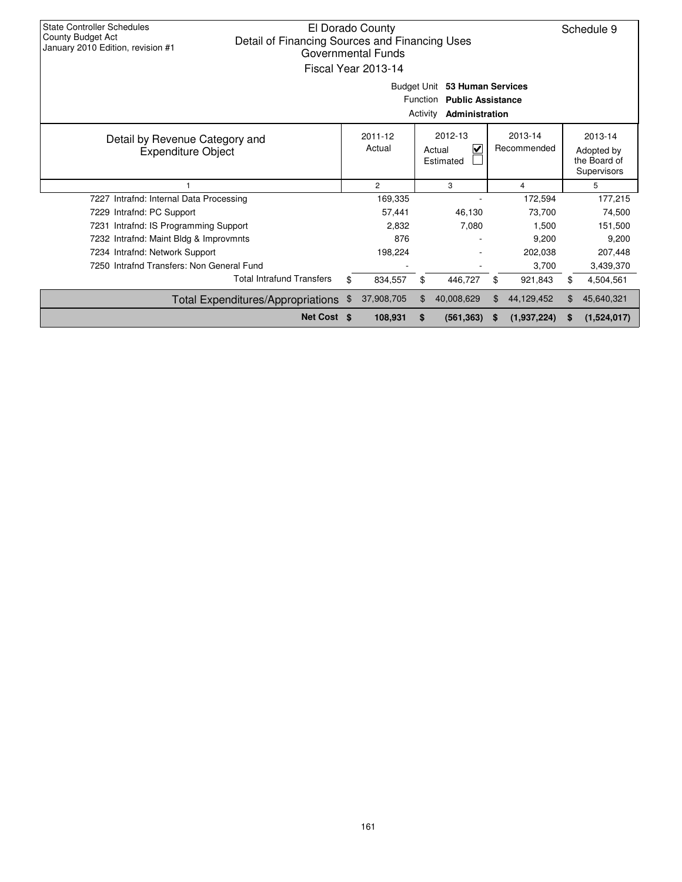| <b>State Controller Schedules</b><br>El Dorado County<br>County Budget Act<br>Detail of Financing Sources and Financing Uses<br>January 2010 Edition, revision #1<br>Governmental Funds<br>Fiscal Year 2013-14<br>Budget Unit<br>53 Human Services<br><b>Function</b><br><b>Public Assistance</b><br>Activity<br>Administration |  |    |                       |    |                                                           |                        | Schedule 9 |                                                      |
|---------------------------------------------------------------------------------------------------------------------------------------------------------------------------------------------------------------------------------------------------------------------------------------------------------------------------------|--|----|-----------------------|----|-----------------------------------------------------------|------------------------|------------|------------------------------------------------------|
| Detail by Revenue Category and<br><b>Expenditure Object</b>                                                                                                                                                                                                                                                                     |  |    | $2011 - 12$<br>Actual |    | 2012-13<br>$\overline{\mathbf{v}}$<br>Actual<br>Estimated | 2013-14<br>Recommended |            | 2013-14<br>Adopted by<br>the Board of<br>Supervisors |
|                                                                                                                                                                                                                                                                                                                                 |  |    | $\overline{2}$        |    | 3                                                         | 4                      |            | 5                                                    |
| 7227 Intrafnd: Internal Data Processing                                                                                                                                                                                                                                                                                         |  |    | 169,335               |    |                                                           | 172,594                |            | 177,215                                              |
| 7229 Intrafnd: PC Support                                                                                                                                                                                                                                                                                                       |  |    | 57,441                |    | 46,130                                                    | 73.700                 |            | 74.500                                               |
| 7231 Intrafnd: IS Programming Support                                                                                                                                                                                                                                                                                           |  |    | 2,832                 |    | 7,080                                                     | 1,500                  |            | 151,500                                              |
| 7232 Intrafnd: Maint Bldg & Improvmnts                                                                                                                                                                                                                                                                                          |  |    | 876                   |    |                                                           | 9,200                  |            | 9,200                                                |
| 7234 Intrafnd: Network Support                                                                                                                                                                                                                                                                                                  |  |    | 198,224               |    |                                                           | 202,038                |            | 207,448                                              |
| 7250 Intrafnd Transfers: Non General Fund                                                                                                                                                                                                                                                                                       |  |    |                       |    |                                                           | 3,700                  |            | 3,439,370                                            |
| <b>Total Intrafund Transfers</b>                                                                                                                                                                                                                                                                                                |  | \$ | 834,557               | \$ | 446,727                                                   | \$<br>921,843          | \$         | 4,504,561                                            |
| Total Expenditures/Appropriations                                                                                                                                                                                                                                                                                               |  | \$ | 37,908,705            |    | 40,008,629                                                | \$<br>44,129,452       | \$         | 45,640,321                                           |
| Net Cost \$                                                                                                                                                                                                                                                                                                                     |  |    | 108,931               | \$ | (561, 363)                                                | (1,937,224)            | S          | (1,524,017)                                          |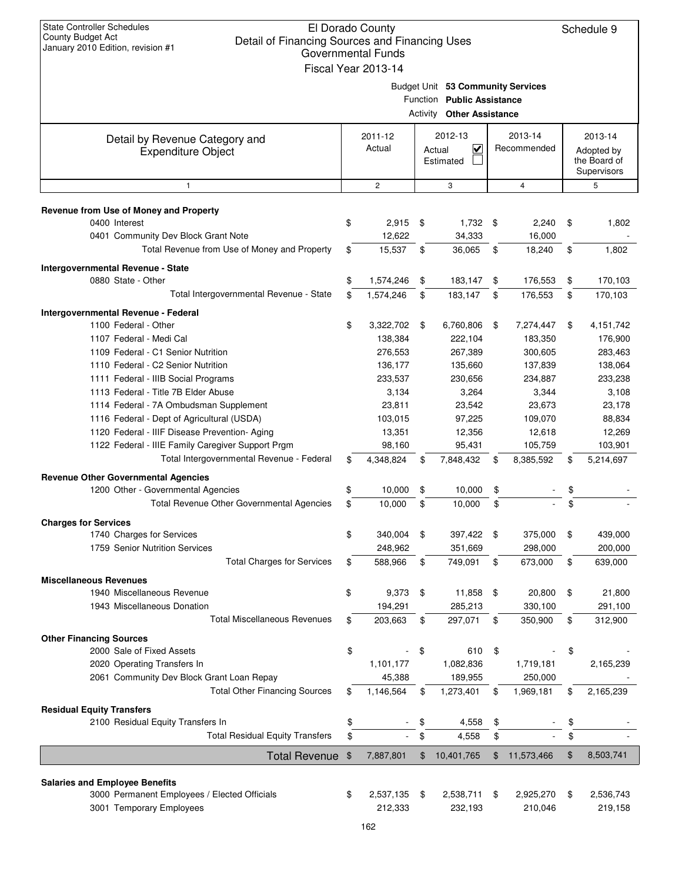| <b>State Controller Schedules</b><br>El Dorado County<br>County Budget Act<br>Detail of Financing Sources and Financing Uses<br>January 2010 Edition, revision #1<br><b>Governmental Funds</b><br>Fiscal Year 2013-14 |    |                     |          |                                                                                            |          |                     |          | Schedule 9         |  |                        |  |                                                      |
|-----------------------------------------------------------------------------------------------------------------------------------------------------------------------------------------------------------------------|----|---------------------|----------|--------------------------------------------------------------------------------------------|----------|---------------------|----------|--------------------|--|------------------------|--|------------------------------------------------------|
|                                                                                                                                                                                                                       |    |                     | Activity | Budget Unit 53 Community Services<br>Function Public Assistance<br><b>Other Assistance</b> |          |                     |          |                    |  |                        |  |                                                      |
| Detail by Revenue Category and<br><b>Expenditure Object</b>                                                                                                                                                           |    | 2011-12<br>Actual   |          | 2012-13<br>⊻                                                                               |          | Actual<br>Estimated |          |                    |  | 2013-14<br>Recommended |  | 2013-14<br>Adopted by<br>the Board of<br>Supervisors |
| $\mathbf{1}$                                                                                                                                                                                                          |    | $\overline{c}$      |          | 3                                                                                          |          | 4                   |          | 5                  |  |                        |  |                                                      |
| Revenue from Use of Money and Property                                                                                                                                                                                |    |                     |          |                                                                                            |          |                     |          |                    |  |                        |  |                                                      |
| 0400 Interest                                                                                                                                                                                                         | \$ | 2,915               | \$       | $1,732$ \$                                                                                 |          | 2,240               | \$       | 1,802              |  |                        |  |                                                      |
| 0401 Community Dev Block Grant Note                                                                                                                                                                                   |    | 12,622              |          | 34,333                                                                                     |          | 16,000              |          |                    |  |                        |  |                                                      |
| Total Revenue from Use of Money and Property                                                                                                                                                                          | \$ | 15,537              | \$       | 36,065                                                                                     | \$       | 18,240              | \$       | 1,802              |  |                        |  |                                                      |
| Intergovernmental Revenue - State                                                                                                                                                                                     |    |                     |          |                                                                                            |          |                     |          |                    |  |                        |  |                                                      |
| 0880 State - Other                                                                                                                                                                                                    | \$ | 1,574,246           | \$       | 183,147                                                                                    | \$       | 176,553             | \$       | 170,103            |  |                        |  |                                                      |
| Total Intergovernmental Revenue - State                                                                                                                                                                               | \$ | 1,574,246           | \$       | 183,147                                                                                    | \$       | 176,553             | \$       | 170,103            |  |                        |  |                                                      |
| Intergovernmental Revenue - Federal                                                                                                                                                                                   |    |                     |          |                                                                                            |          |                     |          |                    |  |                        |  |                                                      |
| 1100 Federal - Other                                                                                                                                                                                                  | \$ | 3,322,702           | \$       | 6,760,806                                                                                  | \$       | 7,274,447           | \$       | 4,151,742          |  |                        |  |                                                      |
| 1107 Federal - Medi Cal                                                                                                                                                                                               |    | 138,384             |          | 222,104                                                                                    |          | 183,350             |          | 176,900            |  |                        |  |                                                      |
| 1109 Federal - C1 Senior Nutrition                                                                                                                                                                                    |    | 276,553             |          | 267,389                                                                                    |          | 300,605             |          | 283,463            |  |                        |  |                                                      |
| 1110 Federal - C2 Senior Nutrition                                                                                                                                                                                    |    | 136,177             |          | 135,660                                                                                    |          | 137,839             |          | 138,064            |  |                        |  |                                                      |
| 1111 Federal - IIIB Social Programs                                                                                                                                                                                   |    | 233,537             |          | 230,656                                                                                    |          | 234,887             |          | 233,238            |  |                        |  |                                                      |
| 1113 Federal - Title 7B Elder Abuse                                                                                                                                                                                   |    | 3,134               |          | 3,264                                                                                      |          | 3,344               |          | 3,108              |  |                        |  |                                                      |
| 1114 Federal - 7A Ombudsman Supplement                                                                                                                                                                                |    | 23,811              |          | 23,542                                                                                     |          | 23,673              |          | 23,178             |  |                        |  |                                                      |
| 1116 Federal - Dept of Agricultural (USDA)                                                                                                                                                                            |    | 103,015             |          | 97,225                                                                                     |          | 109,070             |          | 88,834             |  |                        |  |                                                      |
| 1120 Federal - IIIF Disease Prevention- Aging<br>1122 Federal - IIIE Family Caregiver Support Prgm                                                                                                                    |    | 13,351<br>98,160    |          | 12,356<br>95,431                                                                           |          | 12,618<br>105,759   |          | 12,269<br>103,901  |  |                        |  |                                                      |
| Total Intergovernmental Revenue - Federal                                                                                                                                                                             | \$ | 4,348,824           | \$       | 7,848,432                                                                                  | \$       | 8,385,592           | \$       | 5,214,697          |  |                        |  |                                                      |
|                                                                                                                                                                                                                       |    |                     |          |                                                                                            |          |                     |          |                    |  |                        |  |                                                      |
| <b>Revenue Other Governmental Agencies</b>                                                                                                                                                                            | \$ | 10,000              |          | 10.000                                                                                     |          |                     |          |                    |  |                        |  |                                                      |
| 1200 Other - Governmental Agencies<br><b>Total Revenue Other Governmental Agencies</b>                                                                                                                                | \$ | 10,000              | \$<br>\$ | 10,000                                                                                     | \$<br>\$ |                     | \$<br>\$ |                    |  |                        |  |                                                      |
|                                                                                                                                                                                                                       |    |                     |          |                                                                                            |          |                     |          |                    |  |                        |  |                                                      |
| <b>Charges for Services</b>                                                                                                                                                                                           |    |                     |          |                                                                                            |          |                     |          |                    |  |                        |  |                                                      |
| 1740 Charges for Services<br>1759 Senior Nutrition Services                                                                                                                                                           | \$ | 340,004             | \$       | 397,422                                                                                    | \$       | 375,000             | \$       | 439,000            |  |                        |  |                                                      |
| <b>Total Charges for Services</b>                                                                                                                                                                                     | \$ | 248,962<br>588,966  | \$       | 351,669<br>749,091                                                                         | \$       | 298,000<br>673,000  | \$       | 200,000<br>639,000 |  |                        |  |                                                      |
|                                                                                                                                                                                                                       |    |                     |          |                                                                                            |          |                     |          |                    |  |                        |  |                                                      |
| <b>Miscellaneous Revenues</b>                                                                                                                                                                                         |    |                     |          |                                                                                            |          |                     |          |                    |  |                        |  |                                                      |
| 1940 Miscellaneous Revenue                                                                                                                                                                                            | \$ | 9,373               | \$       | 11,858                                                                                     | \$       | 20,800              | \$       | 21,800             |  |                        |  |                                                      |
| 1943 Miscellaneous Donation<br><b>Total Miscellaneous Revenues</b>                                                                                                                                                    | \$ | 194,291             |          | 285,213                                                                                    |          | 330,100             |          | 291,100            |  |                        |  |                                                      |
|                                                                                                                                                                                                                       |    | 203,663             | \$       | 297,071                                                                                    | \$       | 350,900             | \$       | 312,900            |  |                        |  |                                                      |
| <b>Other Financing Sources</b>                                                                                                                                                                                        |    |                     |          |                                                                                            |          |                     |          |                    |  |                        |  |                                                      |
| 2000 Sale of Fixed Assets                                                                                                                                                                                             | \$ |                     | \$       | 610                                                                                        | \$       |                     | \$       |                    |  |                        |  |                                                      |
| 2020 Operating Transfers In                                                                                                                                                                                           |    | 1,101,177<br>45,388 |          | 1,082,836<br>189,955                                                                       |          | 1,719,181           |          | 2,165,239          |  |                        |  |                                                      |
| 2061 Community Dev Block Grant Loan Repay<br><b>Total Other Financing Sources</b>                                                                                                                                     |    |                     |          |                                                                                            |          | 250,000             |          |                    |  |                        |  |                                                      |
|                                                                                                                                                                                                                       | \$ | 1,146,564           | \$       | 1,273,401                                                                                  | \$       | 1,969,181           | \$       | 2,165,239          |  |                        |  |                                                      |
| <b>Residual Equity Transfers</b>                                                                                                                                                                                      |    |                     |          |                                                                                            |          |                     |          |                    |  |                        |  |                                                      |
| 2100 Residual Equity Transfers In<br><b>Total Residual Equity Transfers</b>                                                                                                                                           | \$ |                     | \$       | 4,558                                                                                      | \$       |                     | \$       |                    |  |                        |  |                                                      |
|                                                                                                                                                                                                                       | \$ |                     | \$       | 4,558                                                                                      | \$       |                     | \$       |                    |  |                        |  |                                                      |
| <b>Total Revenue</b>                                                                                                                                                                                                  | \$ | 7,887,801           | \$       | 10,401,765                                                                                 | \$       | 11,573,466          | \$       | 8,503,741          |  |                        |  |                                                      |
|                                                                                                                                                                                                                       |    |                     |          |                                                                                            |          |                     |          |                    |  |                        |  |                                                      |
| <b>Salaries and Employee Benefits</b><br>3000 Permanent Employees / Elected Officials                                                                                                                                 | \$ | 2,537,135           | \$       | 2,538,711                                                                                  | \$       | 2,925,270           | \$       | 2,536,743          |  |                        |  |                                                      |
| 3001 Temporary Employees                                                                                                                                                                                              |    | 212,333             |          | 232,193                                                                                    |          | 210,046             |          | 219,158            |  |                        |  |                                                      |
|                                                                                                                                                                                                                       |    |                     |          |                                                                                            |          |                     |          |                    |  |                        |  |                                                      |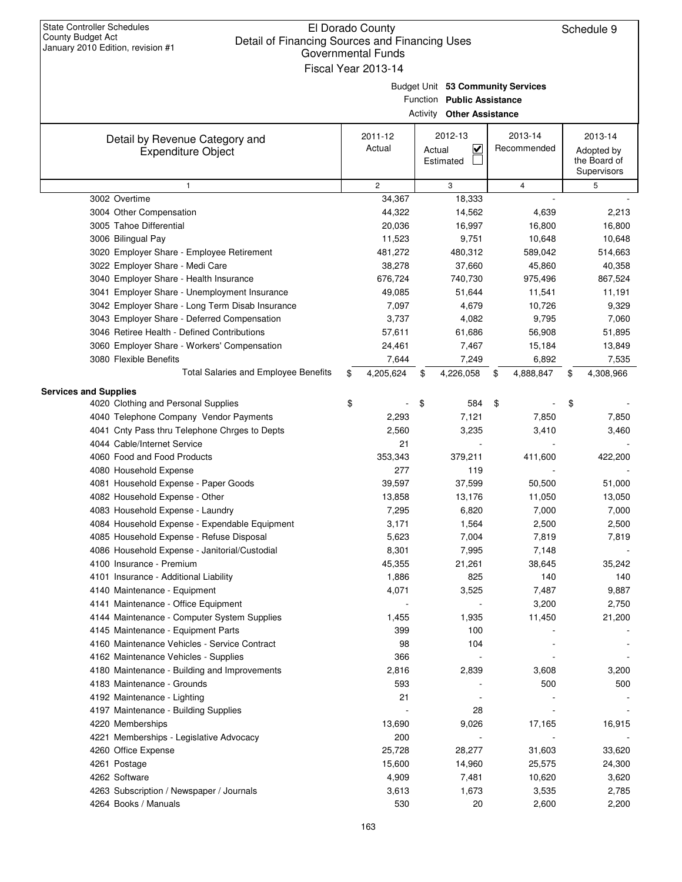**Services and Supplies**

### El Dorado County Detail of Financing Sources and Financing Uses Governmental Funds

3041 Employer Share - Unemployment Insurance 49,085 51,644 11,191 11,541 3042 Employer Share - Long Term Disab Insurance  $7,097$   $4,679$   $10,726$   $9,329$ 3043 Employer Share - Deferred Compensation 3,737 4,082 7,060 9,795 3046 Retiree Health - Defined Contributions 57,611 61,686 51,895 56,908 3060 Employer Share - Workers' Compensation 24,461 7,467 13,849 15,184 3080 Flexible Benefits 7,644 7,249 7,535 6,892

4040 Telephone Company Vendor Payments 2,293 7,121 7,850 7,850 7,850 4041 Cnty Pass thru Telephone Chrges to Depts 2,560 3,235 3,460 3,410

4060 Food and Food Products 253,343 379,211 411,600 422,200

4020 Clothing and Personal Supplies 6 -  $\frac{1}{2}$   $\frac{1}{2}$   $\frac{1}{2}$   $\frac{1}{2}$   $\frac{1}{2}$   $\frac{1}{2}$   $\frac{1}{2}$   $\frac{1}{2}$   $\frac{1}{2}$   $\frac{1}{2}$   $\frac{1}{2}$   $\frac{1}{2}$   $\frac{1}{2}$   $\frac{1}{2}$   $\frac{1}{2}$   $\frac{1}{2}$   $\frac{1}{2}$   $\frac{1}{2}$   $\$ 

Total Salaries and Employee Benefits \$ 4,205,624 \$ 4,226,058 \$ 4,888,847 \$ 4,308,966

|                                                             | Fiscal Year 2013-14 |                                                                                                     |                        |                                                      |
|-------------------------------------------------------------|---------------------|-----------------------------------------------------------------------------------------------------|------------------------|------------------------------------------------------|
|                                                             |                     | Budget Unit 53 Community Services<br>Function Public Assistance<br><b>Activity Other Assistance</b> |                        |                                                      |
| Detail by Revenue Category and<br><b>Expenditure Object</b> | 2011-12<br>Actual   | 2012-13<br>V<br>Actual<br>Estimated                                                                 | 2013-14<br>Recommended | 2013-14<br>Adopted by<br>the Board of<br>Supervisors |
|                                                             | $\overline{2}$      | 3                                                                                                   | 4                      | 5                                                    |
| 3002 Overtime                                               | 34,367              | 18,333                                                                                              |                        |                                                      |
| 3004 Other Compensation                                     | 44,322              | 14,562                                                                                              | 4,639                  | 2,213                                                |
| 3005 Tahoe Differential                                     | 20,036              | 16,997                                                                                              | 16,800                 | 16,800                                               |
| 3006 Bilingual Pay                                          | 11,523              | 9,751                                                                                               | 10,648                 | 10,648                                               |
| 3020 Employer Share - Employee Retirement                   | 481,272             | 480,312                                                                                             | 589,042                | 514,663                                              |
| 3022 Employer Share - Medi Care                             | 38,278              | 37,660                                                                                              | 45,860                 | 40,358                                               |
| 3040 Employer Share - Health Insurance                      | 676,724             | 740,730                                                                                             | 975,496                | 867,524                                              |

| 4081 Household Expense - Paper Goods          | 39,597 | 37,599 | 50,500 | 51,000 |
|-----------------------------------------------|--------|--------|--------|--------|
| 4082 Household Expense - Other                | 13,858 | 13,176 | 11,050 | 13,050 |
| 4083 Household Expense - Laundry              | 7,295  | 6,820  | 7,000  | 7,000  |
| 4084 Household Expense - Expendable Equipment | 3,171  | 1,564  | 2,500  | 2,500  |
| 4085 Household Expense - Refuse Disposal      | 5,623  | 7,004  | 7,819  | 7,819  |
| 4086 Household Expense - Janitorial/Custodial | 8,301  | 7,995  | 7,148  |        |
| 4100 Insurance - Premium                      | 45,355 | 21,261 | 38,645 | 35,242 |
| 4101 Insurance - Additional Liability         | 1,886  | 825    | 140    | 140    |
| 4140 Maintenance - Equipment                  | 4,071  | 3,525  | 7,487  | 9,887  |
| 4141 Maintenance - Office Equipment           |        |        | 3,200  | 2,750  |
| 4144 Maintenance - Computer System Supplies   | 1,455  | 1,935  | 11,450 | 21,200 |
| 4145 Maintenance - Equipment Parts            | 399    | 100    |        |        |
| 4160 Maintenance Vehicles - Service Contract  | 98     | 104    |        |        |
| 4162 Maintenance Vehicles - Supplies          | 366    |        |        |        |
| 4180 Maintenance - Building and Improvements  | 2,816  | 2,839  | 3,608  | 3,200  |
| 4183 Maintenance - Grounds                    | 593    |        | 500    | 500    |
| 4192 Maintenance - Lighting                   | 21     |        |        |        |
| 4197 Maintenance - Building Supplies          |        | 28     |        |        |
| 4220 Memberships                              | 13,690 | 9,026  | 17,165 | 16,915 |
| 4221 Memberships - Legislative Advocacy       | 200    |        |        |        |
| 4260 Office Expense                           | 25.728 | 28.277 | 31.603 | 33.620 |

163

4261 Postage 15,600 14,960 24,300 25,575 4262 Software 4,909 7,481 3,620 10,620

4263 Subscription / Newspaper / Journals 1,613 1,673 3,535 2,785 4264 Books / Manuals 530 20 2,200 2,600

4044 Cable/Internet Service 21

4080 Household Expense 277 2008 119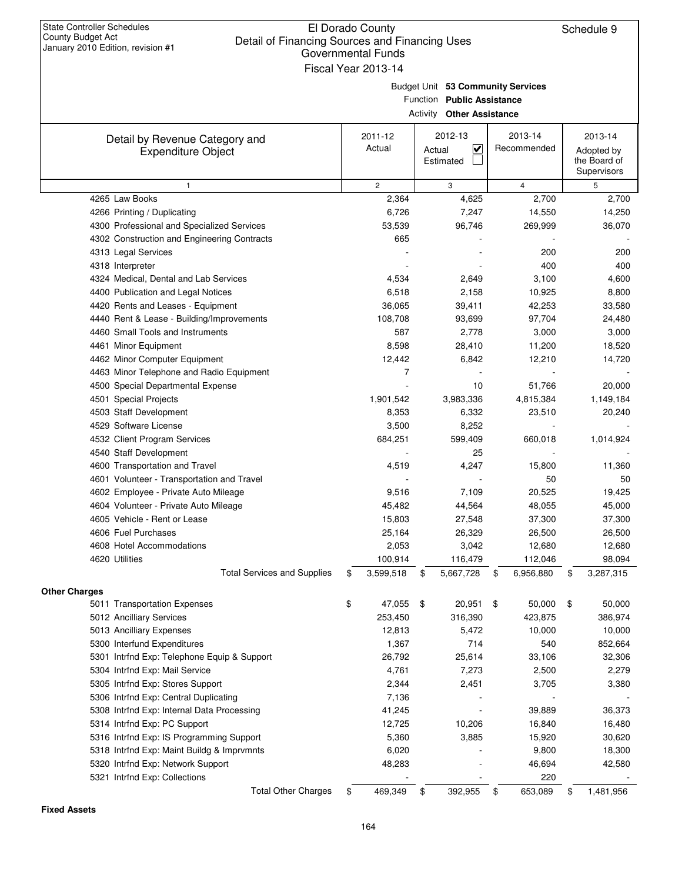| <b>State Controller Schedules</b> |  |
|-----------------------------------|--|
| County Budget Act                 |  |
| January 2010 Edition, revision #1 |  |

| Budget Unit 53 Community Service |  |
|----------------------------------|--|

**53 Community Services**

| <b>Activity Other Assistance</b>                           |    |                       |                          |                 |    |                                           |  |
|------------------------------------------------------------|----|-----------------------|--------------------------|-----------------|----|-------------------------------------------|--|
| Detail by Revenue Category and                             |    | 2011-12               | 2012-13                  | 2013-14         |    | 2013-14                                   |  |
| <b>Expenditure Object</b>                                  |    | Actual                | V<br>Actual<br>Estimated | Recommended     |    | Adopted by<br>the Board of<br>Supervisors |  |
| $\mathbf{1}$                                               |    | $\mathbf{2}^{\prime}$ | 3                        | $\overline{4}$  |    | 5                                         |  |
| 4265 Law Books                                             |    | 2,364                 | 4,625                    | 2,700           |    | 2,700                                     |  |
| 4266 Printing / Duplicating                                |    | 6,726                 | 7,247                    | 14,550          |    | 14,250                                    |  |
| 4300 Professional and Specialized Services                 |    | 53,539                | 96,746                   | 269,999         |    | 36,070                                    |  |
| 4302 Construction and Engineering Contracts                |    | 665                   |                          |                 |    |                                           |  |
| 4313 Legal Services                                        |    |                       |                          | 200             |    | 200                                       |  |
| 4318 Interpreter                                           |    |                       |                          | 400             |    | 400                                       |  |
| 4324 Medical, Dental and Lab Services                      |    | 4,534                 | 2,649                    | 3,100           |    | 4,600                                     |  |
| 4400 Publication and Legal Notices                         |    | 6,518                 | 2,158                    | 10,925          |    | 8,800                                     |  |
| 4420 Rents and Leases - Equipment                          |    | 36,065                | 39,411                   | 42,253          |    | 33,580                                    |  |
| 4440 Rent & Lease - Building/Improvements                  |    | 108,708               | 93,699                   | 97,704          |    | 24,480                                    |  |
| 4460 Small Tools and Instruments                           |    | 587                   | 2,778                    | 3,000           |    | 3,000                                     |  |
| 4461 Minor Equipment                                       |    | 8,598                 | 28,410                   | 11,200          |    | 18,520                                    |  |
| 4462 Minor Computer Equipment                              |    | 12,442<br>7           | 6,842                    | 12,210          |    | 14,720                                    |  |
| 4463 Minor Telephone and Radio Equipment                   |    |                       | 10                       | 51,766          |    |                                           |  |
| 4500 Special Departmental Expense<br>4501 Special Projects |    | 1,901,542             | 3,983,336                | 4,815,384       |    | 20,000<br>1,149,184                       |  |
| 4503 Staff Development                                     |    | 8,353                 | 6,332                    | 23,510          |    | 20,240                                    |  |
| 4529 Software License                                      |    | 3,500                 | 8,252                    |                 |    |                                           |  |
| 4532 Client Program Services                               |    | 684,251               | 599,409                  | 660,018         |    | 1,014,924                                 |  |
| 4540 Staff Development                                     |    |                       | 25                       |                 |    |                                           |  |
| 4600 Transportation and Travel                             |    | 4,519                 | 4,247                    | 15,800          |    | 11,360                                    |  |
| 4601 Volunteer - Transportation and Travel                 |    |                       |                          | 50              |    | 50                                        |  |
| 4602 Employee - Private Auto Mileage                       |    | 9,516                 | 7,109                    | 20,525          |    | 19,425                                    |  |
| 4604 Volunteer - Private Auto Mileage                      |    | 45,482                | 44,564                   | 48,055          |    | 45,000                                    |  |
| 4605 Vehicle - Rent or Lease                               |    | 15,803                | 27,548                   | 37,300          |    | 37,300                                    |  |
| 4606 Fuel Purchases                                        |    | 25,164                | 26,329                   | 26,500          |    | 26,500                                    |  |
| 4608 Hotel Accommodations                                  |    | 2,053                 | 3,042                    | 12,680          |    | 12,680                                    |  |
| 4620 Utilities                                             |    | 100,914               | 116,479                  | 112,046         |    | 98,094                                    |  |
| <b>Total Services and Supplies</b>                         | \$ | 3,599,518             | 5,667,728<br>\$          | \$<br>6,956,880 | \$ | 3,287,315                                 |  |
| <b>Other Charges</b>                                       |    |                       |                          |                 |    |                                           |  |
| 5011 Transportation Expenses                               | \$ | 47,055                | 20,951<br>\$             | \$<br>50,000    | \$ | 50,000                                    |  |
| 5012 Ancilliary Services                                   |    | 253,450               | 316,390                  | 423,875         |    | 386,974                                   |  |
| 5013 Ancilliary Expenses                                   |    | 12,813                | 5,472                    | 10,000          |    | 10,000                                    |  |
| 5300 Interfund Expenditures                                |    | 1,367                 | 714                      | 540             |    | 852,664                                   |  |
| 5301 Intrfnd Exp: Telephone Equip & Support                |    | 26,792                | 25,614                   | 33,106          |    | 32,306                                    |  |
| 5304 Intrfnd Exp: Mail Service                             |    | 4,761                 | 7,273                    | 2,500           |    | 2,279                                     |  |
| 5305 Intrfnd Exp: Stores Support                           |    | 2,344                 | 2,451                    | 3,705           |    | 3,380                                     |  |
| 5306 Intrfnd Exp: Central Duplicating                      |    | 7,136                 |                          |                 |    |                                           |  |
| 5308 Intrfnd Exp: Internal Data Processing                 |    | 41,245                |                          | 39,889          |    | 36,373                                    |  |
| 5314 Intrfnd Exp: PC Support                               |    | 12,725                | 10,206                   | 16,840          |    | 16,480                                    |  |
| 5316 Intrfnd Exp: IS Programming Support                   |    | 5,360                 | 3,885                    | 15,920          |    | 30,620                                    |  |
| 5318 Intrfnd Exp: Maint Buildg & Imprvmnts                 |    | 6,020                 |                          | 9,800           |    | 18,300                                    |  |
| 5320 Intrfnd Exp: Network Support                          |    | 48,283                |                          | 46,694          |    | 42,580                                    |  |
| 5321 Intrfnd Exp: Collections                              |    |                       |                          | 220             |    |                                           |  |
| <b>Total Other Charges</b>                                 | \$ | 469,349               | 392,955<br>\$            | 653,089<br>- \$ | \$ | 1,481,956                                 |  |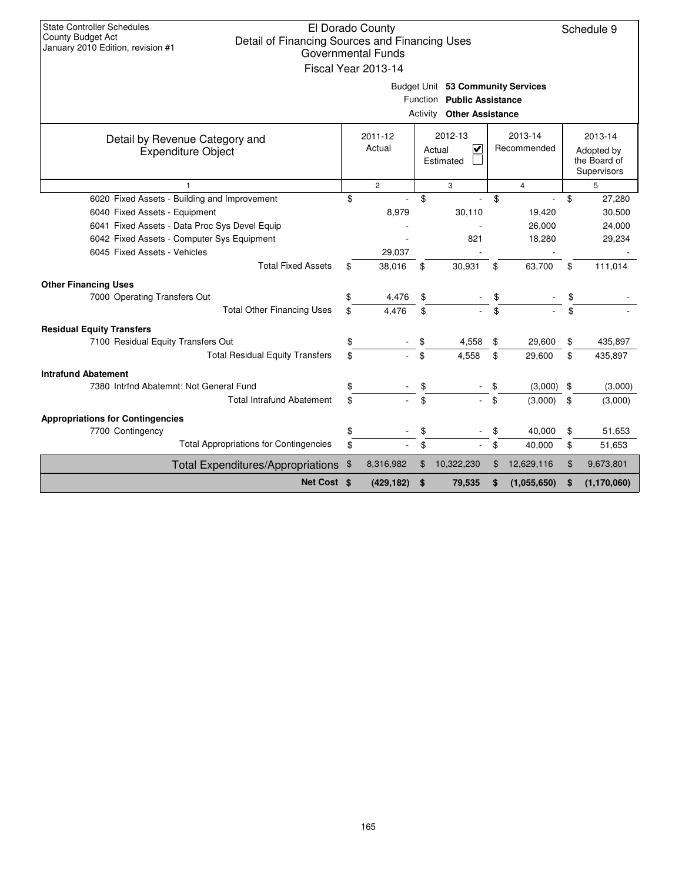| <b>State Controller Schedules</b><br>El Dorado County<br>Schedule 9<br><b>County Budget Act</b><br>Detail of Financing Sources and Financing Uses<br>January 2010 Edition, revision #1<br>Governmental Funds<br>Fiscal Year 2013-14<br>Budget Unit 53 Community Services |                                               |    |                                     |    |                        |    |                                                      |    |               |
|--------------------------------------------------------------------------------------------------------------------------------------------------------------------------------------------------------------------------------------------------------------------------|-----------------------------------------------|----|-------------------------------------|----|------------------------|----|------------------------------------------------------|----|---------------|
| <b>Public Assistance</b><br>Function<br><b>Activity Other Assistance</b>                                                                                                                                                                                                 |                                               |    |                                     |    |                        |    |                                                      |    |               |
| Detail by Revenue Category and<br><b>Expenditure Object</b>                                                                                                                                                                                                              | 2011-12<br>Actual                             |    | 2012-13<br>V<br>Actual<br>Estimated |    | 2013-14<br>Recommended |    | 2013-14<br>Adopted by<br>the Board of<br>Supervisors |    |               |
|                                                                                                                                                                                                                                                                          |                                               |    | $\overline{c}$                      |    | 3                      |    | $\overline{4}$                                       | 5  |               |
|                                                                                                                                                                                                                                                                          | 6020 Fixed Assets - Building and Improvement  | \$ |                                     | \$ |                        | \$ |                                                      | \$ | 27,280        |
| 6040 Fixed Assets - Equipment                                                                                                                                                                                                                                            |                                               |    | 8,979                               |    | 30,110                 |    | 19,420                                               |    | 30,500        |
|                                                                                                                                                                                                                                                                          | 6041 Fixed Assets - Data Proc Sys Devel Equip |    |                                     |    |                        |    | 26,000                                               |    | 24,000        |
|                                                                                                                                                                                                                                                                          | 6042 Fixed Assets - Computer Sys Equipment    |    |                                     |    | 821                    |    | 18,280                                               |    | 29,234        |
| 6045 Fixed Assets - Vehicles                                                                                                                                                                                                                                             |                                               |    | 29,037                              |    |                        |    |                                                      |    |               |
|                                                                                                                                                                                                                                                                          | <b>Total Fixed Assets</b>                     | \$ | 38,016                              | \$ | 30,931                 | \$ | 63,700                                               | \$ | 111,014       |
| <b>Other Financing Uses</b>                                                                                                                                                                                                                                              |                                               |    |                                     |    |                        |    |                                                      |    |               |
| 7000 Operating Transfers Out                                                                                                                                                                                                                                             |                                               | \$ | 4,476                               | \$ |                        | \$ |                                                      | \$ |               |
|                                                                                                                                                                                                                                                                          | <b>Total Other Financing Uses</b>             | \$ | 4.476                               | \$ |                        | \$ |                                                      | \$ |               |
| <b>Residual Equity Transfers</b>                                                                                                                                                                                                                                         |                                               |    |                                     |    |                        |    |                                                      |    |               |
| 7100 Residual Equity Transfers Out                                                                                                                                                                                                                                       |                                               | \$ |                                     | \$ | 4,558                  | \$ | 29,600                                               | \$ | 435,897       |
|                                                                                                                                                                                                                                                                          | <b>Total Residual Equity Transfers</b>        | \$ |                                     | \$ | 4,558                  | \$ | 29,600                                               | \$ | 435,897       |
| <b>Intrafund Abatement</b>                                                                                                                                                                                                                                               |                                               |    |                                     |    |                        |    |                                                      |    |               |
|                                                                                                                                                                                                                                                                          | 7380 Intrfnd Abatemnt: Not General Fund       | \$ |                                     | \$ |                        | \$ | (3,000)                                              | \$ | (3,000)       |
|                                                                                                                                                                                                                                                                          | <b>Total Intrafund Abatement</b>              | \$ |                                     | \$ |                        | \$ | (3,000)                                              | \$ | (3,000)       |
|                                                                                                                                                                                                                                                                          |                                               |    |                                     |    |                        |    |                                                      |    |               |
| <b>Appropriations for Contingencies</b>                                                                                                                                                                                                                                  |                                               | \$ |                                     | \$ |                        | \$ | 40,000                                               | \$ | 51,653        |
| 7700 Contingency                                                                                                                                                                                                                                                         | <b>Total Appropriations for Contingencies</b> |    |                                     |    |                        |    |                                                      |    |               |
|                                                                                                                                                                                                                                                                          |                                               | \$ |                                     | \$ |                        | \$ | 40,000                                               | \$ | 51,653        |
|                                                                                                                                                                                                                                                                          | Total Expenditures/Appropriations \$          |    | 8,316,982                           | \$ | 10,322,230             | \$ | 12,629,116                                           | \$ | 9,673,801     |
|                                                                                                                                                                                                                                                                          | Net Cost \$                                   |    | (429, 182)                          | \$ | 79,535                 |    | (1,055,650)                                          | \$ | (1, 170, 060) |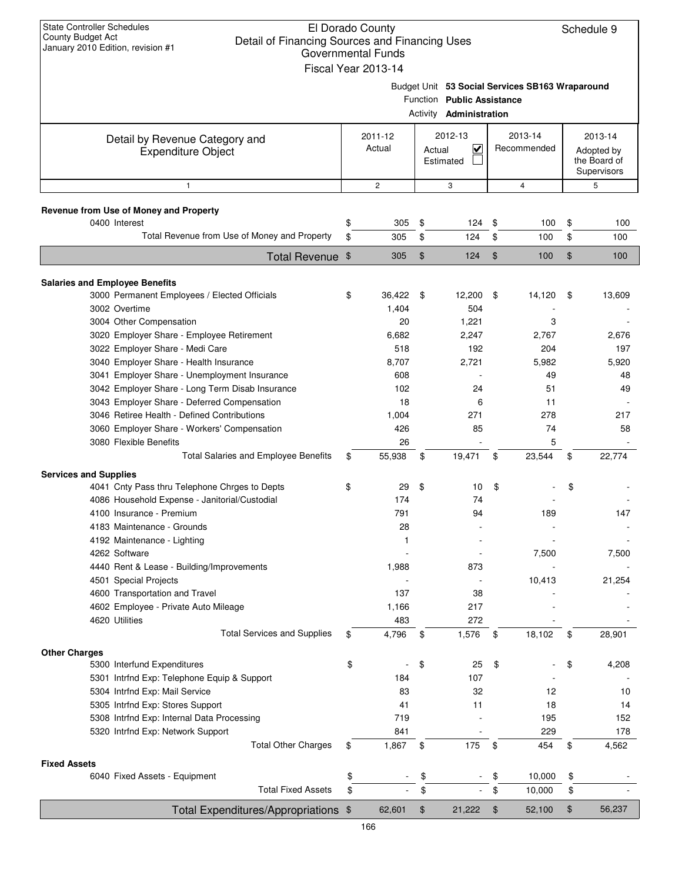| <b>State Controller Schedules</b><br>County Budget Act<br>Detail of Financing Sources and Financing Uses<br>January 2010 Edition, revision #1 | El Dorado County<br>Governmental Funds<br>Fiscal Year 2013-14 |        |                                                              |                        |                                                 |                                                      | Schedule 9 |
|-----------------------------------------------------------------------------------------------------------------------------------------------|---------------------------------------------------------------|--------|--------------------------------------------------------------|------------------------|-------------------------------------------------|------------------------------------------------------|------------|
|                                                                                                                                               |                                                               |        | Function Public Assistance<br>Activity <b>Administration</b> |                        | Budget Unit 53 Social Services SB163 Wraparound |                                                      |            |
| Detail by Revenue Category and<br><b>Expenditure Object</b>                                                                                   | 2011-12<br>Actual                                             | Actual | 2012-13<br>V<br>Estimated                                    | 2013-14<br>Recommended |                                                 | 2013-14<br>Adopted by<br>the Board of<br>Supervisors |            |
| 1                                                                                                                                             | $\mathbf{2}$                                                  |        | 3                                                            |                        | $\overline{4}$                                  |                                                      | 5          |
| Revenue from Use of Money and Property                                                                                                        |                                                               |        |                                                              |                        |                                                 |                                                      |            |
| 0400 Interest                                                                                                                                 | \$<br>305                                                     | \$     | 124                                                          | \$                     | 100                                             | \$                                                   | 100        |
| Total Revenue from Use of Money and Property                                                                                                  | \$<br>305                                                     | \$     | 124                                                          | \$                     | 100                                             | \$                                                   | 100        |
| Total Revenue \$                                                                                                                              | 305                                                           | \$     | 124                                                          | \$                     | 100                                             | \$                                                   | 100        |
|                                                                                                                                               |                                                               |        |                                                              |                        |                                                 |                                                      |            |
| <b>Salaries and Employee Benefits</b><br>3000 Permanent Employees / Elected Officials                                                         | \$<br>36,422                                                  | \$     | 12,200                                                       | \$                     | 14,120                                          | \$                                                   | 13,609     |
| 3002 Overtime                                                                                                                                 | 1,404                                                         |        | 504                                                          |                        |                                                 |                                                      |            |
| 3004 Other Compensation                                                                                                                       | 20                                                            |        | 1,221                                                        |                        | 3                                               |                                                      |            |
| 3020 Employer Share - Employee Retirement                                                                                                     | 6,682                                                         |        | 2,247                                                        |                        | 2,767                                           |                                                      | 2,676      |
| 3022 Employer Share - Medi Care                                                                                                               | 518                                                           |        | 192                                                          |                        | 204                                             |                                                      | 197        |
| 3040 Employer Share - Health Insurance                                                                                                        | 8,707                                                         |        | 2,721                                                        |                        | 5,982                                           |                                                      | 5,920      |
| 3041 Employer Share - Unemployment Insurance                                                                                                  | 608                                                           |        |                                                              |                        | 49                                              |                                                      | 48         |
| 3042 Employer Share - Long Term Disab Insurance                                                                                               | 102                                                           |        | 24                                                           |                        | 51                                              |                                                      | 49         |
| 3043 Employer Share - Deferred Compensation                                                                                                   | 18                                                            |        | 6                                                            |                        | 11                                              |                                                      |            |
| 3046 Retiree Health - Defined Contributions                                                                                                   | 1,004                                                         |        | 271                                                          |                        | 278                                             |                                                      | 217        |
| 3060 Employer Share - Workers' Compensation                                                                                                   | 426                                                           |        | 85                                                           |                        | 74                                              |                                                      | 58         |
| 3080 Flexible Benefits                                                                                                                        | 26                                                            |        |                                                              |                        | 5                                               |                                                      |            |
| Total Salaries and Employee Benefits                                                                                                          | \$<br>55,938                                                  | \$     | 19,471                                                       | \$                     | 23,544                                          | \$                                                   | 22,774     |
| <b>Services and Supplies</b>                                                                                                                  |                                                               |        |                                                              |                        |                                                 |                                                      |            |
| 4041 Cnty Pass thru Telephone Chrges to Depts                                                                                                 | \$<br>29                                                      | \$     | 10                                                           | \$                     |                                                 | \$                                                   |            |
| 4086 Household Expense - Janitorial/Custodial                                                                                                 | 174                                                           |        | 74                                                           |                        |                                                 |                                                      |            |
| 4100 Insurance - Premium                                                                                                                      | 791                                                           |        | 94                                                           |                        | 189                                             |                                                      | 147        |
| 4183 Maintenance - Grounds                                                                                                                    | 28                                                            |        |                                                              |                        |                                                 |                                                      |            |
| 4192 Maintenance - Lighting                                                                                                                   | 1                                                             |        |                                                              |                        |                                                 |                                                      |            |
| 4262 Software                                                                                                                                 |                                                               |        |                                                              |                        | 7,500                                           |                                                      | 7,500      |
| 4440 Rent & Lease - Building/Improvements                                                                                                     | 1,988                                                         |        | 873                                                          |                        |                                                 |                                                      |            |
| 4501 Special Projects                                                                                                                         |                                                               |        |                                                              |                        | 10,413                                          |                                                      | 21,254     |
| 4600 Transportation and Travel                                                                                                                | 137                                                           |        | 38                                                           |                        |                                                 |                                                      |            |
| 4602 Employee - Private Auto Mileage                                                                                                          | 1,166                                                         |        | 217                                                          |                        |                                                 |                                                      |            |
| 4620 Utilities                                                                                                                                | 483                                                           |        | 272                                                          |                        |                                                 |                                                      |            |
| <b>Total Services and Supplies</b>                                                                                                            | \$<br>4,796                                                   | \$     | 1,576                                                        | \$                     | 18,102                                          | \$                                                   | 28,901     |
| <b>Other Charges</b>                                                                                                                          |                                                               |        |                                                              |                        |                                                 |                                                      |            |
| 5300 Interfund Expenditures<br>5301 Intrfnd Exp: Telephone Equip & Support                                                                    | \$<br>184                                                     | \$     | 25<br>107                                                    | \$                     |                                                 | \$                                                   | 4,208      |
| 5304 Intrfnd Exp: Mail Service                                                                                                                | 83                                                            |        | 32                                                           |                        | 12                                              |                                                      | 10         |
| 5305 Intrfnd Exp: Stores Support                                                                                                              | 41                                                            |        | 11                                                           |                        | 18                                              |                                                      | 14         |
| 5308 Intrfnd Exp: Internal Data Processing                                                                                                    | 719                                                           |        |                                                              |                        | 195                                             |                                                      | 152        |
| 5320 Intrfnd Exp: Network Support                                                                                                             | 841                                                           |        |                                                              |                        | 229                                             |                                                      | 178        |
| <b>Total Other Charges</b>                                                                                                                    | \$<br>1,867                                                   | \$     | 175                                                          | \$                     | 454                                             | \$                                                   | 4,562      |
| <b>Fixed Assets</b>                                                                                                                           |                                                               |        |                                                              |                        |                                                 |                                                      |            |
| 6040 Fixed Assets - Equipment                                                                                                                 | \$                                                            | \$     |                                                              | \$                     | 10,000                                          | \$                                                   |            |
| <b>Total Fixed Assets</b>                                                                                                                     | \$                                                            | \$     |                                                              | \$                     | 10,000                                          | \$                                                   |            |
| Total Expenditures/Appropriations \$                                                                                                          | 62,601                                                        | \$     | 21,222                                                       | \$                     | 52,100                                          | \$                                                   | 56,237     |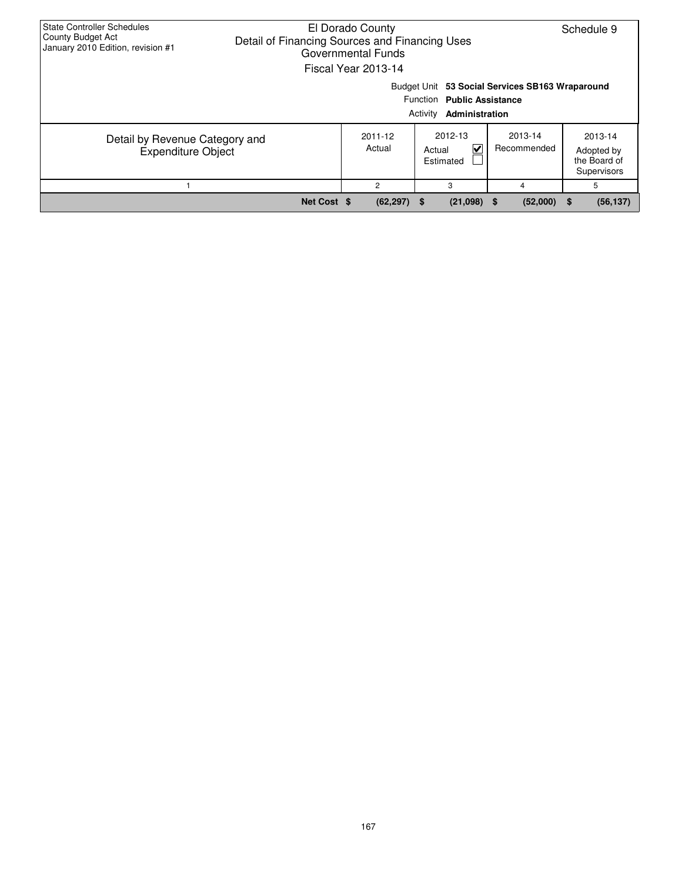| State Controller Schedules<br><b>County Budget Act</b><br>January 2010 Edition, revision #1 | El Dorado County<br>Schedule 9<br>Detail of Financing Sources and Financing Uses<br>Governmental Funds<br>Fiscal Year 2013-14 |                   |                                                          |                                                 |                                                      |  |  |  |  |  |  |
|---------------------------------------------------------------------------------------------|-------------------------------------------------------------------------------------------------------------------------------|-------------------|----------------------------------------------------------|-------------------------------------------------|------------------------------------------------------|--|--|--|--|--|--|
|                                                                                             |                                                                                                                               |                   | Function Public Assistance<br>Activity<br>Administration | Budget Unit 53 Social Services SB163 Wraparound |                                                      |  |  |  |  |  |  |
| Detail by Revenue Category and<br><b>Expenditure Object</b>                                 |                                                                                                                               | 2011-12<br>Actual | 2012-13<br>⊽<br>Actual<br>Estimated                      | 2013-14<br>Recommended                          | 2013-14<br>Adopted by<br>the Board of<br>Supervisors |  |  |  |  |  |  |
|                                                                                             |                                                                                                                               | 2                 | 3                                                        | 4                                               | 5                                                    |  |  |  |  |  |  |
|                                                                                             | Net Cost \$                                                                                                                   | $(62, 297)$ \$    | $(21,098)$ \$                                            | (52,000)                                        | (56, 137)<br>5                                       |  |  |  |  |  |  |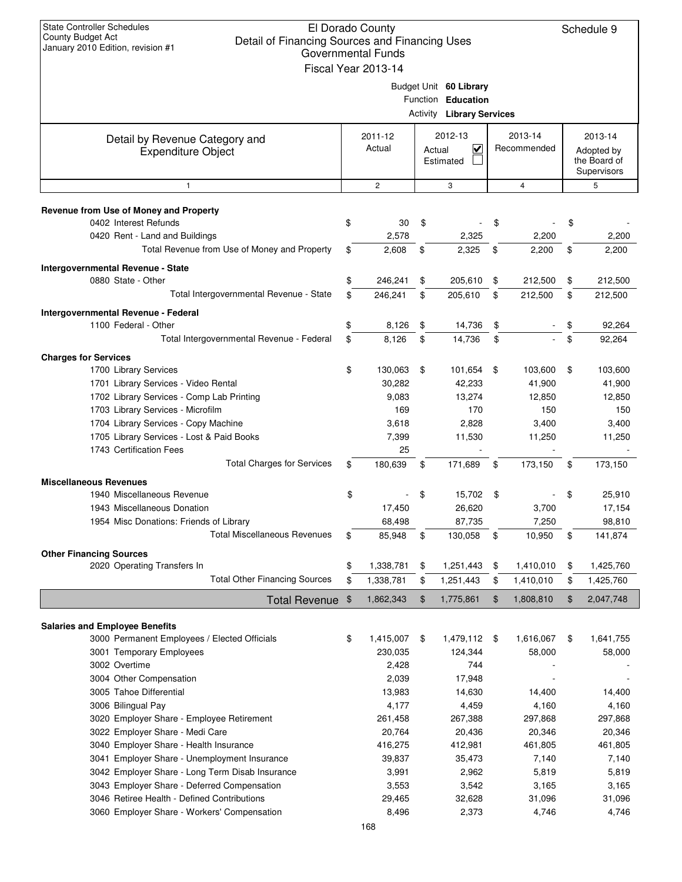| <b>State Controller Schedules</b><br>El Dorado County<br><b>County Budget Act</b><br>Detail of Financing Sources and Financing Uses<br>January 2010 Edition, revision #1<br>Governmental Funds<br>Fiscal Year 2013-14 |    |                   |    |                                                                                  |      |                        |                                                      | Schedule 9        |
|-----------------------------------------------------------------------------------------------------------------------------------------------------------------------------------------------------------------------|----|-------------------|----|----------------------------------------------------------------------------------|------|------------------------|------------------------------------------------------|-------------------|
|                                                                                                                                                                                                                       |    |                   |    | Budget Unit 60 Library<br>Function Education<br><b>Activity Library Services</b> |      |                        |                                                      |                   |
| Detail by Revenue Category and<br><b>Expenditure Object</b>                                                                                                                                                           |    | 2011-12<br>Actual |    | 2012-13<br>$\checkmark$<br>Actual<br>Estimated                                   |      | 2013-14<br>Recommended | 2013-14<br>Adopted by<br>the Board of<br>Supervisors |                   |
| $\mathbf{1}$                                                                                                                                                                                                          |    | $\overline{c}$    |    | 3                                                                                |      | $\overline{4}$         |                                                      | 5                 |
| Revenue from Use of Money and Property                                                                                                                                                                                |    |                   |    |                                                                                  |      |                        |                                                      |                   |
| 0402 Interest Refunds                                                                                                                                                                                                 | \$ | 30                | \$ |                                                                                  | \$   |                        | \$                                                   |                   |
| 0420 Rent - Land and Buildings                                                                                                                                                                                        |    | 2,578             |    | 2,325                                                                            |      | 2,200                  |                                                      | 2,200             |
| Total Revenue from Use of Money and Property                                                                                                                                                                          | \$ | 2,608             | \$ | 2,325                                                                            | \$   | 2,200                  | \$                                                   | 2,200             |
| Intergovernmental Revenue - State                                                                                                                                                                                     |    |                   |    |                                                                                  |      |                        |                                                      |                   |
| 0880 State - Other                                                                                                                                                                                                    | \$ | 246,241           | \$ | 205,610                                                                          | \$   | 212,500                | \$                                                   | 212,500           |
| Total Intergovernmental Revenue - State                                                                                                                                                                               | \$ | 246,241           | \$ | 205,610                                                                          | \$   | 212,500                | \$                                                   | 212,500           |
| Intergovernmental Revenue - Federal                                                                                                                                                                                   |    |                   |    |                                                                                  |      |                        |                                                      |                   |
| 1100 Federal - Other                                                                                                                                                                                                  | \$ | 8,126             | \$ | 14,736                                                                           | \$   |                        | \$                                                   | 92,264            |
| Total Intergovernmental Revenue - Federal                                                                                                                                                                             | \$ | 8,126             | \$ | 14,736                                                                           | \$   |                        | \$                                                   | 92,264            |
| <b>Charges for Services</b>                                                                                                                                                                                           | \$ |                   |    |                                                                                  |      |                        |                                                      |                   |
| 1700 Library Services<br>1701 Library Services - Video Rental                                                                                                                                                         |    | 130,063<br>30,282 | \$ | 101,654<br>42,233                                                                | - \$ | 103,600<br>41,900      | \$                                                   | 103,600<br>41,900 |
| 1702 Library Services - Comp Lab Printing                                                                                                                                                                             |    | 9,083             |    | 13,274                                                                           |      | 12,850                 |                                                      | 12,850            |
| 1703 Library Services - Microfilm                                                                                                                                                                                     |    | 169               |    | 170                                                                              |      | 150                    |                                                      | 150               |
| 1704 Library Services - Copy Machine                                                                                                                                                                                  |    | 3,618             |    | 2,828                                                                            |      | 3,400                  |                                                      | 3,400             |
| 1705 Library Services - Lost & Paid Books                                                                                                                                                                             |    | 7,399             |    | 11,530                                                                           |      | 11,250                 |                                                      | 11,250            |
| 1743 Certification Fees                                                                                                                                                                                               |    | 25                |    |                                                                                  |      |                        |                                                      |                   |
| <b>Total Charges for Services</b>                                                                                                                                                                                     | \$ | 180,639           | \$ | 171,689                                                                          | \$   | 173,150                | \$                                                   | 173,150           |
| <b>Miscellaneous Revenues</b>                                                                                                                                                                                         |    |                   |    |                                                                                  |      |                        |                                                      |                   |
| 1940 Miscellaneous Revenue                                                                                                                                                                                            | \$ |                   | \$ | 15,702                                                                           | \$   |                        | \$                                                   | 25,910            |
| 1943 Miscellaneous Donation                                                                                                                                                                                           |    | 17,450            |    | 26,620                                                                           |      | 3,700                  |                                                      | 17,154            |
| 1954 Misc Donations: Friends of Library                                                                                                                                                                               |    | 68,498            |    | 87,735                                                                           |      | 7,250                  |                                                      | 98,810            |
| <b>Total Miscellaneous Revenues</b>                                                                                                                                                                                   | \$ | 85,948            | \$ | 130,058                                                                          | \$   | 10,950                 | \$                                                   | 141,874           |
| <b>Other Financing Sources</b>                                                                                                                                                                                        |    |                   |    |                                                                                  |      |                        |                                                      |                   |
| 2020 Operating Transfers In<br><b>Total Other Financing Sources</b>                                                                                                                                                   | \$ | 1,338,781         | \$ | 1,251,443                                                                        | \$   | 1,410,010              | \$                                                   | 1,425,760         |
|                                                                                                                                                                                                                       | \$ | 1,338,781         | \$ | 1,251,443                                                                        | \$   | 1,410,010              | \$                                                   | 1,425,760         |
| <b>Total Revenue</b>                                                                                                                                                                                                  | \$ | 1,862,343         | \$ | 1,775,861                                                                        | \$   | 1,808,810              | \$                                                   | 2,047,748         |
| <b>Salaries and Employee Benefits</b>                                                                                                                                                                                 |    |                   |    |                                                                                  |      |                        |                                                      |                   |
| 3000 Permanent Employees / Elected Officials                                                                                                                                                                          | \$ | 1,415,007         | \$ | 1,479,112                                                                        | -\$  | 1,616,067              | \$                                                   | 1,641,755         |
| 3001 Temporary Employees                                                                                                                                                                                              |    | 230,035           |    | 124,344                                                                          |      | 58,000                 |                                                      | 58,000            |
| 3002 Overtime                                                                                                                                                                                                         |    | 2,428             |    | 744                                                                              |      |                        |                                                      |                   |
| 3004 Other Compensation                                                                                                                                                                                               |    | 2,039             |    | 17,948                                                                           |      |                        |                                                      |                   |
| 3005 Tahoe Differential                                                                                                                                                                                               |    | 13,983            |    | 14,630                                                                           |      | 14,400                 |                                                      | 14,400            |
| 3006 Bilingual Pay                                                                                                                                                                                                    |    | 4,177             |    | 4,459                                                                            |      | 4,160                  |                                                      | 4,160             |
| 3020 Employer Share - Employee Retirement<br>3022 Employer Share - Medi Care                                                                                                                                          |    | 261,458<br>20,764 |    | 267,388<br>20,436                                                                |      | 297,868<br>20,346      |                                                      | 297,868<br>20,346 |
| 3040 Employer Share - Health Insurance                                                                                                                                                                                |    | 416,275           |    | 412,981                                                                          |      | 461,805                |                                                      | 461,805           |
| 3041 Employer Share - Unemployment Insurance                                                                                                                                                                          |    | 39,837            |    | 35,473                                                                           |      | 7,140                  |                                                      | 7,140             |
| 3042 Employer Share - Long Term Disab Insurance                                                                                                                                                                       |    | 3,991             |    | 2,962                                                                            |      | 5,819                  |                                                      | 5,819             |
| 3043 Employer Share - Deferred Compensation                                                                                                                                                                           |    | 3,553             |    | 3,542                                                                            |      | 3,165                  |                                                      | 3,165             |
| 3046 Retiree Health - Defined Contributions                                                                                                                                                                           |    | 29,465            |    | 32,628                                                                           |      | 31,096                 |                                                      | 31,096            |
| 3060 Employer Share - Workers' Compensation                                                                                                                                                                           |    | 8,496             |    | 2,373                                                                            |      | 4,746                  |                                                      | 4,746             |
|                                                                                                                                                                                                                       |    | 168               |    |                                                                                  |      |                        |                                                      |                   |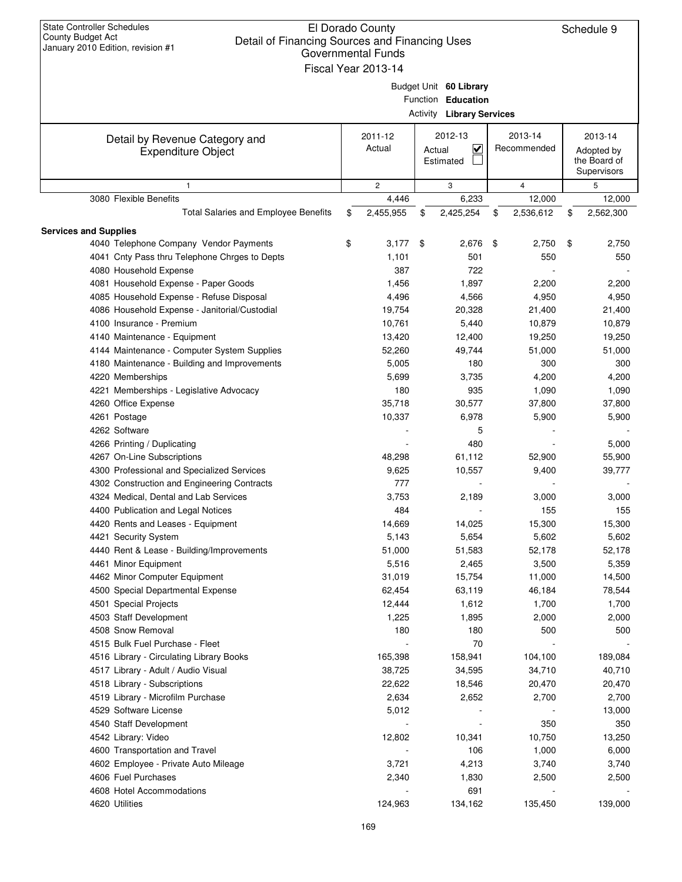| <b>State Controller Schedules</b><br>El Dorado County<br><b>County Budget Act</b><br>Detail of Financing Sources and Financing Uses<br>January 2010 Edition, revision #1<br><b>Governmental Funds</b><br>Fiscal Year 2013-14 |    |                |        |                                  |                 | Schedule 9      |
|------------------------------------------------------------------------------------------------------------------------------------------------------------------------------------------------------------------------------|----|----------------|--------|----------------------------------|-----------------|-----------------|
|                                                                                                                                                                                                                              |    |                |        |                                  |                 |                 |
|                                                                                                                                                                                                                              |    |                |        | Budget Unit 60 Library           |                 |                 |
|                                                                                                                                                                                                                              |    |                |        | Function Education               |                 |                 |
|                                                                                                                                                                                                                              |    |                |        | <b>Activity Library Services</b> |                 |                 |
|                                                                                                                                                                                                                              |    |                |        |                                  |                 |                 |
| Detail by Revenue Category and                                                                                                                                                                                               |    | 2011-12        |        | 2012-13                          | 2013-14         | 2013-14         |
| <b>Expenditure Object</b>                                                                                                                                                                                                    |    | Actual         | Actual | V                                | Recommended     | Adopted by      |
|                                                                                                                                                                                                                              |    |                |        | Estimated                        |                 | the Board of    |
|                                                                                                                                                                                                                              |    |                |        |                                  |                 | Supervisors     |
| $\mathbf{1}$                                                                                                                                                                                                                 |    | $\overline{c}$ |        | 3                                | $\overline{4}$  | 5               |
| 3080 Flexible Benefits                                                                                                                                                                                                       |    | 4,446          |        | 6,233                            | 12,000          | 12,000          |
| <b>Total Salaries and Employee Benefits</b>                                                                                                                                                                                  | \$ | 2,455,955      | \$     | 2,425,254                        | \$<br>2,536,612 | \$<br>2,562,300 |
| <b>Services and Supplies</b>                                                                                                                                                                                                 |    |                |        |                                  |                 |                 |
| 4040 Telephone Company Vendor Payments                                                                                                                                                                                       | \$ | 3,177          | \$     | 2,676                            | 2,750<br>\$     | \$<br>2,750     |
| 4041 Cnty Pass thru Telephone Chrges to Depts                                                                                                                                                                                |    | 1,101          |        | 501                              | 550             | 550             |
| 4080 Household Expense                                                                                                                                                                                                       |    | 387            |        | 722                              |                 |                 |
| 4081 Household Expense - Paper Goods                                                                                                                                                                                         |    | 1,456          |        | 1,897                            | 2,200           | 2,200           |
| 4085 Household Expense - Refuse Disposal                                                                                                                                                                                     |    | 4,496          |        | 4,566                            | 4,950           | 4,950           |
| 4086 Household Expense - Janitorial/Custodial                                                                                                                                                                                |    | 19,754         |        | 20,328                           | 21,400          | 21,400          |
| 4100 Insurance - Premium                                                                                                                                                                                                     |    | 10,761         |        | 5,440                            | 10,879          | 10,879          |
| 4140 Maintenance - Equipment                                                                                                                                                                                                 |    | 13,420         |        | 12,400                           | 19,250          | 19,250          |
| 4144 Maintenance - Computer System Supplies                                                                                                                                                                                  |    | 52,260         |        | 49,744                           | 51,000          | 51,000          |
| 4180 Maintenance - Building and Improvements                                                                                                                                                                                 |    | 5,005          |        | 180                              | 300             | 300             |
| 4220 Memberships                                                                                                                                                                                                             |    | 5,699          |        | 3,735                            | 4,200           | 4,200           |
|                                                                                                                                                                                                                              |    | 180            |        |                                  |                 |                 |
| 4221 Memberships - Legislative Advocacy                                                                                                                                                                                      |    |                |        | 935                              | 1,090           | 1,090           |
| 4260 Office Expense                                                                                                                                                                                                          |    | 35,718         |        | 30,577                           | 37,800          | 37,800          |
| 4261 Postage                                                                                                                                                                                                                 |    | 10,337         |        | 6,978                            | 5,900           | 5,900           |
| 4262 Software                                                                                                                                                                                                                |    |                |        | 5                                |                 |                 |
| 4266 Printing / Duplicating                                                                                                                                                                                                  |    |                |        | 480                              |                 | 5,000           |
| 4267 On-Line Subscriptions                                                                                                                                                                                                   |    | 48,298         |        | 61,112                           | 52,900          | 55,900          |
| 4300 Professional and Specialized Services                                                                                                                                                                                   |    | 9,625          |        | 10,557                           | 9,400           | 39,777          |
| 4302 Construction and Engineering Contracts                                                                                                                                                                                  |    | 777            |        |                                  |                 |                 |
| 4324 Medical, Dental and Lab Services                                                                                                                                                                                        |    | 3,753          |        | 2,189                            | 3,000           | 3,000           |
| 4400 Publication and Legal Notices                                                                                                                                                                                           |    | 484            |        |                                  | 155             | 155             |
| 4420 Rents and Leases - Equipment                                                                                                                                                                                            |    | 14,669         |        | 14,025                           | 15,300          | 15,300          |
| 4421 Security System                                                                                                                                                                                                         |    | 5,143          |        | 5,654                            | 5,602           | 5,602           |
| 4440 Rent & Lease - Building/Improvements                                                                                                                                                                                    |    | 51,000         |        | 51,583                           | 52,178          | 52,178          |
| 4461 Minor Equipment                                                                                                                                                                                                         |    | 5,516          |        | 2,465                            | 3,500           | 5,359           |
| 4462 Minor Computer Equipment                                                                                                                                                                                                |    | 31,019         |        | 15,754                           | 11,000          | 14,500          |
| 4500 Special Departmental Expense                                                                                                                                                                                            |    | 62,454         |        | 63,119                           | 46,184          | 78,544          |
| 4501 Special Projects                                                                                                                                                                                                        |    | 12,444         |        | 1,612                            | 1,700           | 1,700           |
| 4503 Staff Development                                                                                                                                                                                                       |    | 1,225          |        | 1,895                            | 2,000           | 2,000           |
| 4508 Snow Removal                                                                                                                                                                                                            |    | 180            |        | 180                              | 500             | 500             |
| 4515 Bulk Fuel Purchase - Fleet                                                                                                                                                                                              |    |                |        | 70                               |                 |                 |
| 4516 Library - Circulating Library Books                                                                                                                                                                                     |    | 165,398        |        | 158,941                          | 104,100         | 189,084         |
| 4517 Library - Adult / Audio Visual                                                                                                                                                                                          |    | 38,725         |        | 34,595                           | 34,710          | 40,710          |
| 4518 Library - Subscriptions                                                                                                                                                                                                 |    | 22,622         |        | 18,546                           | 20,470          | 20,470          |
| 4519 Library - Microfilm Purchase                                                                                                                                                                                            |    | 2,634          |        | 2,652                            | 2,700           | 2,700           |
| 4529 Software License                                                                                                                                                                                                        |    | 5,012          |        |                                  |                 | 13,000          |
| 4540 Staff Development                                                                                                                                                                                                       |    |                |        |                                  | 350             | 350             |
| 4542 Library: Video                                                                                                                                                                                                          |    | 12,802         |        | 10,341                           | 10,750          | 13,250          |
| 4600 Transportation and Travel                                                                                                                                                                                               |    |                |        | 106                              | 1,000           | 6,000           |
| 4602 Employee - Private Auto Mileage                                                                                                                                                                                         |    | 3,721          |        | 4,213                            | 3,740           | 3,740           |
| 4606 Fuel Purchases                                                                                                                                                                                                          |    | 2,340          |        | 1,830                            | 2,500           | 2,500           |
| 4608 Hotel Accommodations                                                                                                                                                                                                    |    |                |        | 691                              |                 |                 |
| 4620 Utilities                                                                                                                                                                                                               |    | 124,963        |        | 134,162                          | 135,450         | 139,000         |
|                                                                                                                                                                                                                              |    |                |        |                                  |                 |                 |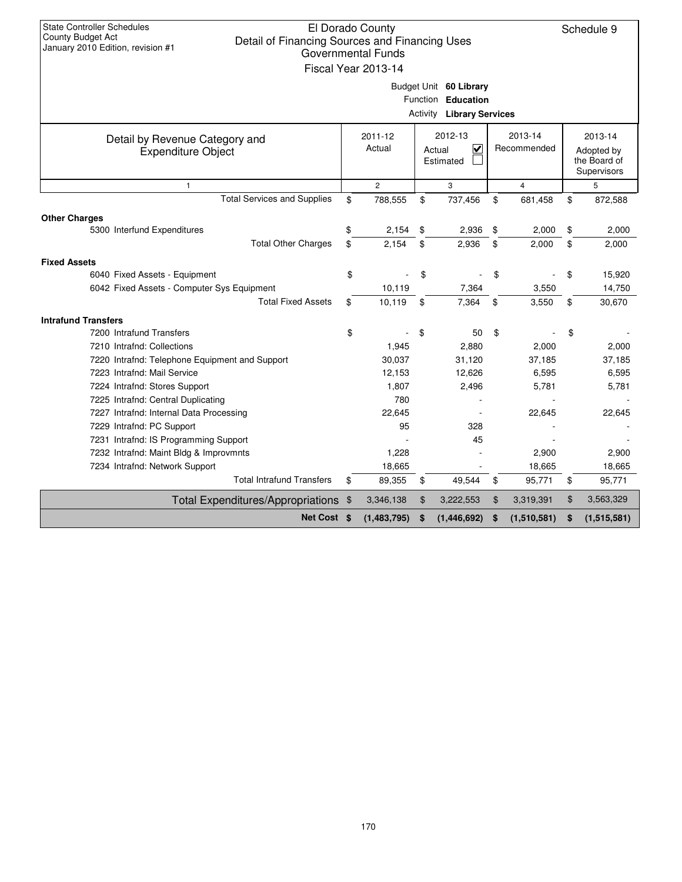| <b>State Controller Schedules</b><br>El Dorado County<br>County Budget Act<br>Detail of Financing Sources and Financing Uses<br>January 2010 Edition, revision #1<br><b>Governmental Funds</b><br>Fiscal Year 2013-14<br>Budget Unit 60 Library |                                                        |              |                                    |                        |    |                                                      |    | Schedule 9  |
|-------------------------------------------------------------------------------------------------------------------------------------------------------------------------------------------------------------------------------------------------|--------------------------------------------------------|--------------|------------------------------------|------------------------|----|------------------------------------------------------|----|-------------|
|                                                                                                                                                                                                                                                 | Function Education<br><b>Activity Library Services</b> |              |                                    |                        |    |                                                      |    |             |
| Detail by Revenue Category and<br><b>Expenditure Object</b>                                                                                                                                                                                     | 2011-12<br>Actual<br>Actual<br>Estimated               |              | 2012-13<br>$\overline{\mathbf{v}}$ | 2013-14<br>Recommended |    | 2013-14<br>Adopted by<br>the Board of<br>Supervisors |    |             |
| $\mathbf{1}$                                                                                                                                                                                                                                    |                                                        | $\mathbf{2}$ |                                    | 3                      |    | $\overline{4}$                                       |    | 5           |
| <b>Total Services and Supplies</b>                                                                                                                                                                                                              | \$                                                     | 788,555      | \$                                 | 737,456                | \$ | 681,458                                              | \$ | 872,588     |
| <b>Other Charges</b>                                                                                                                                                                                                                            |                                                        |              |                                    |                        |    |                                                      |    |             |
| 5300 Interfund Expenditures                                                                                                                                                                                                                     | \$                                                     | 2.154        | \$                                 | 2,936                  | \$ | 2,000                                                | \$ | 2.000       |
| <b>Total Other Charges</b>                                                                                                                                                                                                                      | \$                                                     | 2,154        | \$                                 | 2,936                  | \$ | 2,000                                                | \$ | 2,000       |
| <b>Fixed Assets</b>                                                                                                                                                                                                                             |                                                        |              |                                    |                        |    |                                                      |    |             |
| 6040 Fixed Assets - Equipment                                                                                                                                                                                                                   | \$                                                     |              | \$                                 |                        | \$ |                                                      | \$ | 15,920      |
| 6042 Fixed Assets - Computer Sys Equipment                                                                                                                                                                                                      |                                                        | 10,119       |                                    | 7,364                  |    | 3,550                                                |    | 14,750      |
| <b>Total Fixed Assets</b>                                                                                                                                                                                                                       | \$                                                     | 10,119       | \$                                 | 7,364                  | \$ | 3,550                                                | \$ | 30,670      |
| <b>Intrafund Transfers</b>                                                                                                                                                                                                                      |                                                        |              |                                    |                        |    |                                                      |    |             |
| 7200 Intrafund Transfers                                                                                                                                                                                                                        | \$                                                     |              | \$                                 | 50                     | \$ |                                                      | \$ |             |
| 7210 Intrafnd: Collections                                                                                                                                                                                                                      |                                                        | 1,945        |                                    | 2,880                  |    | 2,000                                                |    | 2,000       |
| 7220 Intrafnd: Telephone Equipment and Support                                                                                                                                                                                                  |                                                        | 30,037       |                                    | 31,120                 |    | 37,185                                               |    | 37,185      |
| 7223 Intrafnd: Mail Service                                                                                                                                                                                                                     |                                                        | 12,153       |                                    | 12,626                 |    | 6,595                                                |    | 6,595       |
| 7224 Intrafnd: Stores Support                                                                                                                                                                                                                   |                                                        | 1,807        |                                    | 2,496                  |    | 5,781                                                |    | 5,781       |
| 7225 Intrafnd: Central Duplicating                                                                                                                                                                                                              |                                                        | 780          |                                    |                        |    |                                                      |    |             |
| 7227 Intrafnd: Internal Data Processing                                                                                                                                                                                                         |                                                        | 22,645       |                                    |                        |    | 22,645                                               |    | 22,645      |
| 7229 Intrafnd: PC Support                                                                                                                                                                                                                       |                                                        | 95           |                                    | 328                    |    |                                                      |    |             |
| 7231 Intrafnd: IS Programming Support                                                                                                                                                                                                           |                                                        |              |                                    | 45                     |    |                                                      |    |             |
| 7232 Intrafnd: Maint Bldg & Improvmnts                                                                                                                                                                                                          |                                                        | 1,228        |                                    |                        |    | 2,900                                                |    | 2,900       |
| 7234 Intrafnd: Network Support                                                                                                                                                                                                                  |                                                        | 18,665       |                                    |                        |    | 18,665                                               |    | 18,665      |
| <b>Total Intrafund Transfers</b>                                                                                                                                                                                                                | \$                                                     | 89,355       | \$                                 | 49,544                 | \$ | 95,771                                               | \$ | 95,771      |
| <b>Total Expenditures/Appropriations</b>                                                                                                                                                                                                        | \$                                                     | 3,346,138    | \$                                 | 3,222,553              | \$ | 3,319,391                                            | \$ | 3,563,329   |
| Net Cost \$                                                                                                                                                                                                                                     |                                                        | (1,483,795)  | \$                                 | (1, 446, 692)          | \$ | (1,510,581)                                          | \$ | (1,515,581) |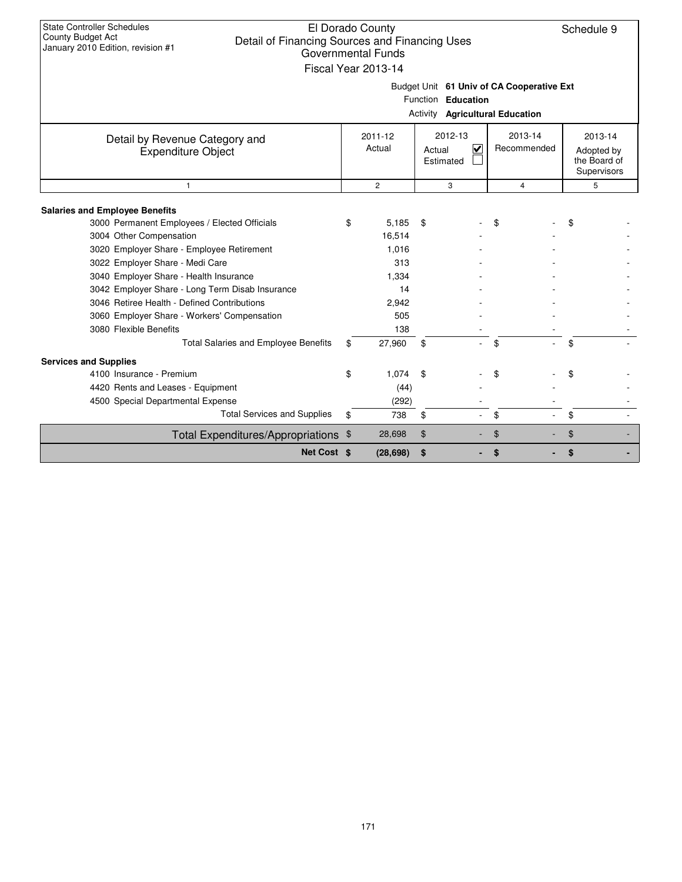| <b>State Controller Schedules</b><br>El Dorado County<br>Schedule 9<br>County Budget Act<br>Detail of Financing Sources and Financing Uses<br>January 2010 Edition, revision #1<br>Governmental Funds<br>Fiscal Year 2013-14                                                                                                                                                                                          |                                                  |                               |                                                |                |                                           |  |  |  |  |
|-----------------------------------------------------------------------------------------------------------------------------------------------------------------------------------------------------------------------------------------------------------------------------------------------------------------------------------------------------------------------------------------------------------------------|--------------------------------------------------|-------------------------------|------------------------------------------------|----------------|-------------------------------------------|--|--|--|--|
| Budget Unit 61 Univ of CA Cooperative Ext                                                                                                                                                                                                                                                                                                                                                                             |                                                  |                               |                                                |                |                                           |  |  |  |  |
|                                                                                                                                                                                                                                                                                                                                                                                                                       | Function Education                               |                               |                                                |                |                                           |  |  |  |  |
|                                                                                                                                                                                                                                                                                                                                                                                                                       | Activity Agricultural Education                  |                               |                                                |                |                                           |  |  |  |  |
| Detail by Revenue Category and                                                                                                                                                                                                                                                                                                                                                                                        | $2011 - 12$                                      |                               | 2012-13                                        | 2013-14        |                                           |  |  |  |  |
| <b>Expenditure Object</b>                                                                                                                                                                                                                                                                                                                                                                                             | Actual                                           |                               | $\overline{\mathsf{v}}$<br>Actual<br>Estimated | Recommended    | Adopted by<br>the Board of<br>Supervisors |  |  |  |  |
| $\mathbf{1}$                                                                                                                                                                                                                                                                                                                                                                                                          | $\overline{2}$                                   |                               | 3                                              | $\overline{4}$ | 5                                         |  |  |  |  |
| <b>Salaries and Employee Benefits</b><br>3000 Permanent Employees / Elected Officials<br>3004 Other Compensation<br>3020 Employer Share - Employee Retirement<br>3022 Employer Share - Medi Care<br>3040 Employer Share - Health Insurance<br>3042 Employer Share - Long Term Disab Insurance<br>3046 Retiree Health - Defined Contributions<br>3060 Employer Share - Workers' Compensation<br>3080 Flexible Benefits | 5,185<br>\$<br>16,514<br>1.016<br>1,334<br>2,942 | \$<br>313<br>14<br>505<br>138 |                                                | \$             | \$                                        |  |  |  |  |
| Total Salaries and Employee Benefits                                                                                                                                                                                                                                                                                                                                                                                  | 27,960<br>\$                                     | \$                            |                                                | \$             | \$                                        |  |  |  |  |
| <b>Services and Supplies</b><br>4100 Insurance - Premium                                                                                                                                                                                                                                                                                                                                                              | 1,074<br>\$                                      | \$                            |                                                | \$             | \$                                        |  |  |  |  |
| 4420 Rents and Leases - Equipment                                                                                                                                                                                                                                                                                                                                                                                     |                                                  | (44)                          |                                                |                |                                           |  |  |  |  |
| 4500 Special Departmental Expense<br><b>Total Services and Supplies</b>                                                                                                                                                                                                                                                                                                                                               | \$                                               | (292)<br>\$<br>738            |                                                | \$             | \$                                        |  |  |  |  |
|                                                                                                                                                                                                                                                                                                                                                                                                                       |                                                  |                               |                                                |                |                                           |  |  |  |  |
| Total Expenditures/Appropriations \$                                                                                                                                                                                                                                                                                                                                                                                  | 28,698                                           | \$                            |                                                | \$             | \$                                        |  |  |  |  |
| Net Cost \$                                                                                                                                                                                                                                                                                                                                                                                                           | (28, 698)                                        | \$                            |                                                | \$             | \$                                        |  |  |  |  |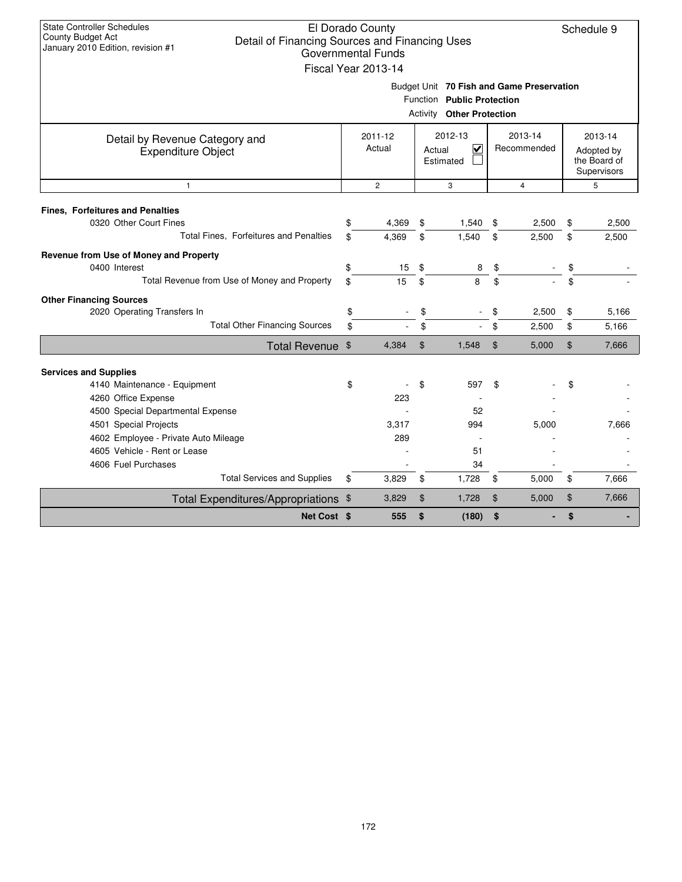| <b>State Controller Schedules</b><br>County Budget Act<br>Detail of Financing Sources and Financing Uses<br>January 2010 Edition, revision #1 |                                                                                               | El Dorado County<br><b>Governmental Funds</b><br>Fiscal Year 2013-14 |    |                                                                                                             |                |                |    | Schedule 9                                           |
|-----------------------------------------------------------------------------------------------------------------------------------------------|-----------------------------------------------------------------------------------------------|----------------------------------------------------------------------|----|-------------------------------------------------------------------------------------------------------------|----------------|----------------|----|------------------------------------------------------|
|                                                                                                                                               |                                                                                               |                                                                      |    | Budget Unit 70 Fish and Game Preservation<br>Function Public Protection<br><b>Activity Other Protection</b> |                |                |    |                                                      |
| Detail by Revenue Category and<br><b>Expenditure Object</b>                                                                                   | 2013-14<br>2012-13<br>2011-12<br>Actual<br>$\checkmark$<br>Recommended<br>Actual<br>Estimated |                                                                      |    |                                                                                                             |                |                |    | 2013-14<br>Adopted by<br>the Board of<br>Supervisors |
| $\mathbf{1}$                                                                                                                                  |                                                                                               | $\overline{2}$                                                       |    | 3                                                                                                           |                | $\overline{4}$ |    | 5                                                    |
| <b>Fines, Forfeitures and Penalties</b><br>0320 Other Court Fines                                                                             | \$                                                                                            | 4.369                                                                | \$ | 1,540                                                                                                       | \$             | 2,500          | \$ | 2,500                                                |
| Total Fines, Forfeitures and Penalties                                                                                                        | \$                                                                                            | 4,369                                                                | \$ | 1,540                                                                                                       | \$             | 2,500          | \$ | 2,500                                                |
| Revenue from Use of Money and Property<br>0400 Interest                                                                                       | \$                                                                                            | 15                                                                   | \$ | 8                                                                                                           | \$             |                | \$ |                                                      |
| Total Revenue from Use of Money and Property                                                                                                  | \$                                                                                            | 15                                                                   | \$ | 8                                                                                                           | \$             |                | \$ |                                                      |
| <b>Other Financing Sources</b>                                                                                                                |                                                                                               |                                                                      |    |                                                                                                             |                |                |    |                                                      |
| 2020 Operating Transfers In                                                                                                                   | \$                                                                                            |                                                                      | \$ |                                                                                                             |                | 2,500          | \$ | 5,166                                                |
| <b>Total Other Financing Sources</b>                                                                                                          | \$                                                                                            |                                                                      | \$ |                                                                                                             | \$             | 2,500          | \$ | 5,166                                                |
| Total Revenue \$                                                                                                                              |                                                                                               | 4,384                                                                | \$ | 1,548                                                                                                       | $\mathfrak{F}$ | 5,000          | \$ | 7,666                                                |
| <b>Services and Supplies</b>                                                                                                                  |                                                                                               |                                                                      |    |                                                                                                             |                |                |    |                                                      |
| 4140 Maintenance - Equipment                                                                                                                  | \$                                                                                            |                                                                      | \$ | 597                                                                                                         | \$             |                | \$ |                                                      |
| 4260 Office Expense                                                                                                                           |                                                                                               | 223                                                                  |    |                                                                                                             |                |                |    |                                                      |
| 4500 Special Departmental Expense                                                                                                             |                                                                                               |                                                                      |    | 52                                                                                                          |                |                |    |                                                      |
| 4501 Special Projects                                                                                                                         |                                                                                               | 3,317                                                                |    | 994                                                                                                         |                | 5,000          |    | 7,666                                                |
| 4602 Employee - Private Auto Mileage                                                                                                          |                                                                                               | 289                                                                  |    |                                                                                                             |                |                |    |                                                      |
| 4605 Vehicle - Rent or Lease                                                                                                                  |                                                                                               |                                                                      |    | 51                                                                                                          |                |                |    |                                                      |
| 4606 Fuel Purchases                                                                                                                           |                                                                                               |                                                                      |    | 34                                                                                                          |                |                |    |                                                      |
| <b>Total Services and Supplies</b>                                                                                                            | \$                                                                                            | 3,829                                                                | \$ | 1,728                                                                                                       | \$             | 5,000          | \$ | 7,666                                                |
| Total Expenditures/Appropriations \$                                                                                                          |                                                                                               | 3,829                                                                | \$ | 1,728                                                                                                       | \$             | 5,000          | \$ | 7,666                                                |
| Net Cost \$                                                                                                                                   |                                                                                               | 555                                                                  | \$ | (180)                                                                                                       | \$             |                | \$ |                                                      |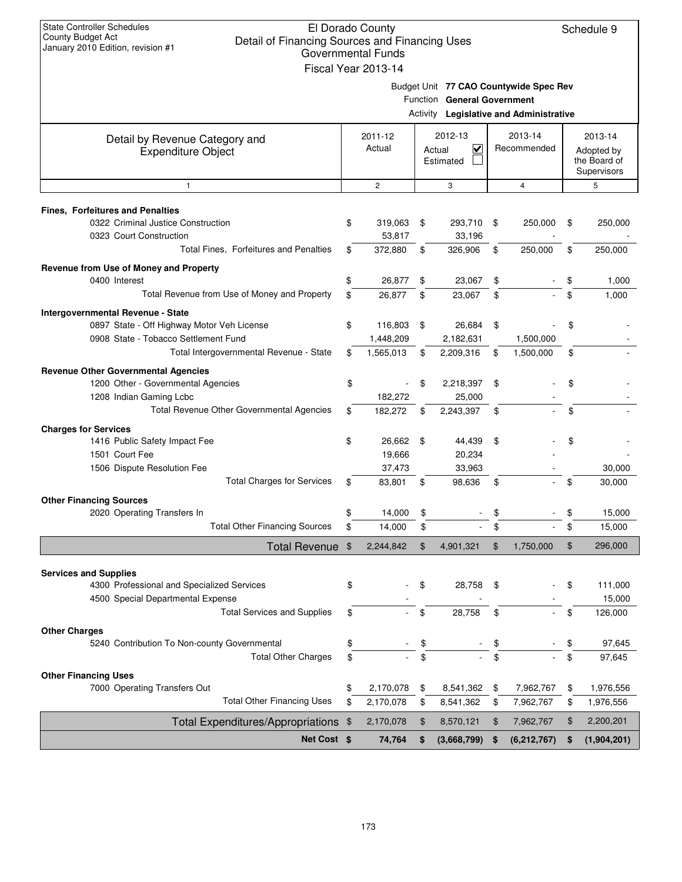| <b>State Controller Schedules</b><br>County Budget Act<br>Detail of Financing Sources and Financing Uses<br>January 2010 Edition, revision #1 |               | El Dorado County          |                                         |     |                | Schedule 9                 |
|-----------------------------------------------------------------------------------------------------------------------------------------------|---------------|---------------------------|-----------------------------------------|-----|----------------|----------------------------|
|                                                                                                                                               |               | <b>Governmental Funds</b> |                                         |     |                |                            |
|                                                                                                                                               |               | Fiscal Year 2013-14       |                                         |     |                |                            |
|                                                                                                                                               |               |                           | Budget Unit 77 CAO Countywide Spec Rev  |     |                |                            |
|                                                                                                                                               |               |                           | Function General Government             |     |                |                            |
|                                                                                                                                               |               |                           | Activity Legislative and Administrative |     |                |                            |
| Detail by Revenue Category and                                                                                                                |               | 2011-12                   | 2012-13                                 |     | 2013-14        | 2013-14                    |
| <b>Expenditure Object</b>                                                                                                                     |               | Actual                    | $\checkmark$<br>Actual<br>Estimated     |     | Recommended    | Adopted by<br>the Board of |
|                                                                                                                                               |               |                           |                                         |     |                | Supervisors                |
| 1                                                                                                                                             |               | $\overline{c}$            | 3                                       |     | $\overline{4}$ | 5                          |
|                                                                                                                                               |               |                           |                                         |     |                |                            |
| <b>Fines, Forfeitures and Penalties</b><br>0322 Criminal Justice Construction                                                                 | \$            | 319,063                   | \$<br>293,710                           | -\$ | 250,000        | \$<br>250,000              |
| 0323 Court Construction                                                                                                                       |               | 53,817                    | 33,196                                  |     |                |                            |
| Total Fines, Forfeitures and Penalties                                                                                                        | \$            | 372,880                   | \$<br>326,906                           | \$  | 250,000        | \$<br>250,000              |
| Revenue from Use of Money and Property                                                                                                        |               |                           |                                         |     |                |                            |
| 0400 Interest                                                                                                                                 | \$            | 26,877                    | \$<br>23,067                            | \$  |                | \$<br>1,000                |
| Total Revenue from Use of Money and Property                                                                                                  | \$            | 26,877                    | \$<br>23,067                            | \$  |                | \$<br>1,000                |
| Intergovernmental Revenue - State                                                                                                             |               |                           |                                         |     |                |                            |
| 0897 State - Off Highway Motor Veh License                                                                                                    | \$            | 116,803                   | \$<br>26,684                            | \$  |                | \$                         |
| 0908 State - Tobacco Settlement Fund                                                                                                          |               | 1,448,209                 | 2,182,631                               |     | 1,500,000      |                            |
| Total Intergovernmental Revenue - State                                                                                                       | S             | 1,565,013                 | \$<br>2,209,316                         | \$  | 1,500,000      | \$                         |
| <b>Revenue Other Governmental Agencies</b>                                                                                                    |               |                           |                                         |     |                |                            |
| 1200 Other - Governmental Agencies                                                                                                            | \$            |                           | \$<br>2,218,397                         | \$  |                | \$                         |
| 1208 Indian Gaming Lcbc<br>Total Revenue Other Governmental Agencies                                                                          | \$            | 182,272                   | 25,000                                  |     |                | \$                         |
|                                                                                                                                               |               | 182,272                   | \$<br>2,243,397                         | \$  |                |                            |
| <b>Charges for Services</b><br>1416 Public Safety Impact Fee                                                                                  | \$            | 26,662                    | \$<br>44,439                            | \$  |                | \$                         |
| 1501 Court Fee                                                                                                                                |               | 19,666                    | 20,234                                  |     |                |                            |
| 1506 Dispute Resolution Fee                                                                                                                   |               | 37,473                    | 33,963                                  |     |                | 30,000                     |
| <b>Total Charges for Services</b>                                                                                                             | \$            | 83,801                    | \$<br>98,636                            | \$  |                | \$<br>30,000               |
| <b>Other Financing Sources</b>                                                                                                                |               |                           |                                         |     |                |                            |
| 2020 Operating Transfers In                                                                                                                   | \$            | 14,000                    | \$                                      |     |                | \$<br>15,000               |
| <b>Total Other Financing Sources</b>                                                                                                          | \$            | 14,000                    | \$                                      | \$  |                | \$<br>15,000               |
| <b>Total Revenue</b>                                                                                                                          | $\frac{1}{2}$ | 2,244,842                 | \$<br>4,901,321                         | \$  | 1,750,000      | \$<br>296,000              |
|                                                                                                                                               |               |                           |                                         |     |                |                            |
| <b>Services and Supplies</b><br>4300 Professional and Specialized Services                                                                    |               |                           | 28,758                                  |     |                | 111,000                    |
| 4500 Special Departmental Expense                                                                                                             | \$            |                           | \$                                      | \$  |                | \$<br>15,000               |
| <b>Total Services and Supplies</b>                                                                                                            | \$            |                           | \$<br>28,758                            | \$  |                | \$<br>126,000              |
| <b>Other Charges</b>                                                                                                                          |               |                           |                                         |     |                |                            |
| 5240 Contribution To Non-county Governmental                                                                                                  | \$            |                           | \$                                      | \$  |                | \$<br>97,645               |
| <b>Total Other Charges</b>                                                                                                                    | \$            |                           | \$                                      | \$  |                | \$<br>97,645               |
| <b>Other Financing Uses</b>                                                                                                                   |               |                           |                                         |     |                |                            |
| 7000 Operating Transfers Out                                                                                                                  | \$            | 2,170,078                 | \$<br>8,541,362                         | \$  | 7,962,767      | \$<br>1,976,556            |
| <b>Total Other Financing Uses</b>                                                                                                             | \$            | 2,170,078                 | \$<br>8,541,362                         | \$  | 7,962,767      | \$<br>1,976,556            |
| Total Expenditures/Appropriations \$                                                                                                          |               | 2,170,078                 | \$<br>8,570,121                         | \$  | 7,962,767      | \$<br>2,200,201            |
| Net Cost \$                                                                                                                                   |               | 74,764                    | \$<br>(3,668,799)                       | \$  | (6, 212, 767)  | \$<br>(1,904,201)          |
|                                                                                                                                               |               |                           |                                         |     |                |                            |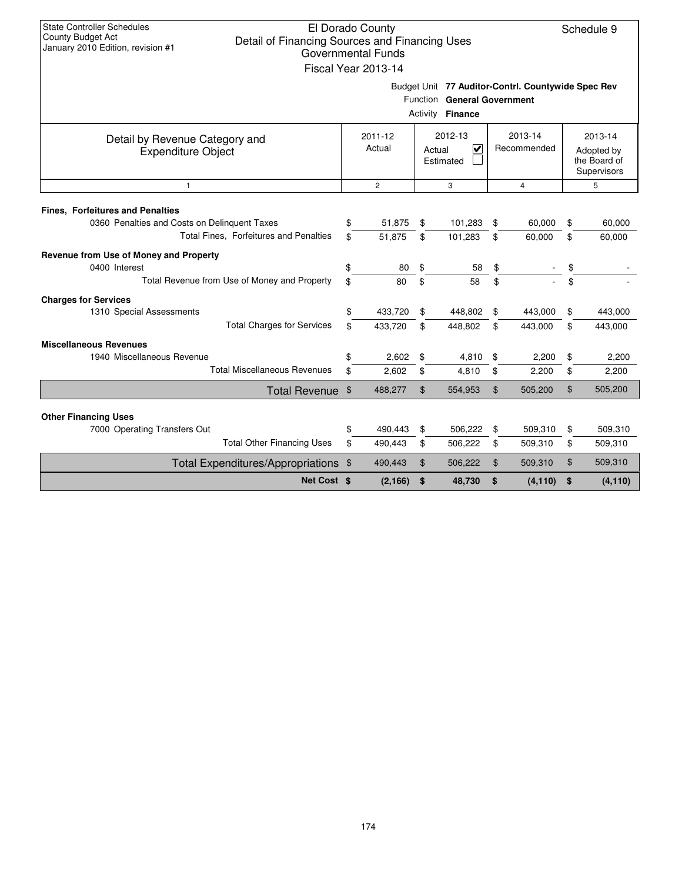| <b>State Controller Schedules</b><br><b>County Budget Act</b><br>Detail of Financing Sources and Financing Uses<br>January 2010 Edition, revision #1 |               | El Dorado County<br><b>Governmental Funds</b><br>Fiscal Year 2013-14 |                   |                                                                                                       |                |                        | Schedule 9                                           |
|------------------------------------------------------------------------------------------------------------------------------------------------------|---------------|----------------------------------------------------------------------|-------------------|-------------------------------------------------------------------------------------------------------|----------------|------------------------|------------------------------------------------------|
|                                                                                                                                                      |               |                                                                      |                   | Budget Unit 77 Auditor-Contrl. Countywide Spec Rev<br>Function General Government<br>Activity Finance |                |                        |                                                      |
| Detail by Revenue Category and<br><b>Expenditure Object</b>                                                                                          |               | 2011-12<br>Actual                                                    |                   | 2012-13<br>$\overline{\mathsf{v}}$<br>Actual<br>Estimated                                             |                | 2013-14<br>Recommended | 2013-14<br>Adopted by<br>the Board of<br>Supervisors |
| $\mathbf{1}$                                                                                                                                         |               | $\overline{c}$                                                       |                   | 3                                                                                                     |                | $\overline{4}$         | 5                                                    |
| <b>Fines, Forfeitures and Penalties</b>                                                                                                              |               |                                                                      |                   |                                                                                                       |                |                        |                                                      |
| 0360 Penalties and Costs on Delinguent Taxes                                                                                                         | \$            | 51,875                                                               | \$                | 101,283                                                                                               | \$             | 60,000                 | \$<br>60,000                                         |
| Total Fines, Forfeitures and Penalties                                                                                                               | \$            | 51,875                                                               | \$                | 101,283                                                                                               | \$             | 60,000                 | \$<br>60,000                                         |
| Revenue from Use of Money and Property                                                                                                               |               |                                                                      |                   |                                                                                                       |                |                        |                                                      |
| 0400 Interest                                                                                                                                        | \$            | 80                                                                   | \$                | 58                                                                                                    | \$             |                        | \$                                                   |
| Total Revenue from Use of Money and Property                                                                                                         | \$            | 80                                                                   | \$                | 58                                                                                                    | \$             |                        | \$                                                   |
| <b>Charges for Services</b>                                                                                                                          |               |                                                                      |                   |                                                                                                       |                |                        |                                                      |
| 1310 Special Assessments                                                                                                                             | \$            | 433,720                                                              | \$                | 448,802                                                                                               | \$             | 443,000                | \$<br>443,000                                        |
| <b>Total Charges for Services</b>                                                                                                                    | \$            | 433,720                                                              | \$                | 448,802                                                                                               | \$             | 443,000                | \$<br>443,000                                        |
| <b>Miscellaneous Revenues</b>                                                                                                                        |               |                                                                      |                   |                                                                                                       |                |                        |                                                      |
| 1940 Miscellaneous Revenue                                                                                                                           | \$            | 2,602                                                                | \$                | 4,810                                                                                                 | \$             | 2,200                  | \$<br>2,200                                          |
| <b>Total Miscellaneous Revenues</b>                                                                                                                  | \$            | 2,602                                                                | \$                | 4,810                                                                                                 | \$             | 2,200                  | \$<br>2,200                                          |
| <b>Total Revenue</b>                                                                                                                                 | $\sqrt[6]{3}$ | 488,277                                                              | \$                | 554,953                                                                                               | $\mathfrak{F}$ | 505,200                | \$<br>505,200                                        |
| <b>Other Financing Uses</b>                                                                                                                          |               |                                                                      |                   |                                                                                                       |                |                        |                                                      |
| 7000 Operating Transfers Out                                                                                                                         | \$            | 490,443                                                              | \$                | 506,222                                                                                               | \$             | 509,310                | \$<br>509,310                                        |
| <b>Total Other Financing Uses</b>                                                                                                                    | \$            | 490,443                                                              | \$                | 506,222                                                                                               | \$             | 509,310                | \$<br>509,310                                        |
| Total Expenditures/Appropriations \$                                                                                                                 |               | 490,443                                                              | $\boldsymbol{\$}$ | 506,222                                                                                               | \$             | 509,310                | \$<br>509,310                                        |
| Net Cost \$                                                                                                                                          |               | (2, 166)                                                             | \$                | 48,730                                                                                                | \$             | (4, 110)               | \$<br>(4, 110)                                       |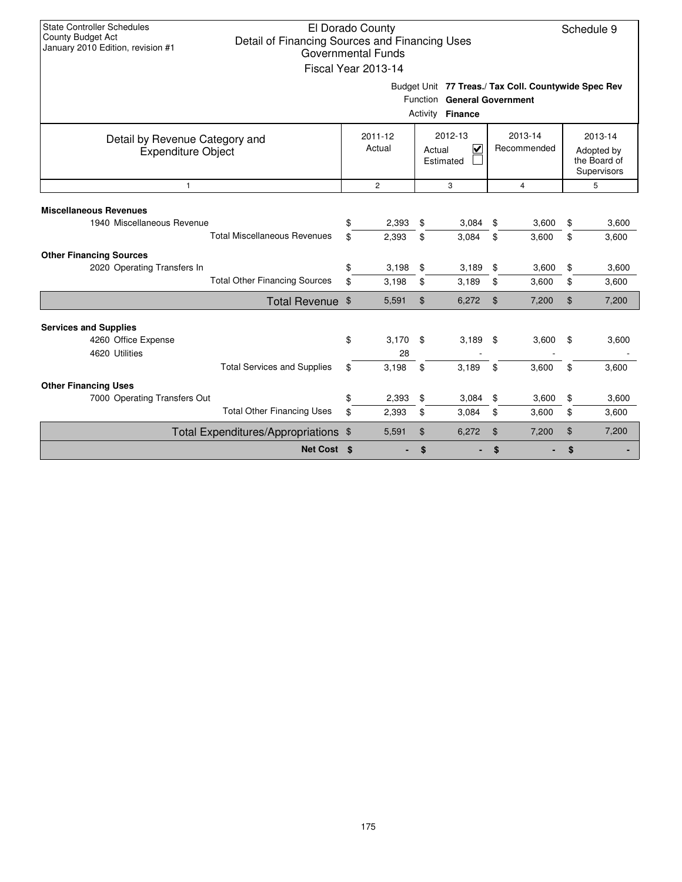| <b>State Controller Schedules</b><br>County Budget Act<br>Detail of Financing Sources and Financing Uses<br>January 2010 Edition, revision #1     |          | El Dorado County<br><b>Governmental Funds</b> |                |                                                                                                         |                |                |          | Schedule 9     |  |
|---------------------------------------------------------------------------------------------------------------------------------------------------|----------|-----------------------------------------------|----------------|---------------------------------------------------------------------------------------------------------|----------------|----------------|----------|----------------|--|
|                                                                                                                                                   |          | Fiscal Year 2013-14                           |                | Budget Unit 77 Treas./ Tax Coll. Countywide Spec Rev<br>Function General Government<br>Activity Finance |                |                |          |                |  |
| 2012-13<br>2013-14<br>2011-12<br>Detail by Revenue Category and<br>Actual<br>V<br>Recommended<br>Actual<br><b>Expenditure Object</b><br>Estimated |          |                                               |                |                                                                                                         |                |                |          |                |  |
| $\mathbf{1}$                                                                                                                                      |          | $\overline{2}$                                |                | 3                                                                                                       |                | $\overline{4}$ |          | 5              |  |
| <b>Miscellaneous Revenues</b><br>1940 Miscellaneous Revenue<br><b>Total Miscellaneous Revenues</b>                                                | \$<br>\$ | 2,393<br>2,393                                | \$<br>\$       | 3,084<br>3,084                                                                                          | \$<br>\$       | 3,600<br>3,600 | \$<br>\$ | 3,600<br>3,600 |  |
| <b>Other Financing Sources</b><br>2020 Operating Transfers In<br><b>Total Other Financing Sources</b>                                             | \$<br>\$ | 3,198<br>3,198                                | \$<br>\$       | 3,189<br>3,189                                                                                          | \$<br>\$       | 3,600<br>3,600 | \$<br>\$ | 3,600<br>3,600 |  |
| Total Revenue \$                                                                                                                                  |          | 5,591                                         | \$             | 6,272                                                                                                   | \$             | 7,200          | \$       | 7,200          |  |
| <b>Services and Supplies</b><br>4260 Office Expense<br>4620 Utilities                                                                             | \$       | 3,170<br>28                                   | \$             | 3,189                                                                                                   | - \$           | 3,600          | \$       | 3,600          |  |
| <b>Total Services and Supplies</b><br><b>Other Financing Uses</b>                                                                                 | \$       | 3,198                                         | \$             | 3,189                                                                                                   | \$             | 3,600          | \$       | 3,600          |  |
| 7000 Operating Transfers Out                                                                                                                      | \$       | 2,393                                         | \$             | 3,084                                                                                                   | \$             | 3,600          | \$       | 3,600          |  |
| <b>Total Other Financing Uses</b>                                                                                                                 | \$       | 2,393                                         | \$             | 3,084                                                                                                   | \$             | 3,600          | \$       | 3,600          |  |
| Total Expenditures/Appropriations \$                                                                                                              |          | 5,591                                         | $\mathfrak{S}$ | 6,272                                                                                                   | $\mathfrak{F}$ | 7,200          | \$       | 7,200          |  |
| Net Cost \$                                                                                                                                       |          |                                               | \$             |                                                                                                         | \$             |                | \$       |                |  |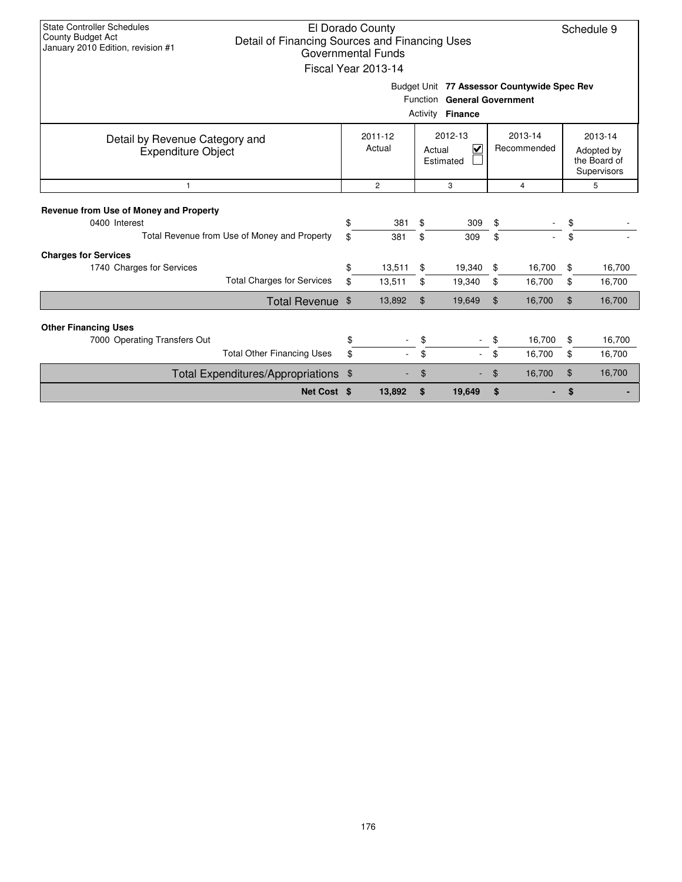| <b>State Controller Schedules</b><br><b>County Budget Act</b><br>January 2010 Edition, revision #1 | Detail of Financing Sources and Financing Uses |        | El Dorado County<br>Governmental Funds<br>Fiscal Year 2013-14 |                                                | Budget Unit 77 Assessor Countywide Spec Rev |                |         |                                           | Schedule 9 |
|----------------------------------------------------------------------------------------------------|------------------------------------------------|--------|---------------------------------------------------------------|------------------------------------------------|---------------------------------------------|----------------|---------|-------------------------------------------|------------|
|                                                                                                    |                                                |        |                                                               |                                                | Function General Government                 |                |         |                                           |            |
|                                                                                                    |                                                |        |                                                               | Activity                                       | <b>Finance</b>                              |                |         |                                           |            |
| Detail by Revenue Category and                                                                     |                                                |        | 2011-12                                                       |                                                | 2012-13                                     |                | 2013-14 |                                           | 2013-14    |
| <b>Expenditure Object</b>                                                                          |                                                | Actual |                                                               | $\overline{\mathbf{v}}$<br>Actual<br>Estimated |                                             | Recommended    |         | Adopted by<br>the Board of<br>Supervisors |            |
| $\mathbf{1}$                                                                                       | $\overline{2}$                                 |        | 3                                                             |                                                | $\overline{4}$                              |                | 5       |                                           |            |
| Revenue from Use of Money and Property                                                             |                                                |        |                                                               |                                                |                                             |                |         |                                           |            |
| 0400 Interest                                                                                      |                                                | \$     | 381                                                           | \$                                             | 309                                         | \$             |         | \$                                        |            |
| Total Revenue from Use of Money and Property                                                       |                                                | \$     | 381                                                           | \$                                             | 309                                         | \$             |         | \$                                        |            |
| <b>Charges for Services</b>                                                                        |                                                |        |                                                               |                                                |                                             |                |         |                                           |            |
| 1740 Charges for Services                                                                          |                                                | \$     | 13,511                                                        | \$                                             | 19,340                                      | \$             | 16,700  | \$                                        | 16,700     |
|                                                                                                    | <b>Total Charges for Services</b>              | \$     | 13,511                                                        | \$                                             | 19,340                                      | \$             | 16,700  | \$                                        | 16,700     |
|                                                                                                    | Total Revenue \$                               |        | 13,892                                                        | $\mathfrak{L}$                                 | 19,649                                      | $\mathfrak{L}$ | 16,700  | \$                                        | 16,700     |
|                                                                                                    |                                                |        |                                                               |                                                |                                             |                |         |                                           |            |
| <b>Other Financing Uses</b><br>7000 Operating Transfers Out                                        |                                                | \$     |                                                               |                                                |                                             |                | 16,700  | \$                                        | 16,700     |
|                                                                                                    | <b>Total Other Financing Uses</b>              | \$     |                                                               | \$                                             |                                             | \$             | 16,700  | \$                                        | 16,700     |
| Total Expenditures/Appropriations \$                                                               |                                                |        |                                                               | \$                                             |                                             | \$             | 16,700  | $\mathfrak{S}$                            | 16,700     |
|                                                                                                    | Net Cost \$                                    |        | 13,892                                                        | \$                                             | 19,649                                      | \$             |         | \$                                        |            |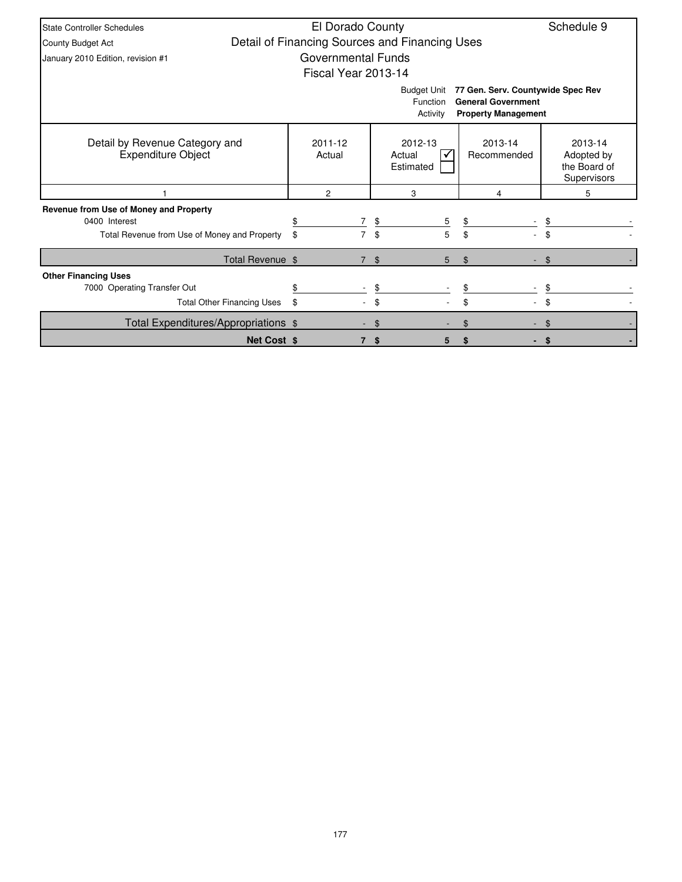| State Controller Schedules                                  | El Dorado County                               |     |                                                   |                                                                                              | Schedule 9                                           |
|-------------------------------------------------------------|------------------------------------------------|-----|---------------------------------------------------|----------------------------------------------------------------------------------------------|------------------------------------------------------|
| County Budget Act                                           | Detail of Financing Sources and Financing Uses |     |                                                   |                                                                                              |                                                      |
| January 2010 Edition, revision #1                           | Governmental Funds                             |     |                                                   |                                                                                              |                                                      |
|                                                             | Fiscal Year 2013-14                            |     |                                                   |                                                                                              |                                                      |
|                                                             |                                                |     | <b>Budget Unit</b><br><b>Function</b><br>Activity | 77 Gen. Serv. Countywide Spec Rev<br><b>General Government</b><br><b>Property Management</b> |                                                      |
| Detail by Revenue Category and<br><b>Expenditure Object</b> | 2011-12<br>Actual                              |     | 2012-13<br>Actual<br>Estimated                    | 2013-14<br>Recommended                                                                       | 2013-14<br>Adopted by<br>the Board of<br>Supervisors |
|                                                             | $\overline{2}$                                 |     | 3                                                 | 4                                                                                            | 5                                                    |
| Revenue from Use of Money and Property                      |                                                |     |                                                   |                                                                                              |                                                      |
| 0400 Interest                                               | $\overline{7}$<br>\$                           | \$  | 5                                                 | \$                                                                                           |                                                      |
| Total Revenue from Use of Money and Property                | \$<br>7                                        | \$  | 5                                                 | \$                                                                                           |                                                      |
| Total Revenue \$                                            |                                                | \$  | 5                                                 | $\mathfrak{L}$                                                                               | \$                                                   |
| <b>Other Financing Uses</b>                                 |                                                |     |                                                   |                                                                                              |                                                      |
| 7000 Operating Transfer Out                                 |                                                | \$  |                                                   |                                                                                              |                                                      |
| <b>Total Other Financing Uses</b>                           | \$                                             | \$  |                                                   | \$                                                                                           | \$                                                   |
| Total Expenditures/Appropriations \$                        |                                                | \$. |                                                   | \$                                                                                           |                                                      |
| <b>Net Cost \$</b>                                          |                                                | \$  | 5                                                 |                                                                                              |                                                      |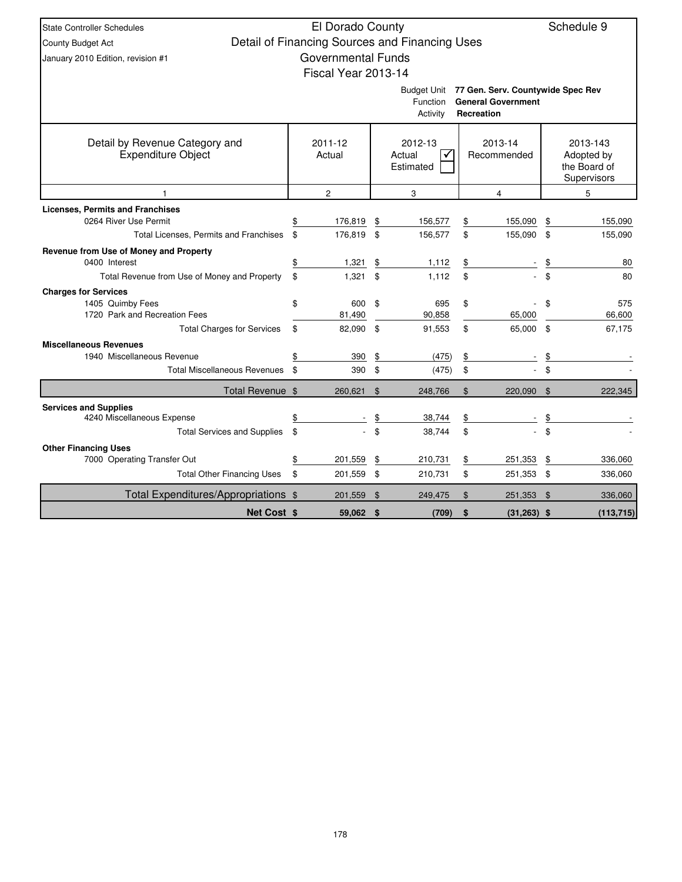| State Controller Schedules                                  | El Dorado County          |                                                |                |                                               |     | Schedule 9             |
|-------------------------------------------------------------|---------------------------|------------------------------------------------|----------------|-----------------------------------------------|-----|------------------------|
| County Budget Act                                           |                           | Detail of Financing Sources and Financing Uses |                |                                               |     |                        |
| January 2010 Edition, revision #1                           | <b>Governmental Funds</b> |                                                |                |                                               |     |                        |
|                                                             | Fiscal Year 2013-14       |                                                |                |                                               |     |                        |
|                                                             |                           |                                                |                | Budget Unit 77 Gen. Serv. Countywide Spec Rev |     |                        |
|                                                             |                           | Function                                       |                | <b>General Government</b>                     |     |                        |
|                                                             |                           | Activity                                       |                | Recreation                                    |     |                        |
|                                                             |                           |                                                |                |                                               |     |                        |
| Detail by Revenue Category and<br><b>Expenditure Object</b> | 2011-12<br>Actual         | 2012-13<br>Actual                              |                | 2013-14<br>Recommended                        |     | 2013-143<br>Adopted by |
|                                                             |                           | Estimated                                      |                |                                               |     | the Board of           |
|                                                             |                           |                                                |                |                                               |     | Supervisors            |
| 1                                                           | $\overline{c}$            | 3                                              |                | 4                                             |     | 5                      |
| <b>Licenses. Permits and Franchises</b>                     |                           |                                                |                |                                               |     |                        |
| 0264 River Use Permit                                       | \$<br>176,819             | \$<br>156,577                                  | \$             | 155,090                                       | \$  | 155,090                |
| Total Licenses, Permits and Franchises                      | \$<br>176.819             | \$<br>156,577                                  | \$             | 155,090 \$                                    |     | 155,090                |
| Revenue from Use of Money and Property                      |                           |                                                |                |                                               |     |                        |
| 0400 Interest                                               | \$<br>1,321               | \$<br>1,112                                    | $\frac{1}{2}$  |                                               | \$  | 80                     |
| Total Revenue from Use of Money and Property                | \$<br>1,321               | \$<br>1,112                                    | \$             |                                               | \$  | 80                     |
| <b>Charges for Services</b><br>1405 Quimby Fees             | \$<br>600                 | \$<br>695                                      | \$             |                                               | \$  | 575                    |
| 1720 Park and Recreation Fees                               | 81,490                    | 90,858                                         |                | 65,000                                        |     | 66,600                 |
| <b>Total Charges for Services</b>                           | \$<br>82,090              | \$<br>91,553                                   | \$             | 65,000 \$                                     |     | 67,175                 |
| <b>Miscellaneous Revenues</b>                               |                           |                                                |                |                                               |     |                        |
| 1940 Miscellaneous Revenue                                  | \$<br>390                 | \$<br>(475)                                    | \$             |                                               | \$  |                        |
| <b>Total Miscellaneous Revenues</b>                         | \$<br>390                 | \$<br>(475)                                    | \$             |                                               | \$  |                        |
| Total Revenue \$                                            | 260,621 \$                | 248,766                                        | \$             | 220,090 \$                                    |     | 222,345                |
| <b>Services and Supplies</b>                                |                           |                                                |                |                                               |     |                        |
| 4240 Miscellaneous Expense                                  | \$                        | \$<br>38,744                                   | \$             |                                               | \$  |                        |
| <b>Total Services and Supplies</b>                          | \$                        | \$<br>38,744                                   | \$             |                                               | \$  |                        |
| <b>Other Financing Uses</b>                                 |                           |                                                |                |                                               |     |                        |
| 7000 Operating Transfer Out                                 | \$<br>201,559             | \$<br>210,731                                  | \$             | 251,353                                       | \$  | 336,060                |
| <b>Total Other Financing Uses</b>                           | \$<br>201,559             | \$<br>210,731                                  | \$             | 251,353 \$                                    |     | 336,060                |
| Total Expenditures/Appropriations \$                        | 201,559                   | \$<br>249,475                                  | $\mathfrak{L}$ | 251,353                                       | -\$ | 336,060                |
| <b>Net Cost \$</b>                                          | 59,062 \$                 | (709)                                          | \$             | $(31, 263)$ \$                                |     | (113, 715)             |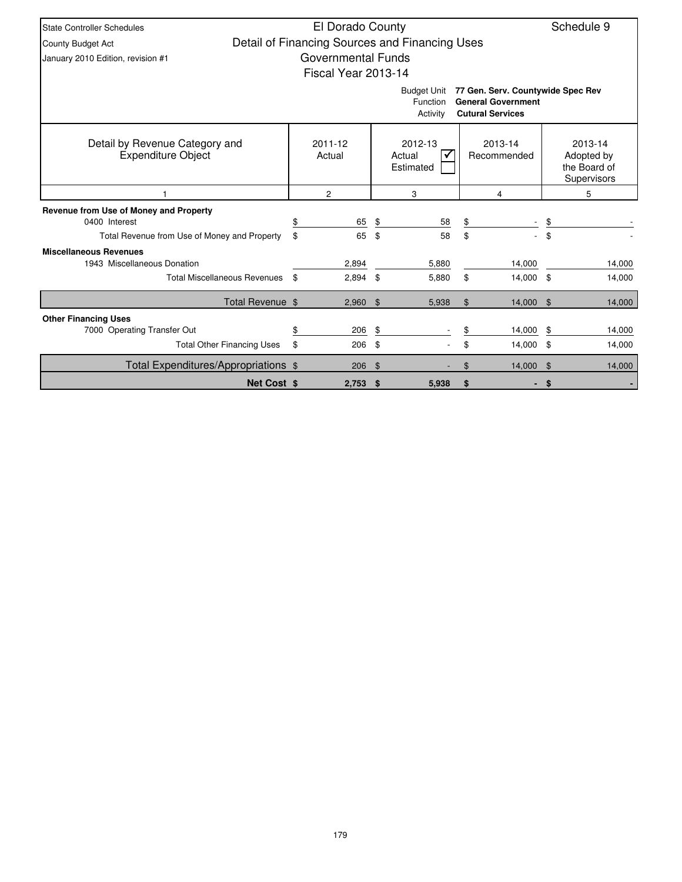| <b>State Controller Schedules</b>                           |                     | El Dorado County |     |                                                |                                                                                           |     | Schedule 9                                           |
|-------------------------------------------------------------|---------------------|------------------|-----|------------------------------------------------|-------------------------------------------------------------------------------------------|-----|------------------------------------------------------|
| County Budget Act                                           |                     |                  |     | Detail of Financing Sources and Financing Uses |                                                                                           |     |                                                      |
| January 2010 Edition, revision #1                           | Governmental Funds  |                  |     |                                                |                                                                                           |     |                                                      |
|                                                             | Fiscal Year 2013-14 |                  |     |                                                |                                                                                           |     |                                                      |
|                                                             |                     |                  |     | <b>Budget Unit</b><br>Function<br>Activity     | 77 Gen. Serv. Countywide Spec Rev<br><b>General Government</b><br><b>Cutural Services</b> |     |                                                      |
| Detail by Revenue Category and<br><b>Expenditure Object</b> | 2011-12<br>Actual   |                  |     | 2012-13<br>Actual<br>Estimated                 | 2013-14<br>Recommended                                                                    |     | 2013-14<br>Adopted by<br>the Board of<br>Supervisors |
|                                                             | $\overline{c}$      |                  |     | 3                                              | 4                                                                                         |     | 5                                                    |
| Revenue from Use of Money and Property                      |                     |                  |     |                                                |                                                                                           |     |                                                      |
| 0400 Interest                                               | \$                  | 65               | \$  | 58                                             | \$                                                                                        | \$  |                                                      |
| Total Revenue from Use of Money and Property                | \$                  | 65               | \$  | 58                                             | \$                                                                                        | \$  |                                                      |
| <b>Miscellaneous Revenues</b>                               |                     |                  |     |                                                |                                                                                           |     |                                                      |
| 1943 Miscellaneous Donation                                 |                     | 2,894            |     | 5,880                                          | 14,000                                                                                    |     | 14,000                                               |
| <b>Total Miscellaneous Revenues</b>                         | \$                  | 2,894            | \$  | 5,880                                          | \$<br>14,000 \$                                                                           |     | 14,000                                               |
| Total Revenue \$                                            |                     | 2,960            | -\$ | 5,938                                          | \$<br>14,000                                                                              | -\$ | 14,000                                               |
| <b>Other Financing Uses</b>                                 |                     |                  |     |                                                |                                                                                           |     |                                                      |
| 7000 Operating Transfer Out                                 | \$                  | 206              | \$  |                                                | \$<br>14,000                                                                              | \$  | 14,000                                               |
| <b>Total Other Financing Uses</b>                           | \$                  | 206              | \$  |                                                | \$<br>14,000                                                                              | \$  | 14,000                                               |
| Total Expenditures/Appropriations \$                        |                     | 206              | \$  |                                                | \$<br>14,000                                                                              | -\$ | 14,000                                               |
| <b>Net Cost \$</b>                                          |                     | $2,753$ \$       |     | 5,938                                          | \$<br>$\sim$                                                                              | \$  |                                                      |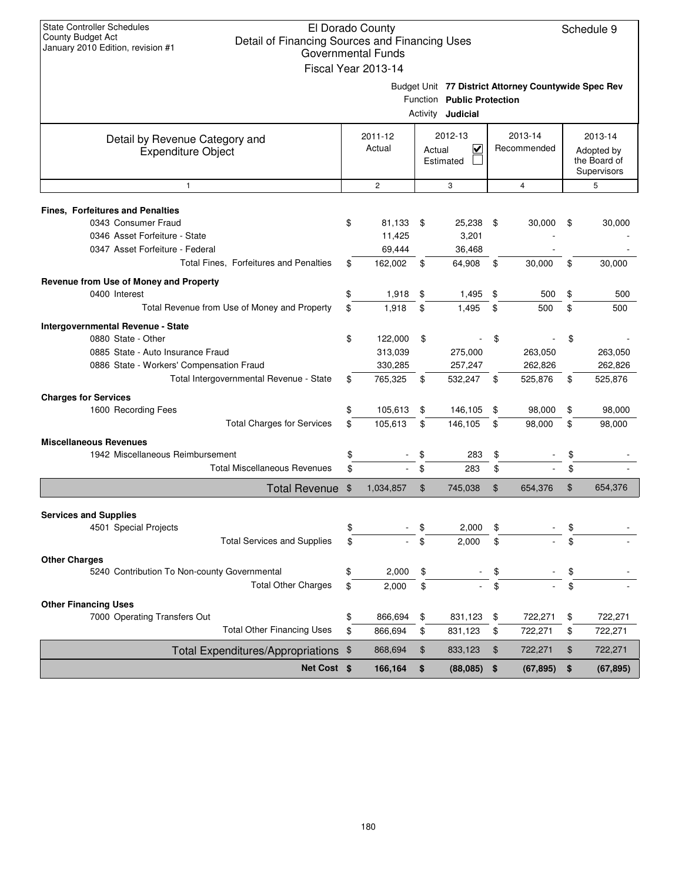| <b>State Controller Schedules</b>                                   | El Dorado County    |        |                            |                                                      |                 |
|---------------------------------------------------------------------|---------------------|--------|----------------------------|------------------------------------------------------|-----------------|
| County Budget Act<br>Detail of Financing Sources and Financing Uses |                     |        |                            |                                                      | Schedule 9      |
| January 2010 Edition, revision #1                                   | Governmental Funds  |        |                            |                                                      |                 |
|                                                                     | Fiscal Year 2013-14 |        |                            |                                                      |                 |
|                                                                     |                     |        |                            | Budget Unit 77 District Attorney Countywide Spec Rev |                 |
|                                                                     |                     |        | Function Public Protection |                                                      |                 |
|                                                                     |                     |        | Activity <b>Judicial</b>   |                                                      |                 |
|                                                                     | 2011-12             |        | 2012-13                    | 2013-14                                              | 2013-14         |
| Detail by Revenue Category and<br><b>Expenditure Object</b>         | Actual              | Actual | $\overline{\mathbf{v}}$    | Recommended                                          | Adopted by      |
|                                                                     |                     |        | Estimated                  |                                                      | the Board of    |
|                                                                     |                     |        |                            |                                                      | Supervisors     |
| $\mathbf{1}$                                                        | $\overline{2}$      |        | 3                          | $\overline{4}$                                       | 5               |
| <b>Fines, Forfeitures and Penalties</b>                             |                     |        |                            |                                                      |                 |
| 0343 Consumer Fraud                                                 | \$<br>81,133        | \$     | 25,238                     | \$<br>30,000                                         | \$<br>30,000    |
| 0346 Asset Forfeiture - State                                       | 11,425              |        | 3,201                      |                                                      |                 |
| 0347 Asset Forfeiture - Federal                                     | 69,444              |        | 36,468                     |                                                      |                 |
| Total Fines, Forfeitures and Penalties                              | \$<br>162,002       | \$     | 64,908                     | \$<br>30,000                                         | \$<br>30,000    |
| Revenue from Use of Money and Property                              |                     |        |                            |                                                      |                 |
| 0400 Interest                                                       | \$<br>1,918         | \$     | 1,495                      | \$<br>500                                            | \$<br>500       |
| Total Revenue from Use of Money and Property                        | \$<br>1,918         | \$     | 1,495                      | \$<br>500                                            | \$<br>500       |
| Intergovernmental Revenue - State                                   |                     |        |                            |                                                      |                 |
| 0880 State - Other                                                  | \$<br>122,000       | \$     |                            | \$                                                   | \$              |
| 0885 State - Auto Insurance Fraud                                   | 313,039             |        | 275,000                    | 263,050                                              | 263,050         |
| 0886 State - Workers' Compensation Fraud                            | 330,285             |        | 257,247                    | 262,826                                              | 262,826         |
| Total Intergovernmental Revenue - State                             | \$<br>765,325       | \$     | 532,247                    | \$<br>525,876                                        | \$<br>525,876   |
| <b>Charges for Services</b>                                         |                     |        |                            |                                                      |                 |
| 1600 Recording Fees                                                 | \$<br>105,613       | \$     | 146,105                    | \$<br>98,000                                         | \$<br>98,000    |
| <b>Total Charges for Services</b>                                   | \$<br>105,613       | \$     | 146,105                    | \$<br>98,000                                         | \$<br>98,000    |
| <b>Miscellaneous Revenues</b>                                       |                     |        |                            |                                                      |                 |
| 1942 Miscellaneous Reimbursement                                    | \$                  | \$     | 283                        | \$                                                   | \$              |
| <b>Total Miscellaneous Revenues</b>                                 | \$                  | \$     | 283                        | \$                                                   | \$              |
| Total Revenue \$                                                    | 1,034,857           | \$     | 745,038                    | \$<br>654,376                                        | \$<br>654,376   |
|                                                                     |                     |        |                            |                                                      |                 |
| <b>Services and Supplies</b>                                        |                     |        |                            |                                                      |                 |
| 4501 Special Projects<br><b>Total Services and Supplies</b>         | \$                  | \$     | 2,000                      | \$                                                   | \$              |
|                                                                     | \$                  | \$     | 2,000                      | \$                                                   | \$              |
| <b>Other Charges</b>                                                |                     |        |                            |                                                      |                 |
| 5240 Contribution To Non-county Governmental                        | \$<br>2,000         | \$     |                            | \$                                                   | \$              |
| <b>Total Other Charges</b>                                          | \$<br>2,000         | \$     |                            | \$                                                   | \$              |
| <b>Other Financing Uses</b>                                         |                     |        |                            |                                                      |                 |
| 7000 Operating Transfers Out                                        | \$<br>866,694       | \$     | 831,123                    | \$<br>722,271                                        | \$<br>722,271   |
| <b>Total Other Financing Uses</b>                                   | \$<br>866,694       | \$     | 831,123                    | \$<br>722,271                                        | \$<br>722,271   |
| Total Expenditures/Appropriations \$                                | 868,694             | \$     | 833,123                    | \$<br>722,271                                        | \$<br>722,271   |
| Net Cost \$                                                         | 166,164             | \$     | (88,085)                   | \$<br>(67, 895)                                      | \$<br>(67, 895) |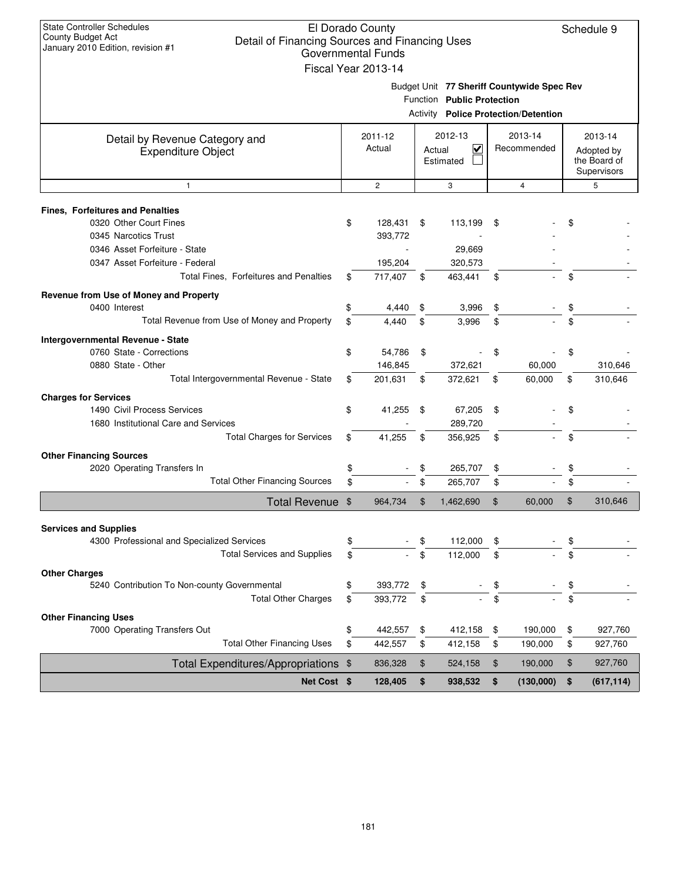| <b>State Controller Schedules</b><br>County Budget Act                              | El Dorado County          |        |                            |      |                                             | Schedule 9       |
|-------------------------------------------------------------------------------------|---------------------------|--------|----------------------------|------|---------------------------------------------|------------------|
| Detail of Financing Sources and Financing Uses<br>January 2010 Edition, revision #1 |                           |        |                            |      |                                             |                  |
|                                                                                     | <b>Governmental Funds</b> |        |                            |      |                                             |                  |
|                                                                                     | Fiscal Year 2013-14       |        |                            |      |                                             |                  |
|                                                                                     |                           |        |                            |      | Budget Unit 77 Sheriff Countywide Spec Rev  |                  |
|                                                                                     |                           |        | Function Public Protection |      |                                             |                  |
|                                                                                     |                           |        |                            |      | <b>Activity Police Protection/Detention</b> |                  |
|                                                                                     | 2011-12                   |        | 2012-13                    |      | 2013-14                                     | 2013-14          |
| Detail by Revenue Category and                                                      | Actual                    | Actual | $\overline{\mathsf{v}}$    |      | Recommended                                 | Adopted by       |
| <b>Expenditure Object</b>                                                           |                           |        | Estimated                  |      |                                             | the Board of     |
|                                                                                     |                           |        |                            |      |                                             | Supervisors      |
| 1                                                                                   | $\overline{c}$            |        | 3                          |      | $\overline{4}$                              | 5                |
|                                                                                     |                           |        |                            |      |                                             |                  |
| Fines, Forfeitures and Penalties<br>0320 Other Court Fines                          | \$<br>128,431             | \$     | 113,199                    | - \$ |                                             | \$               |
| 0345 Narcotics Trust                                                                | 393,772                   |        |                            |      |                                             |                  |
| 0346 Asset Forfeiture - State                                                       |                           |        | 29,669                     |      |                                             |                  |
| 0347 Asset Forfeiture - Federal                                                     | 195,204                   |        | 320,573                    |      |                                             |                  |
| Total Fines, Forfeitures and Penalties                                              | \$<br>717,407             | \$     | 463,441                    | \$   |                                             | \$               |
|                                                                                     |                           |        |                            |      |                                             |                  |
| Revenue from Use of Money and Property                                              |                           |        |                            |      |                                             |                  |
| 0400 Interest                                                                       | \$<br>4,440               | \$     | 3,996                      | \$   |                                             | \$               |
| Total Revenue from Use of Money and Property                                        | \$<br>4.440               | \$     | 3,996                      | \$   |                                             | \$               |
| Intergovernmental Revenue - State                                                   |                           |        |                            |      |                                             |                  |
| 0760 State - Corrections                                                            | \$<br>54,786              | \$     |                            | \$   |                                             | \$               |
| 0880 State - Other                                                                  | 146,845                   |        | 372,621                    |      | 60,000                                      | 310,646          |
| Total Intergovernmental Revenue - State                                             | \$<br>201,631             | \$     | 372,621                    | \$   | 60,000                                      | \$<br>310,646    |
| <b>Charges for Services</b>                                                         |                           |        |                            |      |                                             |                  |
| 1490 Civil Process Services                                                         | \$<br>41,255              | \$     | 67,205                     | \$   |                                             | \$               |
| 1680 Institutional Care and Services                                                |                           |        | 289,720                    |      |                                             |                  |
| <b>Total Charges for Services</b>                                                   | \$<br>41,255              | \$     | 356,925                    | \$   |                                             | \$               |
| <b>Other Financing Sources</b>                                                      |                           |        |                            |      |                                             |                  |
| 2020 Operating Transfers In                                                         | \$                        | \$     | 265,707                    | \$   |                                             | \$               |
| <b>Total Other Financing Sources</b>                                                | \$                        | \$     | 265,707                    | \$   |                                             | \$               |
| <b>Total Revenue</b>                                                                | \$<br>964,734             | \$     | 1,462,690                  | \$   | 60,000                                      | \$<br>310,646    |
|                                                                                     |                           |        |                            |      |                                             |                  |
| <b>Services and Supplies</b>                                                        |                           |        |                            |      |                                             |                  |
| 4300 Professional and Specialized Services                                          | \$                        | \$     | 112.000                    | \$   |                                             | \$               |
| <b>Total Services and Supplies</b>                                                  | \$                        | \$     | 112,000                    | \$   |                                             | \$               |
| <b>Other Charges</b>                                                                |                           |        |                            |      |                                             |                  |
| 5240 Contribution To Non-county Governmental                                        | \$<br>393,772             | \$     |                            | \$   |                                             | \$               |
| <b>Total Other Charges</b>                                                          | \$<br>393,772             | \$     |                            | \$   |                                             | \$               |
| <b>Other Financing Uses</b>                                                         |                           |        |                            |      |                                             |                  |
| 7000 Operating Transfers Out                                                        | \$<br>442,557             | \$     | 412,158                    | \$   | 190,000                                     | \$<br>927,760    |
| <b>Total Other Financing Uses</b>                                                   | \$<br>442,557             | \$     | 412,158                    | \$   | 190,000                                     | \$<br>927,760    |
| Total Expenditures/Appropriations \$                                                | 836,328                   | \$     | 524,158                    | \$   | 190,000                                     | \$<br>927,760    |
| Net Cost \$                                                                         | 128,405                   | \$     | 938,532                    | \$   | (130,000)                                   | \$<br>(617, 114) |
|                                                                                     |                           |        |                            |      |                                             |                  |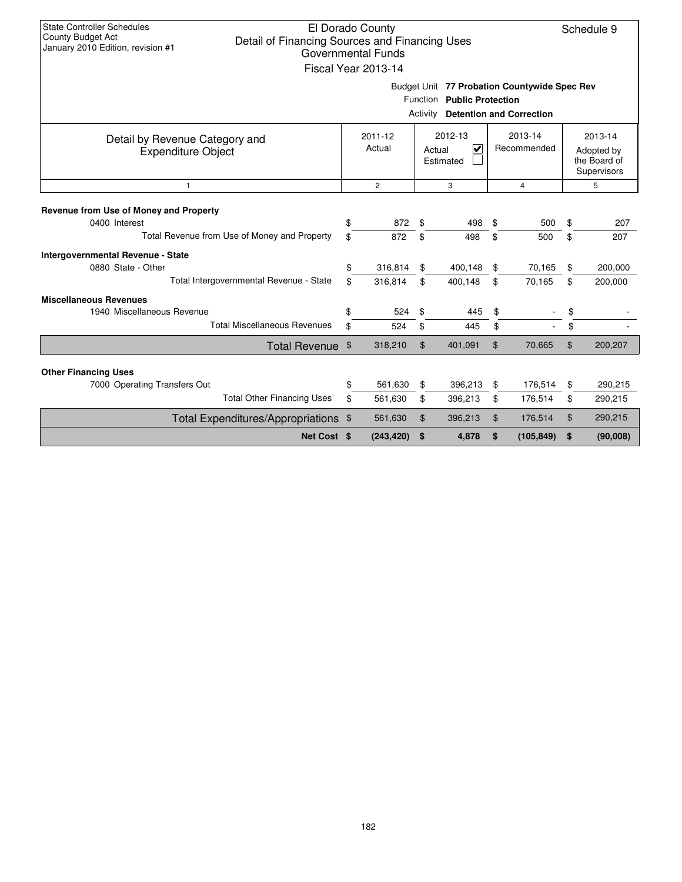| State Controller Schedules<br><b>County Budget Act</b><br>Detail of Financing Sources and Financing Uses<br>January 2010 Edition, revision #1 |    | El Dorado County<br><b>Governmental Funds</b><br>Fiscal Year 2013-14 |          |                                                                            |                |                                 |    | Schedule 9                                           |
|-----------------------------------------------------------------------------------------------------------------------------------------------|----|----------------------------------------------------------------------|----------|----------------------------------------------------------------------------|----------------|---------------------------------|----|------------------------------------------------------|
|                                                                                                                                               |    |                                                                      | Activity | Budget Unit 77 Probation Countywide Spec Rev<br>Function Public Protection |                | <b>Detention and Correction</b> |    |                                                      |
| Detail by Revenue Category and<br><b>Expenditure Object</b>                                                                                   |    | 2011-12<br>Actual                                                    |          | 2012-13<br>$\overline{\mathsf{v}}$<br>Actual<br>Estimated                  |                | 2013-14<br>Recommended          |    | 2013-14<br>Adopted by<br>the Board of<br>Supervisors |
| $\overline{c}$<br>3<br>$\overline{4}$<br>$\overline{1}$                                                                                       |    |                                                                      |          |                                                                            |                |                                 |    |                                                      |
| Revenue from Use of Money and Property<br>0400 Interest                                                                                       | \$ | 872                                                                  | \$       | 498                                                                        | \$             | 500                             | \$ | 207                                                  |
| Total Revenue from Use of Money and Property                                                                                                  | \$ | 872                                                                  | \$       | 498                                                                        | \$             | 500                             | \$ | 207                                                  |
| Intergovernmental Revenue - State<br>0880 State - Other                                                                                       | \$ | 316,814                                                              | \$       | 400,148                                                                    | \$             | 70,165                          | \$ | 200,000                                              |
| Total Intergovernmental Revenue - State                                                                                                       | \$ | 316,814                                                              | \$       | 400,148                                                                    | \$             | 70.165                          | \$ | 200,000                                              |
| <b>Miscellaneous Revenues</b><br>1940 Miscellaneous Revenue                                                                                   | \$ | 524                                                                  | \$       | 445                                                                        | \$             |                                 | \$ |                                                      |
| <b>Total Miscellaneous Revenues</b>                                                                                                           | \$ | 524                                                                  | \$       | 445                                                                        | \$             |                                 | \$ |                                                      |
| Total Revenue \$                                                                                                                              |    | 318,210                                                              | \$       | 401,091                                                                    | $\mathfrak{L}$ | 70,665                          | \$ | 200,207                                              |
| <b>Other Financing Uses</b>                                                                                                                   |    |                                                                      |          |                                                                            |                |                                 |    |                                                      |
| 7000 Operating Transfers Out                                                                                                                  | \$ | 561.630                                                              | \$       | 396,213                                                                    | \$             | 176,514                         | \$ | 290,215                                              |
| <b>Total Other Financing Uses</b>                                                                                                             | \$ | 561,630                                                              | \$       | 396,213                                                                    | \$             | 176,514                         | \$ | 290,215                                              |
| Total Expenditures/Appropriations \$                                                                                                          |    | 561,630                                                              | \$       | 396,213                                                                    | \$             | 176,514                         | \$ | 290,215                                              |
| Net Cost \$                                                                                                                                   |    | (243, 420)                                                           | \$       | 4,878                                                                      | \$             | (105, 849)                      | \$ | (90,008)                                             |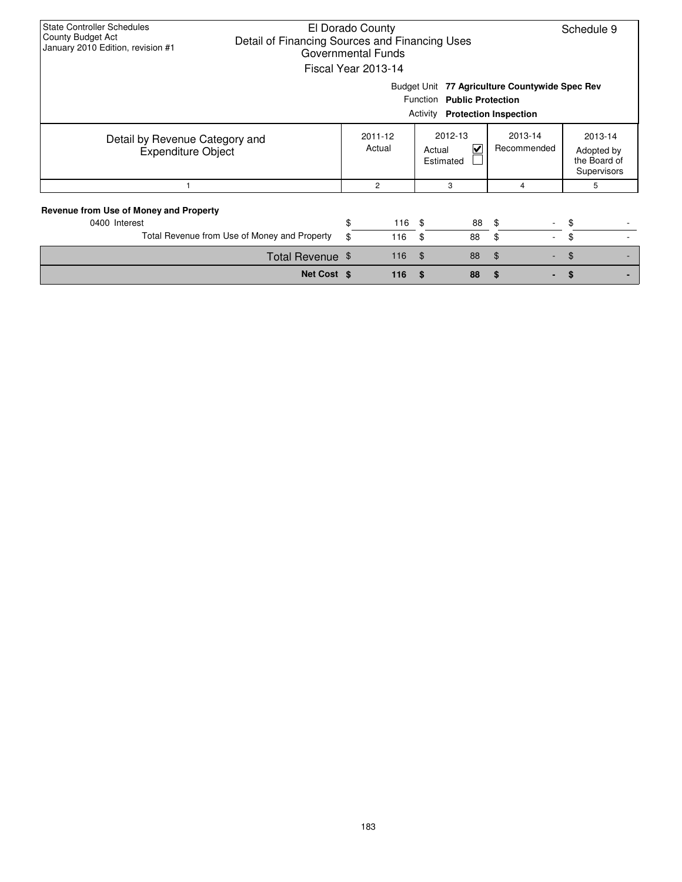| <b>State Controller Schedules</b><br>County Budget Act<br>Detail of Financing Sources and Financing Uses<br>January 2010 Edition, revision #1 |          | El Dorado County<br>Governmental Funds<br>Fiscal Year 2013-14 |                |                                                              |                                                | Schedule 9 |                                                      |  |
|-----------------------------------------------------------------------------------------------------------------------------------------------|----------|---------------------------------------------------------------|----------------|--------------------------------------------------------------|------------------------------------------------|------------|------------------------------------------------------|--|
|                                                                                                                                               |          |                                                               |                | Function Public Protection<br>Activity Protection Inspection | Budget Unit 77 Agriculture Countywide Spec Rev |            |                                                      |  |
| Detail by Revenue Category and<br><b>Expenditure Object</b>                                                                                   |          | 2011-12<br>Actual                                             |                | 2012-13<br>V<br>Actual<br>Estimated                          | 2013-14<br>Recommended                         |            | 2013-14<br>Adopted by<br>the Board of<br>Supervisors |  |
|                                                                                                                                               |          | 2                                                             |                | 3                                                            | 4                                              |            | 5                                                    |  |
| Revenue from Use of Money and Property<br>0400 Interest<br>Total Revenue from Use of Money and Property                                       | \$<br>\$ | 116<br>116                                                    | - \$<br>\$     | 88<br>88                                                     | \$<br>\$                                       | \$<br>\$   |                                                      |  |
| Total Revenue \$                                                                                                                              |          | 116                                                           | $\mathfrak{F}$ | 88                                                           | \$                                             | S          |                                                      |  |
| Net Cost \$                                                                                                                                   |          | 116                                                           | \$             | 88                                                           | \$                                             |            |                                                      |  |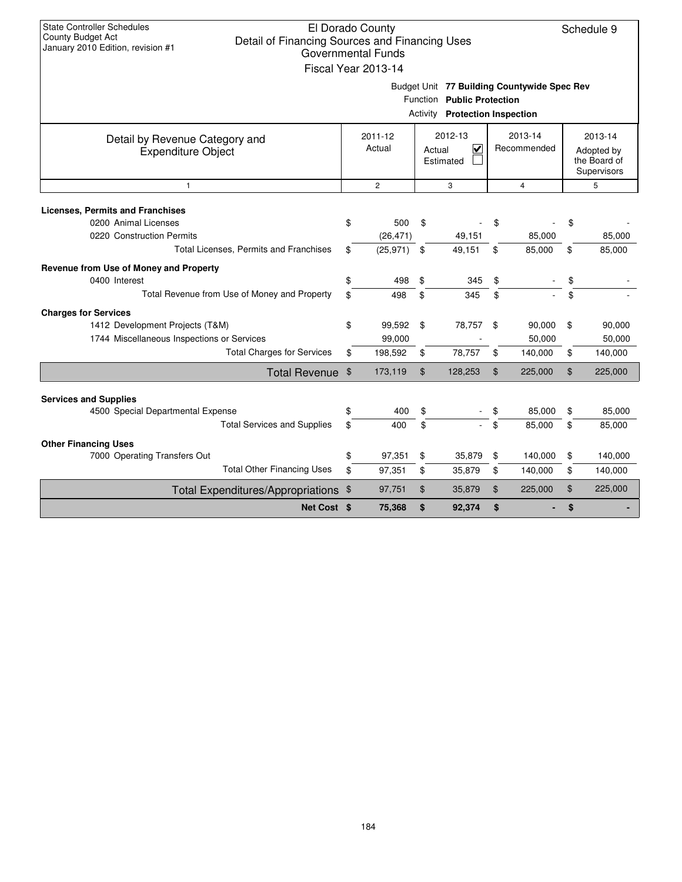| <b>State Controller Schedules</b><br>County Budget Act<br>January 2010 Edition, revision #1 | El Dorado County<br>Schedule 9<br>Detail of Financing Sources and Financing Uses<br><b>Governmental Funds</b><br>Fiscal Year 2013-14<br>Budget Unit 77 Building Countywide Spec Rev |                |    |                                                                     |    |                                                      |    |         |  |  |  |  |  |
|---------------------------------------------------------------------------------------------|-------------------------------------------------------------------------------------------------------------------------------------------------------------------------------------|----------------|----|---------------------------------------------------------------------|----|------------------------------------------------------|----|---------|--|--|--|--|--|
|                                                                                             |                                                                                                                                                                                     |                |    | Function Public Protection<br><b>Activity</b> Protection Inspection |    |                                                      |    |         |  |  |  |  |  |
| Detail by Revenue Category and<br><b>Expenditure Object</b>                                 | 2012-13<br>2011-12<br>Actual<br>V<br>Actual<br>Estimated                                                                                                                            |                |    | 2013-14<br>Recommended                                              |    | 2013-14<br>Adopted by<br>the Board of<br>Supervisors |    |         |  |  |  |  |  |
| $\mathbf{1}$                                                                                |                                                                                                                                                                                     | $\overline{2}$ |    | 3                                                                   |    | $\overline{4}$                                       |    | 5       |  |  |  |  |  |
| <b>Licenses, Permits and Franchises</b><br>0200 Animal Licenses                             | \$                                                                                                                                                                                  | 500            | \$ |                                                                     | \$ |                                                      | \$ |         |  |  |  |  |  |
| 0220 Construction Permits                                                                   |                                                                                                                                                                                     | (26, 471)      |    | 49,151                                                              |    | 85,000                                               |    | 85,000  |  |  |  |  |  |
| Total Licenses, Permits and Franchises                                                      | \$                                                                                                                                                                                  | (25, 971)      | \$ | 49,151                                                              | \$ | 85,000                                               | \$ | 85,000  |  |  |  |  |  |
| Revenue from Use of Money and Property                                                      |                                                                                                                                                                                     |                |    |                                                                     |    |                                                      |    |         |  |  |  |  |  |
| 0400 Interest                                                                               | \$                                                                                                                                                                                  | 498            | \$ | 345                                                                 | \$ |                                                      | \$ |         |  |  |  |  |  |
| Total Revenue from Use of Money and Property                                                | \$                                                                                                                                                                                  | 498            | \$ | 345                                                                 | \$ |                                                      | \$ |         |  |  |  |  |  |
| <b>Charges for Services</b>                                                                 |                                                                                                                                                                                     |                |    |                                                                     |    |                                                      |    |         |  |  |  |  |  |
| 1412 Development Projects (T&M)                                                             | \$                                                                                                                                                                                  | 99,592         | \$ | 78,757                                                              | \$ | 90,000                                               | \$ | 90,000  |  |  |  |  |  |
| 1744 Miscellaneous Inspections or Services                                                  |                                                                                                                                                                                     | 99,000         |    |                                                                     |    | 50,000                                               |    | 50,000  |  |  |  |  |  |
| <b>Total Charges for Services</b>                                                           | \$                                                                                                                                                                                  | 198,592        | \$ | 78,757                                                              | \$ | 140,000                                              | \$ | 140,000 |  |  |  |  |  |
| <b>Total Revenue</b>                                                                        | $\mathfrak{S}$                                                                                                                                                                      | 173,119        | \$ | 128,253                                                             | \$ | 225,000                                              | \$ | 225,000 |  |  |  |  |  |
|                                                                                             |                                                                                                                                                                                     |                |    |                                                                     |    |                                                      |    |         |  |  |  |  |  |
| <b>Services and Supplies</b><br>4500 Special Departmental Expense                           | \$                                                                                                                                                                                  | 400            | \$ |                                                                     | \$ | 85.000                                               | \$ | 85,000  |  |  |  |  |  |
| <b>Total Services and Supplies</b>                                                          | \$                                                                                                                                                                                  | 400            | \$ |                                                                     | \$ | 85,000                                               | \$ | 85,000  |  |  |  |  |  |
|                                                                                             |                                                                                                                                                                                     |                |    |                                                                     |    |                                                      |    |         |  |  |  |  |  |
| <b>Other Financing Uses</b><br>7000 Operating Transfers Out                                 | \$                                                                                                                                                                                  | 97,351         | \$ | 35,879                                                              | \$ | 140,000                                              | \$ | 140,000 |  |  |  |  |  |
| <b>Total Other Financing Uses</b>                                                           | \$                                                                                                                                                                                  | 97,351         | \$ | 35,879                                                              | \$ | 140,000                                              | \$ | 140,000 |  |  |  |  |  |
| Total Expenditures/Appropriations \$                                                        |                                                                                                                                                                                     | 97,751         | \$ | 35,879                                                              | \$ | 225,000                                              | \$ | 225,000 |  |  |  |  |  |
| Net Cost \$                                                                                 |                                                                                                                                                                                     | 75,368         | \$ | 92,374                                                              | \$ |                                                      | \$ |         |  |  |  |  |  |
|                                                                                             |                                                                                                                                                                                     |                |    |                                                                     |    |                                                      |    |         |  |  |  |  |  |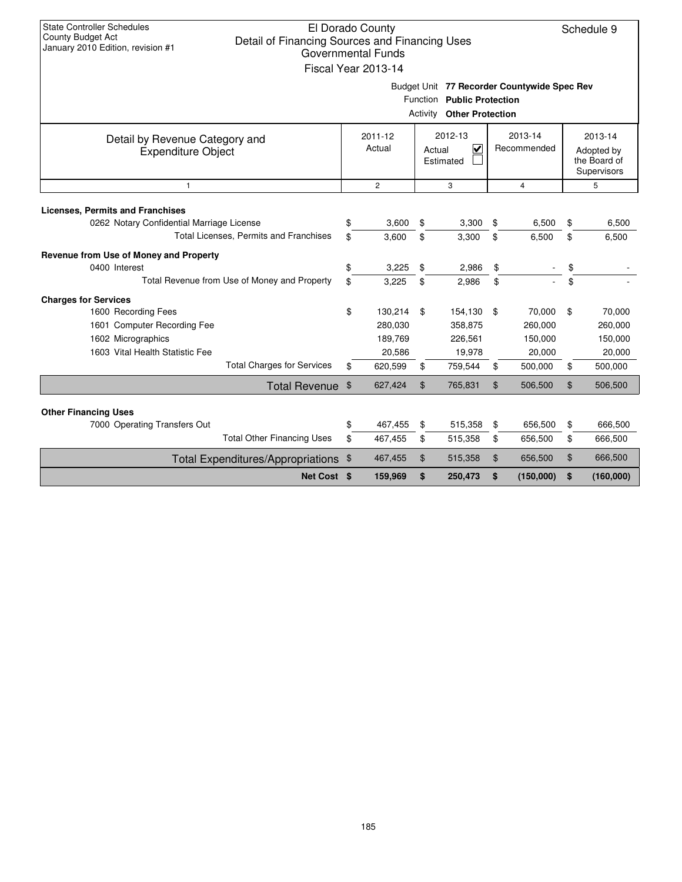| <b>State Controller Schedules</b><br>County Budget Act<br>Detail of Financing Sources and Financing Uses<br>January 2010 Edition, revision #1 |          | El Dorado County<br><b>Governmental Funds</b><br>Fiscal Year 2013-14           |          |                                                                                                               |                |                                        |                                                      | Schedule 9                             |  |
|-----------------------------------------------------------------------------------------------------------------------------------------------|----------|--------------------------------------------------------------------------------|----------|---------------------------------------------------------------------------------------------------------------|----------------|----------------------------------------|------------------------------------------------------|----------------------------------------|--|
|                                                                                                                                               |          |                                                                                |          | Budget Unit 77 Recorder Countywide Spec Rev<br>Function Public Protection<br><b>Activity Other Protection</b> |                |                                        |                                                      |                                        |  |
| Detail by Revenue Category and<br><b>Expenditure Object</b>                                                                                   |          | 2012-13<br>2011-12<br>$\overline{\mathbf{v}}$<br>Actual<br>Actual<br>Estimated |          |                                                                                                               |                | 2013-14<br>Recommended                 | 2013-14<br>Adopted by<br>the Board of<br>Supervisors |                                        |  |
| $\mathbf{1}$                                                                                                                                  |          | $\overline{2}$                                                                 |          | 3                                                                                                             |                | 4                                      |                                                      | 5                                      |  |
| <b>Licenses, Permits and Franchises</b><br>0262 Notary Confidential Marriage License                                                          | \$       | 3,600                                                                          | \$       | 3,300                                                                                                         | \$             | 6,500                                  | \$                                                   | 6,500                                  |  |
| Total Licenses, Permits and Franchises                                                                                                        | \$       | 3,600                                                                          | \$       | 3,300                                                                                                         | \$             | 6,500                                  | \$                                                   | 6,500                                  |  |
| Revenue from Use of Money and Property<br>0400 Interest                                                                                       | \$       | 3,225                                                                          | \$       | 2,986                                                                                                         | \$             |                                        | \$                                                   |                                        |  |
| Total Revenue from Use of Money and Property                                                                                                  | \$       | 3,225                                                                          | \$       | 2,986                                                                                                         | \$             |                                        | \$                                                   |                                        |  |
| <b>Charges for Services</b><br>1600 Recording Fees<br>1601 Computer Recording Fee<br>1602 Micrographics<br>1603 Vital Health Statistic Fee    | \$       | 130,214<br>280,030<br>189,769<br>20,586                                        | \$       | 154,130<br>358,875<br>226,561<br>19,978                                                                       | \$             | 70.000<br>260,000<br>150,000<br>20,000 | \$                                                   | 70,000<br>260,000<br>150,000<br>20,000 |  |
| <b>Total Charges for Services</b>                                                                                                             | \$       | 620,599                                                                        | \$       | 759,544                                                                                                       | \$             | 500,000                                | \$                                                   | 500,000                                |  |
| Total Revenue \$                                                                                                                              |          | 627,424                                                                        | \$       | 765,831                                                                                                       | \$             | 506,500                                | \$                                                   | 506,500                                |  |
| <b>Other Financing Uses</b><br>7000 Operating Transfers Out<br><b>Total Other Financing Uses</b>                                              | \$<br>\$ | 467,455<br>467,455                                                             | \$<br>\$ | 515,358<br>515,358                                                                                            | \$<br>\$       | 656,500<br>656,500                     | \$<br>\$                                             | 666,500<br>666,500                     |  |
|                                                                                                                                               |          | 467,455                                                                        | \$       |                                                                                                               | $\mathfrak{L}$ | 656,500                                | \$                                                   | 666,500                                |  |
| Total Expenditures/Appropriations \$<br>Net Cost \$                                                                                           |          | 159,969                                                                        | \$       | 515,358<br>250,473                                                                                            | \$             | (150,000)                              | \$                                                   | (160,000)                              |  |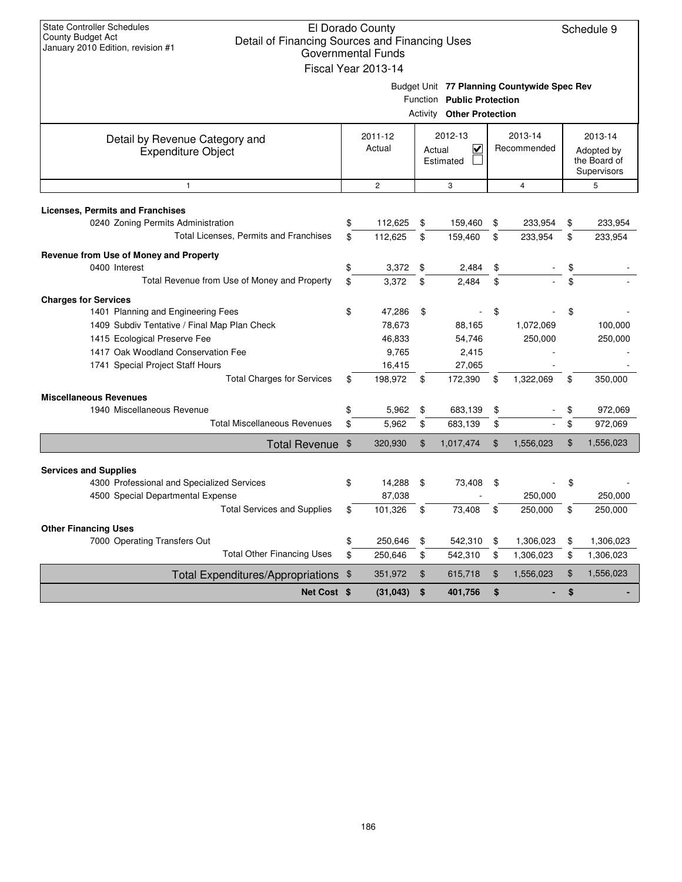| <b>State Controller Schedules</b><br>El Dorado County<br>County Budget Act<br>Detail of Financing Sources and Financing Uses<br>January 2010 Edition, revision #1<br><b>Governmental Funds</b><br>Fiscal Year 2013-14 |          |                            |          |                                                                |          |                                             |          |                                                      |  |  |
|-----------------------------------------------------------------------------------------------------------------------------------------------------------------------------------------------------------------------|----------|----------------------------|----------|----------------------------------------------------------------|----------|---------------------------------------------|----------|------------------------------------------------------|--|--|
|                                                                                                                                                                                                                       |          |                            |          | Function Public Protection<br><b>Activity Other Protection</b> |          | Budget Unit 77 Planning Countywide Spec Rev |          |                                                      |  |  |
| Detail by Revenue Category and<br><b>Expenditure Object</b>                                                                                                                                                           |          | 2011-12<br>Actual          |          | 2012-13<br>V<br>Actual<br>Estimated                            |          | 2013-14<br>Recommended                      |          | 2013-14<br>Adopted by<br>the Board of<br>Supervisors |  |  |
| $\mathbf{1}$                                                                                                                                                                                                          |          | $\overline{c}$             |          | 3                                                              |          | 4                                           |          | 5                                                    |  |  |
| <b>Licenses, Permits and Franchises</b><br>0240 Zoning Permits Administration<br>Total Licenses, Permits and Franchises                                                                                               | \$<br>\$ | 112,625<br>112,625         | \$<br>\$ | 159,460<br>159,460                                             | \$<br>\$ | 233,954<br>233,954                          | \$<br>\$ | 233,954<br>233,954                                   |  |  |
| Revenue from Use of Money and Property<br>0400 Interest<br>Total Revenue from Use of Money and Property                                                                                                               | \$<br>\$ | 3,372<br>3,372             | \$<br>\$ | 2,484<br>2,484                                                 | \$<br>\$ |                                             | \$<br>\$ |                                                      |  |  |
| <b>Charges for Services</b><br>1401 Planning and Engineering Fees<br>1409 Subdiv Tentative / Final Map Plan Check<br>1415 Ecological Preserve Fee                                                                     | \$       | 47,286<br>78,673<br>46,833 | \$       | 88,165<br>54,746                                               | \$       | 1,072,069<br>250,000                        | \$       | 100,000<br>250,000                                   |  |  |
| 1417 Oak Woodland Conservation Fee<br>1741 Special Project Staff Hours<br><b>Total Charges for Services</b>                                                                                                           | \$       | 9,765<br>16,415<br>198,972 | \$       | 2,415<br>27,065<br>172,390                                     | \$       | 1,322,069                                   | \$       | 350,000                                              |  |  |
| <b>Miscellaneous Revenues</b><br>1940 Miscellaneous Revenue<br><b>Total Miscellaneous Revenues</b>                                                                                                                    | \$<br>\$ | 5,962<br>5,962             | \$<br>\$ | 683,139<br>683,139                                             | \$<br>\$ |                                             | \$<br>\$ | 972,069<br>972,069                                   |  |  |
| <b>Total Revenue</b>                                                                                                                                                                                                  | \$       | 320,930                    | \$       | 1,017,474                                                      | \$       | 1,556,023                                   | \$       | 1,556,023                                            |  |  |
| <b>Services and Supplies</b><br>4300 Professional and Specialized Services<br>4500 Special Departmental Expense                                                                                                       | \$       | 14,288<br>87,038           | \$       | 73,408                                                         | \$       | 250,000                                     | \$       | 250,000                                              |  |  |
| <b>Total Services and Supplies</b><br><b>Other Financing Uses</b>                                                                                                                                                     | \$       | 101,326                    | \$       | 73,408                                                         | \$       | 250,000                                     | \$       | 250.000                                              |  |  |
| 7000 Operating Transfers Out<br><b>Total Other Financing Uses</b>                                                                                                                                                     | \$<br>\$ | 250,646<br>250,646         | \$<br>\$ | 542,310<br>542,310                                             | \$<br>\$ | 1,306,023<br>1,306,023                      | \$<br>\$ | 1,306,023<br>1,306,023                               |  |  |
| Total Expenditures/Appropriations \$                                                                                                                                                                                  |          | 351,972                    | $\,$     | 615,718                                                        | \$       | 1,556,023                                   | \$       | 1,556,023                                            |  |  |
| Net Cost \$                                                                                                                                                                                                           |          | (31, 043)                  | \$       | 401,756                                                        | \$       | ٠                                           | \$       |                                                      |  |  |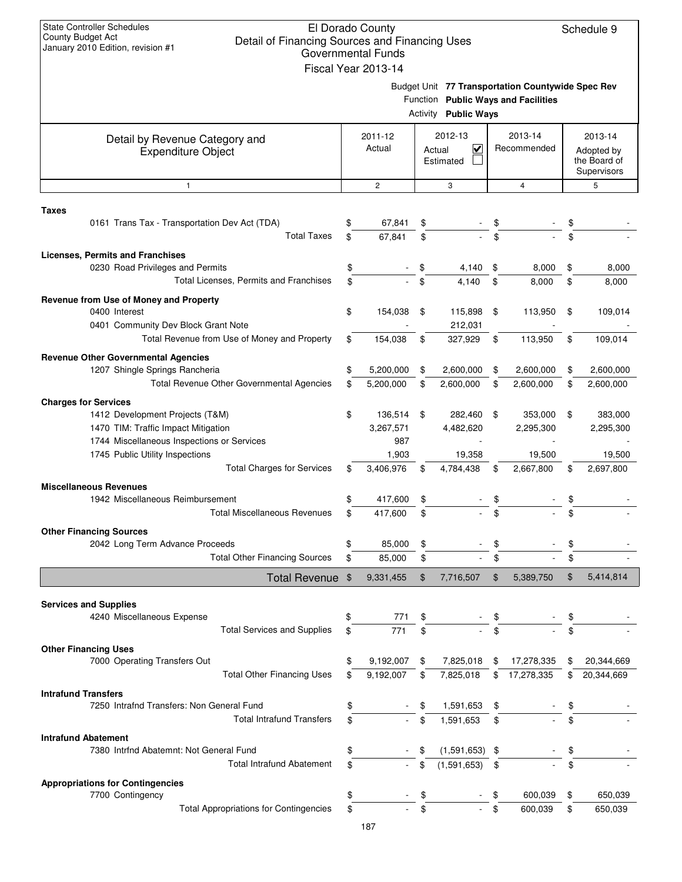| <b>State Controller Schedules</b><br>El Dorado County<br>Schedule 9<br>County Budget Act<br>Detail of Financing Sources and Financing Uses<br>January 2010 Edition, revision #1<br><b>Governmental Funds</b><br>Fiscal Year 2013-14<br>Budget Unit 77 Transportation Countywide Spec Rev |          |                  |                |                                                |          |                                     |          |                                           |  |  |  |  |
|------------------------------------------------------------------------------------------------------------------------------------------------------------------------------------------------------------------------------------------------------------------------------------------|----------|------------------|----------------|------------------------------------------------|----------|-------------------------------------|----------|-------------------------------------------|--|--|--|--|
|                                                                                                                                                                                                                                                                                          |          |                  | Activity       | <b>Public Ways</b>                             |          | Function Public Ways and Facilities |          |                                           |  |  |  |  |
| Detail by Revenue Category and                                                                                                                                                                                                                                                           |          | 2011-12          |                | 2012-13                                        |          | 2013-14                             |          | 2013-14                                   |  |  |  |  |
| <b>Expenditure Object</b>                                                                                                                                                                                                                                                                |          | Actual           |                | $\overline{\mathsf{v}}$<br>Actual<br>Estimated |          | Recommended                         |          | Adopted by<br>the Board of<br>Supervisors |  |  |  |  |
| $\mathbf{1}$                                                                                                                                                                                                                                                                             |          | $\mathbf{2}$     |                | 3                                              |          | 4                                   |          | 5                                         |  |  |  |  |
| <b>Taxes</b>                                                                                                                                                                                                                                                                             |          |                  |                |                                                |          |                                     |          |                                           |  |  |  |  |
| 0161 Trans Tax - Transportation Dev Act (TDA)<br><b>Total Taxes</b>                                                                                                                                                                                                                      | \$       | 67,841<br>67,841 | \$<br>\$       |                                                |          |                                     | \$       |                                           |  |  |  |  |
| <b>Licenses, Permits and Franchises</b>                                                                                                                                                                                                                                                  |          |                  |                |                                                |          |                                     |          |                                           |  |  |  |  |
| 0230 Road Privileges and Permits<br>Total Licenses, Permits and Franchises                                                                                                                                                                                                               | \$<br>\$ |                  | \$             | 4,140<br>4.140                                 | \$<br>\$ | 8,000<br>8.000                      | \$<br>\$ | 8,000<br>8,000                            |  |  |  |  |
|                                                                                                                                                                                                                                                                                          |          |                  |                |                                                |          |                                     |          |                                           |  |  |  |  |
| Revenue from Use of Money and Property<br>0400 Interest<br>0401 Community Dev Block Grant Note                                                                                                                                                                                           | \$       | 154,038          | \$             | 115,898<br>212,031                             | \$       | 113,950                             | \$       | 109,014                                   |  |  |  |  |
| Total Revenue from Use of Money and Property                                                                                                                                                                                                                                             | \$       | 154,038          | \$             | 327,929                                        | \$       | 113,950                             | \$       | 109,014                                   |  |  |  |  |
| <b>Revenue Other Governmental Agencies</b>                                                                                                                                                                                                                                               |          |                  |                |                                                |          |                                     |          |                                           |  |  |  |  |
| 1207 Shingle Springs Rancheria                                                                                                                                                                                                                                                           | \$       | 5,200,000        | \$             | 2,600,000                                      | \$       | 2,600,000                           | \$       | 2,600,000                                 |  |  |  |  |
| <b>Total Revenue Other Governmental Agencies</b>                                                                                                                                                                                                                                         | \$       | 5,200,000        | \$             | 2,600,000                                      | \$       | 2,600,000                           | \$       | 2,600,000                                 |  |  |  |  |
| <b>Charges for Services</b><br>1412 Development Projects (T&M)                                                                                                                                                                                                                           | \$       | 136,514          | \$             | 282,460                                        | \$       | 353,000                             | \$       | 383,000                                   |  |  |  |  |
| 1470 TIM: Traffic Impact Mitigation                                                                                                                                                                                                                                                      |          | 3,267,571        |                | 4,482,620                                      |          | 2,295,300                           |          | 2,295,300                                 |  |  |  |  |
| 1744 Miscellaneous Inspections or Services                                                                                                                                                                                                                                               |          | 987              |                |                                                |          |                                     |          |                                           |  |  |  |  |
| 1745 Public Utility Inspections                                                                                                                                                                                                                                                          |          | 1,903            |                | 19,358                                         |          | 19,500                              |          | 19,500                                    |  |  |  |  |
| <b>Total Charges for Services</b>                                                                                                                                                                                                                                                        | \$       | 3,406,976        | \$             | 4,784,438                                      | \$       | 2,667,800                           | \$       | 2,697,800                                 |  |  |  |  |
| <b>Miscellaneous Revenues</b>                                                                                                                                                                                                                                                            |          |                  |                |                                                |          |                                     |          |                                           |  |  |  |  |
| 1942 Miscellaneous Reimbursement<br><b>Total Miscellaneous Revenues</b>                                                                                                                                                                                                                  | \$<br>\$ | 417,600          | \$             |                                                | \$       |                                     | \$       |                                           |  |  |  |  |
|                                                                                                                                                                                                                                                                                          |          | 417,600          |                |                                                |          |                                     |          |                                           |  |  |  |  |
| <b>Other Financing Sources</b><br>2042 Long Term Advance Proceeds                                                                                                                                                                                                                        | \$       | 85,000           | \$             |                                                |          |                                     | \$       |                                           |  |  |  |  |
| <b>Total Other Financing Sources</b>                                                                                                                                                                                                                                                     | \$       | 85,000           | \$             |                                                |          |                                     | \$       |                                           |  |  |  |  |
| Total Revenue \$                                                                                                                                                                                                                                                                         |          | 9,331,455        | $\mathfrak{F}$ | 7,716,507                                      | \$       | 5,389,750                           | \$       | 5,414,814                                 |  |  |  |  |
|                                                                                                                                                                                                                                                                                          |          |                  |                |                                                |          |                                     |          |                                           |  |  |  |  |
| <b>Services and Supplies</b>                                                                                                                                                                                                                                                             |          |                  |                |                                                |          |                                     |          |                                           |  |  |  |  |
| 4240 Miscellaneous Expense<br><b>Total Services and Supplies</b>                                                                                                                                                                                                                         | \$       | 771              |                |                                                |          |                                     |          |                                           |  |  |  |  |
|                                                                                                                                                                                                                                                                                          | \$       | 771              | \$             |                                                |          |                                     | \$       |                                           |  |  |  |  |
| <b>Other Financing Uses</b><br>7000 Operating Transfers Out                                                                                                                                                                                                                              | \$       | 9,192,007        | \$             | 7,825,018                                      | \$       | 17,278,335                          | \$       | 20,344,669                                |  |  |  |  |
| <b>Total Other Financing Uses</b>                                                                                                                                                                                                                                                        | \$       | 9,192,007        | \$             | 7,825,018                                      | \$       | 17,278,335                          | \$       | 20,344,669                                |  |  |  |  |
| <b>Intrafund Transfers</b>                                                                                                                                                                                                                                                               |          |                  |                |                                                |          |                                     |          |                                           |  |  |  |  |
| 7250 Intrafnd Transfers: Non General Fund                                                                                                                                                                                                                                                | \$       |                  |                | 1,591,653                                      |          |                                     | \$       |                                           |  |  |  |  |
| <b>Total Intrafund Transfers</b>                                                                                                                                                                                                                                                         | \$       |                  | \$             | 1,591,653                                      | \$       |                                     | \$       |                                           |  |  |  |  |
| <b>Intrafund Abatement</b>                                                                                                                                                                                                                                                               |          |                  |                |                                                |          |                                     |          |                                           |  |  |  |  |
| 7380 Intrfnd Abatemnt: Not General Fund                                                                                                                                                                                                                                                  |          |                  |                | $(1,591,653)$ \$                               |          |                                     | \$       |                                           |  |  |  |  |
| <b>Total Intrafund Abatement</b>                                                                                                                                                                                                                                                         | \$       |                  | \$             | (1,591,653)                                    | \$       |                                     | \$       |                                           |  |  |  |  |
| <b>Appropriations for Contingencies</b>                                                                                                                                                                                                                                                  |          |                  |                |                                                |          |                                     |          |                                           |  |  |  |  |
| 7700 Contingency<br><b>Total Appropriations for Contingencies</b>                                                                                                                                                                                                                        | \$<br>\$ |                  |                |                                                | \$       | 600,039<br>600.039                  | \$<br>\$ | 650,039<br>650,039                        |  |  |  |  |
|                                                                                                                                                                                                                                                                                          |          | 187              |                |                                                |          |                                     |          |                                           |  |  |  |  |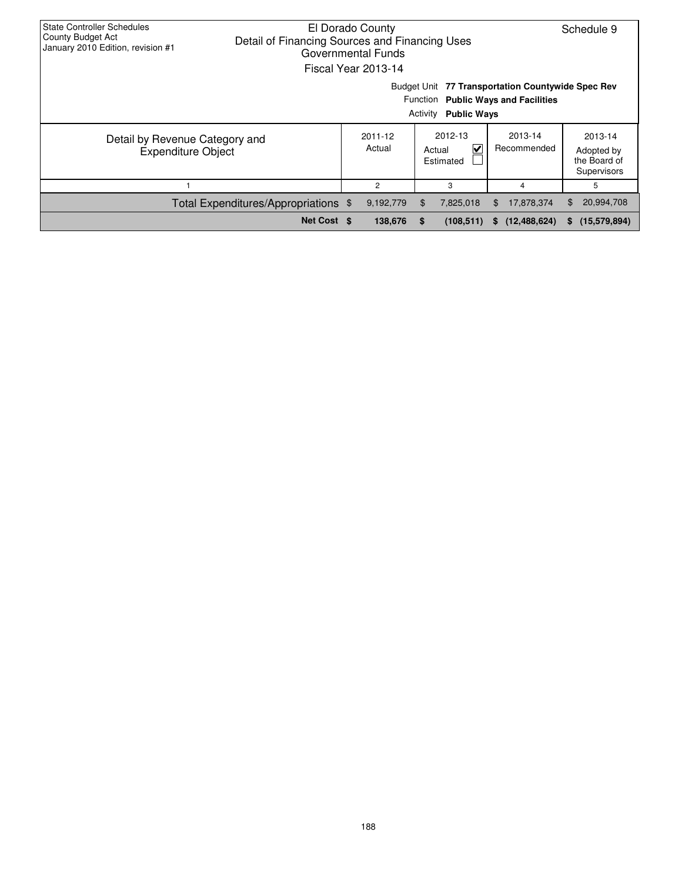| <b>State Controller Schedules</b><br>El Dorado County<br>County Budget Act<br>Detail of Financing Sources and Financing Uses<br>January 2010 Edition, revision #1<br>Governmental Funds<br><b>Fiscal Year 2013-14</b> |                                                                                    | Schedule 9 |           |     |            |                      |                      |
|-----------------------------------------------------------------------------------------------------------------------------------------------------------------------------------------------------------------------|------------------------------------------------------------------------------------|------------|-----------|-----|------------|----------------------|----------------------|
| Budget Unit 77 Transportation Countywide Spec Rev<br>Function Public Ways and Facilities<br>Activity<br><b>Public Ways</b>                                                                                            |                                                                                    |            |           |     |            |                      |                      |
| Detail by Revenue Category and<br><b>Expenditure Object</b>                                                                                                                                                           | 2012-13<br>2013-14<br>2011-12<br>Actual<br>V<br>Recommended<br>Actual<br>Estimated |            |           |     |            |                      |                      |
|                                                                                                                                                                                                                       |                                                                                    |            | 2         |     | 3          | 4                    | 5                    |
| Total Expenditures/Appropriations \$                                                                                                                                                                                  |                                                                                    |            | 9,192,779 | \$. | 7,825,018  | 17,878,374<br>\$F.   | 20,994,708<br>\$.    |
|                                                                                                                                                                                                                       | Net Cost \$                                                                        |            | 138,676   |     | (108, 511) | (12, 488, 624)<br>s. | (15, 579, 894)<br>s. |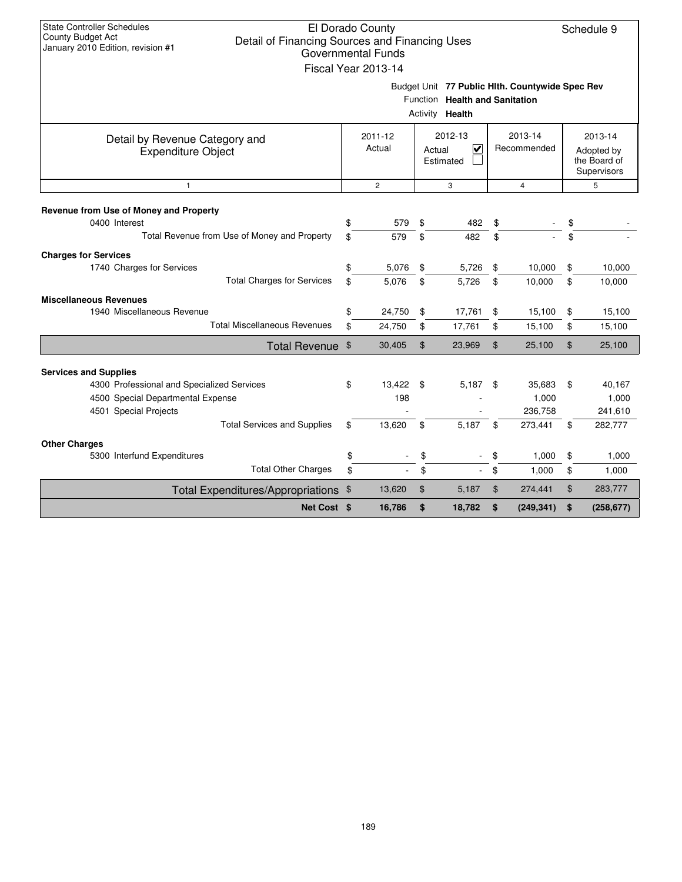| <b>State Controller Schedules</b><br>County Budget Act<br>Detail of Financing Sources and Financing Uses<br>January 2010 Edition, revision #1                                  |          | El Dorado County<br><b>Governmental Funds</b><br>Fiscal Year 2013-14 |                |                                                                                                      |                |                                       |          | Schedule 9                                           |
|--------------------------------------------------------------------------------------------------------------------------------------------------------------------------------|----------|----------------------------------------------------------------------|----------------|------------------------------------------------------------------------------------------------------|----------------|---------------------------------------|----------|------------------------------------------------------|
|                                                                                                                                                                                |          |                                                                      |                | Budget Unit 77 Public Hlth. Countywide Spec Rev<br>Function Health and Sanitation<br>Activity Health |                |                                       |          |                                                      |
| Detail by Revenue Category and<br><b>Expenditure Object</b>                                                                                                                    |          | 2011-12<br>Actual                                                    |                | 2012-13<br>V<br>Actual<br>Estimated                                                                  |                | 2013-14<br>Recommended                |          | 2013-14<br>Adopted by<br>the Board of<br>Supervisors |
| $\mathbf{1}$                                                                                                                                                                   |          | $\overline{2}$                                                       |                | 3                                                                                                    |                | $\overline{4}$                        |          | 5                                                    |
| Revenue from Use of Money and Property<br>0400 Interest<br>Total Revenue from Use of Money and Property                                                                        | \$<br>\$ | 579<br>579                                                           | \$<br>\$       | 482<br>482                                                                                           | \$<br>\$       |                                       | \$<br>\$ |                                                      |
| <b>Charges for Services</b><br>1740 Charges for Services<br><b>Total Charges for Services</b>                                                                                  | \$<br>\$ | 5,076<br>5,076                                                       | \$<br>\$       | 5,726<br>5,726                                                                                       | \$<br>\$       | 10,000<br>10,000                      | \$<br>\$ | 10,000<br>10,000                                     |
| <b>Miscellaneous Revenues</b><br>1940 Miscellaneous Revenue<br><b>Total Miscellaneous Revenues</b>                                                                             | \$<br>\$ | 24,750<br>24,750                                                     | \$<br>\$       | 17,761<br>17,761                                                                                     | \$<br>\$       | 15,100<br>15,100                      | \$<br>\$ | 15,100<br>15,100                                     |
| Total Revenue \$                                                                                                                                                               |          | 30,405                                                               | $\mathfrak{L}$ | 23,969                                                                                               | \$             | 25,100                                | \$       | 25,100                                               |
| <b>Services and Supplies</b><br>4300 Professional and Specialized Services<br>4500 Special Departmental Expense<br>4501 Special Projects<br><b>Total Services and Supplies</b> | \$<br>\$ | 13.422<br>198<br>13,620                                              | - \$<br>\$     | 5,187<br>5,187                                                                                       | \$<br>\$       | 35,683<br>1,000<br>236,758<br>273,441 | \$<br>\$ | 40,167<br>1,000<br>241,610<br>282,777                |
| <b>Other Charges</b><br>5300 Interfund Expenditures<br><b>Total Other Charges</b>                                                                                              | \$<br>\$ |                                                                      | \$<br>\$       |                                                                                                      | \$             | 1,000<br>1,000                        | \$<br>\$ | 1,000<br>1,000                                       |
|                                                                                                                                                                                |          | 13,620                                                               | $\mathfrak{S}$ | 5,187                                                                                                | $\mathfrak{L}$ | 274,441                               | \$       | 283,777                                              |
| Total Expenditures/Appropriations \$<br>Net Cost \$                                                                                                                            |          | 16,786                                                               | \$             | 18,782                                                                                               | \$             | (249, 341)                            | \$       | (258, 677)                                           |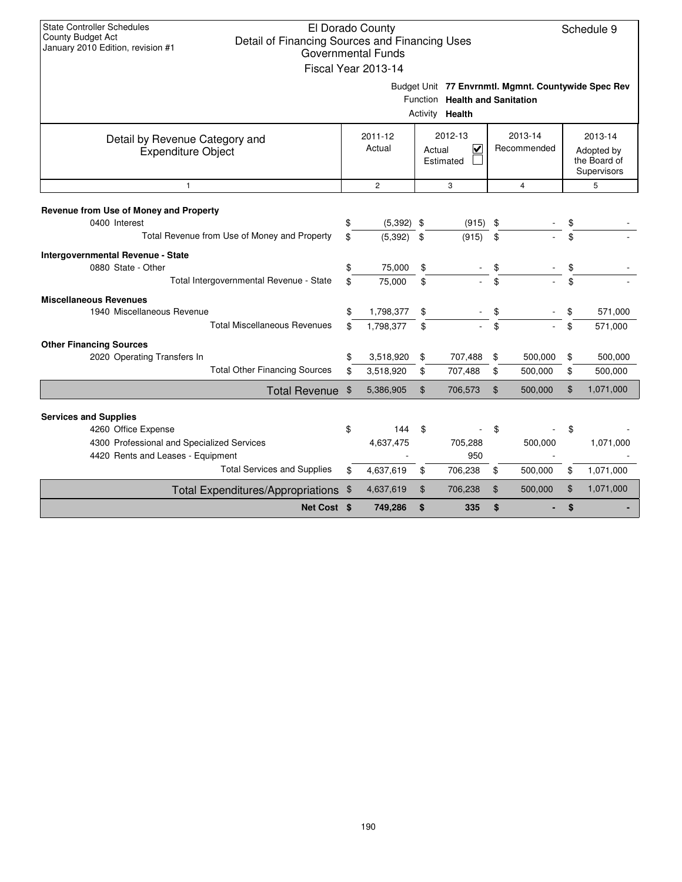| <b>State Controller Schedules</b><br>County Budget Act<br>Detail of Financing Sources and Financing Uses<br>January 2010 Edition, revision #1 |          | El Dorado County<br><b>Governmental Funds</b><br>Fiscal Year 2013-14 |                |                                                   |          |                                                     |                    | Schedule 9                                           |
|-----------------------------------------------------------------------------------------------------------------------------------------------|----------|----------------------------------------------------------------------|----------------|---------------------------------------------------|----------|-----------------------------------------------------|--------------------|------------------------------------------------------|
|                                                                                                                                               |          |                                                                      |                | Function Health and Sanitation<br>Activity Health |          | Budget Unit 77 Envrnmtl. Mgmnt. Countywide Spec Rev |                    |                                                      |
| Detail by Revenue Category and<br><b>Expenditure Object</b>                                                                                   |          | 2011-12<br>Actual                                                    |                | 2012-13<br>V<br>Actual<br>Estimated               |          | 2013-14<br>Recommended                              |                    | 2013-14<br>Adopted by<br>the Board of<br>Supervisors |
| $\mathbf{1}$                                                                                                                                  |          | $\overline{2}$                                                       |                | 3                                                 |          | 4                                                   |                    | 5                                                    |
| Revenue from Use of Money and Property<br>0400 Interest<br>Total Revenue from Use of Money and Property                                       | \$<br>\$ | (5, 392)<br>(5, 392)                                                 | \$<br>\$       | (915)<br>(915)                                    | \$<br>\$ |                                                     | \$                 |                                                      |
| Intergovernmental Revenue - State<br>0880 State - Other<br>Total Intergovernmental Revenue - State                                            | \$<br>\$ | 75,000<br>75,000                                                     | \$<br>\$       |                                                   | \$<br>\$ |                                                     | \$                 |                                                      |
| <b>Miscellaneous Revenues</b><br>1940 Miscellaneous Revenue<br><b>Total Miscellaneous Revenues</b>                                            | \$<br>\$ | 1,798,377<br>1,798,377                                               | \$<br>\$       |                                                   | \$       |                                                     | $\mathbf{\hat{z}}$ | 571,000<br>571,000                                   |
| <b>Other Financing Sources</b>                                                                                                                |          |                                                                      |                |                                                   |          |                                                     |                    |                                                      |
| 2020 Operating Transfers In<br><b>Total Other Financing Sources</b>                                                                           | \$<br>\$ | 3,518,920<br>3,518,920                                               | \$<br>\$       | 707,488<br>707,488                                | \$<br>\$ | 500,000<br>500,000                                  | \$<br>\$           | 500,000<br>500,000                                   |
| <b>Total Revenue</b>                                                                                                                          | \$       | 5,386,905                                                            | $\mathfrak{S}$ | 706,573                                           | \$       | 500,000                                             | \$                 | 1,071,000                                            |
| <b>Services and Supplies</b><br>4260 Office Expense                                                                                           | \$       | 144                                                                  | \$             |                                                   | \$       |                                                     | \$                 |                                                      |
| 4300 Professional and Specialized Services<br>4420 Rents and Leases - Equipment                                                               |          | 4,637,475                                                            |                | 705,288<br>950                                    |          | 500,000                                             |                    | 1,071,000                                            |
| <b>Total Services and Supplies</b>                                                                                                            | \$       | 4,637,619                                                            | \$             | 706,238                                           | \$       | 500,000                                             | \$                 | 1,071,000                                            |
| <b>Total Expenditures/Appropriations</b>                                                                                                      | \$       | 4,637,619                                                            | \$             | 706,238                                           | \$       | 500,000                                             | \$                 | 1,071,000                                            |
| Net Cost \$                                                                                                                                   |          | 749,286                                                              | \$             | 335                                               | \$       |                                                     | \$                 |                                                      |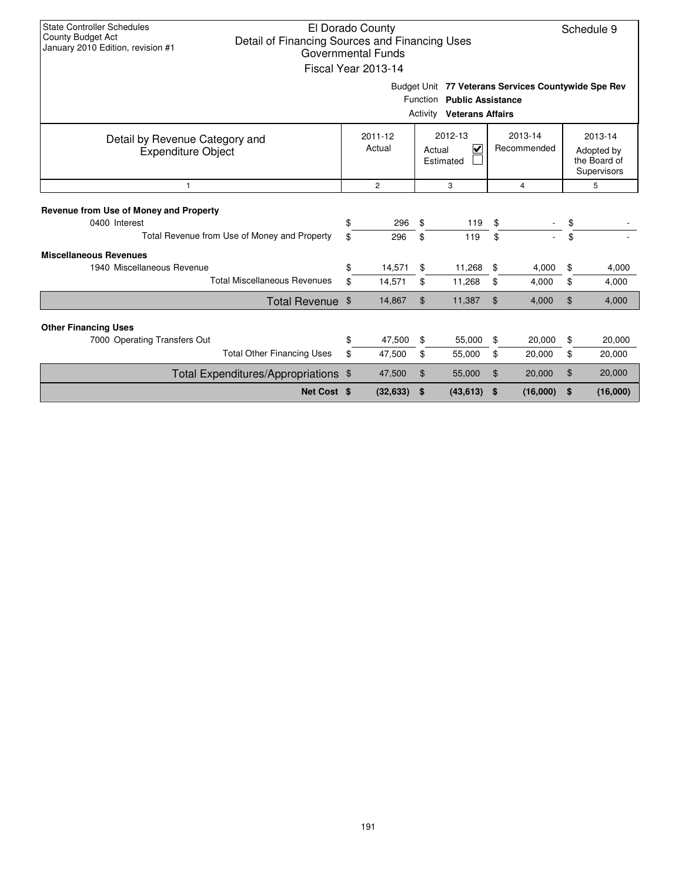| <b>State Controller Schedules</b><br><b>County Budget Act</b><br>Detail of Financing Sources and Financing Uses<br>January 2010 Edition, revision #1 |                                       | El Dorado County<br><b>Governmental Funds</b><br>Fiscal Year 2013-14 |                |                                                                |                |                                                     |    | Schedule 9                                           |
|------------------------------------------------------------------------------------------------------------------------------------------------------|---------------------------------------|----------------------------------------------------------------------|----------------|----------------------------------------------------------------|----------------|-----------------------------------------------------|----|------------------------------------------------------|
|                                                                                                                                                      |                                       |                                                                      |                | Function Public Assistance<br><b>Activity Veterans Affairs</b> |                | Budget Unit 77 Veterans Services Countywide Spe Rev |    |                                                      |
| Detail by Revenue Category and<br><b>Expenditure Object</b>                                                                                          |                                       | 2011-12<br>Actual                                                    |                | 2012-13<br>V<br>Actual<br>Estimated                            |                | 2013-14<br>Recommended                              |    | 2013-14<br>Adopted by<br>the Board of<br>Supervisors |
| $\mathbf{1}$                                                                                                                                         | $\overline{2}$<br>3<br>$\overline{4}$ |                                                                      |                |                                                                |                |                                                     | 5  |                                                      |
| Revenue from Use of Money and Property<br>0400 Interest                                                                                              | \$                                    | 296                                                                  | \$             | 119                                                            | \$             |                                                     | \$ |                                                      |
| Total Revenue from Use of Money and Property                                                                                                         | \$                                    | 296                                                                  | \$             | 119                                                            | \$             |                                                     | \$ |                                                      |
| <b>Miscellaneous Revenues</b><br>1940 Miscellaneous Revenue<br><b>Total Miscellaneous Revenues</b>                                                   | \$                                    | 14,571                                                               | \$             | 11,268                                                         | \$             | 4,000                                               | \$ | 4,000                                                |
|                                                                                                                                                      | \$                                    | 14,571                                                               | \$             | 11,268                                                         | \$             | 4,000                                               | \$ | 4,000                                                |
| Total Revenue \$                                                                                                                                     |                                       | 14,867                                                               | $\mathfrak{L}$ | 11,387                                                         | \$             | 4,000                                               | \$ | 4,000                                                |
| <b>Other Financing Uses</b>                                                                                                                          |                                       |                                                                      |                |                                                                |                |                                                     |    |                                                      |
| 7000 Operating Transfers Out                                                                                                                         | \$                                    | 47,500                                                               | \$             | 55,000                                                         | \$             | 20,000                                              | \$ | 20,000                                               |
| <b>Total Other Financing Uses</b>                                                                                                                    | \$                                    | 47,500                                                               | \$             | 55,000                                                         | \$             | 20,000                                              | \$ | 20,000                                               |
| Total Expenditures/Appropriations \$                                                                                                                 |                                       | 47,500                                                               | \$             | 55,000                                                         | $\mathfrak{L}$ | 20,000                                              | \$ | 20,000                                               |
| Net Cost \$                                                                                                                                          |                                       | (32, 633)                                                            | \$             | (43, 613)                                                      | -\$            | (16,000)                                            | \$ | (16,000)                                             |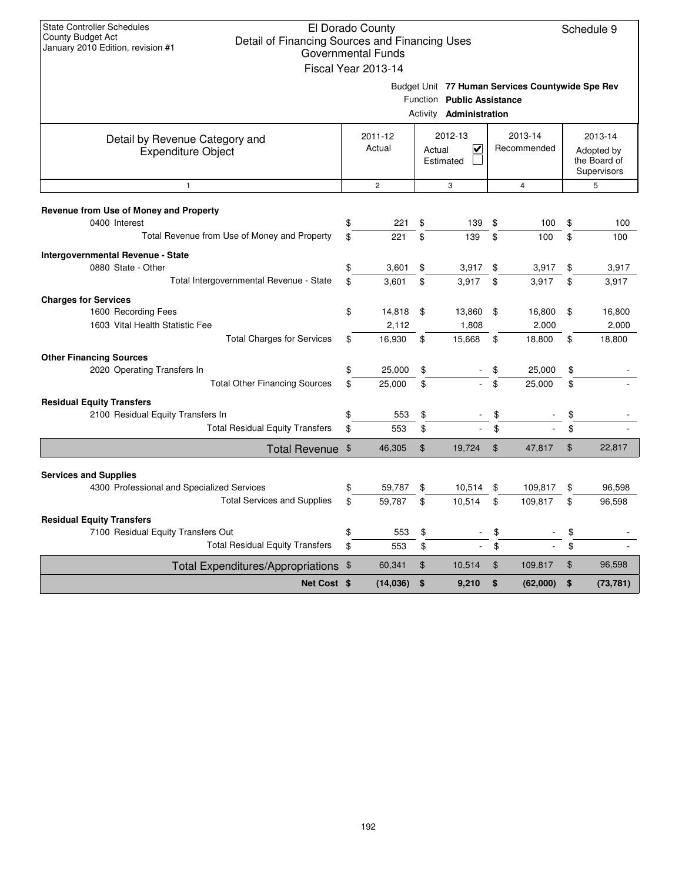| \$<br><b>Total Other Financing Sources</b><br>\$<br>\$<br><b>Total Residual Equity Transfers</b><br>\$<br>Total Revenue \$<br>\$<br><b>Total Services and Supplies</b><br>\$<br>\$<br><b>Total Residual Equity Transfers</b><br>\$<br><b>Total Expenditures/Appropriations</b><br>- \$ | 25,000<br>25,000<br>553<br>553<br>46,305<br>59,787<br>59,787<br>553<br>553<br>60,341 | \$<br>\$<br>\$<br>\$<br>\$<br>\$<br>\$<br>\$<br>\$<br>\$                                       | 19,724<br>10,514<br>10,514<br>10,514 | \$<br>\$<br>$\mathfrak{S}$<br>\$<br>\$<br>\$<br>\$<br>$\mathfrak{F}$                 | 25,000<br>47,817<br>109,817<br>109,817<br>109,817 | \$<br>\$<br>\$<br>\$<br>\$<br>\$<br>\$<br>\$                           | 22,817<br>96,598<br>96,598<br>96,598                               |
|----------------------------------------------------------------------------------------------------------------------------------------------------------------------------------------------------------------------------------------------------------------------------------------|--------------------------------------------------------------------------------------|------------------------------------------------------------------------------------------------|--------------------------------------|--------------------------------------------------------------------------------------|---------------------------------------------------|------------------------------------------------------------------------|--------------------------------------------------------------------|
|                                                                                                                                                                                                                                                                                        |                                                                                      |                                                                                                |                                      |                                                                                      |                                                   |                                                                        |                                                                    |
|                                                                                                                                                                                                                                                                                        |                                                                                      |                                                                                                |                                      |                                                                                      |                                                   |                                                                        |                                                                    |
|                                                                                                                                                                                                                                                                                        |                                                                                      |                                                                                                |                                      |                                                                                      |                                                   |                                                                        |                                                                    |
|                                                                                                                                                                                                                                                                                        |                                                                                      |                                                                                                |                                      |                                                                                      |                                                   |                                                                        |                                                                    |
|                                                                                                                                                                                                                                                                                        |                                                                                      |                                                                                                |                                      |                                                                                      |                                                   |                                                                        |                                                                    |
|                                                                                                                                                                                                                                                                                        |                                                                                      |                                                                                                |                                      |                                                                                      |                                                   |                                                                        |                                                                    |
|                                                                                                                                                                                                                                                                                        |                                                                                      |                                                                                                |                                      |                                                                                      |                                                   |                                                                        |                                                                    |
|                                                                                                                                                                                                                                                                                        |                                                                                      |                                                                                                |                                      |                                                                                      |                                                   |                                                                        |                                                                    |
|                                                                                                                                                                                                                                                                                        |                                                                                      |                                                                                                |                                      |                                                                                      |                                                   |                                                                        |                                                                    |
|                                                                                                                                                                                                                                                                                        |                                                                                      |                                                                                                |                                      |                                                                                      |                                                   |                                                                        |                                                                    |
|                                                                                                                                                                                                                                                                                        |                                                                                      |                                                                                                |                                      |                                                                                      |                                                   |                                                                        |                                                                    |
|                                                                                                                                                                                                                                                                                        |                                                                                      |                                                                                                |                                      |                                                                                      | 25,000                                            | \$                                                                     |                                                                    |
|                                                                                                                                                                                                                                                                                        |                                                                                      |                                                                                                |                                      |                                                                                      |                                                   |                                                                        |                                                                    |
| <b>Total Charges for Services</b><br>\$                                                                                                                                                                                                                                                | 16,930                                                                               | \$                                                                                             | 15,668                               | \$                                                                                   | 18,800                                            | \$                                                                     | 18,800                                                             |
|                                                                                                                                                                                                                                                                                        |                                                                                      |                                                                                                |                                      |                                                                                      |                                                   |                                                                        | 2,000                                                              |
|                                                                                                                                                                                                                                                                                        |                                                                                      |                                                                                                |                                      |                                                                                      |                                                   |                                                                        | 16,800                                                             |
| Total Intergovernmental Revenue - State                                                                                                                                                                                                                                                | 3,601                                                                                |                                                                                                | 3,917                                |                                                                                      | 3,917                                             |                                                                        | 3,917                                                              |
| \$                                                                                                                                                                                                                                                                                     | 3,601                                                                                | \$                                                                                             | 3,917                                | \$                                                                                   | 3,917                                             | \$                                                                     | 3,917                                                              |
|                                                                                                                                                                                                                                                                                        |                                                                                      |                                                                                                |                                      |                                                                                      |                                                   |                                                                        |                                                                    |
| Total Revenue from Use of Money and Property<br>\$                                                                                                                                                                                                                                     | 221                                                                                  | \$                                                                                             | 139                                  | \$                                                                                   | 100                                               | \$                                                                     | 100                                                                |
|                                                                                                                                                                                                                                                                                        |                                                                                      |                                                                                                |                                      |                                                                                      |                                                   |                                                                        | 100                                                                |
|                                                                                                                                                                                                                                                                                        | 2                                                                                    |                                                                                                | 3                                    |                                                                                      | 4                                                 |                                                                        | 5                                                                  |
|                                                                                                                                                                                                                                                                                        | 2012-13<br>2011-12<br>Actual<br>$\checkmark$<br>Actual<br>Estimated                  |                                                                                                |                                      |                                                                                      | 2013-14<br>Recommended                            |                                                                        | 2013-14<br>Adopted by<br>the Board of<br>Supervisors               |
|                                                                                                                                                                                                                                                                                        |                                                                                      |                                                                                                |                                      |                                                                                      |                                                   |                                                                        |                                                                    |
|                                                                                                                                                                                                                                                                                        |                                                                                      |                                                                                                |                                      |                                                                                      |                                                   |                                                                        |                                                                    |
|                                                                                                                                                                                                                                                                                        |                                                                                      |                                                                                                |                                      |                                                                                      |                                                   |                                                                        |                                                                    |
|                                                                                                                                                                                                                                                                                        |                                                                                      |                                                                                                |                                      |                                                                                      |                                                   |                                                                        | Schedule 9                                                         |
|                                                                                                                                                                                                                                                                                        | \$<br>\$<br>\$                                                                       | El Dorado County<br><b>Governmental Funds</b><br>Fiscal Year 2013-14<br>221<br>14,818<br>2,112 | \$<br>\$<br>\$                       | Detail of Financing Sources and Financing Uses<br>Activity<br>139<br>13,860<br>1,808 | \$<br>\$<br>\$<br>\$                              | Function Public Assistance<br>Administration<br>100<br>16,800<br>2,000 | Budget Unit 77 Human Services Countywide Spe Rev<br>\$<br>\$<br>\$ |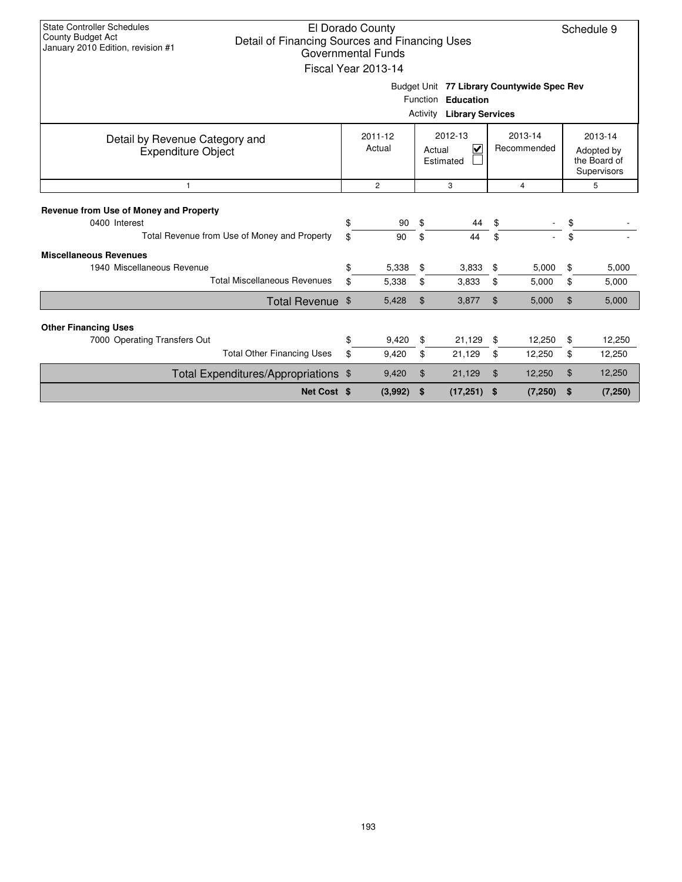| <b>State Controller Schedules</b><br><b>County Budget Act</b><br>Detail of Financing Sources and Financing Uses<br>January 2010 Edition, revision #1                    |    | El Dorado County<br><b>Governmental Funds</b><br>Fiscal Year 2013-14 |                     |                                                                                                      |                |          |    | Schedule 9                                           |  |
|-------------------------------------------------------------------------------------------------------------------------------------------------------------------------|----|----------------------------------------------------------------------|---------------------|------------------------------------------------------------------------------------------------------|----------------|----------|----|------------------------------------------------------|--|
|                                                                                                                                                                         |    |                                                                      |                     | Budget Unit 77 Library Countywide Spec Rev<br>Function Education<br><b>Activity Library Services</b> |                |          |    |                                                      |  |
| 2012-13<br>2013-14<br>2011-12<br>Detail by Revenue Category and<br>Actual<br>$\overline{\mathbf{v}}$<br>Recommended<br>Actual<br><b>Expenditure Object</b><br>Estimated |    |                                                                      |                     |                                                                                                      |                |          |    | 2013-14<br>Adopted by<br>the Board of<br>Supervisors |  |
| $\mathbf{1}$                                                                                                                                                            |    | $\overline{2}$                                                       | 3<br>$\overline{4}$ |                                                                                                      |                |          |    | 5                                                    |  |
| Revenue from Use of Money and Property                                                                                                                                  |    |                                                                      |                     |                                                                                                      |                |          |    |                                                      |  |
| 0400 Interest                                                                                                                                                           | \$ | 90                                                                   | \$                  | 44                                                                                                   | \$             |          | \$ |                                                      |  |
| Total Revenue from Use of Money and Property                                                                                                                            | \$ | 90                                                                   | \$                  | 44                                                                                                   | \$             |          | \$ |                                                      |  |
| <b>Miscellaneous Revenues</b>                                                                                                                                           |    |                                                                      |                     |                                                                                                      |                |          |    |                                                      |  |
| 1940 Miscellaneous Revenue                                                                                                                                              | \$ | 5,338                                                                | \$                  | 3,833                                                                                                | \$             | 5,000    | \$ | 5,000                                                |  |
| <b>Total Miscellaneous Revenues</b>                                                                                                                                     | \$ | 5,338                                                                | \$                  | 3,833                                                                                                | \$             | 5,000    | \$ | 5,000                                                |  |
| Total Revenue \$                                                                                                                                                        |    | 5,428                                                                | $\mathfrak{L}$      | 3,877                                                                                                | $\mathfrak{L}$ | 5,000    | \$ | 5,000                                                |  |
| <b>Other Financing Uses</b>                                                                                                                                             |    |                                                                      |                     |                                                                                                      |                |          |    |                                                      |  |
| 7000 Operating Transfers Out                                                                                                                                            | \$ | 9,420                                                                | \$                  | 21,129                                                                                               | \$             | 12,250   | \$ | 12,250                                               |  |
| <b>Total Other Financing Uses</b>                                                                                                                                       | \$ | 9,420                                                                | \$                  | 21,129                                                                                               | \$             | 12,250   | \$ | 12,250                                               |  |
| Total Expenditures/Appropriations \$                                                                                                                                    |    | 9,420                                                                | \$                  | 21,129                                                                                               | \$             | 12,250   | \$ | 12,250                                               |  |
| Net Cost \$                                                                                                                                                             |    | (3,992)                                                              | \$                  | (17, 251)                                                                                            | \$             | (7, 250) | \$ | (7, 250)                                             |  |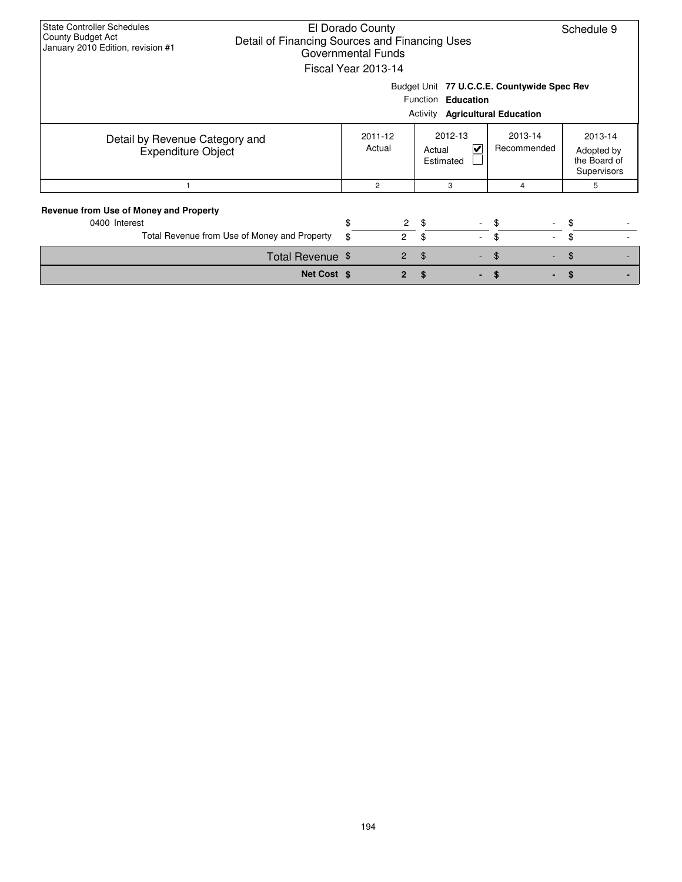| <b>State Controller Schedules</b><br>County Budget Act<br>Detail of Financing Sources and Financing Uses<br>January 2010 Edition, revision #1 | El Dorado County<br>Governmental Funds<br>Fiscal Year 2013-14    |                                                                          |                                |                                                                              | Schedule 9 |  |
|-----------------------------------------------------------------------------------------------------------------------------------------------|------------------------------------------------------------------|--------------------------------------------------------------------------|--------------------------------|------------------------------------------------------------------------------|------------|--|
|                                                                                                                                               |                                                                  |                                                                          | Function Education<br>Activity | Budget Unit 77 U.C.C.E. Countywide Spec Rev<br><b>Agricultural Education</b> |            |  |
| Detail by Revenue Category and<br><b>Expenditure Object</b>                                                                                   | 2011-12<br>Actual                                                | 2012-13<br>2013-14<br>$\checkmark$<br>Recommended<br>Actual<br>Estimated |                                |                                                                              |            |  |
|                                                                                                                                               | 2                                                                |                                                                          | 3                              | 4                                                                            | 5          |  |
| Revenue from Use of Money and Property<br>0400 Interest<br>Total Revenue from Use of Money and Property                                       | \$<br>$\overline{c}$<br>$\overline{2}$<br>\$                     |                                                                          | \$<br>\$<br>$\sim$             | \$<br>\$                                                                     | \$<br>\$   |  |
|                                                                                                                                               | Total Revenue \$<br>$\overline{2}$<br>\$<br>\$<br>$\blacksquare$ |                                                                          |                                |                                                                              |            |  |
|                                                                                                                                               | Net Cost \$<br>$\overline{2}$<br>\$<br>\$                        |                                                                          |                                |                                                                              |            |  |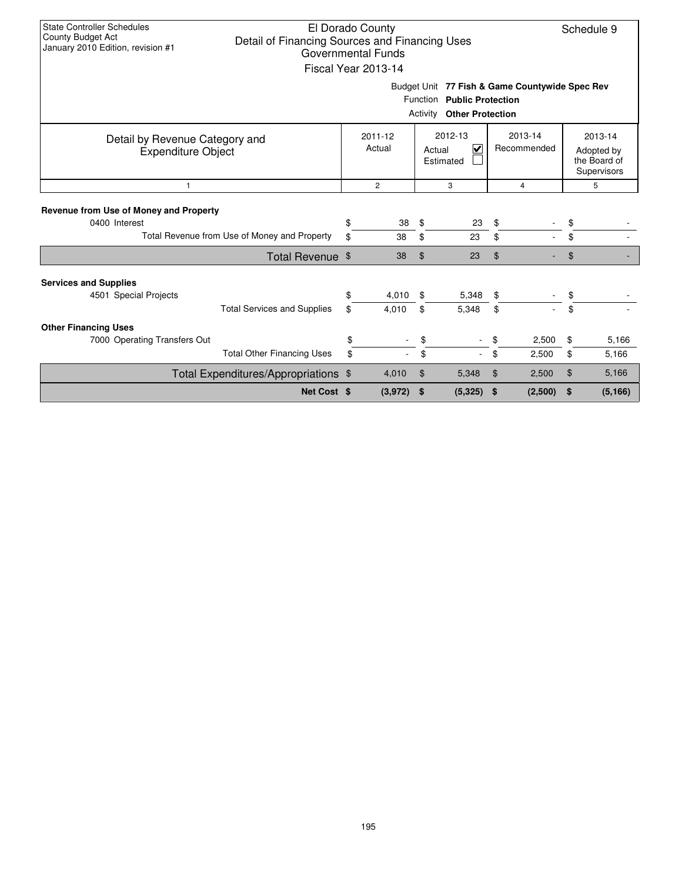| <b>State Controller Schedules</b><br>El Dorado County<br>Schedule 9<br>County Budget Act<br>Detail of Financing Sources and Financing Uses<br>January 2010 Edition, revision #1<br>Governmental Funds<br>Fiscal Year 2013-14<br>Budget Unit 77 Fish & Game Countywide Spec Rev |                                              |          |                |                |                                                                |          |                |                                                      |                |  |
|--------------------------------------------------------------------------------------------------------------------------------------------------------------------------------------------------------------------------------------------------------------------------------|----------------------------------------------|----------|----------------|----------------|----------------------------------------------------------------|----------|----------------|------------------------------------------------------|----------------|--|
|                                                                                                                                                                                                                                                                                |                                              |          |                |                | Function Public Protection<br><b>Activity Other Protection</b> |          |                |                                                      |                |  |
| 2012-13<br>2013-14<br>2011-12<br>Detail by Revenue Category and<br>Actual<br>$\overline{\mathbf{v}}$<br>Recommended<br>Actual<br><b>Expenditure Object</b><br>Estimated                                                                                                        |                                              |          |                |                |                                                                |          |                | 2013-14<br>Adopted by<br>the Board of<br>Supervisors |                |  |
| $\mathbf{1}$                                                                                                                                                                                                                                                                   |                                              |          | $\overline{c}$ |                | 3                                                              |          | 5              |                                                      |                |  |
| Revenue from Use of Money and Property<br>0400 Interest                                                                                                                                                                                                                        | Total Revenue from Use of Money and Property | \$<br>\$ | 38<br>38       | \$<br>\$       | 23<br>23                                                       | \$<br>\$ |                | \$<br>\$                                             |                |  |
|                                                                                                                                                                                                                                                                                | Total Revenue \$                             |          | 38             | $\mathfrak{D}$ | 23                                                             | \$       |                | \$                                                   |                |  |
| <b>Services and Supplies</b><br>4501 Special Projects                                                                                                                                                                                                                          | <b>Total Services and Supplies</b>           | \$<br>\$ | 4,010<br>4,010 | \$<br>\$       | 5,348<br>5,348                                                 | \$<br>\$ |                | \$<br>\$                                             |                |  |
| <b>Other Financing Uses</b><br>7000 Operating Transfers Out                                                                                                                                                                                                                    | <b>Total Other Financing Uses</b>            | \$<br>\$ |                | \$<br>\$       |                                                                | \$<br>\$ | 2,500<br>2,500 | \$<br>\$                                             | 5,166<br>5,166 |  |
|                                                                                                                                                                                                                                                                                | Total Expenditures/Appropriations \$         |          | 4,010          | \$             | 5,348                                                          | \$       | 2,500          | \$                                                   | 5,166          |  |
|                                                                                                                                                                                                                                                                                | Net Cost \$                                  |          | (3,972)        | \$             | (5, 325)                                                       | \$       | (2,500)        | \$                                                   | (5, 166)       |  |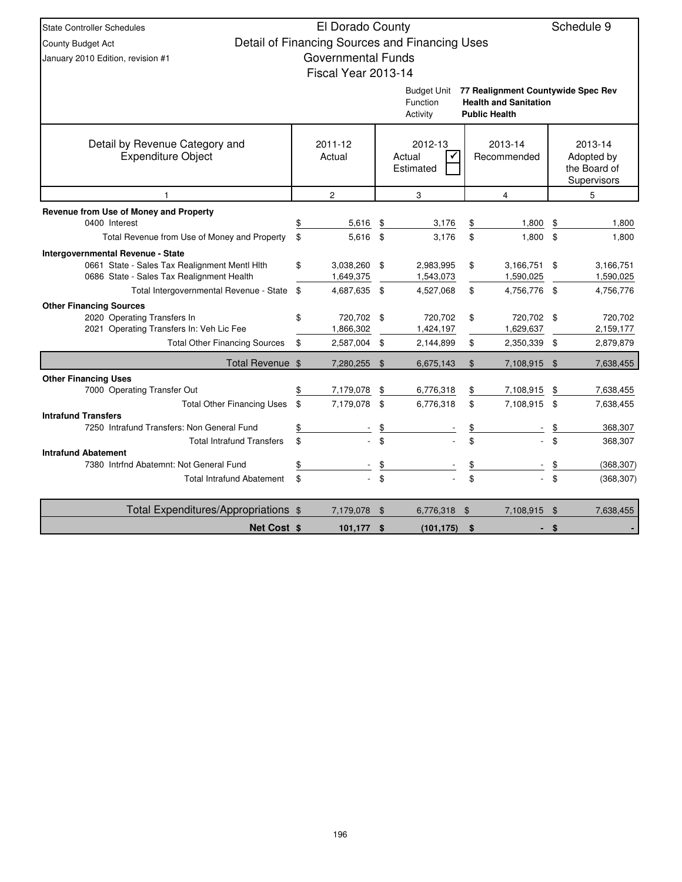| <b>State Controller Schedules</b>                                                    | El Dorado County                |                                                |              |                                    |               | Schedule 9             |
|--------------------------------------------------------------------------------------|---------------------------------|------------------------------------------------|--------------|------------------------------------|---------------|------------------------|
| <b>County Budget Act</b>                                                             |                                 | Detail of Financing Sources and Financing Uses |              |                                    |               |                        |
| January 2010 Edition, revision #1                                                    | <b>Governmental Funds</b>       |                                                |              |                                    |               |                        |
|                                                                                      | Fiscal Year 2013-14             |                                                |              |                                    |               |                        |
|                                                                                      |                                 | <b>Budget Unit</b>                             |              | 77 Realignment Countywide Spec Rev |               |                        |
|                                                                                      |                                 | Function                                       |              | <b>Health and Sanitation</b>       |               |                        |
|                                                                                      |                                 |                                                |              |                                    |               |                        |
| Detail by Revenue Category and                                                       | 2011-12                         | 2012-13                                        |              | 2013-14                            |               | 2013-14                |
| <b>Expenditure Object</b>                                                            | Actual                          | Actual<br>✓                                    |              | Recommended                        |               | Adopted by             |
|                                                                                      |                                 | Estimated                                      |              |                                    |               | the Board of           |
|                                                                                      |                                 |                                                |              |                                    |               | Supervisors            |
|                                                                                      | $\overline{c}$                  | 3                                              |              | $\overline{\mathbf{4}}$            |               | 5                      |
| Revenue from Use of Money and Property                                               |                                 |                                                |              |                                    |               |                        |
| 0400 Interest                                                                        | 5,616                           | \$<br>3,176                                    |              | 1,800                              | \$            | 1,800                  |
| Total Revenue from Use of Money and Property                                         | \$<br>5.616 \$                  | 3,176                                          | \$           | 1.800                              | $\mathfrak s$ | 1,800                  |
| Intergovernmental Revenue - State                                                    |                                 |                                                |              |                                    |               |                        |
| 0661 State - Sales Tax Realignment Mentl Hlth                                        | \$<br>3,038,260 \$              | 2,983,995                                      | \$           | 3,166,751                          | \$            | 3,166,751              |
| 0686 State - Sales Tax Realignment Health<br>Total Intergovernmental Revenue - State | \$<br>1,649,375<br>4,687,635 \$ | 1,543,073<br>4,527,068                         | \$           | 1,590,025<br>4,756,776 \$          |               | 1,590,025<br>4,756,776 |
| <b>Other Financing Sources</b>                                                       |                                 |                                                |              |                                    |               |                        |
| 2020 Operating Transfers In                                                          | \$<br>720,702 \$                | 720,702                                        | \$           | 720,702 \$                         |               | 720,702                |
| 2021 Operating Transfers In: Veh Lic Fee                                             | 1,866,302                       | 1,424,197                                      |              | 1,629,637                          |               | 2,159,177              |
| <b>Total Other Financing Sources</b>                                                 | \$<br>2,587,004 \$              | 2,144,899                                      | \$           | 2,350,339                          | -\$           | 2,879,879              |
| Total Revenue \$                                                                     | 7,280,255 \$                    | 6,675,143                                      | $\mathbb{S}$ | 7,108,915 \$                       |               | 7,638,455              |
| <b>Other Financing Uses</b>                                                          |                                 |                                                |              |                                    |               |                        |
| 7000 Operating Transfer Out                                                          | 7,179,078                       | \$<br>6,776,318                                | \$           | 7,108,915                          | \$            | 7,638,455              |
| <b>Total Other Financing Uses</b>                                                    | \$<br>7,179,078                 | \$<br>6,776,318                                | \$           | 7,108,915                          | - \$          | 7,638,455              |
| <b>Intrafund Transfers</b><br>7250 Intrafund Transfers: Non General Fund             |                                 | \$                                             |              |                                    | \$            | 368,307                |
| <b>Total Intrafund Transfers</b>                                                     | \$                              | \$                                             | \$           |                                    | \$            | 368,307                |
| <b>Intrafund Abatement</b>                                                           |                                 |                                                |              |                                    |               |                        |
| 7380 Intrfnd Abatemnt: Not General Fund                                              |                                 | \$                                             |              |                                    | \$            | (368, 307)             |
| <b>Total Intrafund Abatement</b>                                                     | \$                              | \$                                             | \$.          |                                    | \$            | (368, 307)             |
| Total Expenditures/Appropriations \$                                                 | 7,179,078 \$                    | 6,776,318                                      | $\$\$        | 7,108,915 \$                       |               | 7,638,455              |
| Net Cost \$                                                                          | $101,177$ \$                    | (101, 175)                                     | \$           |                                    | - \$          |                        |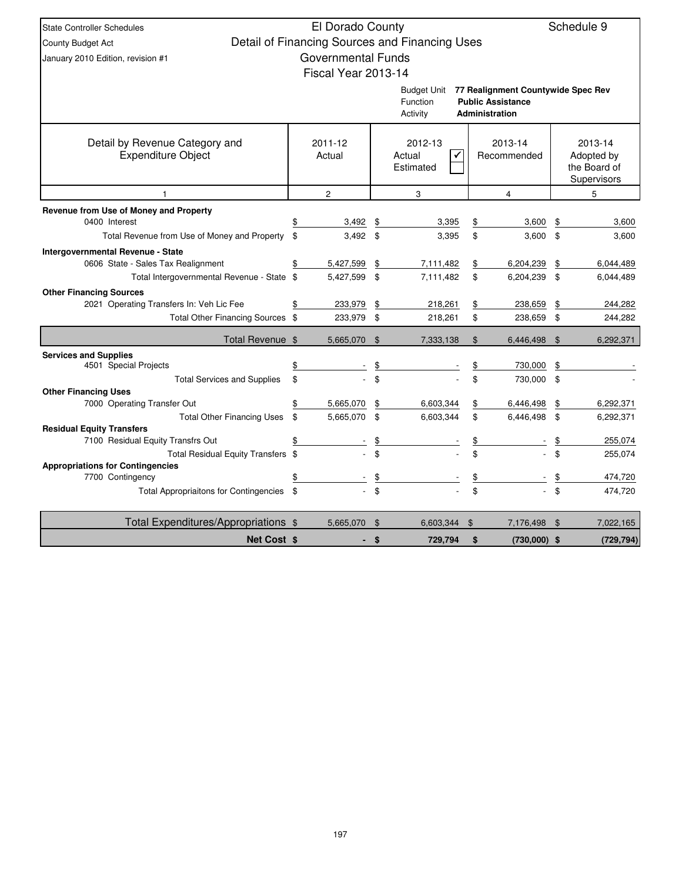| Schedule 9<br>El Dorado County<br><b>State Controller Schedules</b> |    |                           |                                |                                                |               |                                                                |    |              |  |  |  |
|---------------------------------------------------------------------|----|---------------------------|--------------------------------|------------------------------------------------|---------------|----------------------------------------------------------------|----|--------------|--|--|--|
| County Budget Act                                                   |    |                           |                                | Detail of Financing Sources and Financing Uses |               |                                                                |    |              |  |  |  |
| January 2010 Edition, revision #1                                   |    | <b>Governmental Funds</b> |                                |                                                |               |                                                                |    |              |  |  |  |
|                                                                     |    | Fiscal Year 2013-14       |                                |                                                |               |                                                                |    |              |  |  |  |
|                                                                     |    |                           |                                |                                                |               |                                                                |    |              |  |  |  |
|                                                                     |    |                           |                                | Budget Unit<br>Function                        |               | 77 Realignment Countywide Spec Rev<br><b>Public Assistance</b> |    |              |  |  |  |
|                                                                     |    |                           |                                | Activity                                       |               | <b>Administration</b>                                          |    |              |  |  |  |
|                                                                     |    |                           |                                |                                                |               |                                                                |    |              |  |  |  |
| Detail by Revenue Category and                                      |    | 2011-12                   |                                | 2012-13                                        |               | 2013-14                                                        |    | 2013-14      |  |  |  |
| <b>Expenditure Object</b>                                           |    | Actual                    |                                | Actual                                         |               | Recommended                                                    |    | Adopted by   |  |  |  |
|                                                                     |    |                           |                                | Estimated                                      |               |                                                                |    | the Board of |  |  |  |
|                                                                     |    |                           |                                |                                                |               |                                                                |    | Supervisors  |  |  |  |
| $\mathbf{1}$                                                        |    | $\overline{c}$            |                                | 3                                              |               | $\overline{4}$                                                 |    | 5            |  |  |  |
| Revenue from Use of Money and Property<br>0400 Interest             |    | 3,492                     | \$                             | 3,395                                          | \$            | 3,600                                                          |    | 3,600        |  |  |  |
| Total Revenue from Use of Money and Property                        | \$ | 3,492                     | \$                             | 3,395                                          | \$            | 3,600                                                          | \$ | 3,600        |  |  |  |
| <b>Intergovernmental Revenue - State</b>                            |    |                           |                                |                                                |               |                                                                |    |              |  |  |  |
| 0606 State - Sales Tax Realignment                                  |    | 5,427,599                 | \$                             | 7,111,482                                      | \$            | 6,204,239                                                      | \$ | 6,044,489    |  |  |  |
| Total Intergovernmental Revenue - State \$                          |    | 5,427,599                 | \$                             | 7,111,482                                      | \$            | 6,204,239                                                      | \$ | 6,044,489    |  |  |  |
| <b>Other Financing Sources</b>                                      |    |                           |                                |                                                |               |                                                                |    |              |  |  |  |
| 2021 Operating Transfers In: Veh Lic Fee                            |    | 233,979                   | \$                             | 218,261                                        | \$            | 238,659                                                        | \$ | 244,282      |  |  |  |
| Total Other Financing Sources \$                                    |    | 233,979 \$                |                                | 218,261                                        | \$            | 238,659                                                        | \$ | 244,282      |  |  |  |
| Total Revenue \$                                                    |    | 5,665,070                 | $\mathfrak{S}$                 | 7,333,138                                      | $\$\$         | 6,446,498                                                      | \$ | 6,292,371    |  |  |  |
| <b>Services and Supplies</b>                                        |    |                           |                                |                                                |               |                                                                |    |              |  |  |  |
| 4501 Special Projects                                               |    |                           | \$                             |                                                | $\frac{1}{2}$ | 730,000                                                        | \$ |              |  |  |  |
| <b>Total Services and Supplies</b>                                  | \$ |                           | \$                             |                                                | \$            | 730,000                                                        | \$ |              |  |  |  |
| <b>Other Financing Uses</b><br>7000 Operating Transfer Out          |    | 5,665,070                 | \$                             | 6,603,344                                      | $\frac{1}{2}$ | 6,446,498                                                      | \$ | 6,292,371    |  |  |  |
| <b>Total Other Financing Uses</b>                                   | \$ | 5,665,070                 | \$                             | 6,603,344                                      | \$            | 6,446,498                                                      | \$ | 6,292,371    |  |  |  |
| <b>Residual Equity Transfers</b>                                    |    |                           |                                |                                                |               |                                                                |    |              |  |  |  |
| 7100 Residual Equity Transfrs Out                                   | \$ |                           | \$                             |                                                |               |                                                                |    | 255,074      |  |  |  |
| Total Residual Equity Transfers \$                                  |    |                           | \$                             |                                                |               |                                                                |    | 255,074      |  |  |  |
| <b>Appropriations for Contingencies</b>                             |    |                           |                                |                                                |               |                                                                |    |              |  |  |  |
| 7700 Contingency                                                    | \$ |                           | $\frac{1}{2}$<br>$\mathfrak s$ |                                                | \$            |                                                                | \$ | 474,720      |  |  |  |
| <b>Total Appropriaitons for Contingencies</b>                       |    |                           |                                |                                                |               |                                                                |    | 474,720      |  |  |  |
| Total Expenditures/Appropriations \$                                |    | 5,665,070                 | - \$                           | 6,603,344                                      | \$            | 7,176,498                                                      | \$ | 7,022,165    |  |  |  |
| Net Cost \$                                                         |    | ÷                         | $\sqrt{3}$                     | 729,794                                        | \$            | $(730,000)$ \$                                                 |    | (729, 794)   |  |  |  |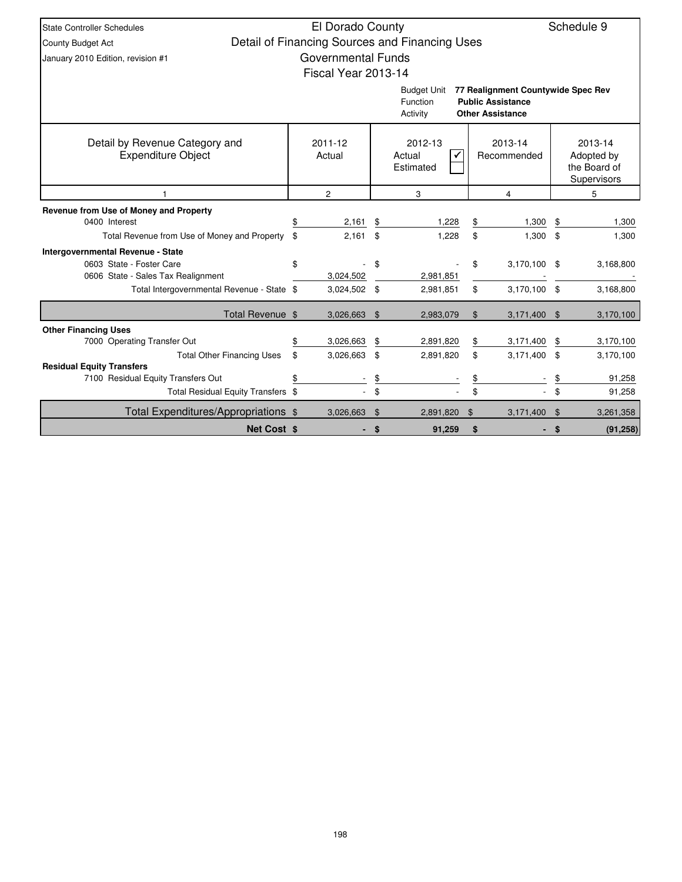| <b>State Controller Schedules</b>                                      | El Dorado County          |                |                                                |                |                                                                                           |     | Schedule 9                                           |
|------------------------------------------------------------------------|---------------------------|----------------|------------------------------------------------|----------------|-------------------------------------------------------------------------------------------|-----|------------------------------------------------------|
| County Budget Act                                                      |                           |                | Detail of Financing Sources and Financing Uses |                |                                                                                           |     |                                                      |
| January 2010 Edition, revision #1                                      | <b>Governmental Funds</b> |                |                                                |                |                                                                                           |     |                                                      |
|                                                                        | Fiscal Year 2013-14       |                |                                                |                |                                                                                           |     |                                                      |
|                                                                        |                           |                | <b>Budget Unit</b><br>Function<br>Activity     |                | 77 Realignment Countywide Spec Rev<br><b>Public Assistance</b><br><b>Other Assistance</b> |     |                                                      |
| Detail by Revenue Category and<br><b>Expenditure Object</b>            | 2011-12<br>Actual         |                | 2012-13<br>Actual<br>Estimated                 |                | 2013-14<br>Recommended                                                                    |     | 2013-14<br>Adopted by<br>the Board of<br>Supervisors |
|                                                                        | $\overline{c}$            |                | 3                                              |                | 5                                                                                         |     |                                                      |
| Revenue from Use of Money and Property                                 |                           |                |                                                |                |                                                                                           |     |                                                      |
| 0400 Interest                                                          | 2,161                     | \$             | 1,228                                          | \$             | 1,300                                                                                     | \$  | 1,300                                                |
| Total Revenue from Use of Money and Property                           | \$<br>2,161               | \$             | 1.228                                          | \$             | 1,300                                                                                     | \$  | 1,300                                                |
| <b>Intergovernmental Revenue - State</b>                               |                           |                |                                                |                |                                                                                           |     |                                                      |
| 0603 State - Foster Care                                               | \$                        | \$             |                                                | \$             | 3,170,100                                                                                 | \$  | 3,168,800                                            |
| 0606 State - Sales Tax Realignment                                     | 3,024,502                 |                | 2,981,851                                      |                |                                                                                           |     |                                                      |
| Total Intergovernmental Revenue - State \$                             | 3,024,502 \$              |                | 2,981,851                                      | \$             | 3,170,100                                                                                 | -\$ | 3,168,800                                            |
| Total Revenue \$                                                       | 3,026,663 \$              |                | 2,983,079                                      | \$             | 3,171,400                                                                                 | \$  | 3,170,100                                            |
| <b>Other Financing Uses</b>                                            |                           |                |                                                |                |                                                                                           |     |                                                      |
| 7000 Operating Transfer Out                                            | \$<br>3,026,663           | \$             | 2,891,820                                      | \$             | 3,171,400                                                                                 | \$  | 3,170,100                                            |
| <b>Total Other Financing Uses</b>                                      | \$<br>3,026,663           | \$             | 2,891,820                                      | \$             | 3,171,400                                                                                 | \$  | 3,170,100                                            |
| <b>Residual Equity Transfers</b><br>7100 Residual Equity Transfers Out | \$                        | \$             |                                                | \$             |                                                                                           | \$  | 91,258                                               |
| Total Residual Equity Transfers \$                                     |                           | \$             |                                                | \$             |                                                                                           | \$  | 91,258                                               |
| Total Expenditures/Appropriations \$                                   | 3,026,663                 | $\mathfrak{S}$ | 2,891,820                                      | $\mathfrak{S}$ | 3,171,400                                                                                 | \$  | 3,261,358                                            |
| <b>Net Cost \$</b>                                                     |                           | \$             | 91,259                                         | \$             |                                                                                           | S   | (91, 258)                                            |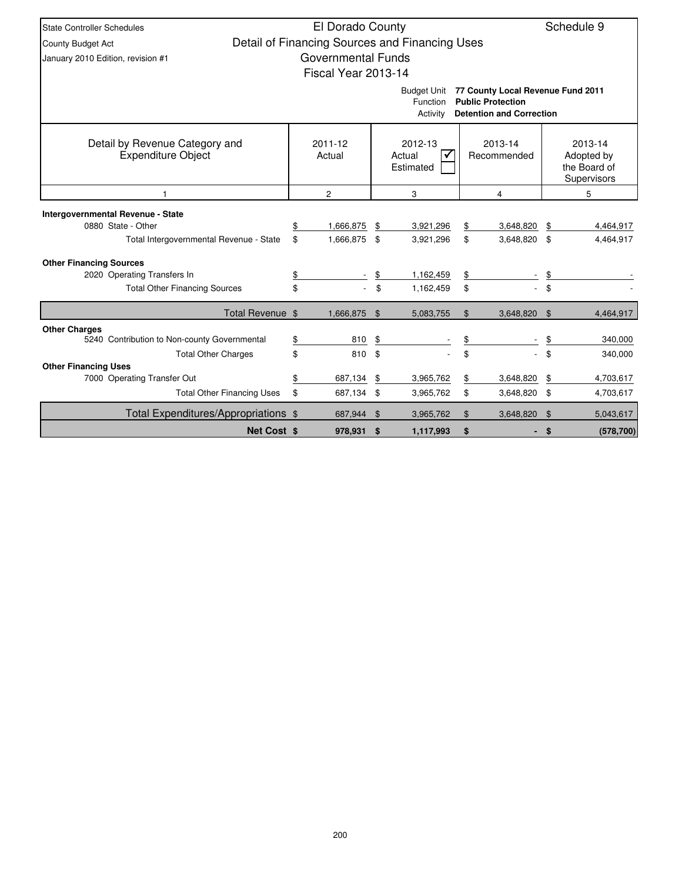| <b>State Controller Schedules</b>                           | El Dorado County<br>Schedule 9 |                           |                       |                                                |    |                                                                                                  |               |                                                      |  |  |  |
|-------------------------------------------------------------|--------------------------------|---------------------------|-----------------------|------------------------------------------------|----|--------------------------------------------------------------------------------------------------|---------------|------------------------------------------------------|--|--|--|
| County Budget Act                                           |                                |                           |                       | Detail of Financing Sources and Financing Uses |    |                                                                                                  |               |                                                      |  |  |  |
| January 2010 Edition, revision #1                           |                                | <b>Governmental Funds</b> |                       |                                                |    |                                                                                                  |               |                                                      |  |  |  |
|                                                             |                                | Fiscal Year 2013-14       |                       |                                                |    |                                                                                                  |               |                                                      |  |  |  |
|                                                             |                                |                           |                       | <b>Budget Unit</b><br>Function<br>Activity     |    | 77 County Local Revenue Fund 2011<br><b>Public Protection</b><br><b>Detention and Correction</b> |               |                                                      |  |  |  |
| Detail by Revenue Category and<br><b>Expenditure Object</b> |                                | 2011-12<br>Actual         |                       | 2012-13<br>Actual<br>Estimated                 |    | 2013-14<br>Recommended                                                                           |               | 2013-14<br>Adopted by<br>the Board of<br>Supervisors |  |  |  |
|                                                             |                                | $\overline{2}$            |                       | 3                                              |    | 4                                                                                                | 5             |                                                      |  |  |  |
| <b>Intergovernmental Revenue - State</b>                    |                                |                           |                       |                                                |    |                                                                                                  |               |                                                      |  |  |  |
| 0880 State - Other                                          | \$                             | 1,666,875                 | \$                    | 3,921,296                                      | \$ | 3,648,820                                                                                        | \$            | 4,464,917                                            |  |  |  |
| Total Intergovernmental Revenue - State                     | \$                             | 1,666,875                 | \$                    | 3,921,296                                      | \$ | 3,648,820 \$                                                                                     |               | 4,464,917                                            |  |  |  |
| <b>Other Financing Sources</b>                              |                                |                           |                       |                                                |    |                                                                                                  |               |                                                      |  |  |  |
| 2020 Operating Transfers In                                 | \$                             |                           | \$                    | 1,162,459                                      | \$ |                                                                                                  | \$            |                                                      |  |  |  |
| <b>Total Other Financing Sources</b>                        | \$                             | $\sim$                    | \$                    | 1,162,459                                      | \$ |                                                                                                  | \$            |                                                      |  |  |  |
| Total Revenue \$                                            |                                | 1,666,875                 | $\mathfrak{S}$        | 5,083,755                                      | \$ | 3,648,820                                                                                        | $\mathbf{\$}$ | 4,464,917                                            |  |  |  |
| <b>Other Charges</b>                                        |                                |                           |                       |                                                |    |                                                                                                  |               |                                                      |  |  |  |
| 5240 Contribution to Non-county Governmental                | \$                             | 810                       | \$                    |                                                | \$ |                                                                                                  | \$            | 340,000                                              |  |  |  |
| <b>Total Other Charges</b>                                  | \$                             | 810                       | \$                    |                                                | \$ |                                                                                                  | \$            | 340,000                                              |  |  |  |
| <b>Other Financing Uses</b><br>7000 Operating Transfer Out  | \$                             | 687,134                   | \$                    | 3,965,762                                      | \$ | 3,648,820                                                                                        | \$            | 4,703,617                                            |  |  |  |
| <b>Total Other Financing Uses</b>                           | \$                             | 687,134 \$                |                       | 3,965,762                                      | \$ | 3,648,820 \$                                                                                     |               | 4,703,617                                            |  |  |  |
|                                                             |                                |                           |                       |                                                |    |                                                                                                  |               |                                                      |  |  |  |
| Total Expenditures/Appropriations \$                        |                                | 687,944                   | \$<br>\$<br>3,965,762 |                                                |    | 3,648,820                                                                                        | \$            | 5,043,617                                            |  |  |  |
| <b>Net Cost \$</b>                                          |                                | 978.931 \$                |                       | 1.117.993                                      | \$ |                                                                                                  | \$            | (578, 700)                                           |  |  |  |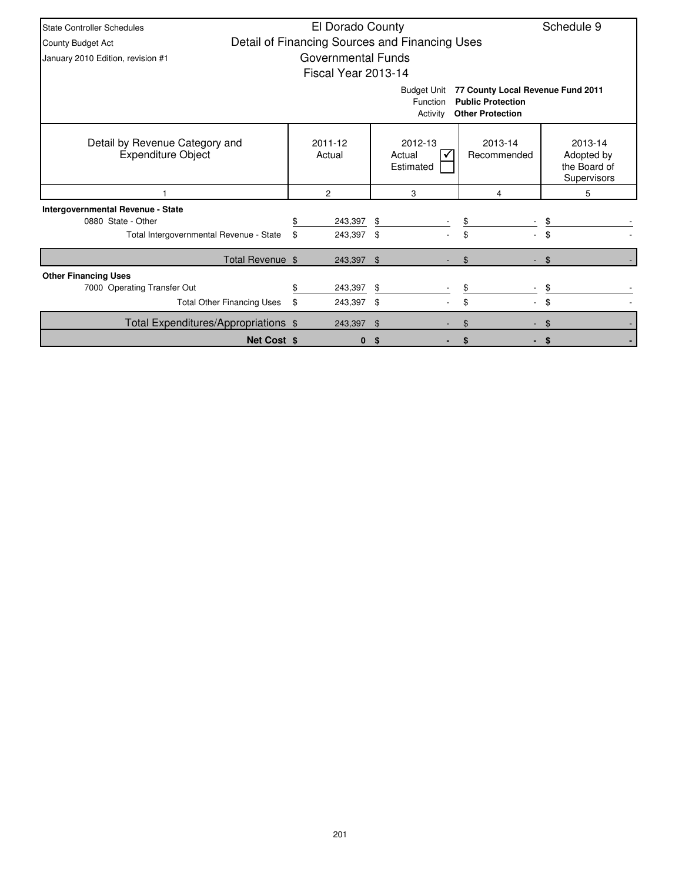| <b>State Controller Schedules</b>                                                                                                      |    | El Dorado County    |          |                                                |                        | Schedule 9                                           |  |  |  |  |
|----------------------------------------------------------------------------------------------------------------------------------------|----|---------------------|----------|------------------------------------------------|------------------------|------------------------------------------------------|--|--|--|--|
| <b>County Budget Act</b>                                                                                                               |    |                     |          | Detail of Financing Sources and Financing Uses |                        |                                                      |  |  |  |  |
| January 2010 Edition, revision #1                                                                                                      |    | Governmental Funds  |          |                                                |                        |                                                      |  |  |  |  |
|                                                                                                                                        |    | Fiscal Year 2013-14 |          |                                                |                        |                                                      |  |  |  |  |
| 77 County Local Revenue Fund 2011<br><b>Budget Unit</b><br><b>Public Protection</b><br>Function<br><b>Other Protection</b><br>Activity |    |                     |          |                                                |                        |                                                      |  |  |  |  |
| Detail by Revenue Category and<br><b>Expenditure Object</b>                                                                            |    | 2011-12<br>Actual   |          | 2012-13<br>Actual<br>Estimated                 | 2013-14<br>Recommended | 2013-14<br>Adopted by<br>the Board of<br>Supervisors |  |  |  |  |
|                                                                                                                                        |    | 2                   |          | 3                                              | 4                      | 5                                                    |  |  |  |  |
| Intergovernmental Revenue - State                                                                                                      |    |                     |          |                                                |                        |                                                      |  |  |  |  |
| 0880 State - Other                                                                                                                     |    | 243,397 \$          |          |                                                | \$                     |                                                      |  |  |  |  |
| Total Intergovernmental Revenue - State                                                                                                | \$ | 243,397             | - \$     |                                                |                        |                                                      |  |  |  |  |
| Total Revenue \$                                                                                                                       |    | 243,397 \$          |          |                                                | \$                     | \$                                                   |  |  |  |  |
| <b>Other Financing Uses</b>                                                                                                            |    |                     |          |                                                |                        |                                                      |  |  |  |  |
| 7000 Operating Transfer Out                                                                                                            |    | 243,397             | S        |                                                | \$                     |                                                      |  |  |  |  |
| <b>Total Other Financing Uses</b>                                                                                                      | \$ | 243,397 \$          |          |                                                | \$                     | \$                                                   |  |  |  |  |
| Total Expenditures/Appropriations \$                                                                                                   |    | 243,397             | <b>S</b> |                                                | \$                     | \$                                                   |  |  |  |  |
| <b>Net Cost \$</b>                                                                                                                     |    | $\bf{0}$            | S        |                                                |                        | -S                                                   |  |  |  |  |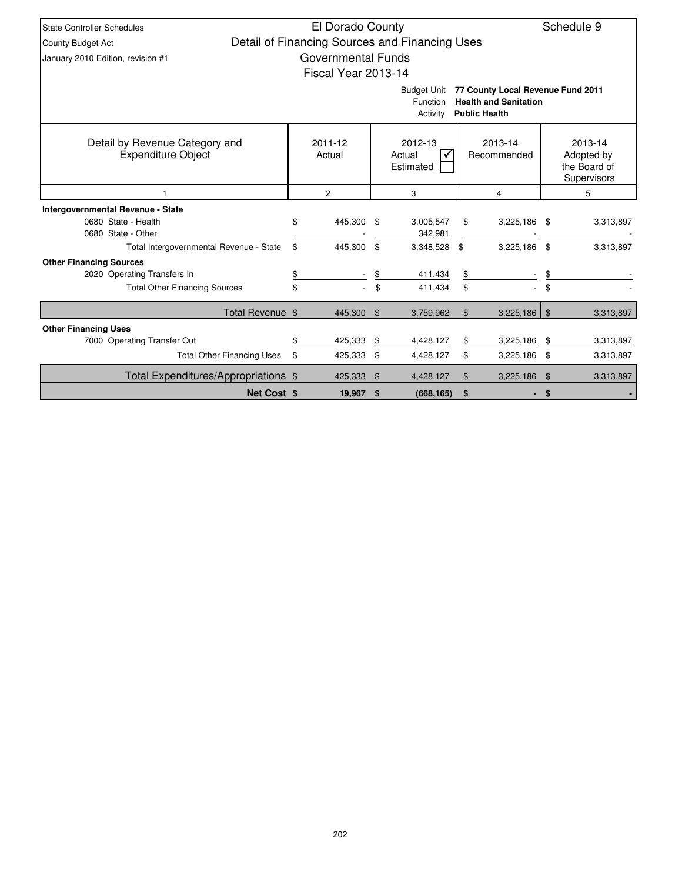| <b>State Controller Schedules</b>                                                                                                       |    |                           | Schedule 9     |                                                |                        |                |                |                                                      |  |  |
|-----------------------------------------------------------------------------------------------------------------------------------------|----|---------------------------|----------------|------------------------------------------------|------------------------|----------------|----------------|------------------------------------------------------|--|--|
| County Budget Act                                                                                                                       |    |                           |                | Detail of Financing Sources and Financing Uses |                        |                |                |                                                      |  |  |
| January 2010 Edition, revision #1                                                                                                       |    | <b>Governmental Funds</b> |                |                                                |                        |                |                |                                                      |  |  |
|                                                                                                                                         |    | Fiscal Year 2013-14       |                |                                                |                        |                |                |                                                      |  |  |
| 77 County Local Revenue Fund 2011<br><b>Budget Unit</b><br><b>Health and Sanitation</b><br>Function<br><b>Public Health</b><br>Activity |    |                           |                |                                                |                        |                |                |                                                      |  |  |
| Detail by Revenue Category and<br><b>Expenditure Object</b>                                                                             |    | 2011-12<br>Actual         |                | 2012-13<br>Actual<br>✓<br>Estimated            | 2013-14<br>Recommended |                |                | 2013-14<br>Adopted by<br>the Board of<br>Supervisors |  |  |
|                                                                                                                                         |    | $\overline{c}$            |                | 3                                              |                        | 4              |                | 5                                                    |  |  |
| Intergovernmental Revenue - State                                                                                                       |    |                           |                |                                                |                        |                |                |                                                      |  |  |
| 0680 State - Health<br>0680 State - Other                                                                                               | \$ | 445,300 \$                |                | 3,005,547<br>342,981                           | \$                     | $3,225,186$ \$ |                | 3,313,897                                            |  |  |
| Total Intergovernmental Revenue - State                                                                                                 | \$ | 445.300                   | \$             | 3,348,528                                      | \$                     | 3,225,186      | \$             | 3,313,897                                            |  |  |
| <b>Other Financing Sources</b>                                                                                                          |    |                           |                |                                                |                        |                |                |                                                      |  |  |
| 2020 Operating Transfers In                                                                                                             | \$ |                           | \$             | 411,434                                        | \$                     |                | \$             |                                                      |  |  |
| <b>Total Other Financing Sources</b>                                                                                                    | \$ |                           | \$             | 411,434                                        | \$                     |                | \$.            |                                                      |  |  |
| Total Revenue \$                                                                                                                        |    | 445,300                   | $\mathfrak{F}$ | 3,759,962                                      | \$                     | $3,225,186$ \$ |                | 3,313,897                                            |  |  |
| <b>Other Financing Uses</b>                                                                                                             |    |                           |                |                                                |                        |                |                |                                                      |  |  |
| 7000 Operating Transfer Out                                                                                                             | \$ | 425,333                   | \$             | 4,428,127                                      | \$                     | 3,225,186      | \$             | 3,313,897                                            |  |  |
| <b>Total Other Financing Uses</b>                                                                                                       | \$ | 425,333                   | \$             | 4,428,127                                      | \$                     | $3,225,186$ \$ |                | 3,313,897                                            |  |  |
| Total Expenditures/Appropriations \$                                                                                                    |    | 425,333                   | $\mathfrak{F}$ | 4,428,127                                      | $\mathfrak{L}$         | 3,225,186      | $\mathfrak{F}$ | 3,313,897                                            |  |  |
| <b>Net Cost \$</b>                                                                                                                      |    | 19,967 \$                 |                | (668, 165)                                     | \$                     |                | \$             |                                                      |  |  |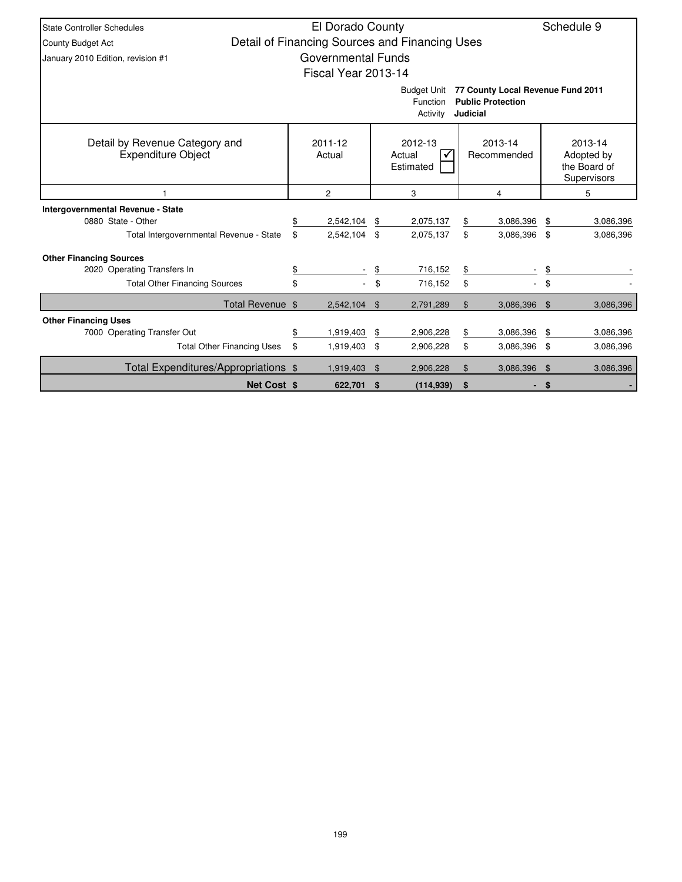| State Controller Schedules                           | El Dorado County          |                                                |                        |                                      |                                                      | Schedule 9 |
|------------------------------------------------------|---------------------------|------------------------------------------------|------------------------|--------------------------------------|------------------------------------------------------|------------|
| <b>County Budget Act</b>                             |                           | Detail of Financing Sources and Financing Uses |                        |                                      |                                                      |            |
| January 2010 Edition, revision #1                    | <b>Governmental Funds</b> |                                                |                        |                                      |                                                      |            |
|                                                      | Fiscal Year 2013-14       |                                                |                        |                                      |                                                      |            |
|                                                      |                           | <b>Budget Unit</b>                             |                        | 77 County Local Revenue Fund 2011    |                                                      |            |
|                                                      |                           | Function<br>Activity                           |                        | <b>Public Protection</b><br>Judicial |                                                      |            |
| Detail by Revenue Category and<br>Expenditure Object | 2011-12<br>Actual         | 2012-13<br>Actual<br>Estimated                 | 2013-14<br>Recommended |                                      | 2013-14<br>Adopted by<br>the Board of<br>Supervisors |            |
|                                                      | $\overline{2}$            | 3                                              |                        | 4                                    |                                                      | 5          |
| Intergovernmental Revenue - State                    |                           |                                                |                        |                                      |                                                      |            |
| 0880 State - Other                                   | \$<br>2,542,104           | \$<br>2,075,137                                | \$                     | 3,086,396                            | \$                                                   | 3,086,396  |
| Total Intergovernmental Revenue - State              | \$<br>2,542,104           | \$<br>2,075,137                                | \$                     | 3,086,396 \$                         |                                                      | 3,086,396  |
| <b>Other Financing Sources</b>                       |                           |                                                |                        |                                      |                                                      |            |
| 2020 Operating Transfers In                          | \$                        | \$<br>716,152                                  | \$                     |                                      | \$                                                   |            |
| <b>Total Other Financing Sources</b>                 | \$                        | \$<br>716,152                                  | \$                     |                                      | \$                                                   |            |
| Total Revenue \$                                     | 2,542,104                 | \$<br>2,791,289                                | \$                     | 3,086,396                            | - \$                                                 | 3,086,396  |
| <b>Other Financing Uses</b>                          |                           |                                                |                        |                                      |                                                      |            |
| 7000 Operating Transfer Out                          | \$<br>1,919,403           | \$<br>2,906,228                                | \$                     | 3,086,396                            | \$                                                   | 3,086,396  |
| <b>Total Other Financing Uses</b>                    | \$<br>1,919,403           | 3,086,396<br>\$                                | 3,086,396              |                                      |                                                      |            |
| Total Expenditures/Appropriations \$                 | 1,919,403                 | \$<br>2,906,228                                | \$                     | 3,086,396                            | \$                                                   | 3,086,396  |
| <b>Net Cost \$</b>                                   | 622,701 \$                | (114, 939)                                     | \$                     |                                      | - \$                                                 |            |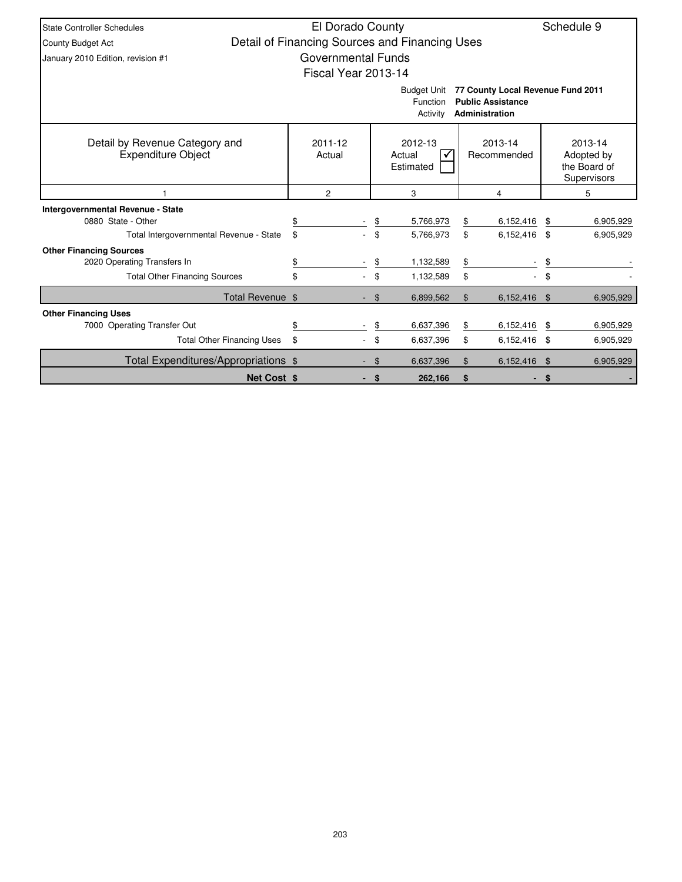| <b>State Controller Schedules</b>                                                                                             | El Dorado County<br>Schedule 9                 |                                                          |           |                |              |                |                                                      |  |  |  |  |
|-------------------------------------------------------------------------------------------------------------------------------|------------------------------------------------|----------------------------------------------------------|-----------|----------------|--------------|----------------|------------------------------------------------------|--|--|--|--|
|                                                                                                                               |                                                |                                                          |           |                |              |                |                                                      |  |  |  |  |
| <b>County Budget Act</b>                                                                                                      | Detail of Financing Sources and Financing Uses |                                                          |           |                |              |                |                                                      |  |  |  |  |
| January 2010 Edition, revision #1                                                                                             | Governmental Funds                             |                                                          |           |                |              |                |                                                      |  |  |  |  |
|                                                                                                                               | Fiscal Year 2013-14                            |                                                          |           |                |              |                |                                                      |  |  |  |  |
| 77 County Local Revenue Fund 2011<br><b>Budget Unit</b><br><b>Public Assistance</b><br>Function<br>Administration<br>Activity |                                                |                                                          |           |                |              |                |                                                      |  |  |  |  |
| Detail by Revenue Category and<br><b>Expenditure Object</b>                                                                   | 2011-12<br>Actual                              | 2012-13<br>2013-14<br>Recommended<br>Actual<br>Estimated |           |                |              |                | 2013-14<br>Adopted by<br>the Board of<br>Supervisors |  |  |  |  |
|                                                                                                                               | $\overline{2}$                                 |                                                          | 3         | 4              |              | 5              |                                                      |  |  |  |  |
| Intergovernmental Revenue - State                                                                                             |                                                |                                                          |           |                |              |                |                                                      |  |  |  |  |
| 0880 State - Other                                                                                                            |                                                | \$                                                       | 5,766,973 | \$             | 6,152,416    | \$             | 6,905,929                                            |  |  |  |  |
| Total Intergovernmental Revenue - State                                                                                       | \$                                             | \$                                                       | 5,766,973 | \$             | 6,152,416 \$ |                | 6,905,929                                            |  |  |  |  |
| <b>Other Financing Sources</b>                                                                                                |                                                |                                                          |           |                |              |                |                                                      |  |  |  |  |
| 2020 Operating Transfers In                                                                                                   | \$                                             | \$                                                       | 1,132,589 | \$             |              | \$             |                                                      |  |  |  |  |
| <b>Total Other Financing Sources</b>                                                                                          | \$                                             | \$                                                       | 1,132,589 | \$             |              | \$             |                                                      |  |  |  |  |
| Total Revenue \$                                                                                                              |                                                | \$                                                       | 6,899,562 | $\mathfrak{L}$ | 6,152,416 \$ |                | 6,905,929                                            |  |  |  |  |
| <b>Other Financing Uses</b>                                                                                                   |                                                |                                                          |           |                |              |                |                                                      |  |  |  |  |
| 7000 Operating Transfer Out                                                                                                   | \$                                             | \$                                                       | 6,637,396 | \$             | 6,152,416    | \$             | 6,905,929                                            |  |  |  |  |
| <b>Total Other Financing Uses</b>                                                                                             | \$                                             | \$                                                       | 6,637,396 | 6,905,929      |              |                |                                                      |  |  |  |  |
| Total Expenditures/Appropriations \$                                                                                          |                                                | \$                                                       | 6,637,396 | \$             | 6,152,416    | $\mathfrak{F}$ | 6,905,929                                            |  |  |  |  |
| <b>Net Cost \$</b>                                                                                                            |                                                | S.                                                       | 262.166   | \$             |              | \$             |                                                      |  |  |  |  |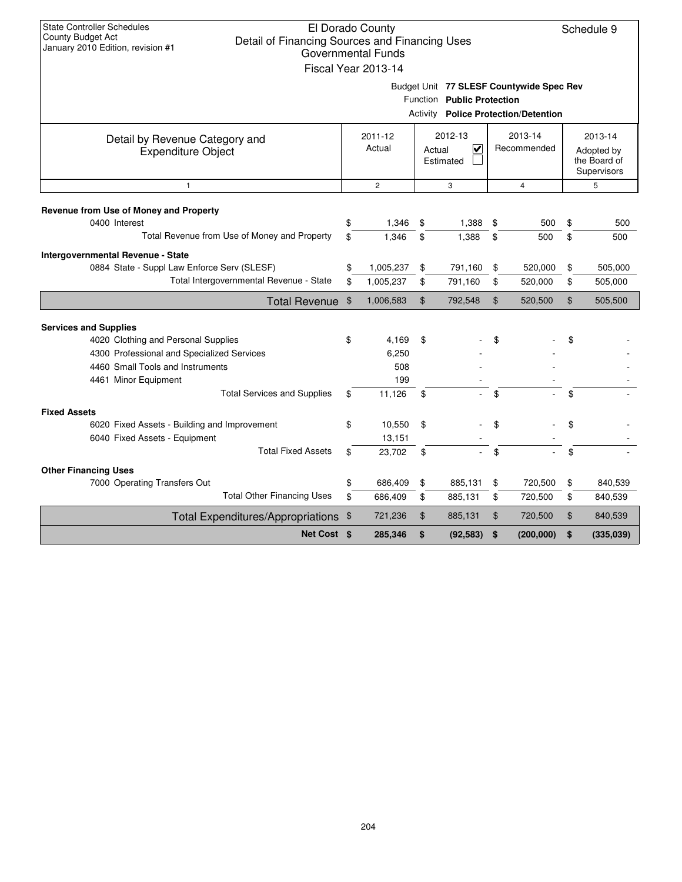| <b>State Controller Schedules</b><br>El Dorado County<br>Schedule 9<br>County Budget Act<br>Detail of Financing Sources and Financing Uses<br>January 2010 Edition, revision #1<br><b>Governmental Funds</b><br>Fiscal Year 2013-14 |          |                            |                |                                                           |          |                                                                                         |          |                                                      |  |  |
|-------------------------------------------------------------------------------------------------------------------------------------------------------------------------------------------------------------------------------------|----------|----------------------------|----------------|-----------------------------------------------------------|----------|-----------------------------------------------------------------------------------------|----------|------------------------------------------------------|--|--|
|                                                                                                                                                                                                                                     |          |                            |                | Function Public Protection                                |          | Budget Unit 77 SLESF Countywide Spec Rev<br><b>Activity Police Protection/Detention</b> |          |                                                      |  |  |
| Detail by Revenue Category and<br><b>Expenditure Object</b>                                                                                                                                                                         |          | 2011-12<br>Actual          |                | 2012-13<br>$\overline{\mathsf{v}}$<br>Actual<br>Estimated |          | 2013-14<br>Recommended                                                                  |          | 2013-14<br>Adopted by<br>the Board of<br>Supervisors |  |  |
| $\mathbf{1}$                                                                                                                                                                                                                        |          | $\overline{2}$             |                | 3                                                         |          | $\overline{4}$                                                                          |          | 5                                                    |  |  |
| Revenue from Use of Money and Property<br>0400 Interest<br>Total Revenue from Use of Money and Property                                                                                                                             | \$<br>\$ | 1,346<br>1,346             | \$<br>\$       | 1,388<br>1,388                                            | \$<br>\$ | 500<br>500                                                                              | \$<br>\$ | 500<br>500                                           |  |  |
| Intergovernmental Revenue - State<br>0884 State - Suppl Law Enforce Serv (SLESF)<br>Total Intergovernmental Revenue - State                                                                                                         | \$<br>\$ | 1,005,237<br>1,005,237     | \$<br>\$       | 791,160<br>791,160                                        | \$<br>\$ | 520,000<br>520,000                                                                      | \$<br>\$ | 505,000<br>505,000                                   |  |  |
| Total Revenue \$                                                                                                                                                                                                                    |          | 1,006,583                  | $\mathfrak{S}$ | 792,548                                                   | \$       | 520,500                                                                                 | \$       | 505,500                                              |  |  |
| <b>Services and Supplies</b><br>4020 Clothing and Personal Supplies                                                                                                                                                                 | \$       | 4,169                      | \$             |                                                           | \$       |                                                                                         | \$       |                                                      |  |  |
| 4300 Professional and Specialized Services<br>4460 Small Tools and Instruments<br>4461 Minor Equipment                                                                                                                              |          | 6,250<br>508<br>199        |                |                                                           |          |                                                                                         |          |                                                      |  |  |
| <b>Total Services and Supplies</b>                                                                                                                                                                                                  | \$       | 11,126                     | \$             |                                                           | \$       |                                                                                         | \$       |                                                      |  |  |
| <b>Fixed Assets</b><br>6020 Fixed Assets - Building and Improvement<br>6040 Fixed Assets - Equipment<br><b>Total Fixed Assets</b>                                                                                                   | \$<br>\$ | 10,550<br>13,151<br>23,702 | \$<br>\$       |                                                           | \$<br>\$ |                                                                                         | \$<br>\$ |                                                      |  |  |
| <b>Other Financing Uses</b>                                                                                                                                                                                                         |          |                            |                |                                                           |          |                                                                                         |          |                                                      |  |  |
| 7000 Operating Transfers Out<br><b>Total Other Financing Uses</b>                                                                                                                                                                   | \$<br>\$ | 686,409<br>686,409         | \$<br>\$       | 885,131<br>885,131                                        | \$<br>\$ | 720,500<br>720,500                                                                      | \$<br>\$ | 840,539<br>840,539                                   |  |  |
|                                                                                                                                                                                                                                     |          | 721,236                    | $\mathfrak{L}$ | 885,131                                                   | \$       | 720,500                                                                                 | \$       | 840,539                                              |  |  |
| Total Expenditures/Appropriations \$<br>Net Cost \$                                                                                                                                                                                 |          | 285,346                    | \$             | (92, 583)                                                 | \$       | (200, 000)                                                                              | \$       | (335,039)                                            |  |  |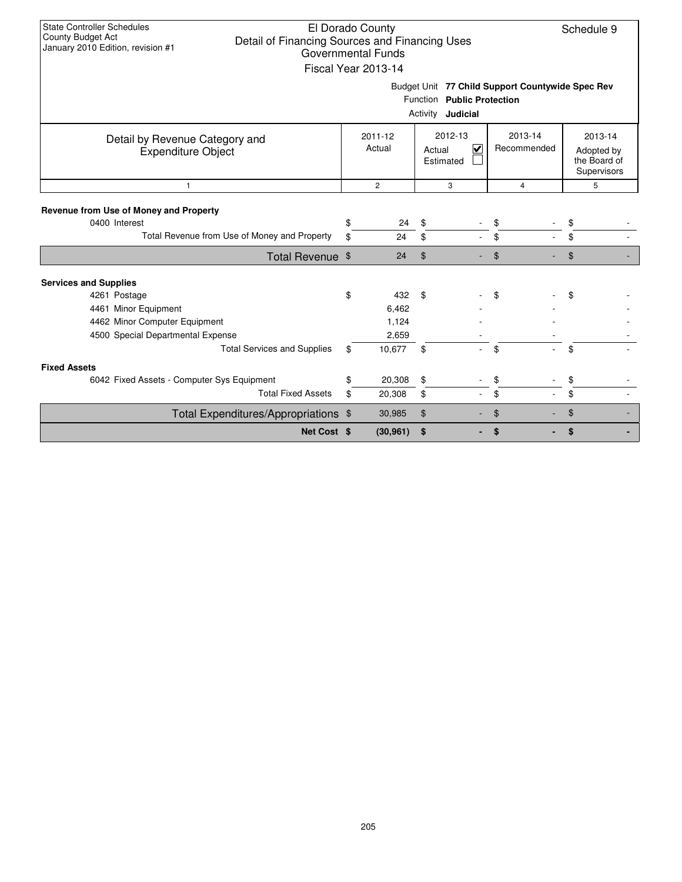| <b>State Controller Schedules</b><br>County Budget Act<br>January 2010 Edition, revision #1 | El Dorado County<br>Schedule 9<br>Detail of Financing Sources and Financing Uses<br>Governmental Funds<br>Fiscal Year 2013-14 |                   |    |                                                           |    |                        |    |                                                      |  |  |  |
|---------------------------------------------------------------------------------------------|-------------------------------------------------------------------------------------------------------------------------------|-------------------|----|-----------------------------------------------------------|----|------------------------|----|------------------------------------------------------|--|--|--|
|                                                                                             | Budget Unit 77 Child Support Countywide Spec Rev<br>Function Public Protection<br>Activity <b>Judicial</b>                    |                   |    |                                                           |    |                        |    |                                                      |  |  |  |
| Detail by Revenue Category and<br><b>Expenditure Object</b>                                 |                                                                                                                               | 2011-12<br>Actual |    | 2012-13<br>$\overline{\mathbf{v}}$<br>Actual<br>Estimated |    | 2013-14<br>Recommended |    | 2013-14<br>Adopted by<br>the Board of<br>Supervisors |  |  |  |
| $\mathbf{1}$                                                                                |                                                                                                                               | $\overline{c}$    |    | 3                                                         |    | $\overline{4}$         |    | 5                                                    |  |  |  |
| Revenue from Use of Money and Property<br>0400 Interest                                     | \$                                                                                                                            | 24                | \$ |                                                           | \$ |                        | \$ |                                                      |  |  |  |
| Total Revenue from Use of Money and Property                                                | \$                                                                                                                            | 24                | \$ |                                                           | \$ |                        | \$ |                                                      |  |  |  |
| Total Revenue \$                                                                            |                                                                                                                               | 24                | \$ |                                                           | \$ |                        | \$ |                                                      |  |  |  |
| <b>Services and Supplies</b>                                                                |                                                                                                                               |                   |    |                                                           |    |                        |    |                                                      |  |  |  |
| 4261 Postage<br>4461 Minor Equipment                                                        | \$                                                                                                                            | 432<br>6,462      | \$ |                                                           | \$ |                        | \$ |                                                      |  |  |  |
| 4462 Minor Computer Equipment<br>4500 Special Departmental Expense                          |                                                                                                                               | 1,124<br>2,659    |    |                                                           |    |                        |    |                                                      |  |  |  |
| <b>Total Services and Supplies</b>                                                          | \$                                                                                                                            | 10,677            | \$ |                                                           | \$ |                        | \$ |                                                      |  |  |  |
| <b>Fixed Assets</b>                                                                         |                                                                                                                               |                   |    |                                                           |    |                        |    |                                                      |  |  |  |
| 6042 Fixed Assets - Computer Sys Equipment                                                  | \$                                                                                                                            | 20,308            | \$ |                                                           | \$ |                        | \$ |                                                      |  |  |  |
| <b>Total Fixed Assets</b>                                                                   | \$                                                                                                                            | 20,308            | \$ |                                                           | \$ |                        | \$ |                                                      |  |  |  |
| Total Expenditures/Appropriations \$                                                        |                                                                                                                               | 30,985            | \$ |                                                           | \$ |                        | \$ |                                                      |  |  |  |
| Net Cost \$                                                                                 |                                                                                                                               | (30, 961)         | \$ |                                                           | \$ |                        | \$ |                                                      |  |  |  |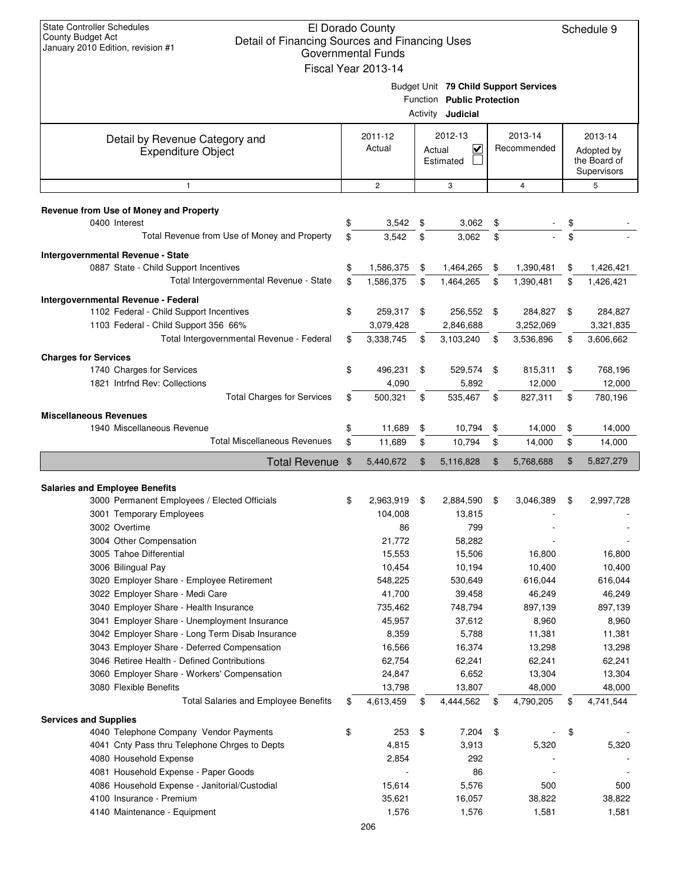| <b>State Controller Schedules</b><br>El Dorado County<br>Schedule 9<br>County Budget Act<br>Detail of Financing Sources and Financing Uses<br>January 2010 Edition, revision #1<br><b>Governmental Funds</b><br>Fiscal Year 2013-14 |    |                      |          |                                                |    |                                       |    |                                                      |  |
|-------------------------------------------------------------------------------------------------------------------------------------------------------------------------------------------------------------------------------------|----|----------------------|----------|------------------------------------------------|----|---------------------------------------|----|------------------------------------------------------|--|
|                                                                                                                                                                                                                                     |    |                      | Activity | Function Public Protection<br>Judicial         |    | Budget Unit 79 Child Support Services |    |                                                      |  |
| Detail by Revenue Category and<br><b>Expenditure Object</b>                                                                                                                                                                         |    | 2011-12<br>Actual    |          | 2012-13<br>$\checkmark$<br>Actual<br>Estimated |    | 2013-14<br>Recommended                |    | 2013-14<br>Adopted by<br>the Board of<br>Supervisors |  |
| $\mathbf{1}$                                                                                                                                                                                                                        |    | $\overline{c}$       |          | 3                                              |    | $\overline{4}$                        |    | 5                                                    |  |
| Revenue from Use of Money and Property                                                                                                                                                                                              |    |                      |          |                                                |    |                                       |    |                                                      |  |
| 0400 Interest                                                                                                                                                                                                                       | \$ | 3,542                | \$       | 3,062                                          | \$ |                                       | \$ |                                                      |  |
| Total Revenue from Use of Money and Property                                                                                                                                                                                        | \$ | 3,542                | \$       | 3,062                                          | \$ |                                       | \$ |                                                      |  |
| Intergovernmental Revenue - State                                                                                                                                                                                                   |    |                      |          |                                                |    |                                       |    |                                                      |  |
| 0887 State - Child Support Incentives                                                                                                                                                                                               | \$ | 1,586,375            | \$       | 1,464,265                                      | \$ | 1,390,481                             | \$ | 1,426,421                                            |  |
| Total Intergovernmental Revenue - State                                                                                                                                                                                             | \$ | 1,586,375            | \$       | 1,464,265                                      | \$ | 1,390,481                             | \$ | 1,426,421                                            |  |
| Intergovernmental Revenue - Federal                                                                                                                                                                                                 |    |                      |          |                                                |    |                                       |    |                                                      |  |
| 1102 Federal - Child Support Incentives                                                                                                                                                                                             | \$ | 259,317              | \$       | 256,552                                        | \$ | 284,827                               | \$ | 284,827                                              |  |
| 1103 Federal - Child Support 356 66%                                                                                                                                                                                                |    | 3,079,428            |          | 2,846,688                                      |    | 3,252,069                             |    | 3,321,835                                            |  |
| Total Intergovernmental Revenue - Federal                                                                                                                                                                                           | \$ | 3,338,745            | \$       | 3,103,240                                      | \$ | 3,536,896                             | \$ | 3,606,662                                            |  |
| <b>Charges for Services</b>                                                                                                                                                                                                         |    |                      |          |                                                |    |                                       |    |                                                      |  |
| 1740 Charges for Services<br>1821 Intrfnd Rev: Collections                                                                                                                                                                          | \$ | 496,231<br>4,090     | \$       | 529,574<br>5,892                               | \$ | 815,311<br>12,000                     | \$ | 768,196<br>12,000                                    |  |
| <b>Total Charges for Services</b>                                                                                                                                                                                                   | \$ | 500,321              | \$       | 535,467                                        | \$ | 827,311                               | \$ | 780,196                                              |  |
|                                                                                                                                                                                                                                     |    |                      |          |                                                |    |                                       |    |                                                      |  |
| <b>Miscellaneous Revenues</b><br>1940 Miscellaneous Revenue                                                                                                                                                                         | \$ | 11,689               | \$       | 10,794                                         | \$ | 14,000                                | \$ | 14,000                                               |  |
| <b>Total Miscellaneous Revenues</b>                                                                                                                                                                                                 | \$ | 11,689               | \$       | 10,794                                         | \$ | 14,000                                | \$ | 14,000                                               |  |
| <b>Total Revenue</b>                                                                                                                                                                                                                | \$ | 5,440,672            | \$       | 5,116,828                                      | \$ | 5,768,688                             | \$ | 5,827,279                                            |  |
|                                                                                                                                                                                                                                     |    |                      |          |                                                |    |                                       |    |                                                      |  |
| <b>Salaries and Employee Benefits</b>                                                                                                                                                                                               |    |                      |          |                                                |    |                                       |    |                                                      |  |
| 3000 Permanent Employees / Elected Officials                                                                                                                                                                                        | \$ | 2,963,919<br>104,008 | \$       | 2,884,590<br>13,815                            | \$ | 3,046,389                             | \$ | 2.997.728                                            |  |
| 3001 Temporary Employees<br>3002 Overtime                                                                                                                                                                                           |    | 86                   |          | 799                                            |    |                                       |    |                                                      |  |
| 3004 Other Compensation                                                                                                                                                                                                             |    | 21,772               |          | 58,282                                         |    |                                       |    |                                                      |  |
| 3005 Tahoe Differential                                                                                                                                                                                                             |    | 15,553               |          | 15,506                                         |    | 16,800                                |    | 16,800                                               |  |
| 3006 Bilingual Pay                                                                                                                                                                                                                  |    | 10,454               |          | 10,194                                         |    | 10,400                                |    | 10,400                                               |  |
| 3020 Employer Share - Employee Retirement                                                                                                                                                                                           |    | 548,225              |          | 530,649                                        |    | 616,044                               |    | 616,044                                              |  |
| 3022 Employer Share - Medi Care                                                                                                                                                                                                     |    | 41,700               |          | 39,458                                         |    | 46,249                                |    | 46,249                                               |  |
| 3040 Employer Share - Health Insurance                                                                                                                                                                                              |    | 735,462              |          | 748,794                                        |    | 897,139                               |    | 897,139                                              |  |
| 3041 Employer Share - Unemployment Insurance                                                                                                                                                                                        |    | 45,957               |          | 37,612                                         |    | 8,960                                 |    | 8,960                                                |  |
| 3042 Employer Share - Long Term Disab Insurance                                                                                                                                                                                     |    | 8,359                |          | 5,788                                          |    | 11,381                                |    | 11,381                                               |  |
| 3043 Employer Share - Deferred Compensation<br>3046 Retiree Health - Defined Contributions                                                                                                                                          |    | 16,566<br>62,754     |          | 16,374<br>62,241                               |    | 13,298<br>62,241                      |    | 13,298<br>62,241                                     |  |
| 3060 Employer Share - Workers' Compensation                                                                                                                                                                                         |    | 24,847               |          | 6,652                                          |    | 13,304                                |    | 13,304                                               |  |
| 3080 Flexible Benefits                                                                                                                                                                                                              |    | 13,798               |          | 13,807                                         |    | 48,000                                |    | 48,000                                               |  |
| <b>Total Salaries and Employee Benefits</b>                                                                                                                                                                                         | \$ | 4,613,459            | \$       | 4,444,562                                      | \$ | 4,790,205                             | \$ | 4,741,544                                            |  |
| <b>Services and Supplies</b>                                                                                                                                                                                                        |    |                      |          |                                                |    |                                       |    |                                                      |  |
| 4040 Telephone Company Vendor Payments                                                                                                                                                                                              | \$ | 253                  | \$       | 7,204                                          | \$ |                                       | \$ |                                                      |  |
| 4041 Cnty Pass thru Telephone Chrges to Depts                                                                                                                                                                                       |    | 4,815                |          | 3,913                                          |    | 5,320                                 |    | 5,320                                                |  |
| 4080 Household Expense                                                                                                                                                                                                              |    | 2,854                |          | 292                                            |    |                                       |    |                                                      |  |
| 4081 Household Expense - Paper Goods                                                                                                                                                                                                |    |                      |          | 86                                             |    |                                       |    |                                                      |  |
| 4086 Household Expense - Janitorial/Custodial                                                                                                                                                                                       |    | 15,614               |          | 5,576                                          |    | 500                                   |    | 500                                                  |  |
| 4100 Insurance - Premium<br>4140 Maintenance - Equipment                                                                                                                                                                            |    | 35,621<br>1,576      |          | 16,057<br>1,576                                |    | 38,822<br>1,581                       |    | 38,822<br>1,581                                      |  |
|                                                                                                                                                                                                                                     |    | 206                  |          |                                                |    |                                       |    |                                                      |  |
|                                                                                                                                                                                                                                     |    |                      |          |                                                |    |                                       |    |                                                      |  |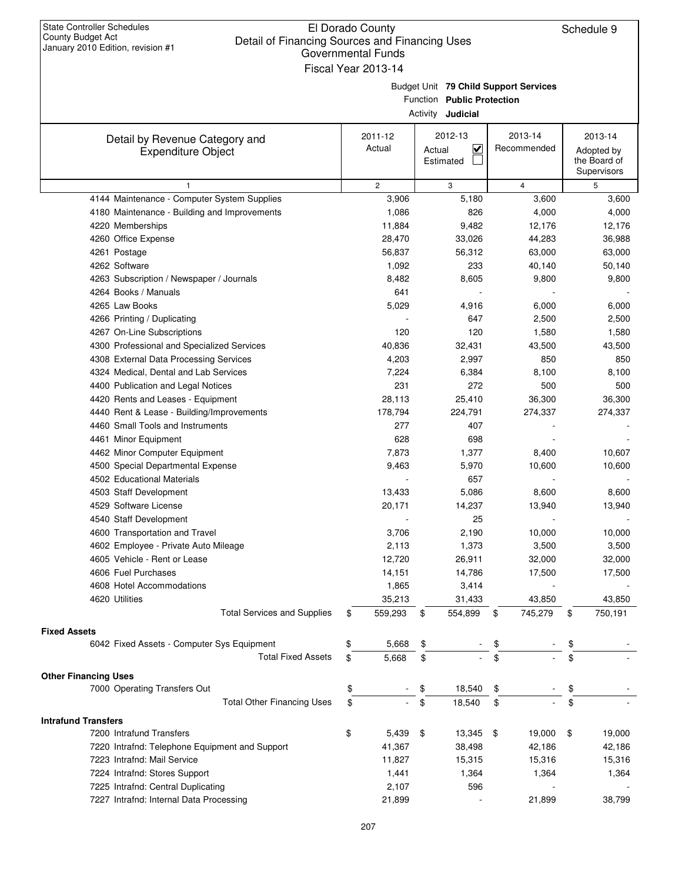## El Dorado County Detail of Financing Sources and Financing Uses Governmental Funds

| January 2010 Edition, revision #1                                   | Governmental Funds  |                                       |               |                  |         |
|---------------------------------------------------------------------|---------------------|---------------------------------------|---------------|------------------|---------|
|                                                                     | Fiscal Year 2013-14 |                                       |               |                  |         |
|                                                                     |                     | Budget Unit 79 Child Support Services |               |                  |         |
|                                                                     |                     | Function Public Protection            |               |                  |         |
|                                                                     |                     | Activity <b>Judicial</b>              |               |                  |         |
| Detail by Revenue Category and                                      | 2011-12             | 2012-13                               | 2013-14       | 2013-14          |         |
| <b>Expenditure Object</b>                                           | Actual              | $\checkmark$<br>Actual                | Recommended   | Adopted by       |         |
|                                                                     |                     | Estimated                             |               | the Board of     |         |
| 1                                                                   | $\mathbf{2}$        | 3                                     | 4             | Supervisors<br>5 |         |
| 4144 Maintenance - Computer System Supplies                         | 3,906               | 5,180                                 | 3,600         |                  | 3,600   |
| 4180 Maintenance - Building and Improvements                        | 1,086               | 826                                   | 4,000         |                  | 4,000   |
| 4220 Memberships                                                    | 11,884              | 9,482                                 | 12,176        |                  | 12,176  |
| 4260 Office Expense                                                 | 28,470              | 33,026                                | 44,283        |                  | 36,988  |
| 4261 Postage                                                        | 56,837              | 56,312                                | 63,000        |                  | 63,000  |
| 4262 Software                                                       | 1,092               | 233                                   | 40,140        |                  | 50,140  |
| 4263 Subscription / Newspaper / Journals                            | 8,482               | 8,605                                 | 9,800         |                  | 9,800   |
| 4264 Books / Manuals                                                | 641                 |                                       |               |                  |         |
| 4265 Law Books                                                      | 5,029               | 4,916                                 | 6,000         |                  | 6,000   |
| 4266 Printing / Duplicating                                         |                     | 647                                   | 2,500         |                  | 2,500   |
| 4267 On-Line Subscriptions                                          | 120                 | 120                                   | 1,580         |                  | 1,580   |
| 4300 Professional and Specialized Services                          | 40,836              | 32,431                                | 43,500        |                  | 43,500  |
| 4308 External Data Processing Services                              | 4,203               | 2,997                                 | 850           |                  | 850     |
| 4324 Medical, Dental and Lab Services                               | 7,224               | 6,384                                 | 8,100         |                  | 8,100   |
| 4400 Publication and Legal Notices                                  | 231                 | 272                                   | 500           |                  | 500     |
| 4420 Rents and Leases - Equipment                                   | 28,113              | 25,410                                | 36,300        |                  | 36,300  |
| 4440 Rent & Lease - Building/Improvements                           | 178,794             | 224,791                               | 274,337       |                  | 274,337 |
| 4460 Small Tools and Instruments                                    | 277                 | 407                                   |               |                  |         |
| 4461 Minor Equipment                                                | 628                 | 698                                   |               |                  |         |
| 4462 Minor Computer Equipment                                       | 7,873               | 1,377                                 | 8,400         |                  | 10,607  |
| 4500 Special Departmental Expense                                   | 9,463               | 5,970                                 | 10,600        |                  | 10,600  |
| 4502 Educational Materials                                          |                     | 657                                   |               |                  |         |
| 4503 Staff Development                                              | 13,433              | 5,086                                 | 8,600         |                  | 8,600   |
| 4529 Software License<br>4540 Staff Development                     | 20,171              | 14,237<br>25                          | 13,940        |                  | 13,940  |
| 4600 Transportation and Travel                                      | 3,706               | 2,190                                 | 10,000        |                  | 10,000  |
| 4602 Employee - Private Auto Mileage                                | 2,113               | 1,373                                 | 3,500         |                  | 3,500   |
| 4605 Vehicle - Rent or Lease                                        | 12,720              | 26,911                                | 32,000        |                  | 32,000  |
| 4606 Fuel Purchases                                                 | 14,151              | 14,786                                | 17,500        |                  | 17,500  |
| 4608 Hotel Accommodations                                           | 1,865               | 3,414                                 |               |                  |         |
| 4620 Utilities                                                      | 35,213              | 31,433                                | 43,850        |                  | 43,850  |
| <b>Total Services and Supplies</b>                                  | 559,293<br>\$       | 554,899<br>$\sqrt{3}$                 | 745,279<br>\$ | \$               | 750,191 |
| <b>Fixed Assets</b>                                                 |                     |                                       |               |                  |         |
| 6042 Fixed Assets - Computer Sys Equipment                          | 5,668<br>\$         | \$                                    | \$            | \$               |         |
| <b>Total Fixed Assets</b>                                           | 5,668<br>\$         | \$                                    | \$            | \$               |         |
|                                                                     |                     |                                       |               |                  |         |
| <b>Other Financing Uses</b>                                         |                     |                                       |               |                  |         |
| 7000 Operating Transfers Out<br><b>Total Other Financing Uses</b>   | \$<br>\$            | 18,540<br>\$<br>18,540<br>\$          | \$<br>\$      | \$               |         |
|                                                                     |                     |                                       |               | \$               |         |
| <b>Intrafund Transfers</b>                                          |                     |                                       |               |                  |         |
| 7200 Intrafund Transfers                                            | \$<br>$5,439$ \$    | $13,345$ \$                           | 19,000        | \$               | 19,000  |
| 7220 Intrafnd: Telephone Equipment and Support                      | 41,367              | 38,498                                | 42,186        |                  | 42,186  |
| 7223 Intrafnd: Mail Service                                         | 11,827              | 15,315                                | 15,316        |                  | 15,316  |
| 7224 Intrafnd: Stores Support<br>7225 Intrafnd: Central Duplicating | 1,441<br>2,107      | 1,364<br>596                          | 1,364         |                  | 1,364   |
| 7227 Intrafnd: Internal Data Processing                             | 21,899              |                                       | 21,899        |                  | 38,799  |
|                                                                     |                     |                                       |               |                  |         |